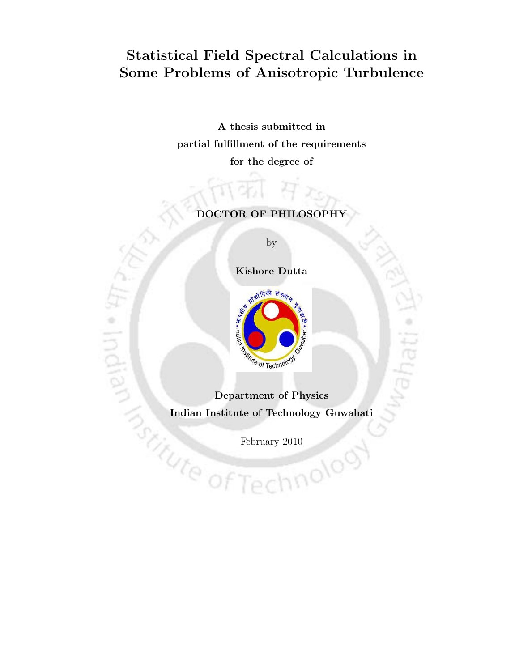## Statistical Field Spectral Calculations in Some Problems of Anisotropic Turbulence

A thesis submitted in partial fulfillment of the requirements for the degree of

#### DOCTOR OF PHILOSOPHY

by

Kishore Dutta



t. Indian

Indian Institute of Technology Guwahati

February 2010

nnolog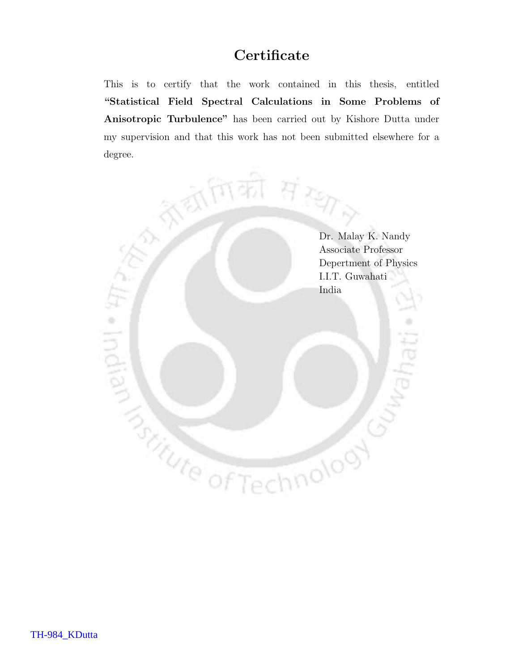## **Certificate**

This is to certify that the work contained in this thesis, entitled "Statistical Field Spectral Calculations in Some Problems of Anisotropic Turbulence" has been carried out by Kishore Dutta under my supervision and that this work has not been submitted elsewhere for a degree.

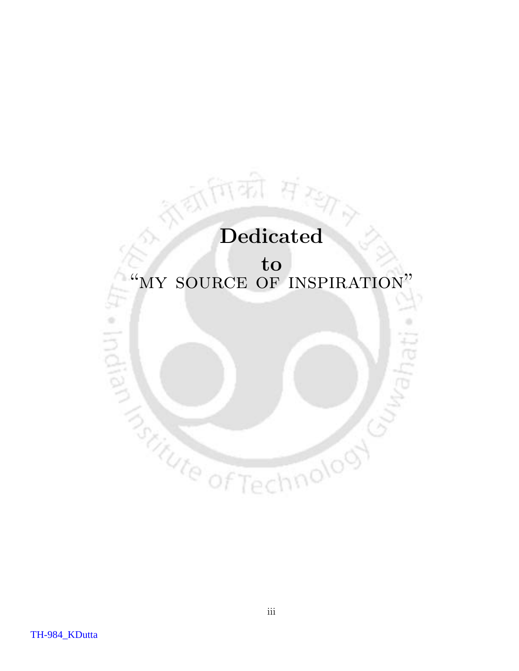# Dedicated

(की संख्

# to "MY SOURCE OF INSPIRATION" **SERVICED STREETED**

hnolooy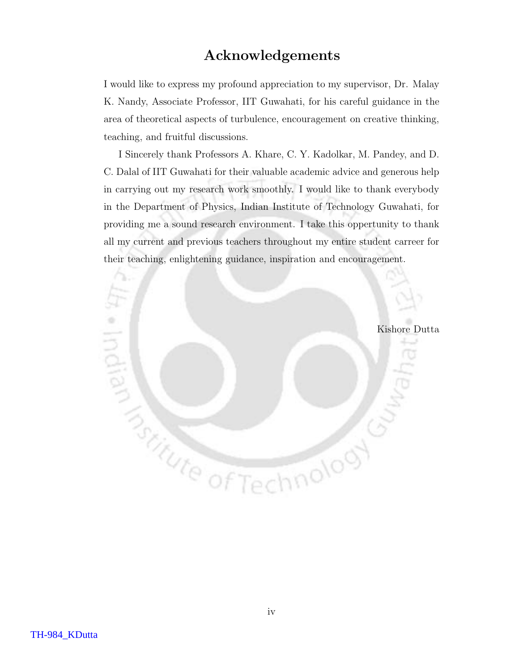### Acknowledgements

I would like to express my profound appreciation to my supervisor, Dr. Malay K. Nandy, Associate Professor, IIT Guwahati, for his careful guidance in the area of theoretical aspects of turbulence, encouragement on creative thinking, teaching, and fruitful discussions.

I Sincerely thank Professors A. Khare, C. Y. Kadolkar, M. Pandey, and D. C. Dalal of IIT Guwahati for their valuable academic advice and generous help in carrying out my research work smoothly. I would like to thank everybody in the Department of Physics, Indian Institute of Technology Guwahati, for providing me a sound research environment. I take this oppertunity to thank all my current and previous teachers throughout my entire student carreer for their teaching, enlightening guidance, inspiration and encouragement.

Kishore Dutta

indian

**Butter of Technology**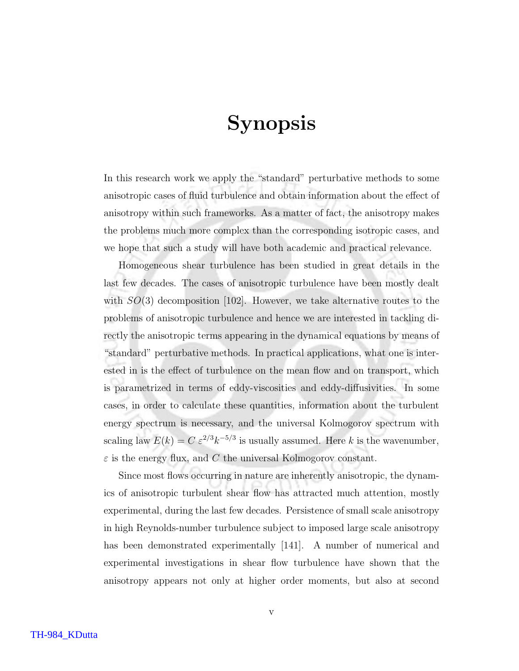# Synopsis

In this research work we apply the "standard" perturbative methods to some anisotropic cases of fluid turbulence and obtain information about the effect of anisotropy within such frameworks. As a matter of fact, the anisotropy makes the problems much more complex than the corresponding isotropic cases, and we hope that such a study will have both academic and practical relevance.

Homogeneous shear turbulence has been studied in great details in the last few decades. The cases of anisotropic turbulence have been mostly dealt with  $SO(3)$  decomposition [102]. However, we take alternative routes to the problems of anisotropic turbulence and hence we are interested in tackling directly the anisotropic terms appearing in the dynamical equations by means of "standard" perturbative methods. In practical applications, what one is interested in is the effect of turbulence on the mean flow and on transport, which is parametrized in terms of eddy-viscosities and eddy-diffusivities. In some cases, in order to calculate these quantities, information about the turbulent energy spectrum is necessary, and the universal Kolmogorov spectrum with scaling law  $E(k) = C \epsilon^{2/3} k^{-5/3}$  is usually assumed. Here k is the wavenumber,  $\varepsilon$  is the energy flux, and C the universal Kolmogorov constant.

Since most flows occurring in nature are inherently anisotropic, the dynamics of anisotropic turbulent shear flow has attracted much attention, mostly experimental, during the last few decades. Persistence of small scale anisotropy in high Reynolds-number turbulence subject to imposed large scale anisotropy has been demonstrated experimentally [141]. A number of numerical and experimental investigations in shear flow turbulence have shown that the anisotropy appears not only at higher order moments, but also at second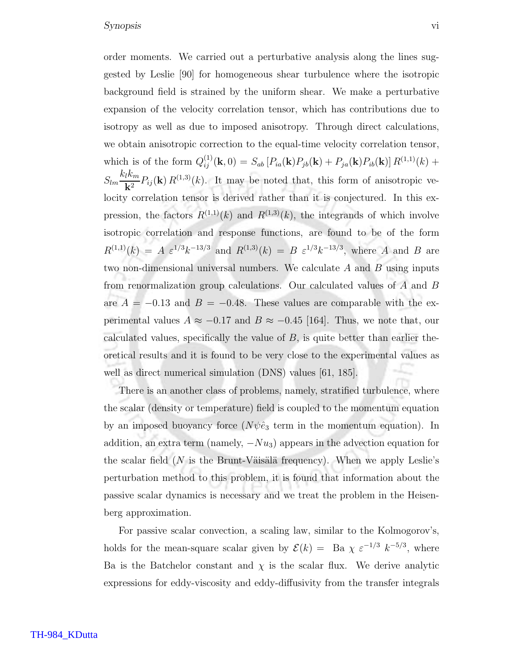order moments. We carried out a perturbative analysis along the lines suggested by Leslie [90] for homogeneous shear turbulence where the isotropic background field is strained by the uniform shear. We make a perturbative expansion of the velocity correlation tensor, which has contributions due to isotropy as well as due to imposed anisotropy. Through direct calculations, we obtain anisotropic correction to the equal-time velocity correlation tensor, which is of the form  $Q_{ij}^{(1)}(\mathbf{k},0) = S_{ab} [P_{ia}(\mathbf{k}) P_{jb}(\mathbf{k}) + P_{ja}(\mathbf{k}) P_{ib}(\mathbf{k})] R^{(1,1)}(k) +$  $S_{lm}$  $k_l k_m$  $\frac{\hbar^{2}}{\mathbf{k}^{2}} P_{ij}(\mathbf{k}) R^{(1,3)}(k)$ . It may be noted that, this form of anisotropic velocity correlation tensor is derived rather than it is conjectured. In this expression, the factors  $R^{(1,1)}(k)$  and  $R^{(1,3)}(k)$ , the integrands of which involve isotropic correlation and response functions, are found to be of the form  $R^{(1,1)}(k) = A \varepsilon^{1/3} k^{-13/3}$  and  $R^{(1,3)}(k) = B \varepsilon^{1/3} k^{-13/3}$ , where A and B are two non-dimensional universal numbers. We calculate  $A$  and  $B$  using inputs from renormalization group calculations. Our calculated values of A and B are  $A = -0.13$  and  $B = -0.48$ . These values are comparable with the experimental values  $A \approx -0.17$  and  $B \approx -0.45$  [164]. Thus, we note that, our calculated values, specifically the value of  $B$ , is quite better than earlier theoretical results and it is found to be very close to the experimental values as well as direct numerical simulation (DNS) values [61, 185].

There is an another class of problems, namely, stratified turbulence, where the scalar (density or temperature) field is coupled to the momentum equation by an imposed buoyancy force  $(N\psi\hat{e}_3)$  term in the momentum equation). In addition, an extra term (namely,  $-Nu_3$ ) appears in the advection equation for the scalar field ( $N$  is the Brunt-Väisälä frequency). When we apply Leslie's perturbation method to this problem, it is found that information about the passive scalar dynamics is necessary and we treat the problem in the Heisenberg approximation.

For passive scalar convection, a scaling law, similar to the Kolmogorov's, holds for the mean-square scalar given by  $\mathcal{E}(k) = \text{Ba } \chi \varepsilon^{-1/3} k^{-5/3}$ , where Ba is the Batchelor constant and  $\chi$  is the scalar flux. We derive analytic expressions for eddy-viscosity and eddy-diffusivity from the transfer integrals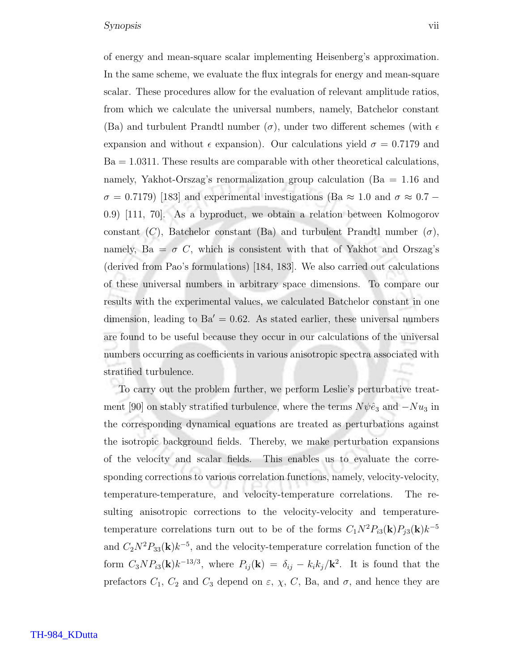of energy and mean-square scalar implementing Heisenberg's approximation. In the same scheme, we evaluate the flux integrals for energy and mean-square scalar. These procedures allow for the evaluation of relevant amplitude ratios, from which we calculate the universal numbers, namely, Batchelor constant (Ba) and turbulent Prandtl number  $(\sigma)$ , under two different schemes (with  $\epsilon$ expansion and without  $\epsilon$  expansion). Our calculations yield  $\sigma = 0.7179$  and  $Ba = 1.0311$ . These results are comparable with other theoretical calculations, namely, Yakhot-Orszag's renormalization group calculation (Ba = 1.16 and  $\sigma = 0.7179$ ) [183] and experimental investigations (Ba ≈ 1.0 and  $\sigma \approx 0.7$  – 0.9) [111, 70]. As a byproduct, we obtain a relation between Kolmogorov constant  $(C)$ , Batchelor constant (Ba) and turbulent Prandtl number  $(\sigma)$ , namely, Ba =  $\sigma$  C, which is consistent with that of Yakhot and Orszag's (derived from Pao's formulations) [184, 183]. We also carried out calculations of these universal numbers in arbitrary space dimensions. To compare our results with the experimental values, we calculated Batchelor constant in one dimension, leading to  $Ba' = 0.62$ . As stated earlier, these universal numbers are found to be useful because they occur in our calculations of the universal numbers occurring as coefficients in various anisotropic spectra associated with stratified turbulence.

To carry out the problem further, we perform Leslie's perturbative treatment [90] on stably stratified turbulence, where the terms  $N\psi\hat{e}_3$  and  $-Nu_3$  in the corresponding dynamical equations are treated as perturbations against the isotropic background fields. Thereby, we make perturbation expansions of the velocity and scalar fields. This enables us to evaluate the corresponding corrections to various correlation functions, namely, velocity-velocity, temperature-temperature, and velocity-temperature correlations. The resulting anisotropic corrections to the velocity-velocity and temperaturetemperature correlations turn out to be of the forms  $C_1N^2P_{i3}(\mathbf{k})P_{j3}(\mathbf{k})k^{-5}$ and  $C_2N^2P_{33}(\mathbf{k})k^{-5}$ , and the velocity-temperature correlation function of the form  $C_3NP_{i3}(\mathbf{k})k^{-13/3}$ , where  $P_{ij}(\mathbf{k}) = \delta_{ij} - k_ik_j/\mathbf{k}^2$ . It is found that the prefactors  $C_1$ ,  $C_2$  and  $C_3$  depend on  $\varepsilon$ ,  $\chi$ ,  $C$ , Ba, and  $\sigma$ , and hence they are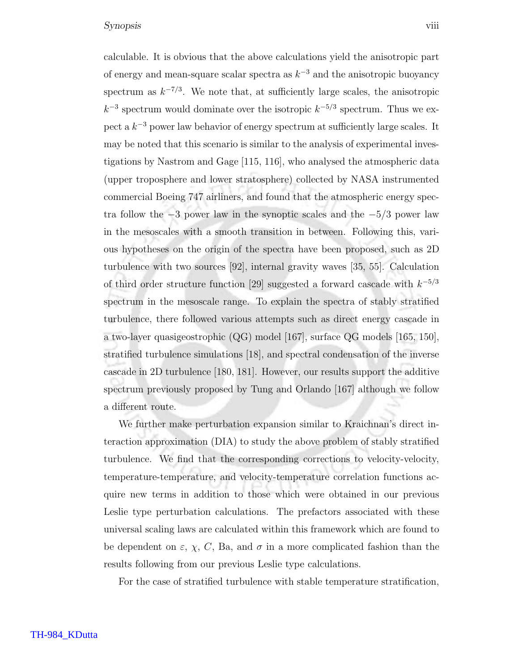calculable. It is obvious that the above calculations yield the anisotropic part of energy and mean-square scalar spectra as  $k^{-3}$  and the anisotropic buoyancy spectrum as  $k^{-7/3}$ . We note that, at sufficiently large scales, the anisotropic  $k^{-3}$  spectrum would dominate over the isotropic  $k^{-5/3}$  spectrum. Thus we expect a  $k^{-3}$  power law behavior of energy spectrum at sufficiently large scales. It may be noted that this scenario is similar to the analysis of experimental investigations by Nastrom and Gage [115, 116], who analysed the atmospheric data (upper troposphere and lower stratosphere) collected by NASA instrumented commercial Boeing 747 airliners, and found that the atmospheric energy spectra follow the  $-3$  power law in the synoptic scales and the  $-5/3$  power law in the mesoscales with a smooth transition in between. Following this, various hypotheses on the origin of the spectra have been proposed, such as 2D turbulence with two sources [92], internal gravity waves [35, 55]. Calculation of third order structure function [29] suggested a forward cascade with  $k^{-5/3}$ spectrum in the mesoscale range. To explain the spectra of stably stratified turbulence, there followed various attempts such as direct energy cascade in a two-layer quasigeostrophic (QG) model [167], surface QG models [165, 150], stratified turbulence simulations [18], and spectral condensation of the inverse cascade in 2D turbulence [180, 181]. However, our results support the additive spectrum previously proposed by Tung and Orlando [167] although we follow a different route.

We further make perturbation expansion similar to Kraichnan's direct interaction approximation (DIA) to study the above problem of stably stratified turbulence. We find that the corresponding corrections to velocity-velocity, temperature-temperature, and velocity-temperature correlation functions acquire new terms in addition to those which were obtained in our previous Leslie type perturbation calculations. The prefactors associated with these universal scaling laws are calculated within this framework which are found to be dependent on  $\varepsilon$ ,  $\chi$ ,  $C$ , Ba, and  $\sigma$  in a more complicated fashion than the results following from our previous Leslie type calculations.

For the case of stratified turbulence with stable temperature stratification,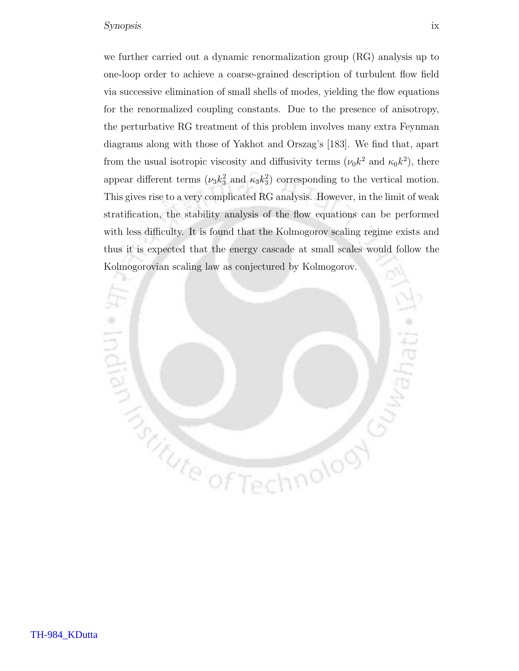#### Synopsis ix

we further carried out a dynamic renormalization group (RG) analysis up to one-loop order to achieve a coarse-grained description of turbulent flow field via successive elimination of small shells of modes, yielding the flow equations for the renormalized coupling constants. Due to the presence of anisotropy, the perturbative RG treatment of this problem involves many extra Feynman diagrams along with those of Yakhot and Orszag's [183]. We find that, apart from the usual isotropic viscosity and diffusivity terms  $(\nu_0 k^2$  and  $\kappa_0 k^2)$ , there appear different terms  $(\nu_3 k_3^2 \text{ and } \kappa_3 k_3^2)$  corresponding to the vertical motion. This gives rise to a very complicated RG analysis. However, in the limit of weak stratification, the stability analysis of the flow equations can be performed with less difficulty. It is found that the Kolmogorov scaling regime exists and thus it is expected that the energy cascade at small scales would follow the Kolmogorovian scaling law as conjectured by Kolmogorov.

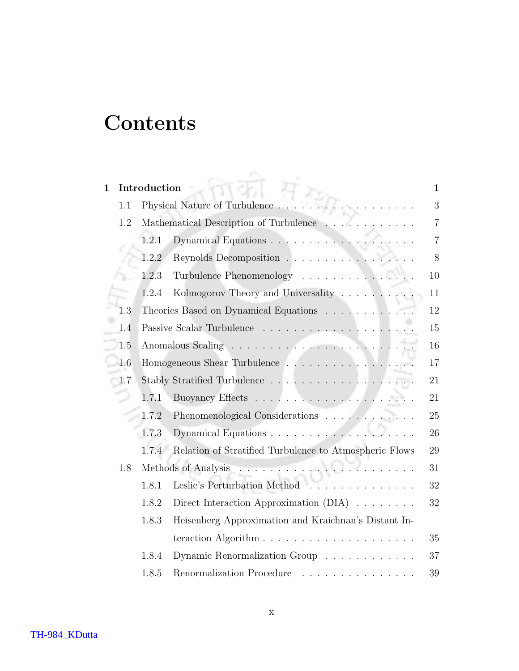# **Contents**

| $\mathbf{1}$ |     | Introduction                                                                    | 1              |
|--------------|-----|---------------------------------------------------------------------------------|----------------|
|              | 1.1 | Physical Nature of Turbulence.                                                  | 3              |
|              | 1.2 | Mathematical Description of Turbulence                                          | $\overline{7}$ |
|              |     | Dynamical Equations<br>1.2.1                                                    | $\overline{7}$ |
|              |     | Reynolds Decomposition<br>1.2.2                                                 | 8              |
|              |     | 1.2.3<br>Turbulence Phenomenology                                               | 10             |
|              |     | 1.2.4<br>Kolmogorov Theory and Universality                                     | 11             |
|              | 1.3 | Theories Based on Dynamical Equations                                           | 12             |
|              | 1.4 | Passive Scalar Turbulence                                                       | 15             |
|              | 1.5 |                                                                                 | 16             |
|              | 1.6 | Homogeneous Shear Turbulence $\hfill\ldots\ldots\ldots\ldots\ldots\ldots\ldots$ | 17             |
|              | 1.7 |                                                                                 | 21             |
|              |     | 1.7.1                                                                           | 21             |
|              |     | 1.7.2<br>Phenomenological Considerations                                        | 25             |
|              |     | Dynamical Equations<br>1.7.3                                                    | 26             |
|              |     | Relation of Stratified Turbulence to Atmospheric Flows<br>1.7.4                 | 29             |
|              | 1.8 | Methods of Analysis<br>94.                                                      | 31             |
|              |     | Leslie's Perturbation Method<br>1.8.1<br>.                                      | 32             |
|              |     | 1.8.2<br>Direct Interaction Approximation $(DIA) \dots \dots$                   | 32             |
|              |     | 1.8.3<br>Heisenberg Approximation and Kraichnan's Distant In-                   |                |
|              |     |                                                                                 | 35             |
|              |     | 1.8.4<br>Dynamic Renormalization Group                                          | 37             |
|              |     | 1.8.5<br>Renormalization Procedure<br>.                                         | 39             |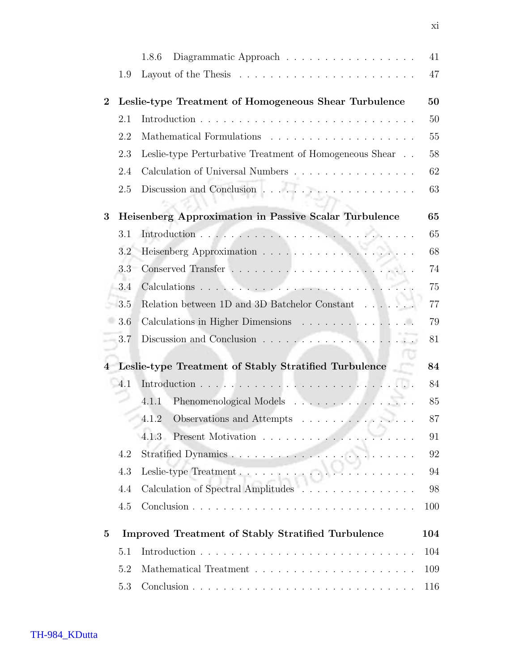|          |     | Diagrammatic Approach $\ldots \ldots \ldots \ldots \ldots \ldots$<br>1.8.6          | 41  |
|----------|-----|-------------------------------------------------------------------------------------|-----|
|          | 1.9 |                                                                                     | 47  |
| $\bf{2}$ |     | Leslie-type Treatment of Homogeneous Shear Turbulence                               | 50  |
|          | 2.1 |                                                                                     | 50  |
|          | 2.2 |                                                                                     | 55  |
|          | 2.3 | Leslie-type Perturbative Treatment of Homogeneous Shear                             | 58  |
|          | 2.4 | Calculation of Universal Numbers                                                    | 62  |
|          | 2.5 |                                                                                     | 63  |
| 3        |     | Heisenberg Approximation in Passive Scalar Turbulence                               | 65  |
|          | 3.1 |                                                                                     | 65  |
|          | 3.2 |                                                                                     | 68  |
|          | 3.3 |                                                                                     | 74  |
|          | 3.4 |                                                                                     | 75  |
|          | 3.5 | Relation between 1D and 3D Batchelor Constant $\dots\dots\dots$                     | 77  |
|          | 3.6 | Calculations in Higher Dimensions                                                   | 79  |
|          | 3.7 | Discussion and Conclusion $\ldots \ldots \ldots \ldots \ldots \ldots \ldots \ldots$ | 81  |
| 4        |     | Leslie-type Treatment of Stably Stratified Turbulence                               | 84  |
|          | 4.1 |                                                                                     | 84  |
|          |     | Phenomenological Models<br>4.1.1                                                    | 85  |
|          |     | Observations and Attempts $\ldots \ldots \ldots \ldots$<br>4.1.2                    | 87  |
|          |     | 4.1.3                                                                               | 91  |
|          | 4.2 |                                                                                     | 92  |
|          | 4.3 |                                                                                     | 94  |
|          | 4.4 | Calculation of Spectral Amplitudes                                                  | 98  |
|          | 4.5 |                                                                                     | 100 |
| $\bf{5}$ |     | <b>Improved Treatment of Stably Stratified Turbulence</b>                           | 104 |
|          | 5.1 |                                                                                     | 104 |
|          | 5.2 |                                                                                     | 109 |
|          | 5.3 |                                                                                     | 116 |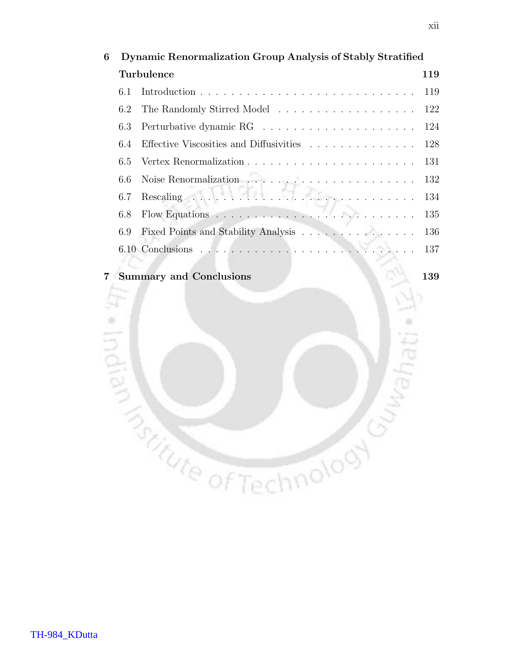| 6 | Dynamic Renormalization Group Analysis of Stably Stratified |                                                                                            |     |
|---|-------------------------------------------------------------|--------------------------------------------------------------------------------------------|-----|
|   |                                                             | <b>Turbulence</b>                                                                          | 119 |
|   | 6.1                                                         |                                                                                            |     |
|   | $6.2^{\circ}$                                               | The Randomly Stirred Model 122                                                             |     |
|   | 6.3                                                         |                                                                                            |     |
|   | 6.4                                                         | Effective Viscosities and Diffusivities 128                                                |     |
|   |                                                             |                                                                                            |     |
|   | 6.6                                                         | Noise Renormalization $\ldots \ldots \ldots \ldots \ldots \ldots \ldots 132$               |     |
|   | 6.7                                                         | Rescaling $\ldots \ldots \ldots \ldots \ldots \ldots \ldots \ldots \ldots \ldots 134$      |     |
|   | 6.8                                                         | Flow Equations $\ldots \ldots \ldots \ldots \ldots \ldots \ldots \ldots \ldots \ldots 135$ |     |
|   | 6.9                                                         | Fixed Points and Stability Analysis 136                                                    |     |
|   |                                                             |                                                                                            |     |
|   |                                                             |                                                                                            |     |

**CONTROLLER CONTROLLER CONTROLLER CONTROLLER CONTROLLER CONTROLLER CONTROLLER CONTROLLER CONTROLLER CONTROLLER** 

#### 7 Summary and Conclusions 139

hati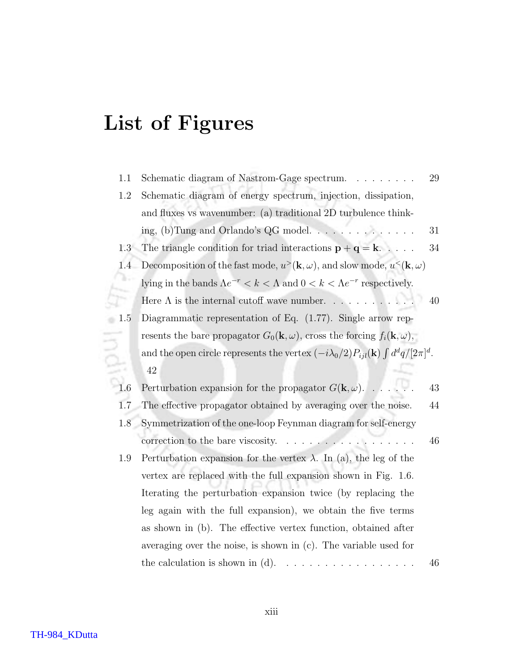# List of Figures

| 1.1 | Schematic diagram of Nastrom-Gage spectrum.                                                                            | 29 |
|-----|------------------------------------------------------------------------------------------------------------------------|----|
| 1.2 | Schematic diagram of energy spectrum, injection, dissipation,                                                          |    |
|     | and fluxes vs wavenumber: (a) traditional 2D turbulence think-                                                         |    |
|     | ing, (b)Tung and Orlando's QG model. $\dots \dots \dots \dots$                                                         | 31 |
| 1.3 | The triangle condition for triad interactions $\mathbf{p} + \mathbf{q} = \mathbf{k}$                                   | 34 |
| 1.4 | Decomposition of the fast mode, $u^>(\mathbf{k}, \omega)$ , and slow mode, $u^<(\mathbf{k}, \omega)$                   |    |
|     | lying in the bands $\Lambda e^{-r} < k < \Lambda$ and $0 < k < \Lambda e^{-r}$ respectively.                           |    |
|     | Here $\Lambda$ is the internal cutoff wave number.                                                                     | 40 |
| 1.5 | Diagrammatic representation of Eq. $(1.77)$ . Single arrow rep-                                                        |    |
|     | resents the bare propagator $G_0(\mathbf{k}, \omega)$ , cross the forcing $f_i(\mathbf{k}, \omega)$ ,                  |    |
|     | and the open circle represents the vertex $(-i\lambda_0/2)P_{ijl}(\mathbf{k})\int d^dq/[2\pi]^d$ .                     |    |
|     | 42                                                                                                                     |    |
| 1.6 | Perturbation expansion for the propagator $G(\mathbf{k}, \omega)$ .                                                    | 43 |
| 1.7 | The effective propagator obtained by averaging over the noise.                                                         | 44 |
| 1.8 | Symmetrization of the one-loop Feynman diagram for self-energy                                                         |    |
|     | correction to the bare viscosity. $\ldots$                                                                             | 46 |
| 1.9 | Perturbation expansion for the vertex $\lambda$ . In (a), the leg of the                                               |    |
|     | vertex are replaced with the full expansion shown in Fig. 1.6.                                                         |    |
|     | Iterating the perturbation expansion twice (by replacing the                                                           |    |
|     | leg again with the full expansion), we obtain the five terms                                                           |    |
|     | as shown in (b). The effective vertex function, obtained after                                                         |    |
|     | averaging over the noise, is shown in $(c)$ . The variable used for                                                    |    |
|     | the calculation is shown in $(d)$ .<br>$\mathcal{A}$ , and a set of the set of the set of the set of the $\mathcal{A}$ | 46 |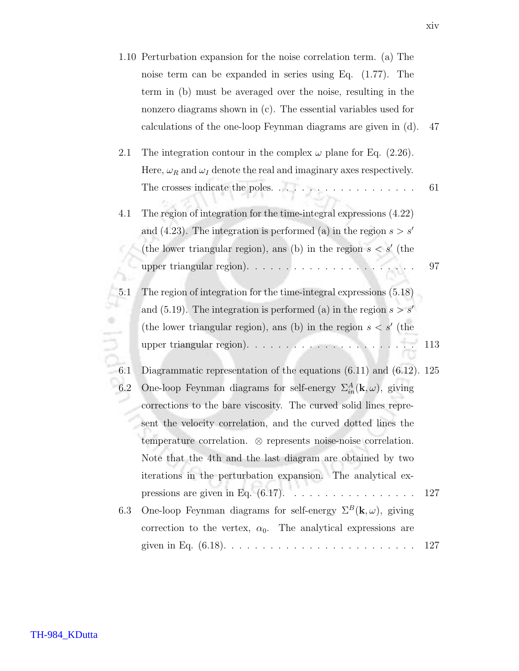|     | 1.10 Perturbation expansion for the noise correlation term. (a) The                      |     |
|-----|------------------------------------------------------------------------------------------|-----|
|     | noise term can be expanded in series using Eq. $(1.77)$ . The                            |     |
|     | term in (b) must be averaged over the noise, resulting in the                            |     |
|     | nonzero diagrams shown in $(c)$ . The essential variables used for                       |     |
|     | calculations of the one-loop Feynman diagrams are given in (d).                          | 47  |
| 2.1 | The integration contour in the complex $\omega$ plane for Eq. (2.26).                    |     |
|     | Here, $\omega_R$ and $\omega_I$ denote the real and imaginary axes respectively.         |     |
|     | The crosses indicate the poles. $\ldots \ldots \ldots \ldots \ldots \ldots$              | 61  |
| 4.1 | The region of integration for the time-integral expressions $(4.22)$                     |     |
|     | and (4.23). The integration is performed (a) in the region $s > s'$                      |     |
|     | (the lower triangular region), and (b) in the region $s < s'$ (the                       |     |
|     | upper triangular region). $\ldots \ldots \ldots \ldots \ldots \ldots \ldots$             | 97  |
| 5.1 | The region of integration for the time-integral expressions $(5.18)$                     |     |
|     | and (5.19). The integration is performed (a) in the region $s > s'$                      |     |
|     | (the lower triangular region), and (b) in the region $s < s'$ (the                       |     |
|     |                                                                                          | 113 |
| 6.1 | Diagrammatic representation of the equations $(6.11)$ and $(6.12)$ . 125                 |     |
| 6.2 | One-loop Feynman diagrams for self-energy $\Sigma_{in}^{A}(\mathbf{k}, \omega)$ , giving |     |
|     | corrections to the bare viscosity. The curved solid lines repre-                         |     |
|     | sent the velocity correlation, and the curved dotted lines the                           |     |
|     | temperature correlation. $\otimes$ represents noise-noise correlation.                   |     |
|     | Note that the 4th and the last diagram are obtained by two                               |     |
|     | iterations in the perturbation expansion. The analytical ex-                             |     |
|     |                                                                                          | 127 |
| 6.3 | One-loop Feynman diagrams for self-energy $\Sigma^B(\mathbf{k}, \omega)$ , giving        |     |
|     | correction to the vertex, $\alpha_0$ . The analytical expressions are                    |     |
|     |                                                                                          | 127 |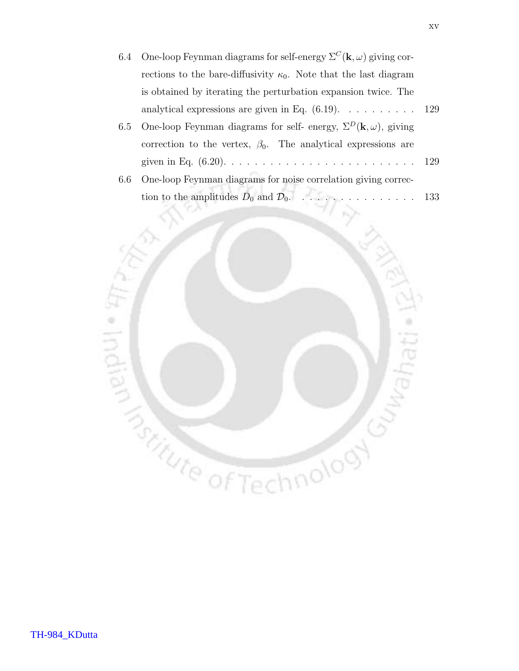- 6.4 One-loop Feynman diagrams for self-energy  $\Sigma^C(\mathbf{k}, \omega)$  giving corrections to the bare-diffusivity  $\kappa_0$ . Note that the last diagram is obtained by iterating the perturbation expansion twice. The analytical expressions are given in Eq.  $(6.19)$ .  $\dots$  . . . . . . . 129 6.5 One-loop Feynman diagrams for self- energy,  $\Sigma^D(\mathbf{k}, \omega)$ , giving correction to the vertex,  $\beta_0$ . The analytical expressions are given in Eq. (6.20). . . . . . . . . . . . . . . . . . . . . . . . . 129
	- 6.6 One-loop Feynman diagrams for noise correlation giving correction to the amplitudes  $D_0$  and  $\mathcal{D}_0$ . . . . . . . . . . . . . . . 133

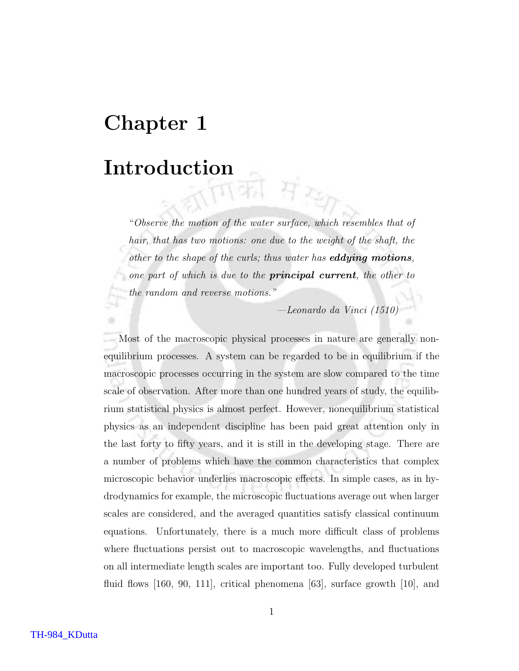## Chapter 1

# Introduction की संस्कृ

"Observe the motion of the water surface, which resembles that of hair, that has two motions: one due to the weight of the shaft, the other to the shape of the curls; thus water has **eddying motions**, one part of which is due to the **principal current**, the other to the random and reverse motions."

—Leonardo da Vinci (1510)

Most of the macroscopic physical processes in nature are generally nonequilibrium processes. A system can be regarded to be in equilibrium if the macroscopic processes occurring in the system are slow compared to the time scale of observation. After more than one hundred years of study, the equilibrium statistical physics is almost perfect. However, nonequilibrium statistical physics as an independent discipline has been paid great attention only in the last forty to fifty years, and it is still in the developing stage. There are a number of problems which have the common characteristics that complex microscopic behavior underlies macroscopic effects. In simple cases, as in hydrodynamics for example, the microscopic fluctuations average out when larger scales are considered, and the averaged quantities satisfy classical continuum equations. Unfortunately, there is a much more difficult class of problems where fluctuations persist out to macroscopic wavelengths, and fluctuations on all intermediate length scales are important too. Fully developed turbulent fluid flows [160, 90, 111], critical phenomena [63], surface growth [10], and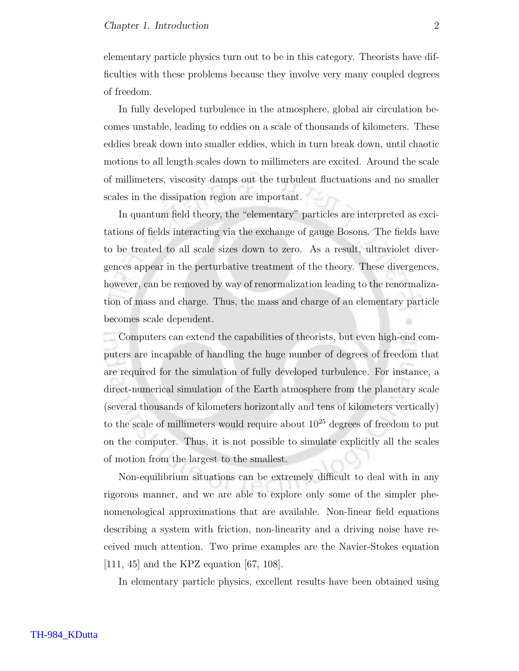#### Chapter 1. Introduction 2

elementary particle physics turn out to be in this category. Theorists have difficulties with these problems because they involve very many coupled degrees of freedom.

In fully developed turbulence in the atmosphere, global air circulation becomes unstable, leading to eddies on a scale of thousands of kilometers. These eddies break down into smaller eddies, which in turn break down, until chaotic motions to all length scales down to millimeters are excited. Around the scale of millimeters, viscosity damps out the turbulent fluctuations and no smaller scales in the dissipation region are important.

In quantum field theory, the "elementary" particles are interpreted as excitations of fields interacting via the exchange of gauge Bosons. The fields have to be treated to all scale sizes down to zero. As a result, ultraviolet divergences appear in the perturbative treatment of the theory. These divergences, however, can be removed by way of renormalization leading to the renormalization of mass and charge. Thus, the mass and charge of an elementary particle becomes scale dependent.

Computers can extend the capabilities of theorists, but even high-end computers are incapable of handling the huge number of degrees of freedom that are required for the simulation of fully developed turbulence. For instance, a direct-numerical simulation of the Earth atmosphere from the planetary scale (several thousands of kilometers horizontally and tens of kilometers vertically) to the scale of millimeters would require about  $10^{25}$  degrees of freedom to put on the computer. Thus, it is not possible to simulate explicitly all the scales of motion from the largest to the smallest.

Non-equilibrium situations can be extremely difficult to deal with in any rigorous manner, and we are able to explore only some of the simpler phenomenological approximations that are available. Non-linear field equations describing a system with friction, non-linearity and a driving noise have received much attention. Two prime examples are the Navier-Stokes equation [111, 45] and the KPZ equation [67, 108].

In elementary particle physics, excellent results have been obtained using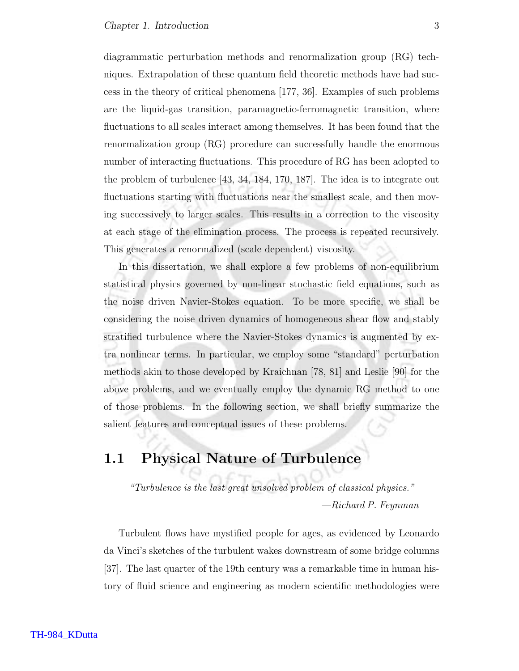diagrammatic perturbation methods and renormalization group (RG) techniques. Extrapolation of these quantum field theoretic methods have had success in the theory of critical phenomena [177, 36]. Examples of such problems are the liquid-gas transition, paramagnetic-ferromagnetic transition, where fluctuations to all scales interact among themselves. It has been found that the renormalization group (RG) procedure can successfully handle the enormous number of interacting fluctuations. This procedure of RG has been adopted to the problem of turbulence [43, 34, 184, 170, 187]. The idea is to integrate out fluctuations starting with fluctuations near the smallest scale, and then moving successively to larger scales. This results in a correction to the viscosity at each stage of the elimination process. The process is repeated recursively. This generates a renormalized (scale dependent) viscosity.

In this dissertation, we shall explore a few problems of non-equilibrium statistical physics governed by non-linear stochastic field equations, such as the noise driven Navier-Stokes equation. To be more specific, we shall be considering the noise driven dynamics of homogeneous shear flow and stably stratified turbulence where the Navier-Stokes dynamics is augmented by extra nonlinear terms. In particular, we employ some "standard" perturbation methods akin to those developed by Kraichnan [78, 81] and Leslie [90] for the above problems, and we eventually employ the dynamic RG method to one of those problems. In the following section, we shall briefly summarize the salient features and conceptual issues of these problems.

## 1.1 Physical Nature of Turbulence

"Turbulence is the last great unsolved problem of classical physics." —Richard P. Feynman

Turbulent flows have mystified people for ages, as evidenced by Leonardo da Vinci's sketches of the turbulent wakes downstream of some bridge columns [37]. The last quarter of the 19th century was a remarkable time in human history of fluid science and engineering as modern scientific methodologies were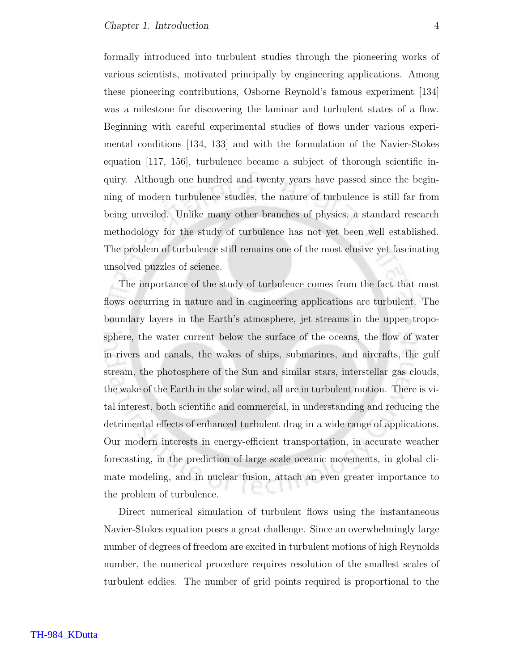formally introduced into turbulent studies through the pioneering works of various scientists, motivated principally by engineering applications. Among these pioneering contributions, Osborne Reynold's famous experiment [134] was a milestone for discovering the laminar and turbulent states of a flow. Beginning with careful experimental studies of flows under various experimental conditions [134, 133] and with the formulation of the Navier-Stokes equation [117, 156], turbulence became a subject of thorough scientific inquiry. Although one hundred and twenty years have passed since the beginning of modern turbulence studies, the nature of turbulence is still far from being unveiled. Unlike many other branches of physics, a standard research methodology for the study of turbulence has not yet been well established. The problem of turbulence still remains one of the most elusive yet fascinating unsolved puzzles of science.

The importance of the study of turbulence comes from the fact that most flows occurring in nature and in engineering applications are turbulent. The boundary layers in the Earth's atmosphere, jet streams in the upper troposphere, the water current below the surface of the oceans, the flow of water in rivers and canals, the wakes of ships, submarines, and aircrafts, the gulf stream, the photosphere of the Sun and similar stars, interstellar gas clouds, the wake of the Earth in the solar wind, all are in turbulent motion. There is vital interest, both scientific and commercial, in understanding and reducing the detrimental effects of enhanced turbulent drag in a wide range of applications. Our modern interests in energy-efficient transportation, in accurate weather forecasting, in the prediction of large scale oceanic movements, in global climate modeling, and in nuclear fusion, attach an even greater importance to the problem of turbulence.

Direct numerical simulation of turbulent flows using the instantaneous Navier-Stokes equation poses a great challenge. Since an overwhelmingly large number of degrees of freedom are excited in turbulent motions of high Reynolds number, the numerical procedure requires resolution of the smallest scales of turbulent eddies. The number of grid points required is proportional to the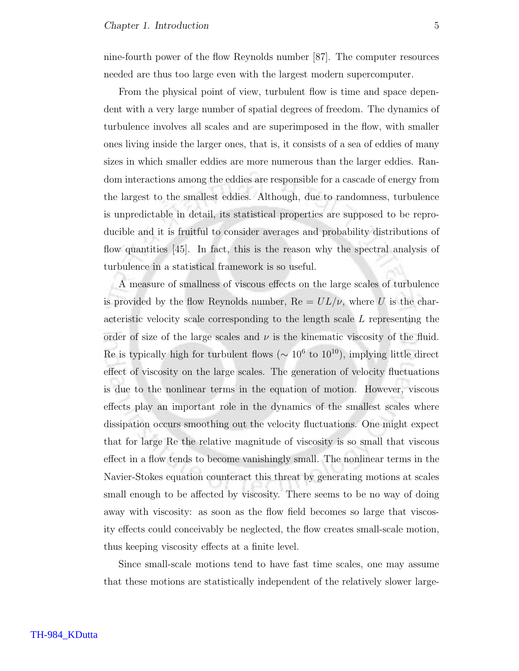nine-fourth power of the flow Reynolds number [87]. The computer resources needed are thus too large even with the largest modern supercomputer.

From the physical point of view, turbulent flow is time and space dependent with a very large number of spatial degrees of freedom. The dynamics of turbulence involves all scales and are superimposed in the flow, with smaller ones living inside the larger ones, that is, it consists of a sea of eddies of many sizes in which smaller eddies are more numerous than the larger eddies. Random interactions among the eddies are responsible for a cascade of energy from the largest to the smallest eddies. Although, due to randomness, turbulence is unpredictable in detail, its statistical properties are supposed to be reproducible and it is fruitful to consider averages and probability distributions of flow quantities [45]. In fact, this is the reason why the spectral analysis of turbulence in a statistical framework is so useful.

A measure of smallness of viscous effects on the large scales of turbulence is provided by the flow Reynolds number,  $Re = UL/\nu$ , where U is the characteristic velocity scale corresponding to the length scale L representing the order of size of the large scales and  $\nu$  is the kinematic viscosity of the fluid. Re is typically high for turbulent flows ( $\sim 10^6$  to  $10^{10}$ ), implying little direct effect of viscosity on the large scales. The generation of velocity fluctuations is due to the nonlinear terms in the equation of motion. However, viscous effects play an important role in the dynamics of the smallest scales where dissipation occurs smoothing out the velocity fluctuations. One might expect that for large Re the relative magnitude of viscosity is so small that viscous effect in a flow tends to become vanishingly small. The nonlinear terms in the Navier-Stokes equation counteract this threat by generating motions at scales small enough to be affected by viscosity. There seems to be no way of doing away with viscosity: as soon as the flow field becomes so large that viscosity effects could conceivably be neglected, the flow creates small-scale motion, thus keeping viscosity effects at a finite level.

Since small-scale motions tend to have fast time scales, one may assume that these motions are statistically independent of the relatively slower large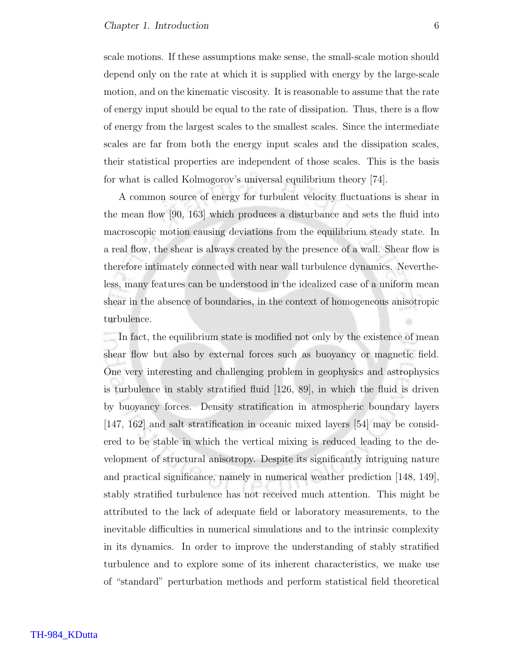scale motions. If these assumptions make sense, the small-scale motion should depend only on the rate at which it is supplied with energy by the large-scale motion, and on the kinematic viscosity. It is reasonable to assume that the rate of energy input should be equal to the rate of dissipation. Thus, there is a flow of energy from the largest scales to the smallest scales. Since the intermediate scales are far from both the energy input scales and the dissipation scales, their statistical properties are independent of those scales. This is the basis for what is called Kolmogorov's universal equilibrium theory [74].

A common source of energy for turbulent velocity fluctuations is shear in the mean flow [90, 163] which produces a disturbance and sets the fluid into macroscopic motion causing deviations from the equilibrium steady state. In a real flow, the shear is always created by the presence of a wall. Shear flow is therefore intimately connected with near wall turbulence dynamics. Nevertheless, many features can be understood in the idealized case of a uniform mean shear in the absence of boundaries, in the context of homogeneous anisotropic turbulence.

In fact, the equilibrium state is modified not only by the existence of mean shear flow but also by external forces such as buoyancy or magnetic field. One very interesting and challenging problem in geophysics and astrophysics is turbulence in stably stratified fluid [126, 89], in which the fluid is driven by buoyancy forces. Density stratification in atmospheric boundary layers [147, 162] and salt stratification in oceanic mixed layers [54] may be considered to be stable in which the vertical mixing is reduced leading to the development of structural anisotropy. Despite its significantly intriguing nature and practical significance, namely in numerical weather prediction [148, 149], stably stratified turbulence has not received much attention. This might be attributed to the lack of adequate field or laboratory measurements, to the inevitable difficulties in numerical simulations and to the intrinsic complexity in its dynamics. In order to improve the understanding of stably stratified turbulence and to explore some of its inherent characteristics, we make use of "standard" perturbation methods and perform statistical field theoretical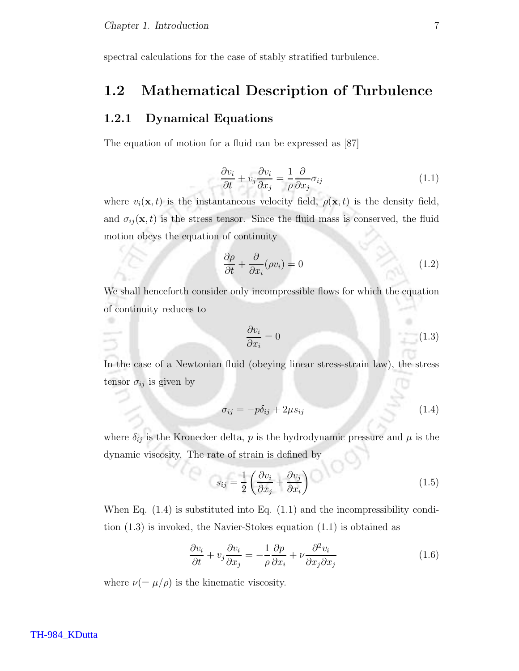spectral calculations for the case of stably stratified turbulence.

## 1.2 Mathematical Description of Turbulence

#### 1.2.1 Dynamical Equations

The equation of motion for a fluid can be expressed as [87]

$$
\frac{\partial v_i}{\partial t} + v_j \frac{\partial v_i}{\partial x_j} = \frac{1}{\rho} \frac{\partial}{\partial x_j} \sigma_{ij}
$$
\n(1.1)

where  $v_i(\mathbf{x}, t)$  is the instantaneous velocity field,  $\rho(\mathbf{x}, t)$  is the density field, and  $\sigma_{ij}(\mathbf{x}, t)$  is the stress tensor. Since the fluid mass is conserved, the fluid motion obeys the equation of continuity

$$
\frac{\partial \rho}{\partial t} + \frac{\partial}{\partial x_i}(\rho v_i) = 0 \tag{1.2}
$$

We shall henceforth consider only incompressible flows for which the equation of continuity reduces to

$$
\frac{\partial v_i}{\partial x_i} = 0 \tag{1.3}
$$

In the case of a Newtonian fluid (obeying linear stress-strain law), the stress tensor  $\sigma_{ij}$  is given by

$$
\sigma_{ij} = -p\delta_{ij} + 2\mu s_{ij} \tag{1.4}
$$

where  $\delta_{ij}$  is the Kronecker delta,  $p$  is the hydrodynamic pressure and  $\mu$  is the dynamic viscosity. The rate of strain is defined by

$$
s_{ij} = \frac{1}{2} \left( \frac{\partial v_i}{\partial x_j} + \frac{\partial v_j}{\partial x_i} \right) \tag{1.5}
$$

When Eq.  $(1.4)$  is substituted into Eq.  $(1.1)$  and the incompressibility condition (1.3) is invoked, the Navier-Stokes equation (1.1) is obtained as

$$
\frac{\partial v_i}{\partial t} + v_j \frac{\partial v_i}{\partial x_j} = -\frac{1}{\rho} \frac{\partial p}{\partial x_i} + \nu \frac{\partial^2 v_i}{\partial x_j \partial x_j} \tag{1.6}
$$

where  $\nu (= \mu/\rho)$  is the kinematic viscosity.

#### TH-984\_KDutta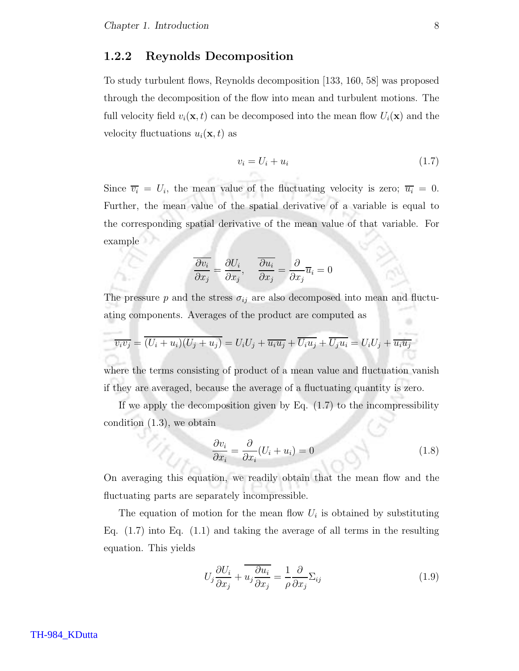#### 1.2.2 Reynolds Decomposition

To study turbulent flows, Reynolds decomposition [133, 160, 58] was proposed through the decomposition of the flow into mean and turbulent motions. The full velocity field  $v_i(\mathbf{x}, t)$  can be decomposed into the mean flow  $U_i(\mathbf{x})$  and the velocity fluctuations  $u_i(\mathbf{x}, t)$  as

$$
v_i = U_i + u_i \tag{1.7}
$$

Since  $\overline{v_i} = U_i$ , the mean value of the fluctuating velocity is zero;  $\overline{u_i} = 0$ . Further, the mean value of the spatial derivative of a variable is equal to the corresponding spatial derivative of the mean value of that variable. For example

$$
\frac{\overline{\partial v_i}}{\partial x_j} = \frac{\partial U_i}{\partial x_j}, \quad \frac{\overline{\partial u_i}}{\partial x_j} = \frac{\partial}{\partial x_j} \overline{u}_i = 0
$$

The pressure p and the stress  $\sigma_{ij}$  are also decomposed into mean and fluctuating components. Averages of the product are computed as

$$
\overline{v_i v_j} = \overline{(U_i + u_i)(U_j + u_j)} = U_i U_j + \overline{u_i u_j} + \overline{U_i u_j} + \overline{U_j u_i} = U_i U_j + \overline{u_i u_j}
$$

where the terms consisting of product of a mean value and fluctuation vanish if they are averaged, because the average of a fluctuating quantity is zero.

If we apply the decomposition given by Eq.  $(1.7)$  to the incompressibility condition (1.3), we obtain

$$
\frac{\partial v_i}{\partial x_i} = \frac{\partial}{\partial x_i} (U_i + u_i) = 0 \tag{1.8}
$$

On averaging this equation, we readily obtain that the mean flow and the fluctuating parts are separately incompressible.

The equation of motion for the mean flow  $U_i$  is obtained by substituting Eq.  $(1.7)$  into Eq.  $(1.1)$  and taking the average of all terms in the resulting equation. This yields

$$
U_j \frac{\partial U_i}{\partial x_j} + \overline{u_j \frac{\partial u_i}{\partial x_j}} = \frac{1}{\rho} \frac{\partial}{\partial x_j} \Sigma_{ij}
$$
 (1.9)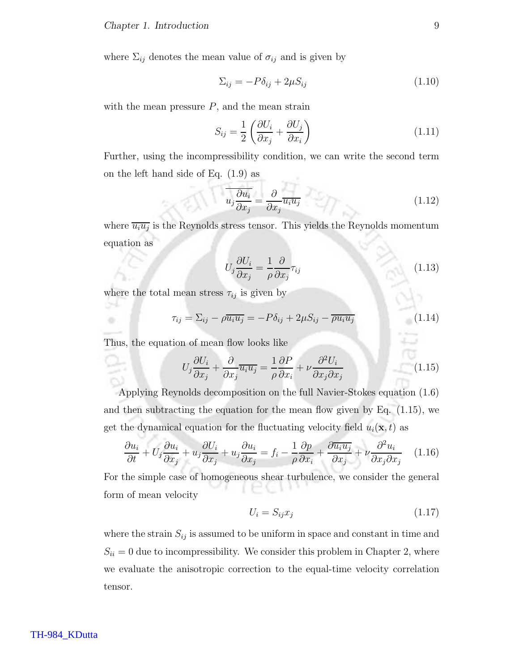where  $\Sigma_{ij}$  denotes the mean value of  $\sigma_{ij}$  and is given by

$$
\Sigma_{ij} = -P\delta_{ij} + 2\mu S_{ij} \tag{1.10}
$$

with the mean pressure  $P$ , and the mean strain

$$
S_{ij} = \frac{1}{2} \left( \frac{\partial U_i}{\partial x_j} + \frac{\partial U_j}{\partial x_i} \right) \tag{1.11}
$$

Further, using the incompressibility condition, we can write the second term on the left hand side of Eq. (1.9) as

$$
\overline{u_j \frac{\partial u_i}{\partial x_j}} = \frac{\partial}{\partial x_j} \overline{u_i u_j} \tag{1.12}
$$

where  $\overline{u_i u_j}$  is the Reynolds stress tensor. This yields the Reynolds momentum equation as

$$
U_j \frac{\partial U_i}{\partial x_j} = \frac{1}{\rho} \frac{\partial}{\partial x_j} \tau_{ij}
$$
\n(1.13)

where the total mean stress  $\tau_{ij}$  is given by

$$
\tau_{ij} = \Sigma_{ij} - \rho \overline{u_i u_j} = -P \delta_{ij} + 2\mu S_{ij} - \overline{\rho u_i u_j} \tag{1.14}
$$

Thus, the equation of mean flow looks like

٠

$$
U_j \frac{\partial U_i}{\partial x_j} + \frac{\partial}{\partial x_j} \overline{u_i u_j} = \frac{1}{\rho} \frac{\partial P}{\partial x_i} + \nu \frac{\partial^2 U_i}{\partial x_j \partial x_j} \tag{1.15}
$$

Applying Reynolds decomposition on the full Navier-Stokes equation (1.6) and then subtracting the equation for the mean flow given by Eq. (1.15), we get the dynamical equation for the fluctuating velocity field  $u_i(\mathbf{x}, t)$  as

$$
\frac{\partial u_i}{\partial t} + U_j \frac{\partial u_i}{\partial x_j} + u_j \frac{\partial U_i}{\partial x_j} + u_j \frac{\partial u_i}{\partial x_j} = f_i - \frac{1}{\rho} \frac{\partial p}{\partial x_i} + \frac{\partial u_i u_j}{\partial x_j} + \nu \frac{\partial^2 u_i}{\partial x_j \partial x_j} \quad (1.16)
$$

For the simple case of homogeneous shear turbulence, we consider the general form of mean velocity

$$
U_i = S_{ij} x_j \tag{1.17}
$$

where the strain  $S_{ij}$  is assumed to be uniform in space and constant in time and  $S_{ii} = 0$  due to incompressibility. We consider this problem in Chapter 2, where we evaluate the anisotropic correction to the equal-time velocity correlation tensor.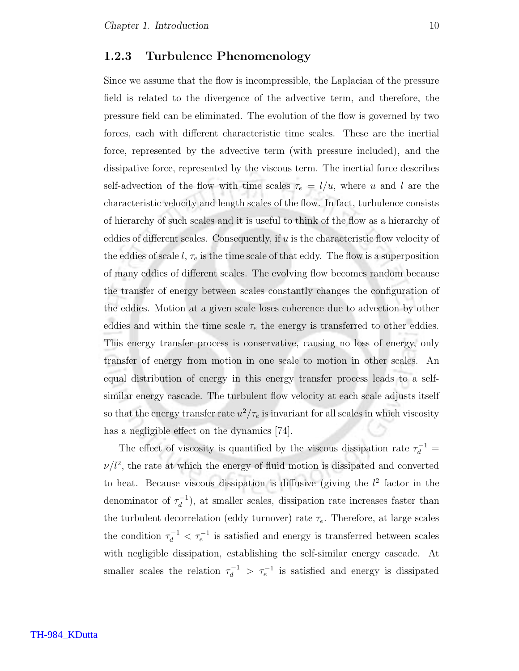#### 1.2.3 Turbulence Phenomenology

Since we assume that the flow is incompressible, the Laplacian of the pressure field is related to the divergence of the advective term, and therefore, the pressure field can be eliminated. The evolution of the flow is governed by two forces, each with different characteristic time scales. These are the inertial force, represented by the advective term (with pressure included), and the dissipative force, represented by the viscous term. The inertial force describes self-advection of the flow with time scales  $\tau_e = l/u$ , where u and l are the characteristic velocity and length scales of the flow. In fact, turbulence consists of hierarchy of such scales and it is useful to think of the flow as a hierarchy of eddies of different scales. Consequently, if  $u$  is the characteristic flow velocity of the eddies of scale l,  $\tau_e$  is the time scale of that eddy. The flow is a superposition of many eddies of different scales. The evolving flow becomes random because the transfer of energy between scales constantly changes the configuration of the eddies. Motion at a given scale loses coherence due to advection by other eddies and within the time scale  $\tau_e$  the energy is transferred to other eddies. This energy transfer process is conservative, causing no loss of energy, only transfer of energy from motion in one scale to motion in other scales. An equal distribution of energy in this energy transfer process leads to a selfsimilar energy cascade. The turbulent flow velocity at each scale adjusts itself so that the energy transfer rate  $u^2/\tau_e$  is invariant for all scales in which viscosity has a negligible effect on the dynamics [74].

The effect of viscosity is quantified by the viscous dissipation rate  $\tau_d^{-1} =$  $\nu/l^2$ , the rate at which the energy of fluid motion is dissipated and converted to heat. Because viscous dissipation is diffusive (giving the  $l^2$  factor in the denominator of  $\tau_d^{-1}$  $a_d^{-1}$ , at smaller scales, dissipation rate increases faster than the turbulent decorrelation (eddy turnover) rate  $\tau_e$ . Therefore, at large scales the condition  $\tau_d^{-1} < \tau_e^{-1}$  is satisfied and energy is transferred between scales with negligible dissipation, establishing the self-similar energy cascade. At smaller scales the relation  $\tau_d^{-1} > \tau_e^{-1}$  is satisfied and energy is dissipated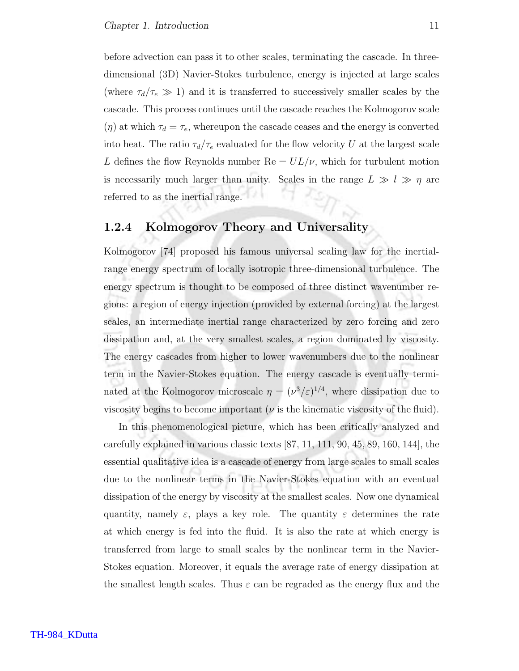before advection can pass it to other scales, terminating the cascade. In threedimensional (3D) Navier-Stokes turbulence, energy is injected at large scales (where  $\tau_d/\tau_e \gg 1$ ) and it is transferred to successively smaller scales by the cascade. This process continues until the cascade reaches the Kolmogorov scale  $(\eta)$  at which  $\tau_d = \tau_e$ , whereupon the cascade ceases and the energy is converted into heat. The ratio  $\tau_d/\tau_e$  evaluated for the flow velocity U at the largest scale L defines the flow Reynolds number  $\text{Re} = UL/\nu$ , which for turbulent motion is necessarily much larger than unity. Scales in the range  $L \gg l \gg \eta$  are referred to as the inertial range.

#### 1.2.4 Kolmogorov Theory and Universality

Kolmogorov [74] proposed his famous universal scaling law for the inertialrange energy spectrum of locally isotropic three-dimensional turbulence. The energy spectrum is thought to be composed of three distinct wavenumber regions: a region of energy injection (provided by external forcing) at the largest scales, an intermediate inertial range characterized by zero forcing and zero dissipation and, at the very smallest scales, a region dominated by viscosity. The energy cascades from higher to lower wavenumbers due to the nonlinear term in the Navier-Stokes equation. The energy cascade is eventually terminated at the Kolmogorov microscale  $\eta = (\nu^3/\varepsilon)^{1/4}$ , where dissipation due to viscosity begins to become important ( $\nu$  is the kinematic viscosity of the fluid).

In this phenomenological picture, which has been critically analyzed and carefully explained in various classic texts [87, 11, 111, 90, 45, 89, 160, 144], the essential qualitative idea is a cascade of energy from large scales to small scales due to the nonlinear terms in the Navier-Stokes equation with an eventual dissipation of the energy by viscosity at the smallest scales. Now one dynamical quantity, namely  $\varepsilon$ , plays a key role. The quantity  $\varepsilon$  determines the rate at which energy is fed into the fluid. It is also the rate at which energy is transferred from large to small scales by the nonlinear term in the Navier-Stokes equation. Moreover, it equals the average rate of energy dissipation at the smallest length scales. Thus  $\varepsilon$  can be regraded as the energy flux and the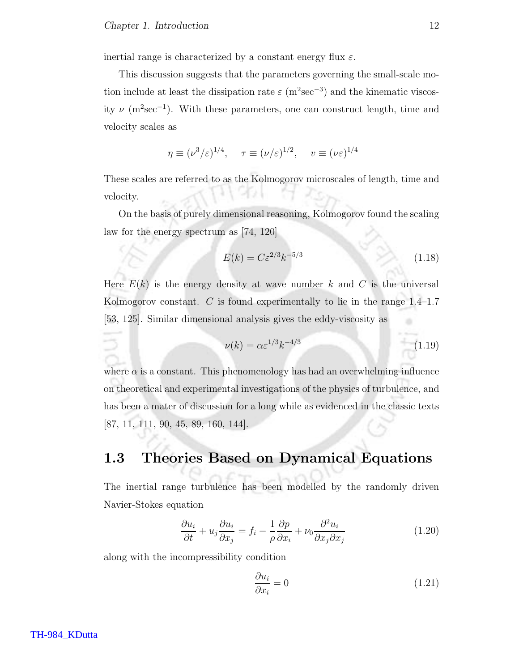inertial range is characterized by a constant energy flux  $\varepsilon$ .

This discussion suggests that the parameters governing the small-scale motion include at least the dissipation rate  $\varepsilon$  (m<sup>2</sup>sec<sup>-3</sup>) and the kinematic viscosity  $\nu$  (m<sup>2</sup>sec<sup>-1</sup>). With these parameters, one can construct length, time and velocity scales as

$$
\eta \equiv (\nu^3/\varepsilon)^{1/4}, \quad \tau \equiv (\nu/\varepsilon)^{1/2}, \quad v \equiv (\nu \varepsilon)^{1/4}
$$

These scales are referred to as the Kolmogorov microscales of length, time and velocity.

On the basis of purely dimensional reasoning, Kolmogorov found the scaling law for the energy spectrum as [74, 120]

$$
E(k) = C\varepsilon^{2/3}k^{-5/3}
$$
\n
$$
(1.18)
$$

Here  $E(k)$  is the energy density at wave number k and C is the universal Kolmogorov constant. C is found experimentally to lie in the range  $1.4-1.7$ [53, 125]. Similar dimensional analysis gives the eddy-viscosity as

$$
\nu(k) = \alpha \varepsilon^{1/3} k^{-4/3} \tag{1.19}
$$

where  $\alpha$  is a constant. This phenomenology has had an overwhelming influence on theoretical and experimental investigations of the physics of turbulence, and has been a mater of discussion for a long while as evidenced in the classic texts [87, 11, 111, 90, 45, 89, 160, 144].

## 1.3 Theories Based on Dynamical Equations

The inertial range turbulence has been modelled by the randomly driven Navier-Stokes equation

$$
\frac{\partial u_i}{\partial t} + u_j \frac{\partial u_i}{\partial x_j} = f_i - \frac{1}{\rho} \frac{\partial p}{\partial x_i} + \nu_0 \frac{\partial^2 u_i}{\partial x_j \partial x_j} \tag{1.20}
$$

along with the incompressibility condition

$$
\frac{\partial u_i}{\partial x_i} = 0 \tag{1.21}
$$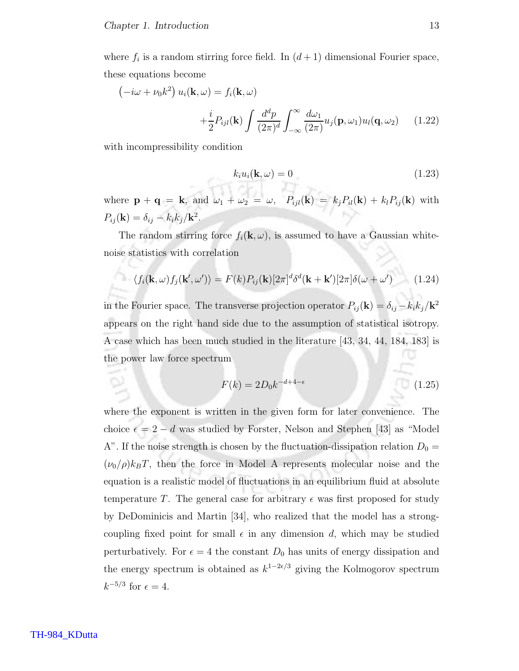where  $f_i$  is a random stirring force field. In  $(d+1)$  dimensional Fourier space, these equations become

$$
\left(-i\omega + \nu_0 k^2\right) u_i(\mathbf{k}, \omega) = f_i(\mathbf{k}, \omega)
$$

$$
+ \frac{i}{2} P_{ijl}(\mathbf{k}) \int \frac{d^d p}{(2\pi)^d} \int_{-\infty}^{\infty} \frac{d\omega_1}{(2\pi)} u_j(\mathbf{p}, \omega_1) u_l(\mathbf{q}, \omega_2) \qquad (1.22)
$$

with incompressibility condition

$$
k_i u_i(\mathbf{k}, \omega) = 0 \tag{1.23}
$$

where  $\mathbf{p} + \mathbf{q} = \mathbf{k}$ , and  $\omega_1 + \omega_2 = \omega$ ,  $P_{ijl}(\mathbf{k}) = k_j P_{il}(\mathbf{k}) + k_l P_{ij}(\mathbf{k})$  with  $P_{ij}(\mathbf{k}) = \delta_{ij} - k_i k_j / \mathbf{k}^2.$ 

The random stirring force  $f_i(\mathbf{k}, \omega)$ , is assumed to have a Gaussian whitenoise statistics with correlation

$$
\langle f_i(\mathbf{k}, \omega) f_j(\mathbf{k}', \omega') \rangle = F(k) P_{ij}(\mathbf{k}) [2\pi]^d \delta^d(\mathbf{k} + \mathbf{k}') [2\pi] \delta(\omega + \omega')
$$
 (1.24)

in the Fourier space. The transverse projection operator  $P_{ij}(\mathbf{k}) = \delta_{ij} - k_i k_j / \mathbf{k}^2$ appears on the right hand side due to the assumption of statistical isotropy. A case which has been much studied in the literature [43, 34, 44, 184, 183] is the power law force spectrum

$$
F(k) = 2D_0k^{-d+4-\epsilon}
$$
\n(1.25)

where the exponent is written in the given form for later convenience. The choice  $\epsilon = 2 - d$  was studied by Forster, Nelson and Stephen [43] as "Model A". If the noise strength is chosen by the fluctuation-dissipation relation  $D_0 =$  $(\nu_0/\rho)k_BT$ , then the force in Model A represents molecular noise and the equation is a realistic model of fluctuations in an equilibrium fluid at absolute temperature T. The general case for arbitrary  $\epsilon$  was first proposed for study by DeDominicis and Martin [34], who realized that the model has a strongcoupling fixed point for small  $\epsilon$  in any dimension d, which may be studied perturbatively. For  $\epsilon = 4$  the constant  $D_0$  has units of energy dissipation and the energy spectrum is obtained as  $k^{1-2\epsilon/3}$  giving the Kolmogorov spectrum  $k^{-5/3}$  for  $\epsilon = 4$ .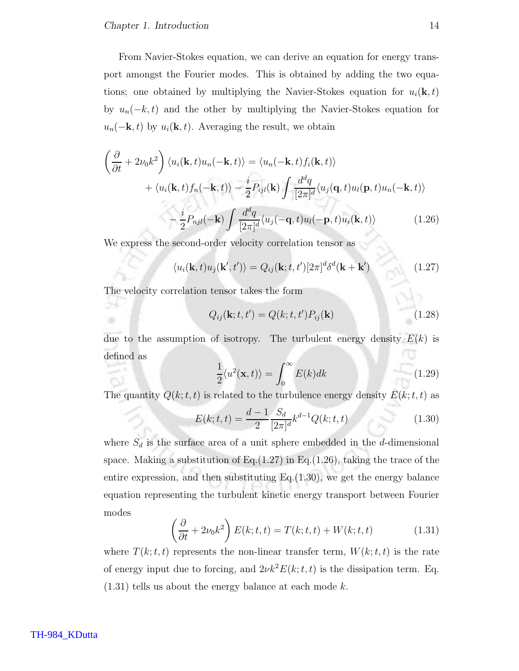From Navier-Stokes equation, we can derive an equation for energy transport amongst the Fourier modes. This is obtained by adding the two equations; one obtained by multiplying the Navier-Stokes equation for  $u_i(\mathbf{k}, t)$ by  $u_n(-k, t)$  and the other by multiplying the Navier-Stokes equation for  $u_n(-\mathbf{k}, t)$  by  $u_i(\mathbf{k}, t)$ . Averaging the result, we obtain

$$
\left(\frac{\partial}{\partial t} + 2\nu_0 k^2\right) \langle u_i(\mathbf{k}, t)u_n(-\mathbf{k}, t)\rangle = \langle u_n(-\mathbf{k}, t)f_i(\mathbf{k}, t)\rangle \n+ \langle u_i(\mathbf{k}, t)f_n(-\mathbf{k}, t)\rangle - \frac{i}{2} P_{ijl}(\mathbf{k}) \int \frac{d^d q}{[2\pi]^d} \langle u_j(\mathbf{q}, t)u_l(\mathbf{p}, t)u_n(-\mathbf{k}, t)\rangle \n- \frac{i}{2} P_{njl}(-\mathbf{k}) \int \frac{d^d q}{[2\pi]^d} \langle u_j(-\mathbf{q}, t)u_l(-\mathbf{p}, t)u_i(\mathbf{k}, t)\rangle
$$
\n(1.26)

We express the second-order velocity correlation tensor as

$$
\langle u_i(\mathbf{k},t)u_j(\mathbf{k}',t')\rangle = Q_{ij}(\mathbf{k};t,t')[2\pi]^d\delta^d(\mathbf{k}+\mathbf{k}')
$$
\n(1.27)

The velocity correlation tensor takes the form

59 ٠

$$
Q_{ij}(\mathbf{k};t,t') = Q(k;t,t')P_{ij}(\mathbf{k})
$$
\n(1.28)

due to the assumption of isotropy. The turbulent energy density  $E(k)$  is defined as o

$$
\frac{1}{2}\langle u^2(\mathbf{x},t)\rangle = \int_0^\infty E(k)dk
$$
\n(1.29)

The quantity  $Q(k; t, t)$  is related to the turbulence energy density  $E(k; t, t)$  as

$$
E(k; t, t) = \frac{d-1}{2} \frac{S_d}{[2\pi]^d} k^{d-1} Q(k; t, t)
$$
\n(1.30)

where  $S_d$  is the surface area of a unit sphere embedded in the d-dimensional space. Making a substitution of Eq. $(1.27)$  in Eq. $(1.26)$ , taking the trace of the entire expression, and then substituting  $Eq.(1.30)$ , we get the energy balance equation representing the turbulent kinetic energy transport between Fourier modes

$$
\left(\frac{\partial}{\partial t} + 2\nu_0 k^2\right) E(k; t, t) = T(k; t, t) + W(k; t, t)
$$
\n(1.31)

where  $T(k; t, t)$  represents the non-linear transfer term,  $W(k; t, t)$  is the rate of energy input due to forcing, and  $2\nu k^2 E(k; t, t)$  is the dissipation term. Eq.  $(1.31)$  tells us about the energy balance at each mode k.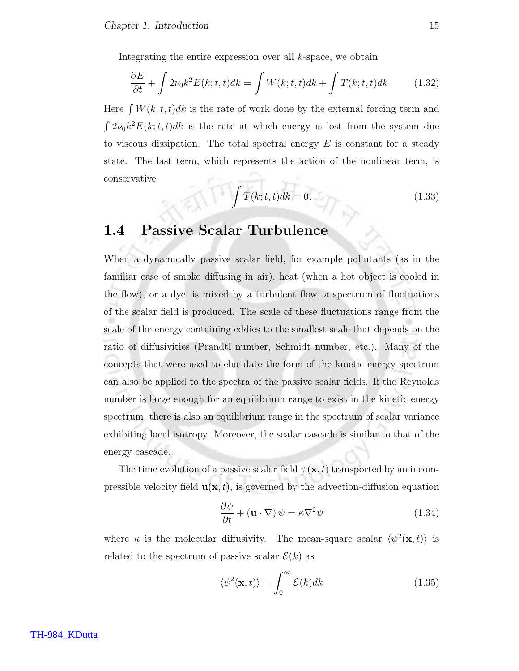Integrating the entire expression over all  $k$ -space, we obtain

$$
\frac{\partial E}{\partial t} + \int 2\nu_0 k^2 E(k; t, t) dk = \int W(k; t, t) dk + \int T(k; t, t) dk \tag{1.32}
$$

Here  $\int W(k; t, t)dk$  is the rate of work done by the external forcing term and  $\int 2\nu_0 k^2 E(k; t, t)dk$  is the rate at which energy is lost from the system due to viscous dissipation. The total spectral energy  $E$  is constant for a steady state. The last term, which represents the action of the nonlinear term, is conservative

$$
\int T(k;t,t)dk = 0.
$$
\n(1.33)

## 1.4 Passive Scalar Turbulence

When a dynamically passive scalar field, for example pollutants (as in the familiar case of smoke diffusing in air), heat (when a hot object is cooled in the flow), or a dye, is mixed by a turbulent flow, a spectrum of fluctuations of the scalar field is produced. The scale of these fluctuations range from the scale of the energy containing eddies to the smallest scale that depends on the ratio of diffusivities (Prandtl number, Schmidt number, etc.). Many of the concepts that were used to elucidate the form of the kinetic energy spectrum can also be applied to the spectra of the passive scalar fields. If the Reynolds number is large enough for an equilibrium range to exist in the kinetic energy spectrum, there is also an equilibrium range in the spectrum of scalar variance exhibiting local isotropy. Moreover, the scalar cascade is similar to that of the energy cascade.

The time evolution of a passive scalar field  $\psi(\mathbf{x}, t)$  transported by an incompressible velocity field  $\mathbf{u}(\mathbf{x}, t)$ , is governed by the advection-diffusion equation

$$
\frac{\partial \psi}{\partial t} + (\mathbf{u} \cdot \nabla) \psi = \kappa \nabla^2 \psi \qquad (1.34)
$$

where  $\kappa$  is the molecular diffusivity. The mean-square scalar  $\langle \psi^2(\mathbf{x},t) \rangle$  is related to the spectrum of passive scalar  $\mathcal{E}(k)$  as

$$
\langle \psi^2(\mathbf{x}, t) \rangle = \int_0^\infty \mathcal{E}(k) dk \tag{1.35}
$$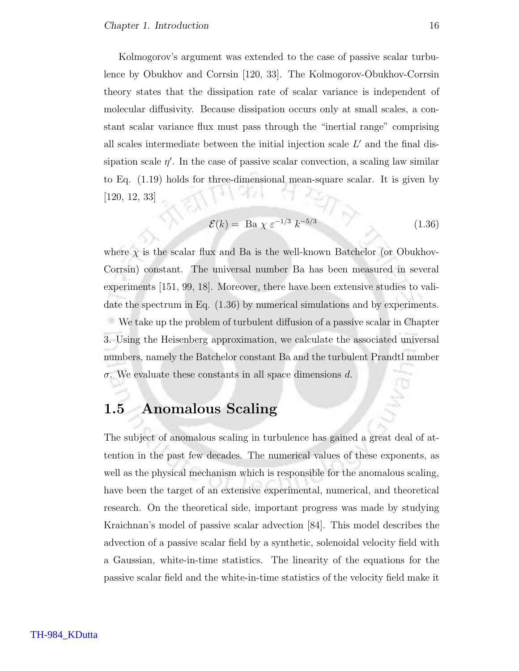Kolmogorov's argument was extended to the case of passive scalar turbulence by Obukhov and Corrsin [120, 33]. The Kolmogorov-Obukhov-Corrsin theory states that the dissipation rate of scalar variance is independent of molecular diffusivity. Because dissipation occurs only at small scales, a constant scalar variance flux must pass through the "inertial range" comprising all scales intermediate between the initial injection scale  $L'$  and the final dissipation scale  $\eta'$ . In the case of passive scalar convection, a scaling law similar to Eq. (1.19) holds for three-dimensional mean-square scalar. It is given by [120, 12, 33]

$$
\mathcal{E}(k) = \text{Ba } \chi \ \varepsilon^{-1/3} \ k^{-5/3} \tag{1.36}
$$

where  $\chi$  is the scalar flux and Ba is the well-known Batchelor (or Obukhov-Corrsin) constant. The universal number Ba has been measured in several experiments [151, 99, 18]. Moreover, there have been extensive studies to validate the spectrum in Eq. (1.36) by numerical simulations and by experiments. We take up the problem of turbulent diffusion of a passive scalar in Chapter 3. Using the Heisenberg approximation, we calculate the associated universal numbers, namely the Batchelor constant Ba and the turbulent Prandtl number  $\sigma$ . We evaluate these constants in all space dimensions d.

## 1.5 Anomalous Scaling

The subject of anomalous scaling in turbulence has gained a great deal of attention in the past few decades. The numerical values of these exponents, as well as the physical mechanism which is responsible for the anomalous scaling, have been the target of an extensive experimental, numerical, and theoretical research. On the theoretical side, important progress was made by studying Kraichnan's model of passive scalar advection [84]. This model describes the advection of a passive scalar field by a synthetic, solenoidal velocity field with a Gaussian, white-in-time statistics. The linearity of the equations for the passive scalar field and the white-in-time statistics of the velocity field make it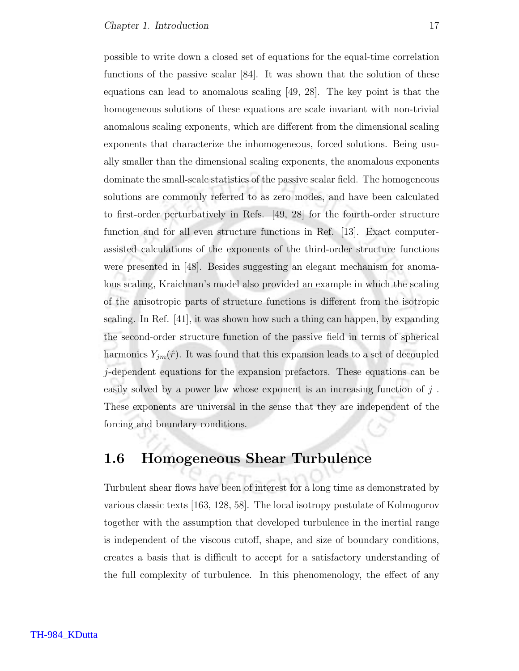possible to write down a closed set of equations for the equal-time correlation functions of the passive scalar [84]. It was shown that the solution of these equations can lead to anomalous scaling [49, 28]. The key point is that the homogeneous solutions of these equations are scale invariant with non-trivial anomalous scaling exponents, which are different from the dimensional scaling exponents that characterize the inhomogeneous, forced solutions. Being usually smaller than the dimensional scaling exponents, the anomalous exponents dominate the small-scale statistics of the passive scalar field. The homogeneous solutions are commonly referred to as zero modes, and have been calculated to first-order perturbatively in Refs. [49, 28] for the fourth-order structure function and for all even structure functions in Ref. [13]. Exact computerassisted calculations of the exponents of the third-order structure functions were presented in [48]. Besides suggesting an elegant mechanism for anomalous scaling, Kraichnan's model also provided an example in which the scaling of the anisotropic parts of structure functions is different from the isotropic scaling. In Ref. [41], it was shown how such a thing can happen, by expanding the second-order structure function of the passive field in terms of spherical harmonics  $Y_{jm}(\hat{r})$ . It was found that this expansion leads to a set of decoupled j-dependent equations for the expansion prefactors. These equations can be easily solved by a power law whose exponent is an increasing function of  $j$ . These exponents are universal in the sense that they are independent of the forcing and boundary conditions.

## 1.6 Homogeneous Shear Turbulence

Turbulent shear flows have been of interest for a long time as demonstrated by various classic texts [163, 128, 58]. The local isotropy postulate of Kolmogorov together with the assumption that developed turbulence in the inertial range is independent of the viscous cutoff, shape, and size of boundary conditions, creates a basis that is difficult to accept for a satisfactory understanding of the full complexity of turbulence. In this phenomenology, the effect of any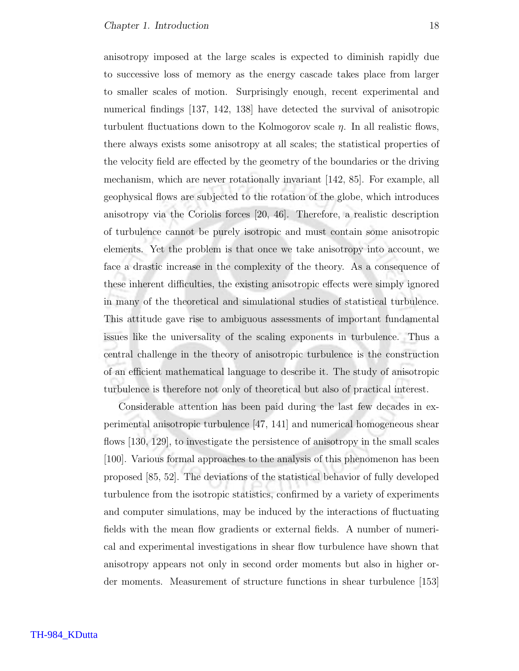anisotropy imposed at the large scales is expected to diminish rapidly due to successive loss of memory as the energy cascade takes place from larger to smaller scales of motion. Surprisingly enough, recent experimental and numerical findings [137, 142, 138] have detected the survival of anisotropic turbulent fluctuations down to the Kolmogorov scale  $\eta$ . In all realistic flows, there always exists some anisotropy at all scales; the statistical properties of the velocity field are effected by the geometry of the boundaries or the driving mechanism, which are never rotationally invariant [142, 85]. For example, all geophysical flows are subjected to the rotation of the globe, which introduces anisotropy via the Coriolis forces [20, 46]. Therefore, a realistic description of turbulence cannot be purely isotropic and must contain some anisotropic elements. Yet the problem is that once we take anisotropy into account, we face a drastic increase in the complexity of the theory. As a consequence of these inherent difficulties, the existing anisotropic effects were simply ignored in many of the theoretical and simulational studies of statistical turbulence. This attitude gave rise to ambiguous assessments of important fundamental issues like the universality of the scaling exponents in turbulence. Thus a central challenge in the theory of anisotropic turbulence is the construction of an efficient mathematical language to describe it. The study of anisotropic turbulence is therefore not only of theoretical but also of practical interest.

Considerable attention has been paid during the last few decades in experimental anisotropic turbulence [47, 141] and numerical homogeneous shear flows [130, 129], to investigate the persistence of anisotropy in the small scales [100]. Various formal approaches to the analysis of this phenomenon has been proposed [85, 52]. The deviations of the statistical behavior of fully developed turbulence from the isotropic statistics, confirmed by a variety of experiments and computer simulations, may be induced by the interactions of fluctuating fields with the mean flow gradients or external fields. A number of numerical and experimental investigations in shear flow turbulence have shown that anisotropy appears not only in second order moments but also in higher order moments. Measurement of structure functions in shear turbulence [153]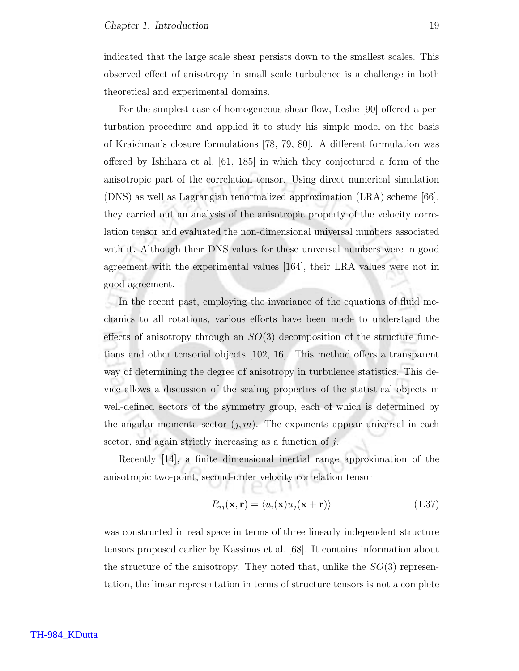indicated that the large scale shear persists down to the smallest scales. This observed effect of anisotropy in small scale turbulence is a challenge in both theoretical and experimental domains.

For the simplest case of homogeneous shear flow, Leslie [90] offered a perturbation procedure and applied it to study his simple model on the basis of Kraichnan's closure formulations [78, 79, 80]. A different formulation was offered by Ishihara et al. [61, 185] in which they conjectured a form of the anisotropic part of the correlation tensor. Using direct numerical simulation (DNS) as well as Lagrangian renormalized approximation (LRA) scheme [66], they carried out an analysis of the anisotropic property of the velocity correlation tensor and evaluated the non-dimensional universal numbers associated with it. Although their DNS values for these universal numbers were in good agreement with the experimental values [164], their LRA values were not in good agreement.

In the recent past, employing the invariance of the equations of fluid mechanics to all rotations, various efforts have been made to understand the effects of anisotropy through an  $SO(3)$  decomposition of the structure functions and other tensorial objects [102, 16]. This method offers a transparent way of determining the degree of anisotropy in turbulence statistics. This device allows a discussion of the scaling properties of the statistical objects in well-defined sectors of the symmetry group, each of which is determined by the angular momenta sector  $(i, m)$ . The exponents appear universal in each sector, and again strictly increasing as a function of j.

Recently [14], a finite dimensional inertial range approximation of the anisotropic two-point, second-order velocity correlation tensor

$$
R_{ij}(\mathbf{x}, \mathbf{r}) = \langle u_i(\mathbf{x})u_j(\mathbf{x} + \mathbf{r}) \rangle \tag{1.37}
$$

was constructed in real space in terms of three linearly independent structure tensors proposed earlier by Kassinos et al. [68]. It contains information about the structure of the anisotropy. They noted that, unlike the  $SO(3)$  representation, the linear representation in terms of structure tensors is not a complete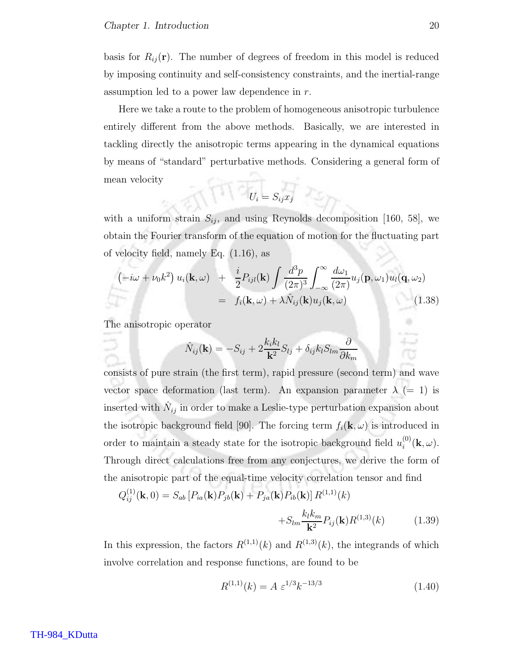basis for  $R_{ij}(\mathbf{r})$ . The number of degrees of freedom in this model is reduced by imposing continuity and self-consistency constraints, and the inertial-range assumption led to a power law dependence in r.

Here we take a route to the problem of homogeneous anisotropic turbulence entirely different from the above methods. Basically, we are interested in tackling directly the anisotropic terms appearing in the dynamical equations by means of "standard" perturbative methods. Considering a general form of mean velocity

$$
U_i = S_{ij} x_j
$$

with a uniform strain  $S_{ij}$ , and using Reynolds decomposition [160, 58], we obtain the Fourier transform of the equation of motion for the fluctuating part of velocity field, namely Eq. (1.16), as

$$
\begin{aligned}\n\left(-i\omega + \nu_0 k^2\right) u_i(\mathbf{k}, \omega) &+ \frac{i}{2} P_{ijl}(\mathbf{k}) \int \frac{d^3 p}{(2\pi)^3} \int_{-\infty}^{\infty} \frac{d\omega_1}{(2\pi)} u_j(\mathbf{p}, \omega_1) u_l(\mathbf{q}, \omega_2) \\
&= f_i(\mathbf{k}, \omega) + \lambda \hat{N}_{ij}(\mathbf{k}) u_j(\mathbf{k}, \omega)\n\end{aligned} \tag{1.38}
$$

The anisotropic operator

$$
\hat{N}_{ij}(\mathbf{k}) = -S_{ij} + 2\frac{k_i k_l}{\mathbf{k}^2} S_{lj} + \delta_{ij} k_l S_{lm} \frac{\partial}{\partial k_m}
$$

consists of pure strain (the first term), rapid pressure (second term) and wave vector space deformation (last term). An expansion parameter  $\lambda$  (= 1) is inserted with  $\hat{N}_{ij}$  in order to make a Leslie-type perturbation expansion about the isotropic background field [90]. The forcing term  $f_i(\mathbf{k}, \omega)$  is introduced in order to maintain a steady state for the isotropic background field  $u_i^{(0)}$  $i^{\text{\tiny{(U)}}}(\mathbf{k},\omega).$ Through direct calculations free from any conjectures, we derive the form of the anisotropic part of the equal-time velocity correlation tensor and find

$$
Q_{ij}^{(1)}(\mathbf{k},0) = S_{ab} [P_{ia}(\mathbf{k})P_{jb}(\mathbf{k}) + P_{ja}(\mathbf{k})P_{ib}(\mathbf{k})] R^{(1,1)}(k) + S_{lm} \frac{k_l k_m}{\mathbf{k}^2} P_{ij}(\mathbf{k}) R^{(1,3)}(k)
$$
(1.39)

In this expression, the factors  $R^{(1,1)}(k)$  and  $R^{(1,3)}(k)$ , the integrands of which involve correlation and response functions, are found to be

$$
R^{(1,1)}(k) = A \ \varepsilon^{1/3} k^{-13/3} \tag{1.40}
$$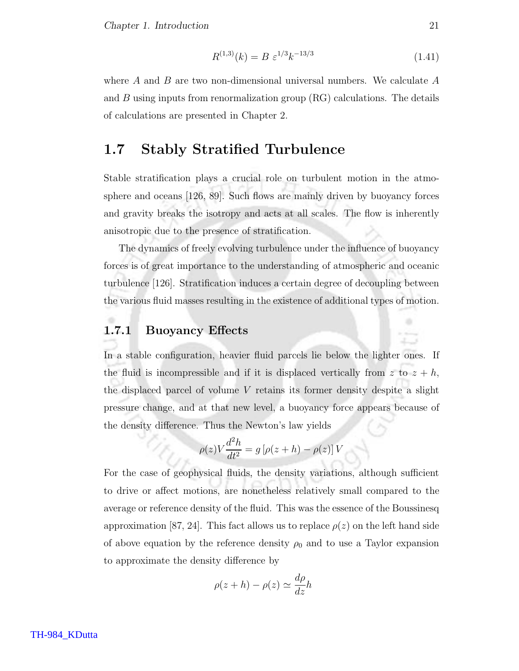Chapter 1. Introduction 21

$$
R^{(1,3)}(k) = B \ \varepsilon^{1/3} k^{-13/3} \tag{1.41}
$$

where  $A$  and  $B$  are two non-dimensional universal numbers. We calculate  $A$ and  $B$  using inputs from renormalization group  $(RG)$  calculations. The details of calculations are presented in Chapter 2.

## 1.7 Stably Stratified Turbulence

Stable stratification plays a crucial role on turbulent motion in the atmosphere and oceans [126, 89]. Such flows are mainly driven by buoyancy forces and gravity breaks the isotropy and acts at all scales. The flow is inherently anisotropic due to the presence of stratification.

The dynamics of freely evolving turbulence under the influence of buoyancy forces is of great importance to the understanding of atmospheric and oceanic turbulence [126]. Stratification induces a certain degree of decoupling between the various fluid masses resulting in the existence of additional types of motion.

#### 1.7.1 Buoyancy Effects

In a stable configuration, heavier fluid parcels lie below the lighter ones. If the fluid is incompressible and if it is displaced vertically from z to  $z + h$ , the displaced parcel of volume  $V$  retains its former density despite a slight pressure change, and at that new level, a buoyancy force appears because of the density difference. Thus the Newton's law yields

$$
\rho(z)V\frac{d^2h}{dt^2} = g\left[\rho(z+h) - \rho(z)\right]V
$$

For the case of geophysical fluids, the density variations, although sufficient to drive or affect motions, are nonetheless relatively small compared to the average or reference density of the fluid. This was the essence of the Boussinesq approximation [87, 24]. This fact allows us to replace  $\rho(z)$  on the left hand side of above equation by the reference density  $\rho_0$  and to use a Taylor expansion to approximate the density difference by

$$
\rho(z+h) - \rho(z) \simeq \frac{d\rho}{dz}h
$$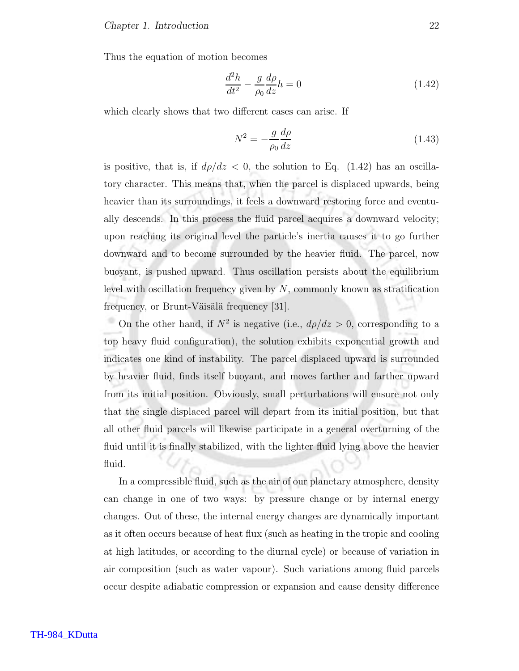Thus the equation of motion becomes

$$
\frac{d^2h}{dt^2} - \frac{g}{\rho_0} \frac{d\rho}{dz} h = 0
$$
\n(1.42)

which clearly shows that two different cases can arise. If

$$
N^2 = -\frac{g}{\rho_0} \frac{d\rho}{dz} \tag{1.43}
$$

is positive, that is, if  $d\rho/dz < 0$ , the solution to Eq. (1.42) has an oscillatory character. This means that, when the parcel is displaced upwards, being heavier than its surroundings, it feels a downward restoring force and eventually descends. In this process the fluid parcel acquires a downward velocity; upon reaching its original level the particle's inertia causes it to go further downward and to become surrounded by the heavier fluid. The parcel, now buoyant, is pushed upward. Thus oscillation persists about the equilibrium level with oscillation frequency given by  $N$ , commonly known as stratification frequency, or Brunt-Väisälä frequency  $[31]$ .

On the other hand, if  $N^2$  is negative (i.e.,  $d\rho/dz > 0$ , corresponding to a top heavy fluid configuration), the solution exhibits exponential growth and indicates one kind of instability. The parcel displaced upward is surrounded by heavier fluid, finds itself buoyant, and moves farther and farther upward from its initial position. Obviously, small perturbations will ensure not only that the single displaced parcel will depart from its initial position, but that all other fluid parcels will likewise participate in a general overturning of the fluid until it is finally stabilized, with the lighter fluid lying above the heavier fluid.

In a compressible fluid, such as the air of our planetary atmosphere, density can change in one of two ways: by pressure change or by internal energy changes. Out of these, the internal energy changes are dynamically important as it often occurs because of heat flux (such as heating in the tropic and cooling at high latitudes, or according to the diurnal cycle) or because of variation in air composition (such as water vapour). Such variations among fluid parcels occur despite adiabatic compression or expansion and cause density difference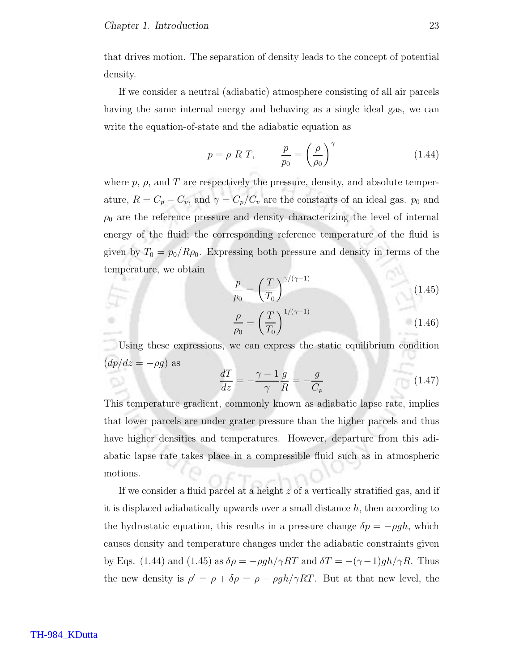that drives motion. The separation of density leads to the concept of potential density.

If we consider a neutral (adiabatic) atmosphere consisting of all air parcels having the same internal energy and behaving as a single ideal gas, we can write the equation-of-state and the adiabatic equation as

$$
p = \rho \ R \ T, \qquad \frac{p}{p_0} = \left(\frac{\rho}{\rho_0}\right)^\gamma \tag{1.44}
$$

where  $p$ ,  $\rho$ , and T are respectively the pressure, density, and absolute temperature,  $R = C_p - C_v$ , and  $\gamma = C_p/C_v$  are the constants of an ideal gas.  $p_0$  and  $\rho_0$  are the reference pressure and density characterizing the level of internal energy of the fluid; the corresponding reference temperature of the fluid is given by  $T_0 = p_0/R\rho_0$ . Expressing both pressure and density in terms of the temperature, we obtain

$$
\frac{p}{p_0} = \left(\frac{T}{T_0}\right)^{\gamma/(\gamma-1)}\tag{1.45}
$$

$$
\frac{\rho}{\rho_0} = \left(\frac{T}{T_0}\right)^{1/(\gamma - 1)}\tag{1.46}
$$

Using these expressions, we can express the static equilibrium condition  $(dp/dz = -\rho g)$  as

$$
\frac{dT}{dz} = -\frac{\gamma - 1}{\gamma} \frac{g}{R} = -\frac{g}{C_p} \tag{1.47}
$$

This temperature gradient, commonly known as adiabatic lapse rate, implies that lower parcels are under grater pressure than the higher parcels and thus have higher densities and temperatures. However, departure from this adiabatic lapse rate takes place in a compressible fluid such as in atmospheric motions.

If we consider a fluid parcel at a height z of a vertically stratified gas, and if it is displaced adiabatically upwards over a small distance  $h$ , then according to the hydrostatic equation, this results in a pressure change  $\delta p = -\rho gh$ , which causes density and temperature changes under the adiabatic constraints given by Eqs. (1.44) and (1.45) as  $\delta \rho = -\rho g h / \gamma RT$  and  $\delta T = -(\gamma - 1)gh / \gamma R$ . Thus the new density is  $\rho' = \rho + \delta \rho = \rho - \rho g h / \gamma R T$ . But at that new level, the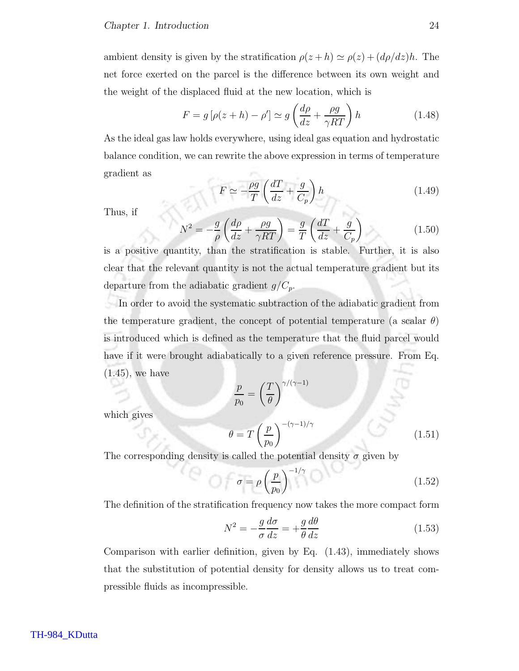ambient density is given by the stratification  $\rho(z+h) \simeq \rho(z) + (d\rho/dz)h$ . The net force exerted on the parcel is the difference between its own weight and the weight of the displaced fluid at the new location, which is

$$
F = g\left[\rho(z+h) - \rho'\right] \simeq g\left(\frac{d\rho}{dz} + \frac{\rho g}{\gamma RT}\right)h\tag{1.48}
$$

As the ideal gas law holds everywhere, using ideal gas equation and hydrostatic balance condition, we can rewrite the above expression in terms of temperature gradient as

$$
F \simeq -\frac{\rho g}{T} \left( \frac{dT}{dz} + \frac{g}{C_p} \right) h \tag{1.49}
$$

Thus, if

which gives

$$
N^2 = -\frac{g}{\rho} \left( \frac{d\rho}{dz} + \frac{\rho g}{\gamma RT} \right) = \frac{g}{T} \left( \frac{dT}{dz} + \frac{g}{C_p} \right) \tag{1.50}
$$

is a positive quantity, than the stratification is stable. Further, it is also clear that the relevant quantity is not the actual temperature gradient but its departure from the adiabatic gradient  $g/C_p$ .

In order to avoid the systematic subtraction of the adiabatic gradient from the temperature gradient, the concept of potential temperature (a scalar  $\theta$ ) is introduced which is defined as the temperature that the fluid parcel would have if it were brought adiabatically to a given reference pressure. From Eq. (1.45), we have

$$
\frac{p}{p_0} = \left(\frac{T}{\theta}\right)^{\gamma/(\gamma-1)}
$$
\n
$$
\theta = T\left(\frac{p}{p_0}\right)^{-(\gamma-1)/\gamma} \tag{1.51}
$$

The corresponding density is called the potential density  $\sigma$  given by

$$
\sigma = \rho \left(\frac{p}{p_0}\right)^{-1/\gamma} \tag{1.52}
$$

The definition of the stratification frequency now takes the more compact form

$$
N^2 = -\frac{g}{\sigma} \frac{d\sigma}{dz} = +\frac{g}{\theta} \frac{d\theta}{dz}
$$
 (1.53)

Comparison with earlier definition, given by Eq. (1.43), immediately shows that the substitution of potential density for density allows us to treat compressible fluids as incompressible.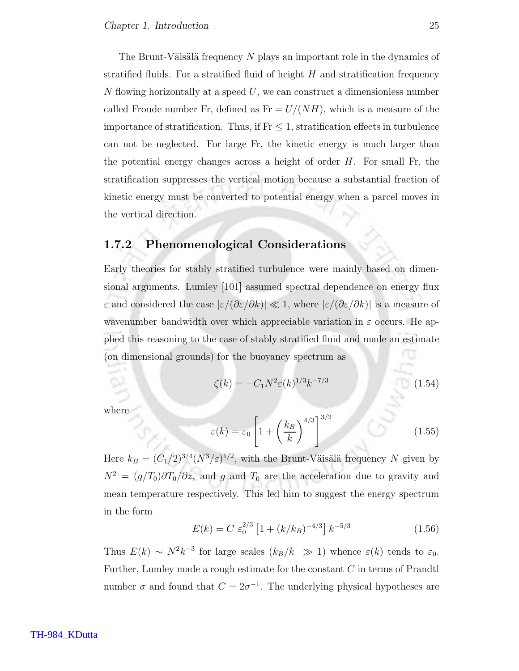The Brunt-Väisälä frequency  $N$  plays an important role in the dynamics of stratified fluids. For a stratified fluid of height  $H$  and stratification frequency  $N$  flowing horizontally at a speed  $U$ , we can construct a dimensionless number called Froude number Fr, defined as  $Fr = U/(NH)$ , which is a measure of the importance of stratification. Thus, if  $Fr \leq 1$ , stratification effects in turbulence can not be neglected. For large Fr, the kinetic energy is much larger than the potential energy changes across a height of order  $H$ . For small Fr, the stratification suppresses the vertical motion because a substantial fraction of kinetic energy must be converted to potential energy when a parcel moves in the vertical direction.

#### 1.7.2 Phenomenological Considerations

Early theories for stably stratified turbulence were mainly based on dimensional arguments. Lumley [101] assumed spectral dependence on energy flux  $ε$  and considered the case  $|ε/(\partial ε/\partial k)|$  ≪ 1, where  $|ε/(\partial ε/\partial k)|$  is a measure of wavenumber bandwidth over which appreciable variation in  $\varepsilon$  occurs. He applied this reasoning to the case of stably stratified fluid and made an estimate (on dimensional grounds) for the buoyancy spectrum as

$$
\zeta(k) = -C_1 N^2 \varepsilon(k)^{1/3} k^{-7/3} \tag{1.54}
$$

where

$$
\varepsilon(k) = \varepsilon_0 \left[ 1 + \left(\frac{k_B}{k}\right)^{4/3} \right]^{3/2} \tag{1.55}
$$

Here  $k_B = (C_1/2)^{3/4} (N^3/\varepsilon)^{1/2}$ , with the Brunt-Väisälä frequency N given by  $N^2 = (g/T_0)\partial T_0/\partial z$ , and g and  $T_0$  are the acceleration due to gravity and mean temperature respectively. This led him to suggest the energy spectrum in the form

$$
E(k) = C \ \varepsilon_0^{2/3} \left[ 1 + (k/k_B)^{-4/3} \right] k^{-5/3} \tag{1.56}
$$

Thus  $E(k) \sim N^2 k^{-3}$  for large scales  $(k_B/k \gg 1)$  whence  $\varepsilon(k)$  tends to  $\varepsilon_0$ . Further, Lumley made a rough estimate for the constant C in terms of Prandtl number  $\sigma$  and found that  $C = 2\sigma^{-1}$ . The underlying physical hypotheses are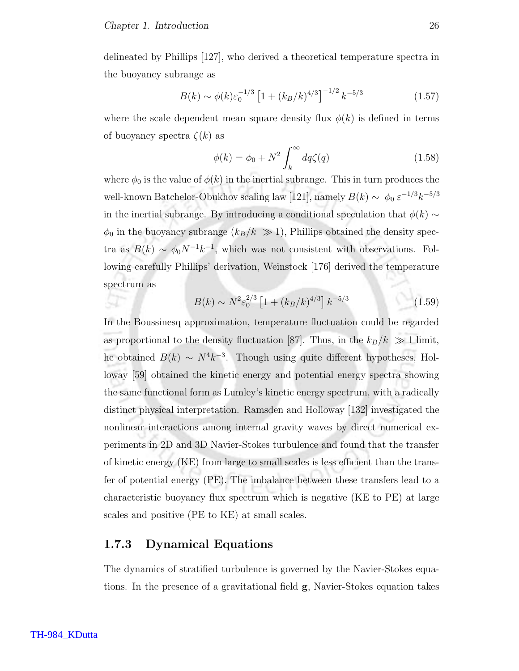delineated by Phillips [127], who derived a theoretical temperature spectra in the buoyancy subrange as

$$
B(k) \sim \phi(k)\varepsilon_0^{-1/3} \left[1 + (k_B/k)^{4/3}\right]^{-1/2} k^{-5/3} \tag{1.57}
$$

where the scale dependent mean square density flux  $\phi(k)$  is defined in terms of buoyancy spectra  $\zeta(k)$  as

$$
\phi(k) = \phi_0 + N^2 \int_k^{\infty} dq \zeta(q)
$$
\n(1.58)

where  $\phi_0$  is the value of  $\phi(k)$  in the inertial subrange. This in turn produces the well-known Batchelor-Obukhov scaling law [121], namely  $B(k) \sim \phi_0 \, \varepsilon^{-1/3} k^{-5/3}$ in the inertial subrange. By introducing a conditional speculation that  $\phi(k) \sim$  $\phi_0$  in the buoyancy subrange  $(k_B/k \gg 1)$ , Phillips obtained the density spectra as  $B(k) \sim \phi_0 N^{-1} k^{-1}$ , which was not consistent with observations. Following carefully Phillips' derivation, Weinstock [176] derived the temperature spectrum as

$$
B(k) \sim N^2 \varepsilon_0^{2/3} \left[ 1 + (k_B/k)^{4/3} \right] k^{-5/3} \tag{1.59}
$$

In the Boussinesq approximation, temperature fluctuation could be regarded as proportional to the density fluctuation [87]. Thus, in the  $k_B/k \gg 1$  limit, he obtained  $B(k) \sim N^4 k^{-3}$ . Though using quite different hypotheses, Holloway [59] obtained the kinetic energy and potential energy spectra showing the same functional form as Lumley's kinetic energy spectrum, with a radically distinct physical interpretation. Ramsden and Holloway [132] investigated the nonlinear interactions among internal gravity waves by direct numerical experiments in 2D and 3D Navier-Stokes turbulence and found that the transfer of kinetic energy (KE) from large to small scales is less efficient than the transfer of potential energy (PE). The imbalance between these transfers lead to a characteristic buoyancy flux spectrum which is negative (KE to PE) at large scales and positive (PE to KE) at small scales.

#### 1.7.3 Dynamical Equations

The dynamics of stratified turbulence is governed by the Navier-Stokes equations. In the presence of a gravitational field g, Navier-Stokes equation takes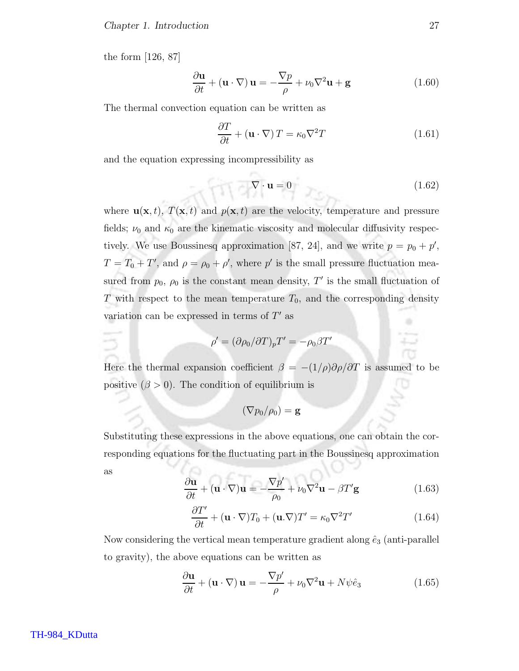the form [126, 87]

$$
\frac{\partial \mathbf{u}}{\partial t} + (\mathbf{u} \cdot \nabla) \mathbf{u} = -\frac{\nabla p}{\rho} + \nu_0 \nabla^2 \mathbf{u} + \mathbf{g}
$$
 (1.60)

The thermal convection equation can be written as

$$
\frac{\partial T}{\partial t} + (\mathbf{u} \cdot \nabla) T = \kappa_0 \nabla^2 T \qquad (1.61)
$$

and the equation expressing incompressibility as

ρ

$$
\nabla \cdot \mathbf{u} = 0 \tag{1.62}
$$

where  $\mathbf{u}(\mathbf{x}, t)$ ,  $T(\mathbf{x}, t)$  and  $p(\mathbf{x}, t)$  are the velocity, temperature and pressure fields;  $\nu_0$  and  $\kappa_0$  are the kinematic viscosity and molecular diffusivity respectively. We use Boussinesq approximation [87, 24], and we write  $p = p_0 + p'$ ,  $T = T_0 + T'$ , and  $\rho = \rho_0 + \rho'$ , where p' is the small pressure fluctuation measured from  $p_0$ ,  $\rho_0$  is the constant mean density, T' is the small fluctuation of  $T$  with respect to the mean temperature  $T_0$ , and the corresponding density variation can be expressed in terms of  $T'$  as

$$
\rho' = (\partial \rho_0 / \partial T)_p T' = -\rho_0 \beta T'
$$

Here the thermal expansion coefficient  $\beta = -(1/\rho)\partial \rho/\partial T$  is assumed to be positive  $(\beta > 0)$ . The condition of equilibrium is

$$
(\nabla p_0/\rho_0) = \mathbf{g}
$$

Substituting these expressions in the above equations, one can obtain the corresponding equations for the fluctuating part in the Boussinesq approximation as

$$
\frac{\partial \mathbf{u}}{\partial t} + (\mathbf{u} \cdot \nabla) \mathbf{u} = -\frac{\nabla p'}{\rho_0} + \nu_0 \nabla^2 \mathbf{u} - \beta T' \mathbf{g}
$$
 (1.63)

$$
\frac{\partial T'}{\partial t} + (\mathbf{u} \cdot \nabla) T_0 + (\mathbf{u} \cdot \nabla) T' = \kappa_0 \nabla^2 T'
$$
 (1.64)

Now considering the vertical mean temperature gradient along  $\hat{e}_3$  (anti-parallel to gravity), the above equations can be written as

$$
\frac{\partial \mathbf{u}}{\partial t} + (\mathbf{u} \cdot \nabla) \mathbf{u} = -\frac{\nabla p'}{\rho} + \nu_0 \nabla^2 \mathbf{u} + N \psi \hat{e}_3 \tag{1.65}
$$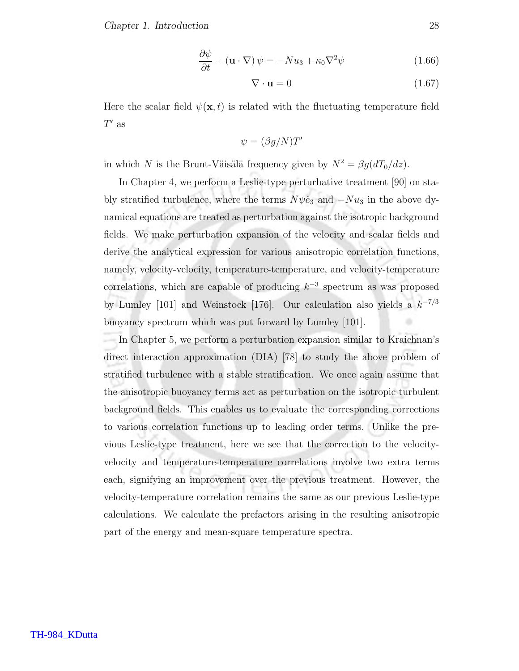Chapter 1. Introduction 28

$$
\frac{\partial \psi}{\partial t} + (\mathbf{u} \cdot \nabla) \psi = -Nu_3 + \kappa_0 \nabla^2 \psi \qquad (1.66)
$$

$$
\nabla \cdot \mathbf{u} = 0 \tag{1.67}
$$

Here the scalar field  $\psi(\mathbf{x},t)$  is related with the fluctuating temperature field  $T'$  as

$$
\psi = (\beta g/N)T'
$$

in which N is the Brunt-Väisälä frequency given by  $N^2 = \beta g (dT_0/dz)$ .

In Chapter 4, we perform a Leslie-type perturbative treatment [90] on stably stratified turbulence, where the terms  $N\psi\hat{e}_3$  and  $-Nu_3$  in the above dynamical equations are treated as perturbation against the isotropic background fields. We make perturbation expansion of the velocity and scalar fields and derive the analytical expression for various anisotropic correlation functions, namely, velocity-velocity, temperature-temperature, and velocity-temperature correlations, which are capable of producing  $k^{-3}$  spectrum as was proposed by Lumley [101] and Weinstock [176]. Our calculation also yields a  $k^{-7/3}$ buoyancy spectrum which was put forward by Lumley [101].

In Chapter 5, we perform a perturbation expansion similar to Kraichnan's direct interaction approximation (DIA) [78] to study the above problem of stratified turbulence with a stable stratification. We once again assume that the anisotropic buoyancy terms act as perturbation on the isotropic turbulent background fields. This enables us to evaluate the corresponding corrections to various correlation functions up to leading order terms. Unlike the previous Leslie-type treatment, here we see that the correction to the velocityvelocity and temperature-temperature correlations involve two extra terms each, signifying an improvement over the previous treatment. However, the velocity-temperature correlation remains the same as our previous Leslie-type calculations. We calculate the prefactors arising in the resulting anisotropic part of the energy and mean-square temperature spectra.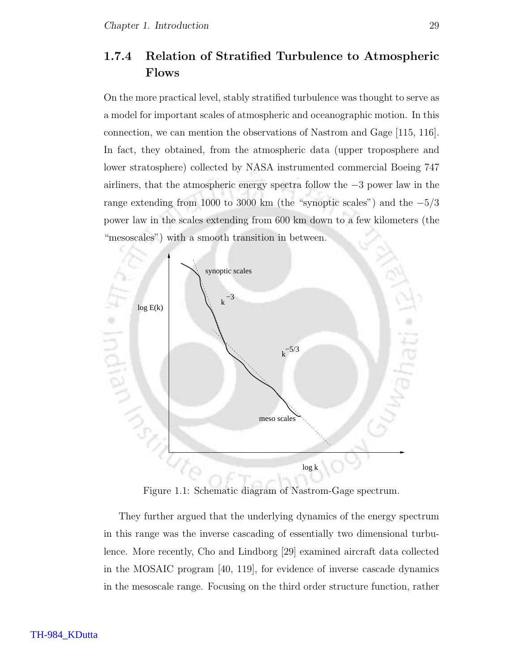## 1.7.4 Relation of Stratified Turbulence to Atmospheric Flows

On the more practical level, stably stratified turbulence was thought to serve as a model for important scales of atmospheric and oceanographic motion. In this connection, we can mention the observations of Nastrom and Gage [115, 116]. In fact, they obtained, from the atmospheric data (upper troposphere and lower stratosphere) collected by NASA instrumented commercial Boeing 747 airliners, that the atmospheric energy spectra follow the −3 power law in the range extending from 1000 to 3000 km (the "synoptic scales") and the  $-5/3$ power law in the scales extending from 600 km down to a few kilometers (the "mesoscales") with a smooth transition in between.



Figure 1.1: Schematic diagram of Nastrom-Gage spectrum.

They further argued that the underlying dynamics of the energy spectrum in this range was the inverse cascading of essentially two dimensional turbulence. More recently, Cho and Lindborg [29] examined aircraft data collected in the MOSAIC program [40, 119], for evidence of inverse cascade dynamics in the mesoscale range. Focusing on the third order structure function, rather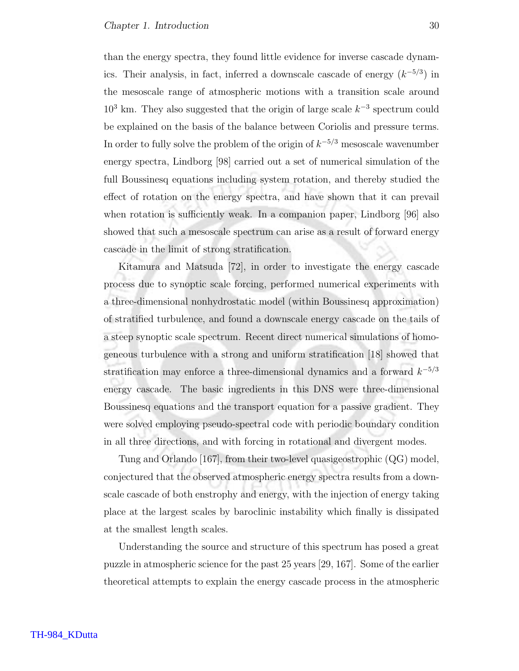than the energy spectra, they found little evidence for inverse cascade dynamics. Their analysis, in fact, inferred a downscale cascade of energy  $(k^{-5/3})$  in the mesoscale range of atmospheric motions with a transition scale around  $10<sup>3</sup>$  km. They also suggested that the origin of large scale  $k<sup>-3</sup>$  spectrum could be explained on the basis of the balance between Coriolis and pressure terms. In order to fully solve the problem of the origin of  $k^{-5/3}$  mesoscale wavenumber energy spectra, Lindborg [98] carried out a set of numerical simulation of the full Boussinesq equations including system rotation, and thereby studied the effect of rotation on the energy spectra, and have shown that it can prevail when rotation is sufficiently weak. In a companion paper, Lindborg [96] also showed that such a mesoscale spectrum can arise as a result of forward energy cascade in the limit of strong stratification.

Kitamura and Matsuda [72], in order to investigate the energy cascade process due to synoptic scale forcing, performed numerical experiments with a three-dimensional nonhydrostatic model (within Boussinesq approximation) of stratified turbulence, and found a downscale energy cascade on the tails of a steep synoptic scale spectrum. Recent direct numerical simulations of homogeneous turbulence with a strong and uniform stratification [18] showed that stratification may enforce a three-dimensional dynamics and a forward  $k^{-5/3}$ energy cascade. The basic ingredients in this DNS were three-dimensional Boussinesq equations and the transport equation for a passive gradient. They were solved employing pseudo-spectral code with periodic boundary condition in all three directions, and with forcing in rotational and divergent modes.

Tung and Orlando [167], from their two-level quasigeostrophic (QG) model, conjectured that the observed atmospheric energy spectra results from a downscale cascade of both enstrophy and energy, with the injection of energy taking place at the largest scales by baroclinic instability which finally is dissipated at the smallest length scales.

Understanding the source and structure of this spectrum has posed a great puzzle in atmospheric science for the past 25 years [29, 167]. Some of the earlier theoretical attempts to explain the energy cascade process in the atmospheric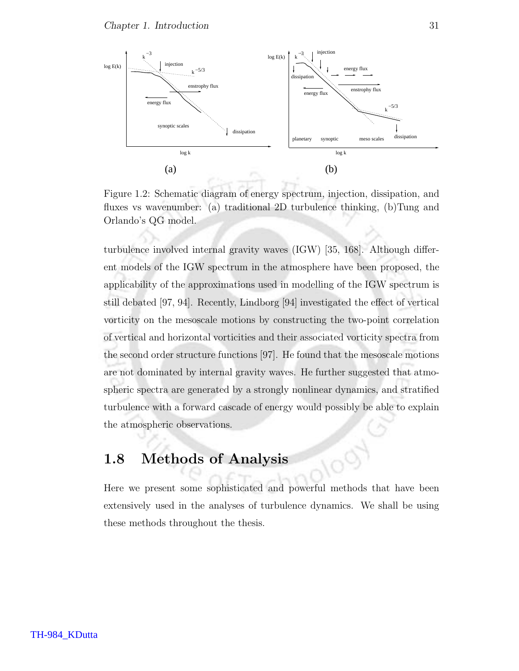

Figure 1.2: Schematic diagram of energy spectrum, injection, dissipation, and fluxes vs wavenumber: (a) traditional 2D turbulence thinking, (b)Tung and Orlando's QG model.

turbulence involved internal gravity waves (IGW) [35, 168]. Although different models of the IGW spectrum in the atmosphere have been proposed, the applicability of the approximations used in modelling of the IGW spectrum is still debated [97, 94]. Recently, Lindborg [94] investigated the effect of vertical vorticity on the mesoscale motions by constructing the two-point correlation of vertical and horizontal vorticities and their associated vorticity spectra from the second order structure functions [97]. He found that the mesoscale motions are not dominated by internal gravity waves. He further suggested that atmospheric spectra are generated by a strongly nonlinear dynamics, and stratified turbulence with a forward cascade of energy would possibly be able to explain the atmospheric observations.

## 1.8 Methods of Analysis

Here we present some sophisticated and powerful methods that have been extensively used in the analyses of turbulence dynamics. We shall be using these methods throughout the thesis.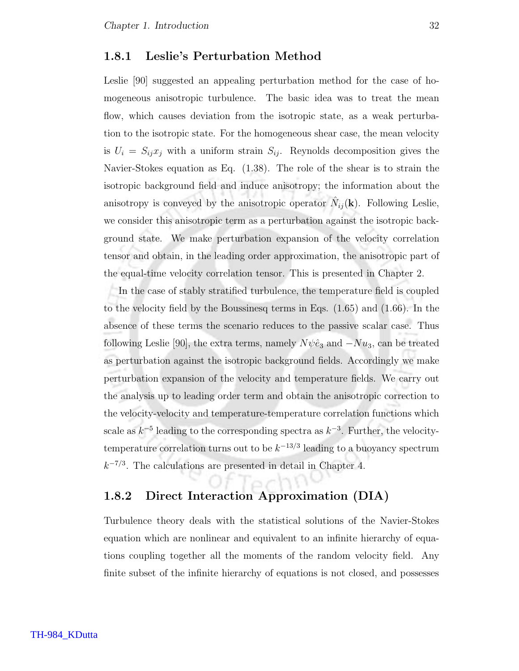#### 1.8.1 Leslie's Perturbation Method

Leslie [90] suggested an appealing perturbation method for the case of homogeneous anisotropic turbulence. The basic idea was to treat the mean flow, which causes deviation from the isotropic state, as a weak perturbation to the isotropic state. For the homogeneous shear case, the mean velocity is  $U_i = S_{ij}x_j$  with a uniform strain  $S_{ij}$ . Reynolds decomposition gives the Navier-Stokes equation as Eq. (1.38). The role of the shear is to strain the isotropic background field and induce anisotropy; the information about the anisotropy is conveyed by the anisotropic operator  $\hat{N}_{ij}(\mathbf{k})$ . Following Leslie, we consider this anisotropic term as a perturbation against the isotropic background state. We make perturbation expansion of the velocity correlation tensor and obtain, in the leading order approximation, the anisotropic part of the equal-time velocity correlation tensor. This is presented in Chapter 2.

In the case of stably stratified turbulence, the temperature field is coupled to the velocity field by the Boussinesq terms in Eqs. (1.65) and (1.66). In the absence of these terms the scenario reduces to the passive scalar case. Thus following Leslie [90], the extra terms, namely  $N\psi\hat{e}_3$  and  $-Nu_3$ , can be treated as perturbation against the isotropic background fields. Accordingly we make perturbation expansion of the velocity and temperature fields. We carry out the analysis up to leading order term and obtain the anisotropic correction to the velocity-velocity and temperature-temperature correlation functions which scale as  $k^{-5}$  leading to the corresponding spectra as  $k^{-3}$ . Further, the velocitytemperature correlation turns out to be  $k^{-13/3}$  leading to a buoyancy spectrum  $k^{-7/3}$ . The calculations are presented in detail in Chapter 4.

#### 1.8.2 Direct Interaction Approximation (DIA)

Turbulence theory deals with the statistical solutions of the Navier-Stokes equation which are nonlinear and equivalent to an infinite hierarchy of equations coupling together all the moments of the random velocity field. Any finite subset of the infinite hierarchy of equations is not closed, and possesses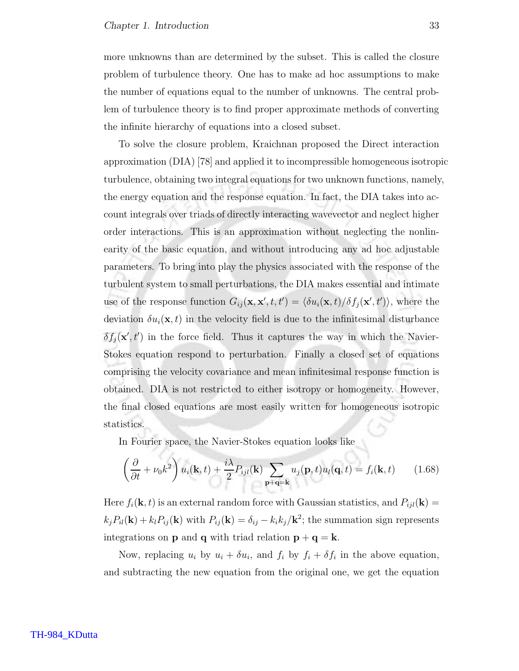more unknowns than are determined by the subset. This is called the closure problem of turbulence theory. One has to make ad hoc assumptions to make the number of equations equal to the number of unknowns. The central problem of turbulence theory is to find proper approximate methods of converting the infinite hierarchy of equations into a closed subset.

To solve the closure problem, Kraichnan proposed the Direct interaction approximation (DIA) [78] and applied it to incompressible homogeneous isotropic turbulence, obtaining two integral equations for two unknown functions, namely, the energy equation and the response equation. In fact, the DIA takes into account integrals over triads of directly interacting wavevector and neglect higher order interactions. This is an approximation without neglecting the nonlinearity of the basic equation, and without introducing any ad hoc adjustable parameters. To bring into play the physics associated with the response of the turbulent system to small perturbations, the DIA makes essential and intimate use of the response function  $G_{ij}(\mathbf{x}, \mathbf{x}', t, t') = \langle \delta u_i(\mathbf{x}, t) / \delta f_j(\mathbf{x}', t') \rangle$ , where the deviation  $\delta u_i(\mathbf{x}, t)$  in the velocity field is due to the infinitesimal disturbance  $\delta f_j(\mathbf{x}', t')$  in the force field. Thus it captures the way in which the Navier-Stokes equation respond to perturbation. Finally a closed set of equations comprising the velocity covariance and mean infinitesimal response function is obtained. DIA is not restricted to either isotropy or homogeneity. However, the final closed equations are most easily written for homogeneous isotropic statistics.

In Fourier space, the Navier-Stokes equation looks like

$$
\left(\frac{\partial}{\partial t} + \nu_0 k^2\right) u_i(\mathbf{k}, t) + \frac{i\lambda}{2} P_{ijl}(\mathbf{k}) \sum_{\mathbf{p}+\mathbf{q}=\mathbf{k}} u_j(\mathbf{p}, t) u_l(\mathbf{q}, t) = f_i(\mathbf{k}, t) \tag{1.68}
$$

Here  $f_i(\mathbf{k}, t)$  is an external random force with Gaussian statistics, and  $P_{ijl}(\mathbf{k}) =$  $k_j P_{il}(\mathbf{k}) + k_l P_{ij}(\mathbf{k})$  with  $P_{ij}(\mathbf{k}) = \delta_{ij} - k_i k_j / \mathbf{k}^2$ ; the summation sign represents integrations on **p** and **q** with triad relation  $\mathbf{p} + \mathbf{q} = \mathbf{k}$ .

Now, replacing  $u_i$  by  $u_i + \delta u_i$ , and  $f_i$  by  $f_i + \delta f_i$  in the above equation, and subtracting the new equation from the original one, we get the equation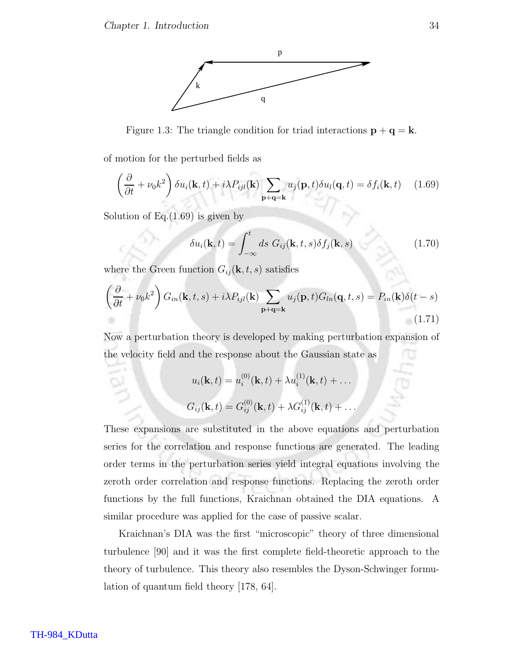

Figure 1.3: The triangle condition for triad interactions  $\mathbf{p} + \mathbf{q} = \mathbf{k}$ .

of motion for the perturbed fields as

$$
\left(\frac{\partial}{\partial t} + \nu_0 k^2\right) \delta u_i(\mathbf{k}, t) + i\lambda P_{ijl}(\mathbf{k}) \sum_{\mathbf{p}+\mathbf{q}=\mathbf{k}} u_j(\mathbf{p}, t) \delta u_l(\mathbf{q}, t) = \delta f_i(\mathbf{k}, t) \quad (1.69)
$$

Solution of Eq. $(1.69)$  is given by

$$
\delta u_i(\mathbf{k}, t) = \int_{-\infty}^t ds \ G_{ij}(\mathbf{k}, t, s) \delta f_j(\mathbf{k}, s) \tag{1.70}
$$

where the Green function  $G_{ij}(\mathbf{k}, t, s)$  satisfies

$$
\left(\frac{\partial}{\partial t} + \nu_0 k^2\right) G_{in}(\mathbf{k}, t, s) + i\lambda P_{ijl}(\mathbf{k}) \sum_{\mathbf{p}+\mathbf{q}=\mathbf{k}} u_j(\mathbf{p}, t) G_{ln}(\mathbf{q}, t, s) = P_{in}(\mathbf{k}) \delta(t - s)
$$
\n(1.71)

Now a perturbation theory is developed by making perturbation expansion of the velocity field and the response about the Gaussian state as

$$
u_i(\mathbf{k}, t) = u_i^{(0)}(\mathbf{k}, t) + \lambda u_i^{(1)}(\mathbf{k}, t) + \dots
$$
  

$$
G_{ij}(\mathbf{k}, t) = G_{ij}^{(0)}(\mathbf{k}, t) + \lambda G_{ij}^{(1)}(\mathbf{k}, t) + \dots
$$

These expansions are substituted in the above equations and perturbation series for the correlation and response functions are generated. The leading order terms in the perturbation series yield integral equations involving the zeroth order correlation and response functions. Replacing the zeroth order functions by the full functions, Kraichnan obtained the DIA equations. A similar procedure was applied for the case of passive scalar.

Kraichnan's DIA was the first "microscopic" theory of three dimensional turbulence [90] and it was the first complete field-theoretic approach to the theory of turbulence. This theory also resembles the Dyson-Schwinger formulation of quantum field theory [178, 64].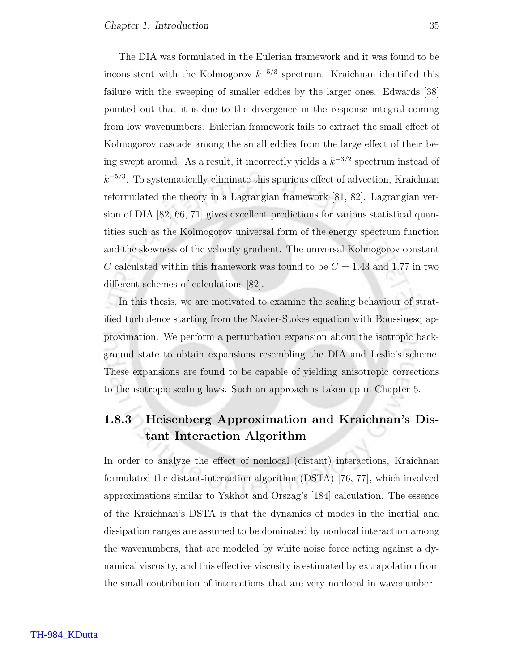The DIA was formulated in the Eulerian framework and it was found to be inconsistent with the Kolmogorov  $k^{-5/3}$  spectrum. Kraichnan identified this failure with the sweeping of smaller eddies by the larger ones. Edwards [38] pointed out that it is due to the divergence in the response integral coming from low wavenumbers. Eulerian framework fails to extract the small effect of Kolmogorov cascade among the small eddies from the large effect of their being swept around. As a result, it incorrectly yields a  $k^{-3/2}$  spectrum instead of  $k^{-5/3}$ . To systematically eliminate this spurious effect of advection, Kraichnan reformulated the theory in a Lagrangian framework [81, 82]. Lagrangian version of DIA [82, 66, 71] gives excellent predictions for various statistical quantities such as the Kolmogorov universal form of the energy spectrum function and the skewness of the velocity gradient. The universal Kolmogorov constant C calculated within this framework was found to be  $C = 1.43$  and 1.77 in two different schemes of calculations [82].

In this thesis, we are motivated to examine the scaling behaviour of stratified turbulence starting from the Navier-Stokes equation with Boussinesq approximation. We perform a perturbation expansion about the isotropic background state to obtain expansions resembling the DIA and Leslie's scheme. These expansions are found to be capable of yielding anisotropic corrections to the isotropic scaling laws. Such an approach is taken up in Chapter 5.

## 1.8.3 Heisenberg Approximation and Kraichnan's Distant Interaction Algorithm

In order to analyze the effect of nonlocal (distant) interactions, Kraichnan formulated the distant-interaction algorithm (DSTA) [76, 77], which involved approximations similar to Yakhot and Orszag's [184] calculation. The essence of the Kraichnan's DSTA is that the dynamics of modes in the inertial and dissipation ranges are assumed to be dominated by nonlocal interaction among the wavenumbers, that are modeled by white noise force acting against a dynamical viscosity, and this effective viscosity is estimated by extrapolation from the small contribution of interactions that are very nonlocal in wavenumber.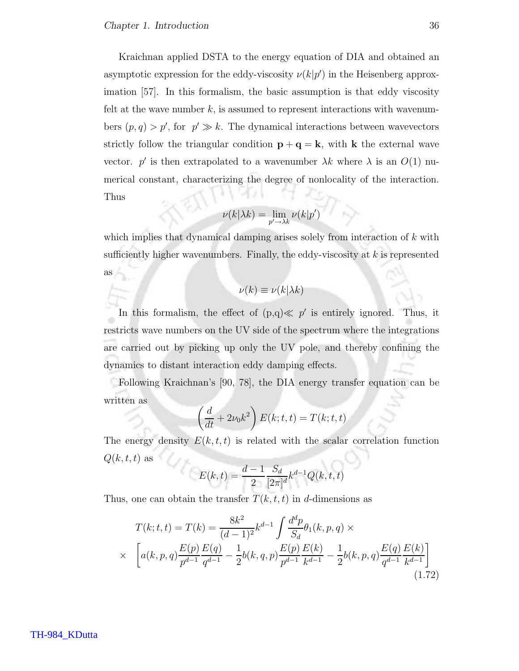Kraichnan applied DSTA to the energy equation of DIA and obtained an asymptotic expression for the eddy-viscosity  $\nu(k|p')$  in the Heisenberg approximation [57]. In this formalism, the basic assumption is that eddy viscosity felt at the wave number  $k$ , is assumed to represent interactions with wavenumbers  $(p, q) > p'$ , for  $p' \gg k$ . The dynamical interactions between wavevectors strictly follow the triangular condition  $\mathbf{p} + \mathbf{q} = \mathbf{k}$ , with **k** the external wave vector. p' is then extrapolated to a wavenumber  $\lambda k$  where  $\lambda$  is an  $O(1)$  numerical constant, characterizing the degree of nonlocality of the interaction. Thus

$$
\nu(k|\lambda k) = \lim_{p' \to \lambda k} \nu(k|p')
$$

which implies that dynamical damping arises solely from interaction of  $k$  with sufficiently higher wavenumbers. Finally, the eddy-viscosity at  $k$  is represented as

$$
\nu(k) \equiv \nu(k|\lambda k)
$$

In this formalism, the effect of  $(p,q) \ll p'$  is entirely ignored. Thus, it restricts wave numbers on the UV side of the spectrum where the integrations are carried out by picking up only the UV pole, and thereby confining the dynamics to distant interaction eddy damping effects.

Following Kraichnan's [90, 78], the DIA energy transfer equation can be written as

$$
\left(\frac{d}{dt} + 2\nu_0 k^2\right) E(k; t, t) = T(k; t, t)
$$

The energy density  $E(k, t, t)$  is related with the scalar correlation function  $Q(k, t, t)$  as

$$
E(k,t) = \frac{d-1}{2} \frac{S_d}{[2\pi]^d} k^{d-1} Q(k,t,t)
$$

Thus, one can obtain the transfer  $T(k, t, t)$  in d-dimensions as

$$
T(k; t, t) = T(k) = \frac{8k^2}{(d-1)^2} k^{d-1} \int \frac{d^d p}{S_d} \theta_1(k, p, q) \times
$$
  
 
$$
\times \left[ a(k, p, q) \frac{E(p)}{p^{d-1}} \frac{E(q)}{q^{d-1}} - \frac{1}{2} b(k, q, p) \frac{E(p)}{p^{d-1}} \frac{E(k)}{k^{d-1}} - \frac{1}{2} b(k, p, q) \frac{E(q)}{q^{d-1}} \frac{E(k)}{k^{d-1}} \right]
$$
(1.72)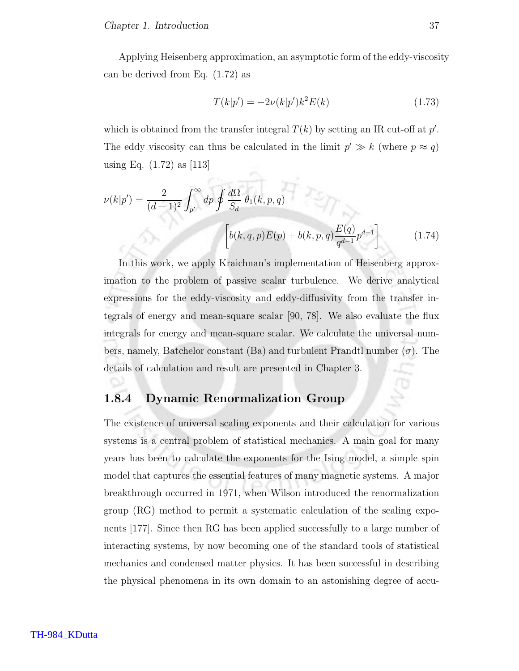Applying Heisenberg approximation, an asymptotic form of the eddy-viscosity can be derived from Eq. (1.72) as

$$
T(k|p') = -2\nu(k|p')k^2E(k)
$$
\n(1.73)

which is obtained from the transfer integral  $T(k)$  by setting an IR cut-off at  $p'$ . The eddy viscosity can thus be calculated in the limit  $p' \gg k$  (where  $p \approx q$ ) using Eq. (1.72) as [113]

$$
\nu(k|p') = \frac{2}{(d-1)^2} \int_{p'}^{\infty} dp \oint \frac{d\Omega}{S_d} \theta_1(k, p, q)
$$

$$
\left[ b(k, q, p)E(p) + b(k, p, q) \frac{E(q)}{q^{d-1}} p^{d-1} \right]
$$
(1.74)

In this work, we apply Kraichnan's implementation of Heisenberg approximation to the problem of passive scalar turbulence. We derive analytical expressions for the eddy-viscosity and eddy-diffusivity from the transfer integrals of energy and mean-square scalar [90, 78]. We also evaluate the flux integrals for energy and mean-square scalar. We calculate the universal numbers, namely, Batchelor constant (Ba) and turbulent Prandtl number  $(\sigma)$ . The details of calculation and result are presented in Chapter 3.

#### 1.8.4 Dynamic Renormalization Group

The existence of universal scaling exponents and their calculation for various systems is a central problem of statistical mechanics. A main goal for many years has been to calculate the exponents for the Ising model, a simple spin model that captures the essential features of many magnetic systems. A major breakthrough occurred in 1971, when Wilson introduced the renormalization group (RG) method to permit a systematic calculation of the scaling exponents [177]. Since then RG has been applied successfully to a large number of interacting systems, by now becoming one of the standard tools of statistical mechanics and condensed matter physics. It has been successful in describing the physical phenomena in its own domain to an astonishing degree of accu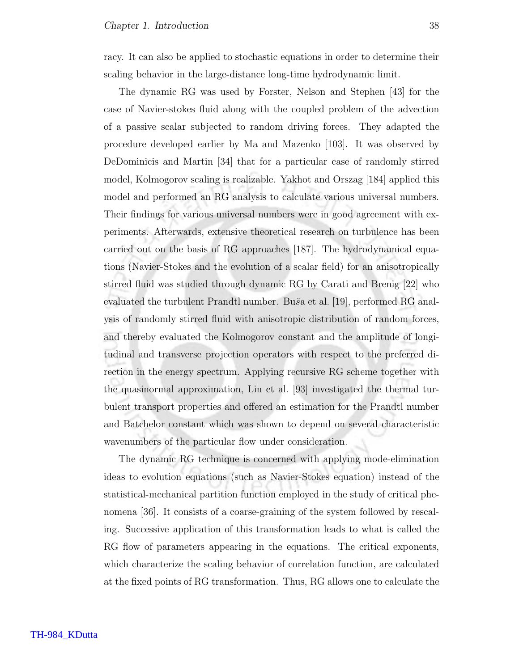racy. It can also be applied to stochastic equations in order to determine their scaling behavior in the large-distance long-time hydrodynamic limit.

The dynamic RG was used by Forster, Nelson and Stephen [43] for the case of Navier-stokes fluid along with the coupled problem of the advection of a passive scalar subjected to random driving forces. They adapted the procedure developed earlier by Ma and Mazenko [103]. It was observed by DeDominicis and Martin [34] that for a particular case of randomly stirred model, Kolmogorov scaling is realizable. Yakhot and Orszag [184] applied this model and performed an RG analysis to calculate various universal numbers. Their findings for various universal numbers were in good agreement with experiments. Afterwards, extensive theoretical research on turbulence has been carried out on the basis of RG approaches [187]. The hydrodynamical equations (Navier-Stokes and the evolution of a scalar field) for an anisotropically stirred fluid was studied through dynamic RG by Carati and Brenig [22] who evaluated the turbulent Prandtl number. Buša et al. [19], performed RG analysis of randomly stirred fluid with anisotropic distribution of random forces, and thereby evaluated the Kolmogorov constant and the amplitude of longitudinal and transverse projection operators with respect to the preferred direction in the energy spectrum. Applying recursive RG scheme together with the quasinormal approximation, Lin et al. [93] investigated the thermal turbulent transport properties and offered an estimation for the Prandtl number and Batchelor constant which was shown to depend on several characteristic wavenumbers of the particular flow under consideration.

The dynamic RG technique is concerned with applying mode-elimination ideas to evolution equations (such as Navier-Stokes equation) instead of the statistical-mechanical partition function employed in the study of critical phenomena [36]. It consists of a coarse-graining of the system followed by rescaling. Successive application of this transformation leads to what is called the RG flow of parameters appearing in the equations. The critical exponents, which characterize the scaling behavior of correlation function, are calculated at the fixed points of RG transformation. Thus, RG allows one to calculate the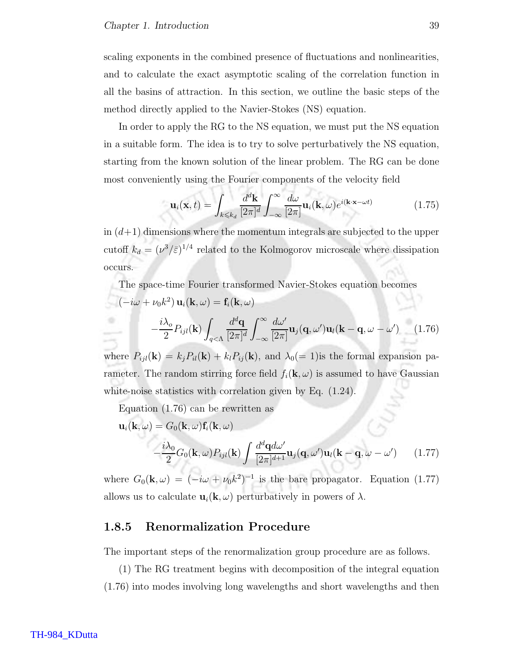scaling exponents in the combined presence of fluctuations and nonlinearities, and to calculate the exact asymptotic scaling of the correlation function in all the basins of attraction. In this section, we outline the basic steps of the method directly applied to the Navier-Stokes (NS) equation.

In order to apply the RG to the NS equation, we must put the NS equation in a suitable form. The idea is to try to solve perturbatively the NS equation, starting from the known solution of the linear problem. The RG can be done most conveniently using the Fourier components of the velocity field

$$
\mathbf{u}_{i}(\mathbf{x},t) = \int_{k \leq k_{d}} \frac{d^{d} \mathbf{k}}{[2\pi]^{d}} \int_{-\infty}^{\infty} \frac{d\omega}{[2\pi]} \mathbf{u}_{i}(\mathbf{k},\omega) e^{i(\mathbf{k}\cdot\mathbf{x}-\omega t)}
$$
(1.75)

in  $(d+1)$  dimensions where the momentum integrals are subjected to the upper cutoff  $k_d = (\nu^3/\bar{\varepsilon})^{1/4}$  related to the Kolmogorov microscale where dissipation occurs.

The space-time Fourier transformed Navier-Stokes equation becomes  
\n
$$
(-i\omega + \nu_0 k^2) \mathbf{u}_i(\mathbf{k}, \omega) = \mathbf{f}_i(\mathbf{k}, \omega)
$$
\n
$$
-\frac{i\lambda_o}{2} P_{ijl}(\mathbf{k}) \int_{q < \Lambda} \frac{d^d \mathbf{q}}{[2\pi]^d} \int_{-\infty}^{\infty} \frac{d\omega'}{[2\pi]} \mathbf{u}_j(\mathbf{q}, \omega') \mathbf{u}_l(\mathbf{k} - \mathbf{q}, \omega - \omega') \qquad (1.76)
$$
\nwhere  $P_{ij}(\mathbf{k}) = k P_{ij}(\mathbf{k}) + k P_{ij}(\mathbf{k})$  and  $l = 1$  lie the formal expansion no

where  $P_{ijl}(\mathbf{k}) = k_j P_{il}(\mathbf{k}) + k_l P_{ij}(\mathbf{k})$ , and  $\lambda_0(= 1)$  is the formal expansion parameter. The random stirring force field  $f_i(\mathbf{k}, \omega)$  is assumed to have Gaussian white-noise statistics with correlation given by Eq.  $(1.24)$ .

Equation (1.76) can be rewritten as

$$
\mathbf{u}_{i}(\mathbf{k},\omega) = G_{0}(\mathbf{k},\omega)\mathbf{f}_{i}(\mathbf{k},\omega)
$$

$$
-\frac{i\lambda_{0}}{2}G_{0}(\mathbf{k},\omega)P_{ijl}(\mathbf{k})\int \frac{d^{d}\mathbf{q}d\omega'}{[2\pi]^{d+1}}\mathbf{u}_{j}(\mathbf{q},\omega')\mathbf{u}_{l}(\mathbf{k}-\mathbf{q},\omega-\omega') \qquad (1.77)
$$

where  $G_0(\mathbf{k}, \omega) = (-i\omega + \nu_0 k^2)^{-1}$  is the bare propagator. Equation (1.77) allows us to calculate  $\mathbf{u}_i(\mathbf{k}, \omega)$  perturbatively in powers of  $\lambda$ .

#### 1.8.5 Renormalization Procedure

The important steps of the renormalization group procedure are as follows.

(1) The RG treatment begins with decomposition of the integral equation (1.76) into modes involving long wavelengths and short wavelengths and then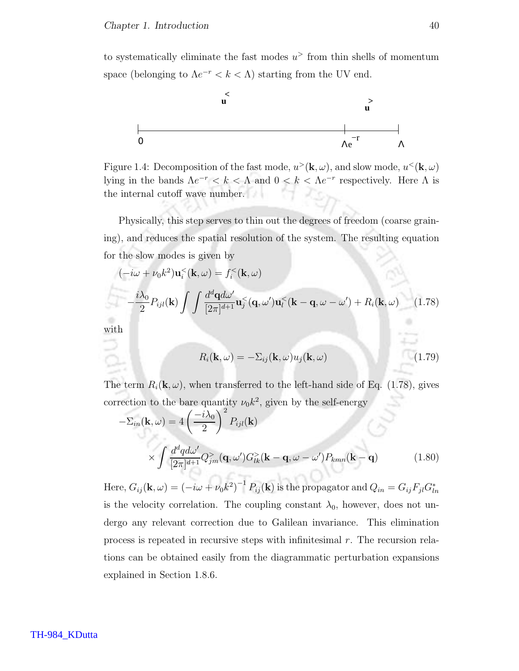to systematically eliminate the fast modes  $u^>$  from thin shells of momentum space (belonging to  $\Lambda e^{-r} < k < \Lambda$ ) starting from the UV end.



Figure 1.4: Decomposition of the fast mode,  $u^>(\mathbf{k}, \omega)$ , and slow mode,  $u^<(\mathbf{k}, \omega)$ lying in the bands  $\Lambda e^{-r} < k < \Lambda$  and  $0 < k < \Lambda e^{-r}$  respectively. Here  $\Lambda$  is the internal cutoff wave number.

Physically, this step serves to thin out the degrees of freedom (coarse graining), and reduces the spatial resolution of the system. The resulting equation for the slow modes is given by

$$
(-i\omega + \nu_0 k^2) \mathbf{u}_i^< (\mathbf{k}, \omega) = f_i^< (\mathbf{k}, \omega)
$$

$$
- \frac{i\lambda_0}{2} P_{ijl}(\mathbf{k}) \int \int \frac{d^d \mathbf{q} d\omega'}{[2\pi]^{d+1}} \mathbf{u}_j^< (\mathbf{q}, \omega') \mathbf{u}_l^< (\mathbf{k} - \mathbf{q}, \omega - \omega') + R_i(\mathbf{k}, \omega) \qquad (1.78)
$$

with

$$
R_i(\mathbf{k}, \omega) = -\Sigma_{ij}(\mathbf{k}, \omega) u_j(\mathbf{k}, \omega)
$$
 (1.79)

The term  $R_i(\mathbf{k}, \omega)$ , when transferred to the left-hand side of Eq. (1.78), gives correction to the bare quantity  $\nu_0 k^2$ , given by the self-energy

$$
-\Sigma_{in}(\mathbf{k},\omega) = 4\left(\frac{-i\lambda_0}{2}\right)^2 P_{ijl}(\mathbf{k})
$$

$$
\times \int \frac{d^d q d\omega'}{[2\pi]^{d+1}} Q_{jm}^>(\mathbf{q},\omega') G_{lk}^>(\mathbf{k}-\mathbf{q},\omega-\omega') P_{kmn}(\mathbf{k}-\mathbf{q}) \tag{1.80}
$$

Here,  $G_{ij}({\bf k},\omega)=(-i\omega+\nu_0k^2)^{-1}\,P_{ij}({\bf k})$  is the propagator and  $Q_{in}=G_{ij}F_{jl}G_{ln}^*$ is the velocity correlation. The coupling constant  $\lambda_0$ , however, does not undergo any relevant correction due to Galilean invariance. This elimination process is repeated in recursive steps with infinitesimal r. The recursion relations can be obtained easily from the diagrammatic perturbation expansions explained in Section 1.8.6.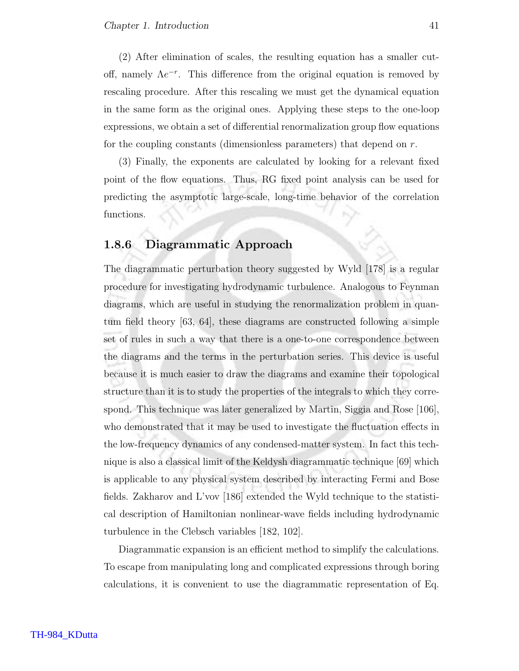(2) After elimination of scales, the resulting equation has a smaller cutoff, namely  $\Lambda e^{-r}$ . This difference from the original equation is removed by rescaling procedure. After this rescaling we must get the dynamical equation in the same form as the original ones. Applying these steps to the one-loop expressions, we obtain a set of differential renormalization group flow equations for the coupling constants (dimensionless parameters) that depend on r.

(3) Finally, the exponents are calculated by looking for a relevant fixed point of the flow equations. Thus, RG fixed point analysis can be used for predicting the asymptotic large-scale, long-time behavior of the correlation functions.

#### 1.8.6 Diagrammatic Approach

The diagrammatic perturbation theory suggested by Wyld [178] is a regular procedure for investigating hydrodynamic turbulence. Analogous to Feynman diagrams, which are useful in studying the renormalization problem in quantum field theory [63, 64], these diagrams are constructed following a simple set of rules in such a way that there is a one-to-one correspondence between the diagrams and the terms in the perturbation series. This device is useful because it is much easier to draw the diagrams and examine their topological structure than it is to study the properties of the integrals to which they correspond. This technique was later generalized by Martin, Siggia and Rose [106], who demonstrated that it may be used to investigate the fluctuation effects in the low-frequency dynamics of any condensed-matter system. In fact this technique is also a classical limit of the Keldysh diagrammatic technique [69] which is applicable to any physical system described by interacting Fermi and Bose fields. Zakharov and L'vov [186] extended the Wyld technique to the statistical description of Hamiltonian nonlinear-wave fields including hydrodynamic turbulence in the Clebsch variables [182, 102].

Diagrammatic expansion is an efficient method to simplify the calculations. To escape from manipulating long and complicated expressions through boring calculations, it is convenient to use the diagrammatic representation of Eq.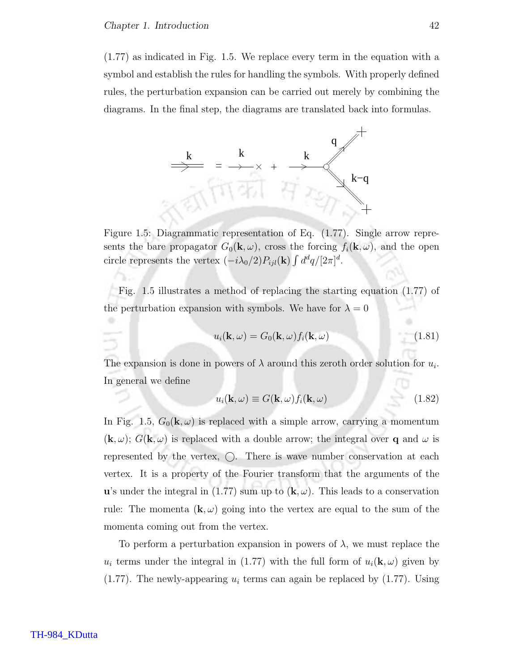(1.77) as indicated in Fig. 1.5. We replace every term in the equation with a symbol and establish the rules for handling the symbols. With properly defined rules, the perturbation expansion can be carried out merely by combining the diagrams. In the final step, the diagrams are translated back into formulas.



Figure 1.5: Diagrammatic representation of Eq. (1.77). Single arrow represents the bare propagator  $G_0(\mathbf{k}, \omega)$ , cross the forcing  $f_i(\mathbf{k}, \omega)$ , and the open circle represents the vertex  $(-i\lambda_0/2)P_{ijl}(\mathbf{k})\int d^d q/[2\pi]^d$ .

Fig. 1.5 illustrates a method of replacing the starting equation (1.77) of the perturbation expansion with symbols. We have for  $\lambda = 0$ 

$$
u_i(\mathbf{k}, \omega) = G_0(\mathbf{k}, \omega) f_i(\mathbf{k}, \omega) \tag{1.81}
$$

The expansion is done in powers of  $\lambda$  around this zeroth order solution for  $u_i$ . In general we define

$$
u_i(\mathbf{k}, \omega) \equiv G(\mathbf{k}, \omega) f_i(\mathbf{k}, \omega) \tag{1.82}
$$

In Fig. 1.5,  $G_0(\mathbf{k}, \omega)$  is replaced with a simple arrow, carrying a momentum  $(\mathbf{k}, \omega)$ ;  $G(\mathbf{k}, \omega)$  is replaced with a double arrow; the integral over q and  $\omega$  is represented by the vertex,  $\bigcirc$ . There is wave number conservation at each vertex. It is a property of the Fourier transform that the arguments of the u's under the integral in (1.77) sum up to  $(\mathbf{k}, \omega)$ . This leads to a conservation rule: The momenta  $(\mathbf{k}, \omega)$  going into the vertex are equal to the sum of the momenta coming out from the vertex.

To perform a perturbation expansion in powers of  $\lambda$ , we must replace the  $u_i$  terms under the integral in (1.77) with the full form of  $u_i(\mathbf{k}, \omega)$  given by  $(1.77)$ . The newly-appearing  $u_i$  terms can again be replaced by  $(1.77)$ . Using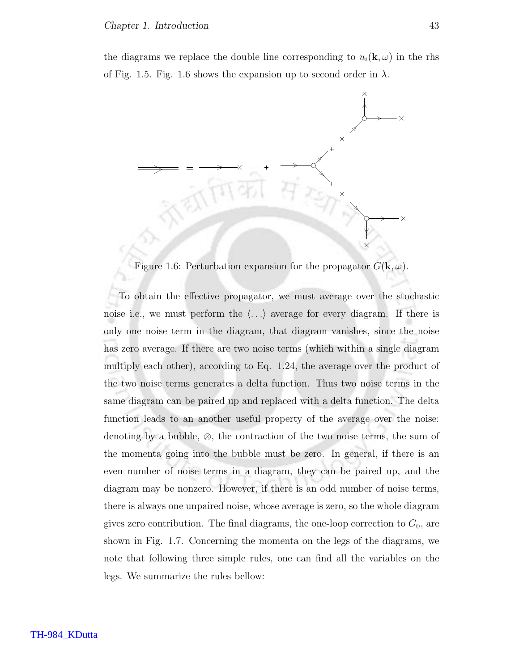the diagrams we replace the double line corresponding to  $u_i(\mathbf{k}, \omega)$  in the rhs of Fig. 1.5. Fig. 1.6 shows the expansion up to second order in  $\lambda$ .



Figure 1.6: Perturbation expansion for the propagator  $G(\mathbf{k}, \omega)$ .

To obtain the effective propagator, we must average over the stochastic noise i.e., we must perform the  $\langle \ldots \rangle$  average for every diagram. If there is only one noise term in the diagram, that diagram vanishes, since the noise has zero average. If there are two noise terms (which within a single diagram multiply each other), according to Eq. 1.24, the average over the product of the two noise terms generates a delta function. Thus two noise terms in the same diagram can be paired up and replaced with a delta function. The delta function leads to an another useful property of the average over the noise: denoting by a bubble,  $\otimes$ , the contraction of the two noise terms, the sum of the momenta going into the bubble must be zero. In general, if there is an even number of noise terms in a diagram, they can be paired up, and the diagram may be nonzero. However, if there is an odd number of noise terms, there is always one unpaired noise, whose average is zero, so the whole diagram gives zero contribution. The final diagrams, the one-loop correction to  $G_0$ , are shown in Fig. 1.7. Concerning the momenta on the legs of the diagrams, we note that following three simple rules, one can find all the variables on the legs. We summarize the rules bellow: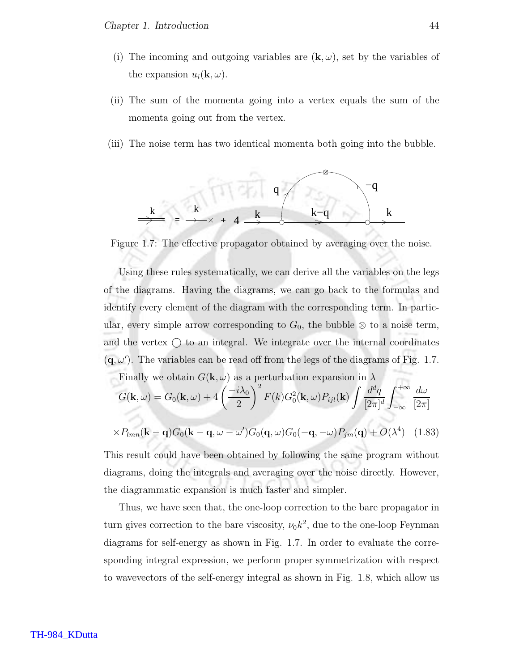- (i) The incoming and outgoing variables are  $(\mathbf{k}, \omega)$ , set by the variables of the expansion  $u_i(\mathbf{k}, \omega)$ .
- (ii) The sum of the momenta going into a vertex equals the sum of the momenta going out from the vertex.
- (iii) The noise term has two identical momenta both going into the bubble.



Figure 1.7: The effective propagator obtained by averaging over the noise.

Using these rules systematically, we can derive all the variables on the legs of the diagrams. Having the diagrams, we can go back to the formulas and identify every element of the diagram with the corresponding term. In particular, every simple arrow corresponding to  $G_0$ , the bubble ⊗ to a noise term, and the vertex  $\bigcap$  to an integral. We integrate over the internal coordinates  $(q, \omega')$ . The variables can be read off from the legs of the diagrams of Fig. 1.7. Finally we obtain  $G(\mathbf{k}, \omega)$  as a perturbation expansion in  $\lambda$  $G({\bf k},\omega)=G_0({\bf k},\omega)+4\left(\frac{-i\lambda_0}{2}\right)$ 2  $\setminus^2$  $F(k)G_0^2(\mathbf{k},\omega)P_{ijl}(\mathbf{k})\int \frac{d^dq}{\left[\mathbf{q}-\mathbf{k}\right]}$  $[2\pi]^d$  $\int^{+\infty}$ −∞  $d\omega$  $[2\pi]$ 

$$
\times P_{lmn}(\mathbf{k}-\mathbf{q})G_0(\mathbf{k}-\mathbf{q},\omega-\omega')G_0(\mathbf{q},\omega)G_0(-\mathbf{q},-\omega)P_{jm}(\mathbf{q})+O(\lambda^4) \quad (1.83)
$$

This result could have been obtained by following the same program without diagrams, doing the integrals and averaging over the noise directly. However, the diagrammatic expansion is much faster and simpler.

Thus, we have seen that, the one-loop correction to the bare propagator in turn gives correction to the bare viscosity,  $\nu_0 k^2$ , due to the one-loop Feynman diagrams for self-energy as shown in Fig. 1.7. In order to evaluate the corresponding integral expression, we perform proper symmetrization with respect to wavevectors of the self-energy integral as shown in Fig. 1.8, which allow us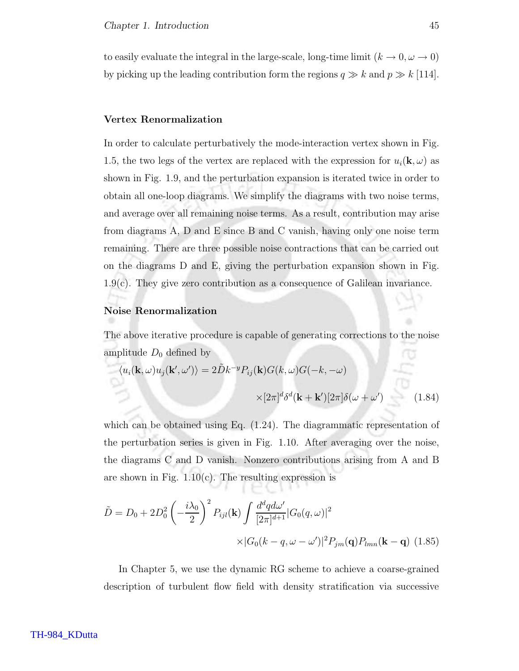to easily evaluate the integral in the large-scale, long-time limit  $(k \to 0, \omega \to 0)$ by picking up the leading contribution form the regions  $q \gg k$  and  $p \gg k$  [114].

#### Vertex Renormalization

In order to calculate perturbatively the mode-interaction vertex shown in Fig. 1.5, the two legs of the vertex are replaced with the expression for  $u_i(\mathbf{k}, \omega)$  as shown in Fig. 1.9, and the perturbation expansion is iterated twice in order to obtain all one-loop diagrams. We simplify the diagrams with two noise terms, and average over all remaining noise terms. As a result, contribution may arise from diagrams A, D and E since B and C vanish, having only one noise term remaining. There are three possible noise contractions that can be carried out on the diagrams D and E, giving the perturbation expansion shown in Fig. 1.9(c). They give zero contribution as a consequence of Galilean invariance.

#### Noise Renormalization

The above iterative procedure is capable of generating corrections to the noise amplitude  $D_0$  defined by ſΟ

$$
\langle u_i(\mathbf{k}, \omega) u_j(\mathbf{k}', \omega') \rangle = 2\tilde{D}k^{-y} P_{ij}(\mathbf{k}) G(k, \omega) G(-k, -\omega)
$$

$$
\times [2\pi]^d \delta^d(\mathbf{k} + \mathbf{k}') [2\pi] \delta(\omega + \omega')
$$
(1.84)

which can be obtained using Eq.  $(1.24)$ . The diagrammatic representation of the perturbation series is given in Fig. 1.10. After averaging over the noise, the diagrams C and D vanish. Nonzero contributions arising from A and B are shown in Fig.  $1.10(c)$ . The resulting expression is

$$
\tilde{D} = D_0 + 2D_0^2 \left( -\frac{i\lambda_0}{2} \right)^2 P_{ijl}(\mathbf{k}) \int \frac{d^d q d\omega'}{[2\pi]^{d+1}} |G_0(q,\omega)|^2
$$

$$
\times |G_0(k-q,\omega-\omega')|^2 P_{jm}(\mathbf{q}) P_{lmn}(\mathbf{k}-\mathbf{q}) \tag{1.85}
$$

In Chapter 5, we use the dynamic RG scheme to achieve a coarse-grained description of turbulent flow field with density stratification via successive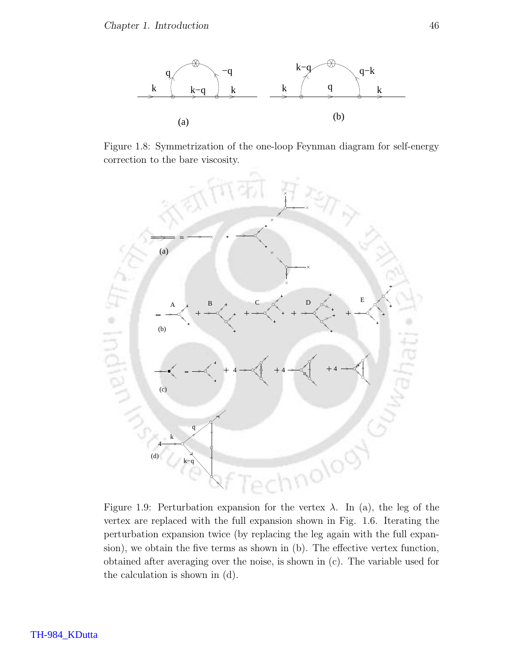

Figure 1.8: Symmetrization of the one-loop Feynman diagram for self-energy correction to the bare viscosity.



Figure 1.9: Perturbation expansion for the vertex  $\lambda$ . In (a), the leg of the vertex are replaced with the full expansion shown in Fig. 1.6. Iterating the perturbation expansion twice (by replacing the leg again with the full expansion), we obtain the five terms as shown in (b). The effective vertex function, obtained after averaging over the noise, is shown in (c). The variable used for the calculation is shown in (d).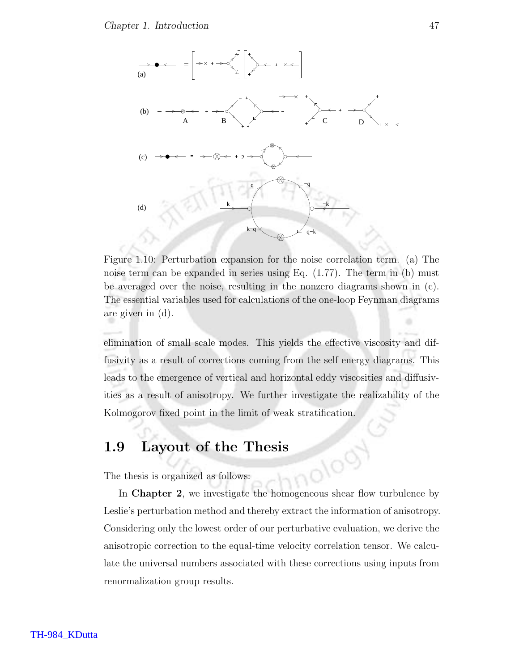

Figure 1.10: Perturbation expansion for the noise correlation term. (a) The noise term can be expanded in series using Eq. (1.77). The term in (b) must be averaged over the noise, resulting in the nonzero diagrams shown in (c). The essential variables used for calculations of the one-loop Feynman diagrams are given in (d).

elimination of small scale modes. This yields the effective viscosity and diffusivity as a result of corrections coming from the self energy diagrams. This leads to the emergence of vertical and horizontal eddy viscosities and diffusivities as a result of anisotropy. We further investigate the realizability of the Kolmogorov fixed point in the limit of weak stratification.

### 1.9 Layout of the Thesis

The thesis is organized as follows:

In **Chapter 2**, we investigate the homogeneous shear flow turbulence by Leslie's perturbation method and thereby extract the information of anisotropy. Considering only the lowest order of our perturbative evaluation, we derive the anisotropic correction to the equal-time velocity correlation tensor. We calculate the universal numbers associated with these corrections using inputs from renormalization group results.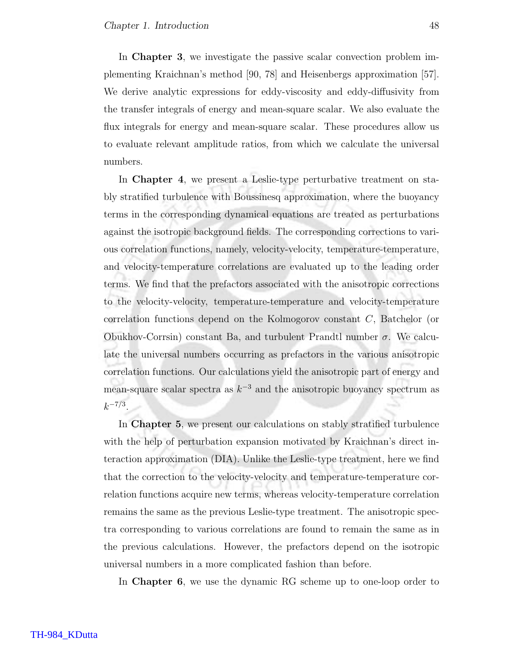In Chapter 3, we investigate the passive scalar convection problem implementing Kraichnan's method [90, 78] and Heisenbergs approximation [57]. We derive analytic expressions for eddy-viscosity and eddy-diffusivity from the transfer integrals of energy and mean-square scalar. We also evaluate the flux integrals for energy and mean-square scalar. These procedures allow us to evaluate relevant amplitude ratios, from which we calculate the universal numbers.

In **Chapter 4**, we present a Leslie-type perturbative treatment on stably stratified turbulence with Boussinesq approximation, where the buoyancy terms in the corresponding dynamical equations are treated as perturbations against the isotropic background fields. The corresponding corrections to various correlation functions, namely, velocity-velocity, temperature-temperature, and velocity-temperature correlations are evaluated up to the leading order terms. We find that the prefactors associated with the anisotropic corrections to the velocity-velocity, temperature-temperature and velocity-temperature correlation functions depend on the Kolmogorov constant C, Batchelor (or Obukhov-Corrsin) constant Ba, and turbulent Prandtl number σ. We calculate the universal numbers occurring as prefactors in the various anisotropic correlation functions. Our calculations yield the anisotropic part of energy and mean-square scalar spectra as  $k^{-3}$  and the anisotropic buoyancy spectrum as  $k^{-7/3}$ .

In Chapter 5, we present our calculations on stably stratified turbulence with the help of perturbation expansion motivated by Kraichnan's direct interaction approximation (DIA). Unlike the Leslie-type treatment, here we find that the correction to the velocity-velocity and temperature-temperature correlation functions acquire new terms, whereas velocity-temperature correlation remains the same as the previous Leslie-type treatment. The anisotropic spectra corresponding to various correlations are found to remain the same as in the previous calculations. However, the prefactors depend on the isotropic universal numbers in a more complicated fashion than before.

In Chapter 6, we use the dynamic RG scheme up to one-loop order to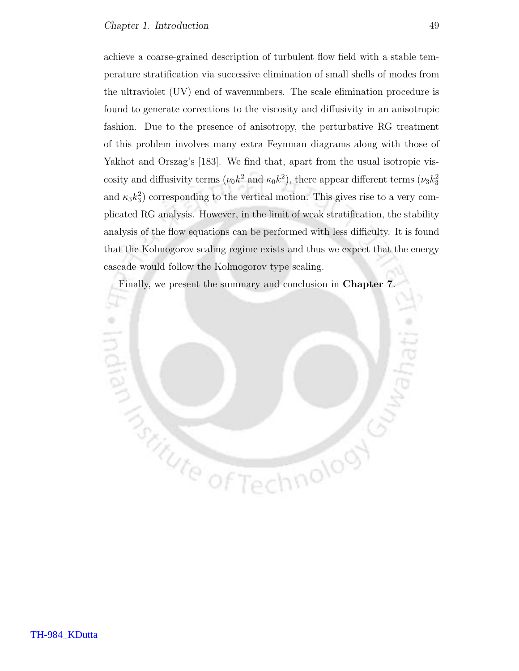achieve a coarse-grained description of turbulent flow field with a stable temperature stratification via successive elimination of small shells of modes from the ultraviolet (UV) end of wavenumbers. The scale elimination procedure is found to generate corrections to the viscosity and diffusivity in an anisotropic fashion. Due to the presence of anisotropy, the perturbative RG treatment of this problem involves many extra Feynman diagrams along with those of Yakhot and Orszag's [183]. We find that, apart from the usual isotropic viscosity and diffusivity terms  $(\nu_0 k^2 \text{ and } \kappa_0 k^2)$ , there appear different terms  $(\nu_3 k_3^2)$ and  $\kappa_3 k_3^2$  corresponding to the vertical motion. This gives rise to a very complicated RG analysis. However, in the limit of weak stratification, the stability analysis of the flow equations can be performed with less difficulty. It is found that the Kolmogorov scaling regime exists and thus we expect that the energy cascade would follow the Kolmogorov type scaling.

Finally, we present the summary and conclusion in Chapter 7.

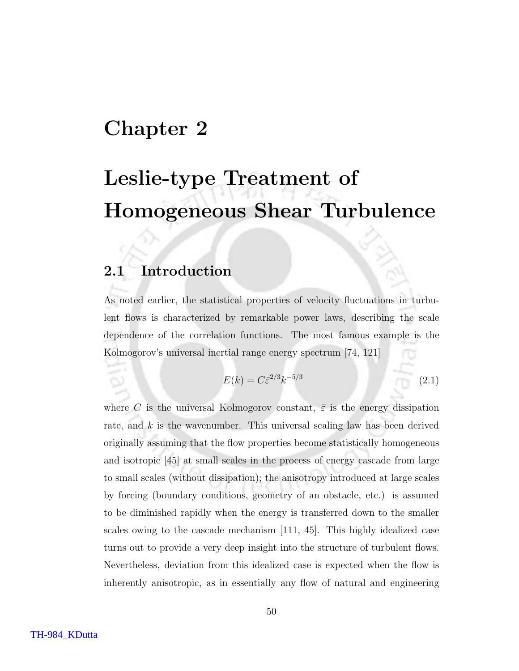## Chapter 2

# Leslie-type Treatment of Homogeneous Shear Turbulence

## 2.1 Introduction

As noted earlier, the statistical properties of velocity fluctuations in turbulent flows is characterized by remarkable power laws, describing the scale dependence of the correlation functions. The most famous example is the Kolmogorov's universal inertial range energy spectrum [74, 121]

$$
E(k) = C\bar{\varepsilon}^{2/3}k^{-5/3}
$$
\n(2.1)

where C is the universal Kolmogorov constant,  $\bar{\varepsilon}$  is the energy dissipation rate, and  $k$  is the wavenumber. This universal scaling law has been derived originally assuming that the flow properties become statistically homogeneous and isotropic [45] at small scales in the process of energy cascade from large to small scales (without dissipation); the anisotropy introduced at large scales by forcing (boundary conditions, geometry of an obstacle, etc.) is assumed to be diminished rapidly when the energy is transferred down to the smaller scales owing to the cascade mechanism [111, 45]. This highly idealized case turns out to provide a very deep insight into the structure of turbulent flows. Nevertheless, deviation from this idealized case is expected when the flow is inherently anisotropic, as in essentially any flow of natural and engineering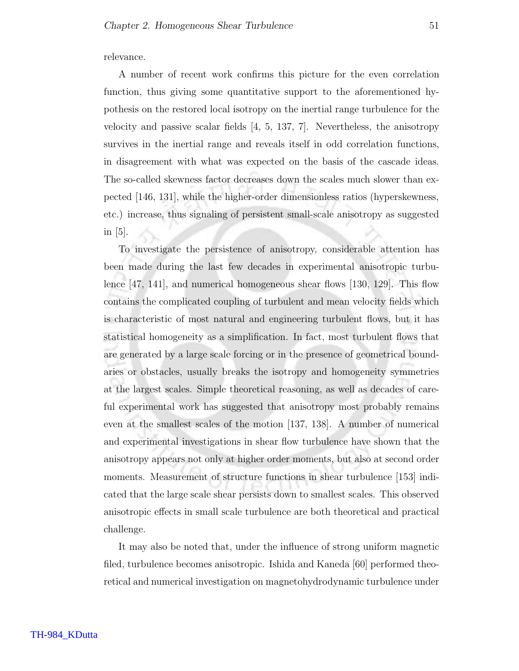relevance.

A number of recent work confirms this picture for the even correlation function, thus giving some quantitative support to the aforementioned hypothesis on the restored local isotropy on the inertial range turbulence for the velocity and passive scalar fields [4, 5, 137, 7]. Nevertheless, the anisotropy survives in the inertial range and reveals itself in odd correlation functions, in disagreement with what was expected on the basis of the cascade ideas. The so-called skewness factor decreases down the scales much slower than expected [146, 131], while the higher-order dimensionless ratios (hyperskewness, etc.) increase, thus signaling of persistent small-scale anisotropy as suggested in  $|5|$ .

To investigate the persistence of anisotropy, considerable attention has been made during the last few decades in experimental anisotropic turbulence [47, 141], and numerical homogeneous shear flows [130, 129]. This flow contains the complicated coupling of turbulent and mean velocity fields which is characteristic of most natural and engineering turbulent flows, but it has statistical homogeneity as a simplification. In fact, most turbulent flows that are generated by a large scale forcing or in the presence of geometrical boundaries or obstacles, usually breaks the isotropy and homogeneity symmetries at the largest scales. Simple theoretical reasoning, as well as decades of careful experimental work has suggested that anisotropy most probably remains even at the smallest scales of the motion [137, 138]. A number of numerical and experimental investigations in shear flow turbulence have shown that the anisotropy appears not only at higher order moments, but also at second order moments. Measurement of structure functions in shear turbulence [153] indicated that the large scale shear persists down to smallest scales. This observed anisotropic effects in small scale turbulence are both theoretical and practical challenge.

It may also be noted that, under the influence of strong uniform magnetic filed, turbulence becomes anisotropic. Ishida and Kaneda [60] performed theoretical and numerical investigation on magnetohydrodynamic turbulence under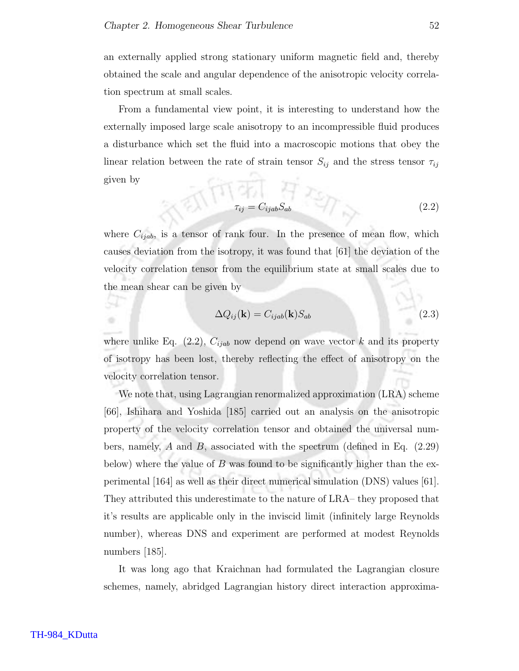an externally applied strong stationary uniform magnetic field and, thereby obtained the scale and angular dependence of the anisotropic velocity correlation spectrum at small scales.

From a fundamental view point, it is interesting to understand how the externally imposed large scale anisotropy to an incompressible fluid produces a disturbance which set the fluid into a macroscopic motions that obey the linear relation between the rate of strain tensor  $S_{ij}$  and the stress tensor  $\tau_{ij}$ given by  $\frac{1}{61}$  (119)  $\frac{1}{61}$   $\frac{1}{2}$ 

$$
\tau_{ij} = C_{ijab} S_{ab} \tag{2.2}
$$

where  $C_{ijab}$ , is a tensor of rank four. In the presence of mean flow, which causes deviation from the isotropy, it was found that [61] the deviation of the velocity correlation tensor from the equilibrium state at small scales due to the mean shear can be given by

$$
\Delta Q_{ij}(\mathbf{k}) = C_{ijab}(\mathbf{k}) S_{ab} \tag{2.3}
$$

where unlike Eq. (2.2),  $C_{ijab}$  now depend on wave vector k and its property of isotropy has been lost, thereby reflecting the effect of anisotropy on the velocity correlation tensor.

We note that, using Lagrangian renormalized approximation (LRA) scheme [66], Ishihara and Yoshida [185] carried out an analysis on the anisotropic property of the velocity correlation tensor and obtained the universal numbers, namely,  $A$  and  $B$ , associated with the spectrum (defined in Eq. (2.29) below) where the value of B was found to be significantly higher than the experimental [164] as well as their direct numerical simulation (DNS) values [61]. They attributed this underestimate to the nature of LRA– they proposed that it's results are applicable only in the inviscid limit (infinitely large Reynolds number), whereas DNS and experiment are performed at modest Reynolds numbers [185].

It was long ago that Kraichnan had formulated the Lagrangian closure schemes, namely, abridged Lagrangian history direct interaction approxima-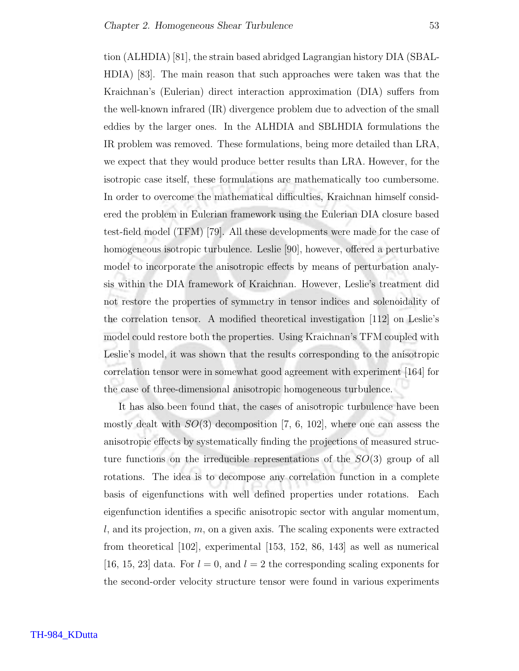tion (ALHDIA) [81], the strain based abridged Lagrangian history DIA (SBAL-HDIA) [83]. The main reason that such approaches were taken was that the Kraichnan's (Eulerian) direct interaction approximation (DIA) suffers from the well-known infrared (IR) divergence problem due to advection of the small eddies by the larger ones. In the ALHDIA and SBLHDIA formulations the IR problem was removed. These formulations, being more detailed than LRA, we expect that they would produce better results than LRA. However, for the isotropic case itself, these formulations are mathematically too cumbersome. In order to overcome the mathematical difficulties, Kraichnan himself considered the problem in Eulerian framework using the Eulerian DIA closure based test-field model (TFM) [79]. All these developments were made for the case of homogeneous isotropic turbulence. Leslie [90], however, offered a perturbative model to incorporate the anisotropic effects by means of perturbation analysis within the DIA framework of Kraichnan. However, Leslie's treatment did not restore the properties of symmetry in tensor indices and solenoidality of the correlation tensor. A modified theoretical investigation [112] on Leslie's model could restore both the properties. Using Kraichnan's TFM coupled with Leslie's model, it was shown that the results corresponding to the anisotropic correlation tensor were in somewhat good agreement with experiment [164] for the case of three-dimensional anisotropic homogeneous turbulence.

It has also been found that, the cases of anisotropic turbulence have been mostly dealt with  $SO(3)$  decomposition [7, 6, 102], where one can assess the anisotropic effects by systematically finding the projections of measured structure functions on the irreducible representations of the  $SO(3)$  group of all rotations. The idea is to decompose any correlation function in a complete basis of eigenfunctions with well defined properties under rotations. Each eigenfunction identifies a specific anisotropic sector with angular momentum, l, and its projection, m, on a given axis. The scaling exponents were extracted from theoretical [102], experimental [153, 152, 86, 143] as well as numerical [16, 15, 23] data. For  $l = 0$ , and  $l = 2$  the corresponding scaling exponents for the second-order velocity structure tensor were found in various experiments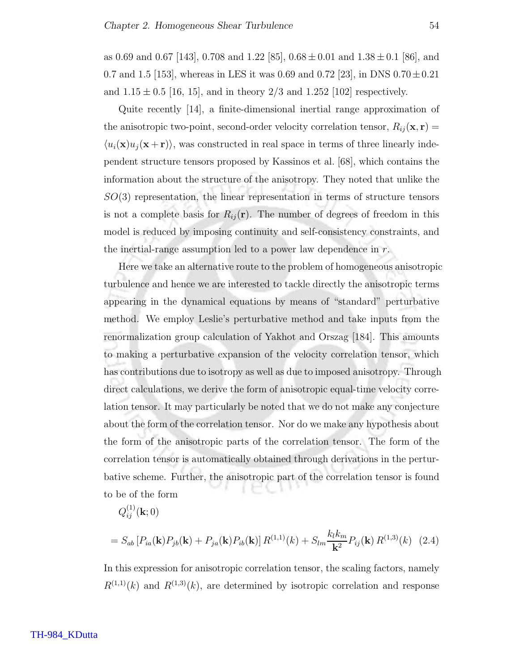as 0.69 and 0.67 [143], 0.708 and 1.22 [85],  $0.68 \pm 0.01$  and  $1.38 \pm 0.1$  [86], and 0.7 and 1.5 [153], whereas in LES it was 0.69 and 0.72 [23], in DNS  $0.70 \pm 0.21$ and  $1.15 \pm 0.5$  [16, 15], and in theory 2/3 and 1.252 [102] respectively.

Quite recently [14], a finite-dimensional inertial range approximation of the anisotropic two-point, second-order velocity correlation tensor,  $R_{ij}(\mathbf{x}, \mathbf{r}) =$  $\langle u_i(\mathbf{x})u_j(\mathbf{x} + \mathbf{r})\rangle$ , was constructed in real space in terms of three linearly independent structure tensors proposed by Kassinos et al. [68], which contains the information about the structure of the anisotropy. They noted that unlike the SO(3) representation, the linear representation in terms of structure tensors is not a complete basis for  $R_{ij}(\mathbf{r})$ . The number of degrees of freedom in this model is reduced by imposing continuity and self-consistency constraints, and the inertial-range assumption led to a power law dependence in  $r$ .

Here we take an alternative route to the problem of homogeneous anisotropic turbulence and hence we are interested to tackle directly the anisotropic terms appearing in the dynamical equations by means of "standard" perturbative method. We employ Leslie's perturbative method and take inputs from the renormalization group calculation of Yakhot and Orszag [184]. This amounts to making a perturbative expansion of the velocity correlation tensor, which has contributions due to isotropy as well as due to imposed anisotropy. Through direct calculations, we derive the form of anisotropic equal-time velocity correlation tensor. It may particularly be noted that we do not make any conjecture about the form of the correlation tensor. Nor do we make any hypothesis about the form of the anisotropic parts of the correlation tensor. The form of the correlation tensor is automatically obtained through derivations in the perturbative scheme. Further, the anisotropic part of the correlation tensor is found to be of the form

$$
Q_{ij}^{(1)}(\mathbf{k};0)
$$

$$
= S_{ab} \left[ P_{ia}(\mathbf{k}) P_{jb}(\mathbf{k}) + P_{ja}(\mathbf{k}) P_{ib}(\mathbf{k}) \right] R^{(1,1)}(k) + S_{lm} \frac{k_l k_m}{\mathbf{k}^2} P_{ij}(\mathbf{k}) R^{(1,3)}(k) \tag{2.4}
$$

In this expression for anisotropic correlation tensor, the scaling factors, namely  $R^{(1,1)}(k)$  and  $R^{(1,3)}(k)$ , are determined by isotropic correlation and response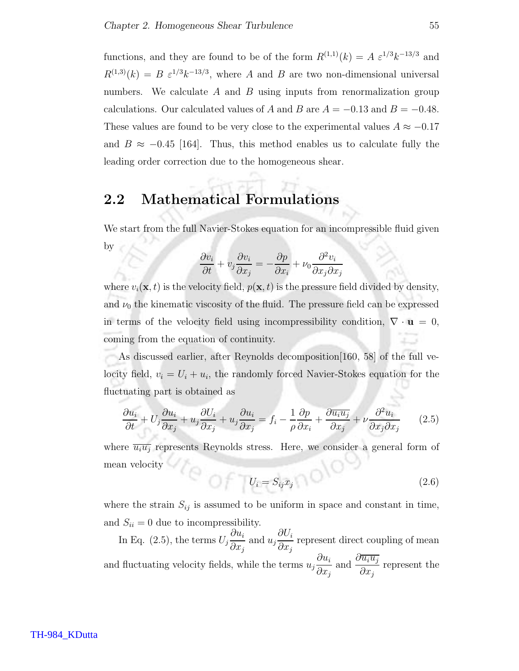functions, and they are found to be of the form  $R^{(1,1)}(k) = A \varepsilon^{1/3} k^{-13/3}$  and  $R^{(1,3)}(k) = B \varepsilon^{1/3} k^{-13/3}$ , where A and B are two non-dimensional universal numbers. We calculate  $A$  and  $B$  using inputs from renormalization group calculations. Our calculated values of A and B are  $A = -0.13$  and  $B = -0.48$ . These values are found to be very close to the experimental values  $A \approx -0.17$ and  $B \approx -0.45$  [164]. Thus, this method enables us to calculate fully the leading order correction due to the homogeneous shear.

## 2.2 Mathematical Formulations

We start from the full Navier-Stokes equation for an incompressible fluid given by

$$
\frac{\partial v_i}{\partial t} + v_j \frac{\partial v_i}{\partial x_j} = -\frac{\partial p}{\partial x_i} + \nu_0 \frac{\partial^2 v_i}{\partial x_j \partial x_j}
$$

where  $v_i(\mathbf{x}, t)$  is the velocity field,  $p(\mathbf{x}, t)$  is the pressure field divided by density, and  $\nu_0$  the kinematic viscosity of the fluid. The pressure field can be expressed in terms of the velocity field using incompressibility condition,  $\nabla \cdot \mathbf{u} = 0$ , coming from the equation of continuity.

As discussed earlier, after Reynolds decomposition[160, 58] of the full velocity field,  $v_i = U_i + u_i$ , the randomly forced Navier-Stokes equation for the fluctuating part is obtained as

$$
\frac{\partial u_i}{\partial t} + U_j \frac{\partial u_i}{\partial x_j} + u_j \frac{\partial U_i}{\partial x_j} + u_j \frac{\partial u_i}{\partial x_j} = f_i - \frac{1}{\rho} \frac{\partial p}{\partial x_i} + \frac{\partial \overline{u_i u_j}}{\partial x_j} + \nu \frac{\partial^2 u_i}{\partial x_j \partial x_j} \tag{2.5}
$$

where  $\overline{u_iu_j}$  represents Reynolds stress. Here, we consider a general form of mean velocity

$$
U_i = S_{ij} x_j \tag{2.6}
$$

where the strain  $S_{ij}$  is assumed to be uniform in space and constant in time, and  $S_{ii} = 0$  due to incompressibility.

In Eq.  $(2.5)$ , the terms  $U_j$  $\partial u_i$  $\partial x_j$ and  $u_j$  $\partial U_i$  $\partial x_j$ represent direct coupling of mean and fluctuating velocity fields, while the terms  $u_j$  $\partial u_i$  $\partial x_j$ and  $\frac{\partial \overline{u_i u_j}}{\partial}$  $\partial x_j$ represent the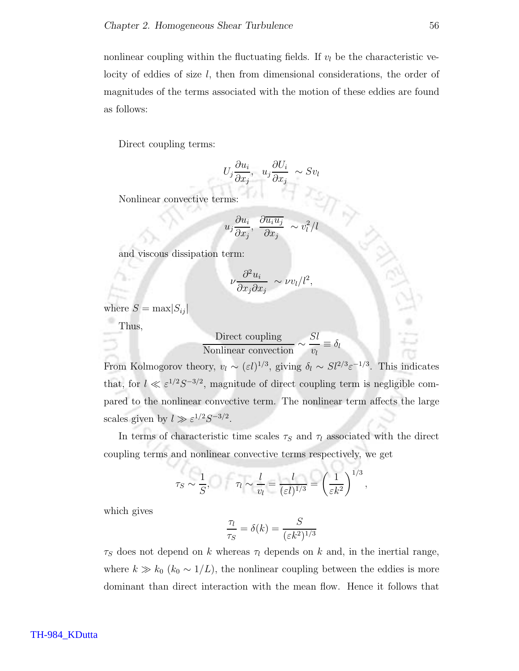nonlinear coupling within the fluctuating fields. If  $v_l$  be the characteristic velocity of eddies of size l, then from dimensional considerations, the order of magnitudes of the terms associated with the motion of these eddies are found as follows:

Direct coupling terms:

$$
U_j \frac{\partial u_i}{\partial x_j}, \ \ u_j \frac{\partial U_i}{\partial x_j} \sim Sv_l
$$

Nonlinear convective terms:

$$
u_j \frac{\partial u_i}{\partial x_j}, \frac{\partial \overline{u_i u_j}}{\partial x_j} \sim v_l^2/l
$$

and viscous dissipation term:

$$
\nu \frac{\partial^2 u_i}{\partial x_j \partial x_j} \sim \nu v_l/l^2,
$$

where  $S = \max |S_{ij}|$ 

Thus,

$$
\frac{\text{Direct coupling}}{\text{Nonlinear convection}} \sim \frac{Sl}{v_l} \equiv \delta_l
$$

From Kolmogorov theory,  $v_l \sim (\varepsilon l)^{1/3}$ , giving  $\delta_l \sim S l^{2/3} \varepsilon^{-1/3}$ . This indicates that, for  $l \ll \varepsilon^{1/2} S^{-3/2}$ , magnitude of direct coupling term is negligible compared to the nonlinear convective term. The nonlinear term affects the large scales given by  $l \gg \varepsilon^{1/2} S^{-3/2}$ .

In terms of characteristic time scales  $\tau_S$  and  $\tau_l$  associated with the direct coupling terms and nonlinear convective terms respectively, we get

$$
\tau_S \sim \frac{1}{S}, \qquad \tau_l \sim \frac{l}{v_l} = \frac{l}{(\varepsilon l)^{1/3}} = \left(\frac{1}{\varepsilon k^2}\right)^{1/3}
$$

,

which gives

$$
\frac{\tau_l}{\tau_S} = \delta(k) = \frac{S}{(\varepsilon k^2)^{1/3}}
$$

 $\tau_S$  does not depend on k whereas  $\tau_l$  depends on k and, in the inertial range, where  $k \gg k_0$  ( $k_0 \sim 1/L$ ), the nonlinear coupling between the eddies is more dominant than direct interaction with the mean flow. Hence it follows that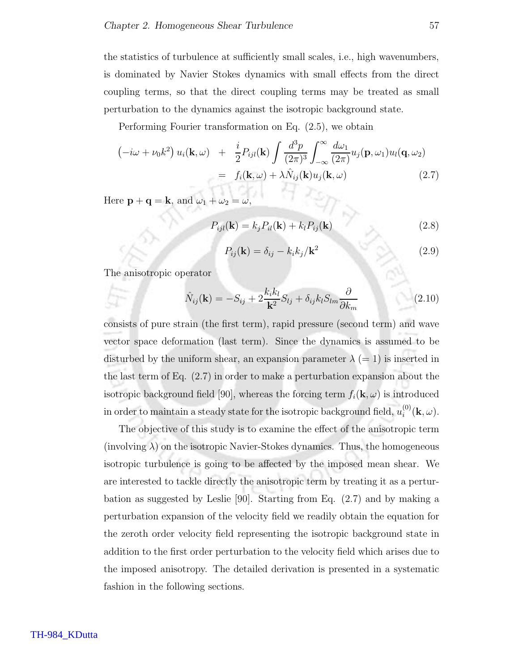the statistics of turbulence at sufficiently small scales, i.e., high wavenumbers, is dominated by Navier Stokes dynamics with small effects from the direct coupling terms, so that the direct coupling terms may be treated as small perturbation to the dynamics against the isotropic background state.

Performing Fourier transformation on Eq. (2.5), we obtain

$$
\begin{split}\n\left(-i\omega + \nu_0 k^2\right) u_i(\mathbf{k}, \omega) &+ \frac{i}{2} P_{ijl}(\mathbf{k}) \int \frac{d^3 p}{(2\pi)^3} \int_{-\infty}^{\infty} \frac{d\omega_1}{(2\pi)} u_j(\mathbf{p}, \omega_1) u_l(\mathbf{q}, \omega_2) \\
&= f_i(\mathbf{k}, \omega) + \lambda \hat{N}_{ij}(\mathbf{k}) u_j(\mathbf{k}, \omega)\n\end{split} \tag{2.7}
$$

Here  $\mathbf{p} + \mathbf{q} = \mathbf{k}$ , and  $\omega_1 + \omega_2$ 

$$
P_{ijl}(\mathbf{k}) = k_j P_{il}(\mathbf{k}) + k_l P_{ij}(\mathbf{k})
$$
\n(2.8)

$$
P_{ij}(\mathbf{k}) = \delta_{ij} - k_i k_j / \mathbf{k}^2 \tag{2.9}
$$

The anisotropic operator

$$
\hat{N}_{ij}(\mathbf{k}) = -S_{ij} + 2\frac{k_i k_l}{\mathbf{k}^2} S_{lj} + \delta_{ij} k_l S_{lm} \frac{\partial}{\partial k_m}
$$
\n(2.10)

consists of pure strain (the first term), rapid pressure (second term) and wave vector space deformation (last term). Since the dynamics is assumed to be disturbed by the uniform shear, an expansion parameter  $\lambda (=1)$  is inserted in the last term of Eq. (2.7) in order to make a perturbation expansion about the isotropic background field [90], whereas the forcing term  $f_i(\mathbf{k}, \omega)$  is introduced in order to maintain a steady state for the isotropic background field,  $u_i^{(0)}$  $i^{\text{\tiny{(U)}}}(\mathbf{k},\omega).$ 

The objective of this study is to examine the effect of the anisotropic term (involving  $\lambda$ ) on the isotropic Navier-Stokes dynamics. Thus, the homogeneous isotropic turbulence is going to be affected by the imposed mean shear. We are interested to tackle directly the anisotropic term by treating it as a perturbation as suggested by Leslie [90]. Starting from Eq. (2.7) and by making a perturbation expansion of the velocity field we readily obtain the equation for the zeroth order velocity field representing the isotropic background state in addition to the first order perturbation to the velocity field which arises due to the imposed anisotropy. The detailed derivation is presented in a systematic fashion in the following sections.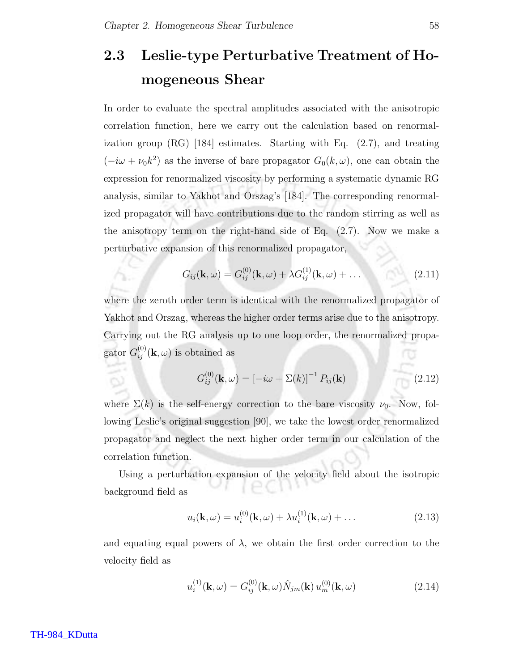# 2.3 Leslie-type Perturbative Treatment of Homogeneous Shear

In order to evaluate the spectral amplitudes associated with the anisotropic correlation function, here we carry out the calculation based on renormalization group  $(RG)$  [184] estimates. Starting with Eq.  $(2.7)$ , and treating  $(-i\omega + \nu_0 k^2)$  as the inverse of bare propagator  $G_0(k, \omega)$ , one can obtain the expression for renormalized viscosity by performing a systematic dynamic RG analysis, similar to Yakhot and Orszag's [184]. The corresponding renormalized propagator will have contributions due to the random stirring as well as the anisotropy term on the right-hand side of Eq. (2.7). Now we make a perturbative expansion of this renormalized propagator,

$$
G_{ij}(\mathbf{k},\omega) = G_{ij}^{(0)}(\mathbf{k},\omega) + \lambda G_{ij}^{(1)}(\mathbf{k},\omega) + \dots
$$
\n(2.11)

where the zeroth order term is identical with the renormalized propagator of Yakhot and Orszag, whereas the higher order terms arise due to the anisotropy. Carrying out the RG analysis up to one loop order, the renormalized propagator  $G_{ij}^{(0)}(\mathbf{k}, \omega)$  is obtained as

$$
G_{ij}^{(0)}(\mathbf{k},\omega) = \left[-i\omega + \Sigma(k)\right]^{-1} P_{ij}(\mathbf{k}) \tag{2.12}
$$

where  $\Sigma(k)$  is the self-energy correction to the bare viscosity  $\nu_0$ . Now, following Leslie's original suggestion [90], we take the lowest order renormalized propagator and neglect the next higher order term in our calculation of the correlation function.

Using a perturbation expansion of the velocity field about the isotropic background field as

$$
u_i(\mathbf{k}, \omega) = u_i^{(0)}(\mathbf{k}, \omega) + \lambda u_i^{(1)}(\mathbf{k}, \omega) + \dots
$$
 (2.13)

and equating equal powers of  $\lambda$ , we obtain the first order correction to the velocity field as

$$
u_i^{(1)}(\mathbf{k}, \omega) = G_{ij}^{(0)}(\mathbf{k}, \omega) \hat{N}_{jm}(\mathbf{k}) u_m^{(0)}(\mathbf{k}, \omega)
$$
 (2.14)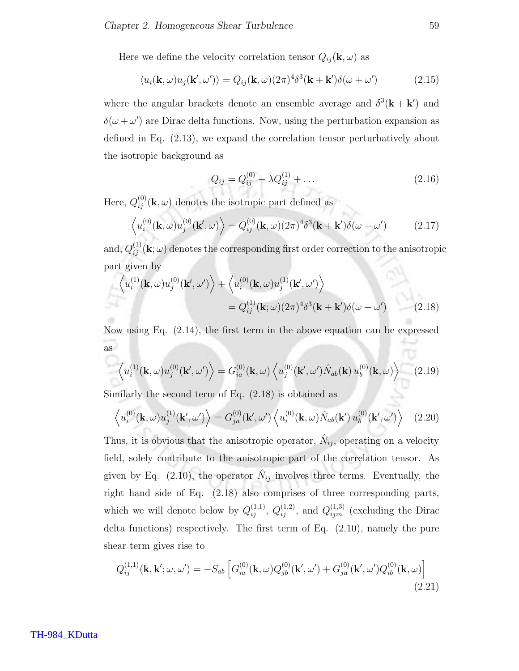Here we define the velocity correlation tensor  $Q_{ij}(\mathbf{k}, \omega)$  as

$$
\langle u_i(\mathbf{k}, \omega) u_j(\mathbf{k}', \omega') \rangle = Q_{ij}(\mathbf{k}, \omega) (2\pi)^4 \delta^3(\mathbf{k} + \mathbf{k}') \delta(\omega + \omega')
$$
 (2.15)

where the angular brackets denote an ensemble average and  $\delta^3(\mathbf{k} + \mathbf{k}')$  and  $\delta(\omega + \omega')$  are Dirac delta functions. Now, using the perturbation expansion as defined in Eq. (2.13), we expand the correlation tensor perturbatively about the isotropic background as

$$
Q_{ij} = Q_{ij}^{(0)} + \lambda Q_{ij}^{(1)} + \dots \tag{2.16}
$$

Here,  $Q_{ij}^{(0)}(\mathbf{k}, \omega)$  denotes the isotropic part defined as

$$
\left\langle u_i^{(0)}(\mathbf{k},\omega)u_j^{(0)}(\mathbf{k}',\omega)\right\rangle = Q_{ij}^{(0)}(\mathbf{k},\omega)(2\pi)^4\delta^3(\mathbf{k}+\mathbf{k}')\delta(\omega+\omega')\tag{2.17}
$$

and,  $Q_{ij}^{(1)} (\mathbf{k}; \omega)$  denotes the corresponding first order correction to the anisotropic part given by

$$
\left\langle u_i^{(1)}(\mathbf{k},\omega)u_j^{(0)}(\mathbf{k}',\omega')\right\rangle + \left\langle u_i^{(0)}(\mathbf{k},\omega)u_j^{(1)}(\mathbf{k}',\omega')\right\rangle
$$
  
=  $Q_{ij}^{(1)}(\mathbf{k};\omega)(2\pi)^4\delta^3(\mathbf{k}+\mathbf{k}')\delta(\omega+\omega')$  (2.18)

Now using Eq. (2.14), the first term in the above equation can be expressed as

$$
\left\langle u_i^{(1)}(\mathbf{k},\omega)u_j^{(0)}(\mathbf{k}',\omega')\right\rangle = G_{ia}^{(0)}(\mathbf{k},\omega)\left\langle u_j^{(0)}(\mathbf{k}',\omega')\hat{N}_{ab}(\mathbf{k})u_b^{(0)}(\mathbf{k},\omega)\right\rangle \tag{2.19}
$$

Similarly the second term of Eq. (2.18) is obtained as

$$
\left\langle u_i^{(0)}(\mathbf{k},\omega)u_j^{(1)}(\mathbf{k}',\omega')\right\rangle = G_{ja}^{(0)}(\mathbf{k}',\omega')\left\langle u_i^{(0)}(\mathbf{k},\omega)\hat{N}_{ab}(\mathbf{k}')u_b^{(0)}(\mathbf{k}',\omega')\right\rangle \tag{2.20}
$$

Thus, it is obvious that the anisotropic operator,  $\hat{N}_{ij}$ , operating on a velocity field, solely contribute to the anisotropic part of the correlation tensor. As given by Eq. (2.10), the operator  $\hat{N}_{ij}$  involves three terms. Eventually, the right hand side of Eq. (2.18) also comprises of three corresponding parts, which we will denote below by  $Q_{ij}^{(1,1)}$ ,  $Q_{ij}^{(1,2)}$ , and  $Q_{ijm}^{(1,3)}$  (excluding the Dirac delta functions) respectively. The first term of Eq. (2.10), namely the pure shear term gives rise to

$$
Q_{ij}^{(1,1)}(\mathbf{k}, \mathbf{k}'; \omega, \omega') = -S_{ab} \left[ G_{ia}^{(0)}(\mathbf{k}, \omega) Q_{jb}^{(0)}(\mathbf{k}', \omega') + G_{ja}^{(0)}(\mathbf{k}', \omega') Q_{ib}^{(0)}(\mathbf{k}, \omega) \right]
$$
(2.21)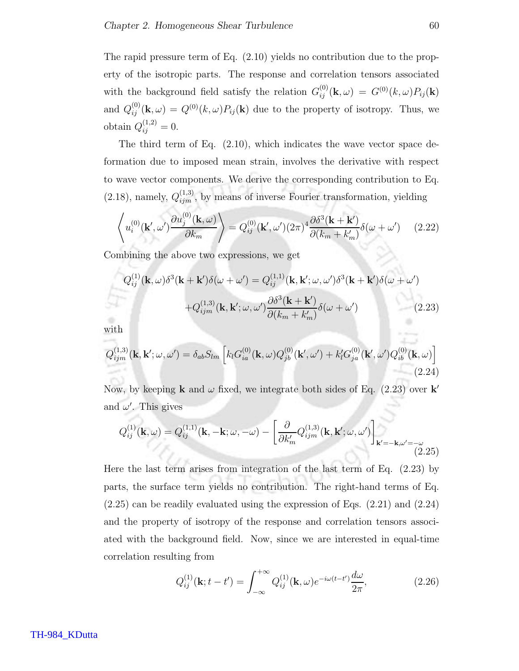The rapid pressure term of Eq. (2.10) yields no contribution due to the property of the isotropic parts. The response and correlation tensors associated with the background field satisfy the relation  $G_{ij}^{(0)}(\mathbf{k}, \omega) = G^{(0)}(k, \omega) P_{ij}(\mathbf{k})$ and  $Q_{ij}^{(0)}(\mathbf{k},\omega) = Q^{(0)}(k,\omega)P_{ij}(\mathbf{k})$  due to the property of isotropy. Thus, we obtain  $Q_{ij}^{(1,2)} = 0$ .

The third term of Eq. (2.10), which indicates the wave vector space deformation due to imposed mean strain, involves the derivative with respect to wave vector components. We derive the corresponding contribution to Eq.  $(2.18)$ , namely,  $Q_{ijm}^{(1,3)}$ , by means of inverse Fourier transformation, yielding

$$
\left\langle u_i^{(0)}(\mathbf{k}',\omega')\frac{\partial u_j^{(0)}(\mathbf{k},\omega)}{\partial k_m} \right\rangle = Q_{ij}^{(0)}(\mathbf{k}',\omega') (2\pi)^4 \frac{\partial \delta^3(\mathbf{k} + \mathbf{k}')}{\partial (k_m + k'_m)} \delta(\omega + \omega') \qquad (2.22)
$$

Combining the above two expressions, we get

$$
Q_{ij}^{(1)}(\mathbf{k},\omega)\delta^3(\mathbf{k}+\mathbf{k}')\delta(\omega+\omega') = Q_{ij}^{(1,1)}(\mathbf{k},\mathbf{k}';\omega,\omega')\delta^3(\mathbf{k}+\mathbf{k}')\delta(\omega+\omega')
$$

$$
+Q_{ijm}^{(1,3)}(\mathbf{k},\mathbf{k}';\omega,\omega')\frac{\partial\delta^3(\mathbf{k}+\mathbf{k}')}{\partial(k_m+k'_m)}\delta(\omega+\omega')
$$
(2.23)

with

$$
Q_{ijm}^{(1,3)}(\mathbf{k}, \mathbf{k}'; \omega, \omega') = \delta_{ab} S_{lm} \left[ k_l G_{ia}^{(0)}(\mathbf{k}, \omega) Q_{jb}^{(0)}(\mathbf{k}', \omega') + k_l' G_{ja}^{(0)}(\mathbf{k}', \omega') Q_{ib}^{(0)}(\mathbf{k}, \omega) \right]
$$
(2.24)

Now, by keeping **k** and  $\omega$  fixed, we integrate both sides of Eq. (2.23) over **k**' and  $\omega'$ . This gives

$$
Q_{ij}^{(1)}(\mathbf{k},\omega) = Q_{ij}^{(1,1)}(\mathbf{k}, -\mathbf{k};\omega, -\omega) - \left[\frac{\partial}{\partial k'_m} Q_{ijm}^{(1,3)}(\mathbf{k}, \mathbf{k'};\omega, \omega')\right]_{\mathbf{k'}=-\mathbf{k}, \omega'=-\omega}
$$
\n(2.25)

Here the last term arises from integration of the last term of Eq. (2.23) by parts, the surface term yields no contribution. The right-hand terms of Eq. (2.25) can be readily evaluated using the expression of Eqs. (2.21) and (2.24) and the property of isotropy of the response and correlation tensors associated with the background field. Now, since we are interested in equal-time correlation resulting from

$$
Q_{ij}^{(1)}(\mathbf{k}; t - t') = \int_{-\infty}^{+\infty} Q_{ij}^{(1)}(\mathbf{k}, \omega) e^{-i\omega(t - t')} \frac{d\omega}{2\pi},
$$
 (2.26)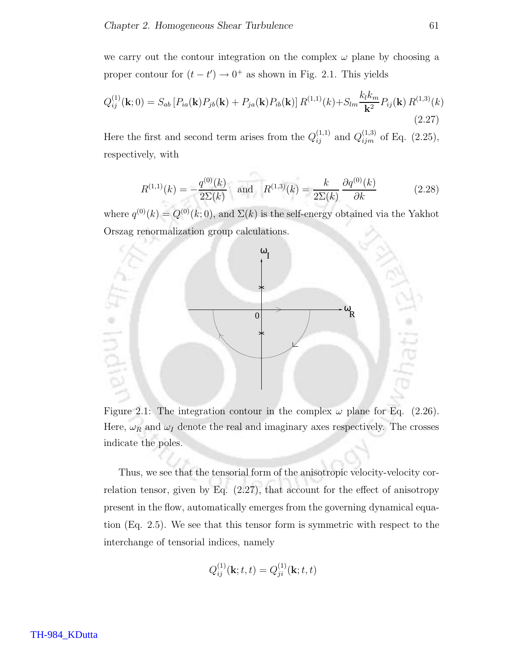we carry out the contour integration on the complex  $\omega$  plane by choosing a proper contour for  $(t - t') \rightarrow 0^+$  as shown in Fig. 2.1. This yields

$$
Q_{ij}^{(1)}(\mathbf{k};0) = S_{ab} \left[ P_{ia}(\mathbf{k}) P_{jb}(\mathbf{k}) + P_{ja}(\mathbf{k}) P_{ib}(\mathbf{k}) \right] R^{(1,1)}(k) + S_{lm} \frac{k_l k_m}{\mathbf{k}^2} P_{ij}(\mathbf{k}) R^{(1,3)}(k)
$$
\n(2.27)

Here the first and second term arises from the  $Q_{ij}^{(1,1)}$  and  $Q_{ijm}^{(1,3)}$  of Eq. (2.25), respectively, with

$$
R^{(1,1)}(k) = -\frac{q^{(0)}(k)}{2\Sigma(k)} \quad \text{and} \quad R^{(1,3)}(k) = \frac{k}{2\Sigma(k)} \frac{\partial q^{(0)}(k)}{\partial k} \tag{2.28}
$$

where  $q^{(0)}(k) = Q^{(0)}(k; 0)$ , and  $\Sigma(k)$  is the self-energy obtained via the Yakhot Orszag renormalization group calculations.



Figure 2.1: The integration contour in the complex  $\omega$  plane for Eq. (2.26). Here,  $\omega_R$  and  $\omega_I$  denote the real and imaginary axes respectively. The crosses indicate the poles.

Thus, we see that the tensorial form of the anisotropic velocity-velocity correlation tensor, given by Eq.  $(2.27)$ , that account for the effect of anisotropy present in the flow, automatically emerges from the governing dynamical equation (Eq. 2.5). We see that this tensor form is symmetric with respect to the interchange of tensorial indices, namely

$$
Q_{ij}^{(1)}(\mathbf{k};t,t) = Q_{ji}^{(1)}(\mathbf{k};t,t)
$$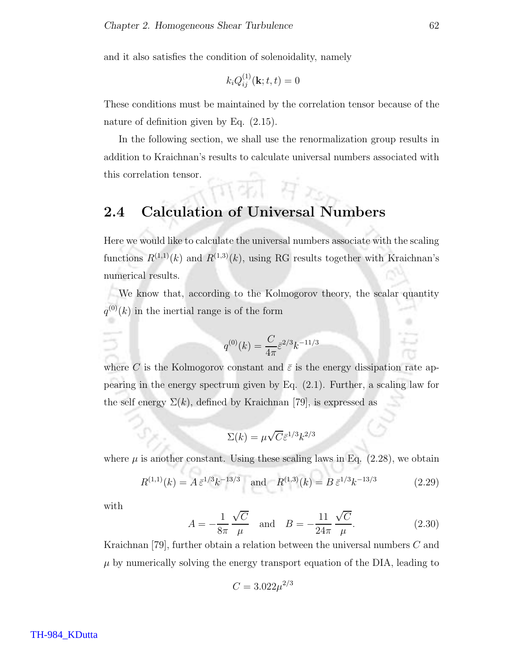and it also satisfies the condition of solenoidality, namely

$$
k_i Q_{ij}^{(1)}(\mathbf{k}; t, t) = 0
$$

These conditions must be maintained by the correlation tensor because of the nature of definition given by Eq. (2.15).

In the following section, we shall use the renormalization group results in addition to Kraichnan's results to calculate universal numbers associated with this correlation tensor.

### 2.4 Calculation of Universal Numbers

Here we would like to calculate the universal numbers associate with the scaling functions  $R^{(1,1)}(k)$  and  $R^{(1,3)}(k)$ , using RG results together with Kraichnan's numerical results.

We know that, according to the Kolmogorov theory, the scalar quantity  $q^{(0)}(k)$  in the inertial range is of the form

$$
q^{(0)}(k) = \frac{C}{4\pi} \bar{\varepsilon}^{2/3} k^{-11/3}
$$

where C is the Kolmogorov constant and  $\bar{\varepsilon}$  is the energy dissipation rate appearing in the energy spectrum given by Eq. (2.1). Further, a scaling law for the self energy  $\Sigma(k)$ , defined by Kraichnan [79], is expressed as

$$
\Sigma(k) = \mu \sqrt{C} \bar{\varepsilon}^{1/3} k^{2/3}
$$

where  $\mu$  is another constant. Using these scaling laws in Eq. (2.28), we obtain

$$
R^{(1,1)}(k) = A \,\bar{\varepsilon}^{1/3} k^{-13/3} \quad \text{and} \quad R^{(1,3)}(k) = B \,\bar{\varepsilon}^{1/3} k^{-13/3} \tag{2.29}
$$

with

$$
A = -\frac{1}{8\pi} \frac{\sqrt{C}}{\mu} \text{ and } B = -\frac{11}{24\pi} \frac{\sqrt{C}}{\mu}.
$$
 (2.30)

Kraichnan [79], further obtain a relation between the universal numbers C and  $\mu$  by numerically solving the energy transport equation of the DIA, leading to

$$
C = 3.022 \mu^{2/3}
$$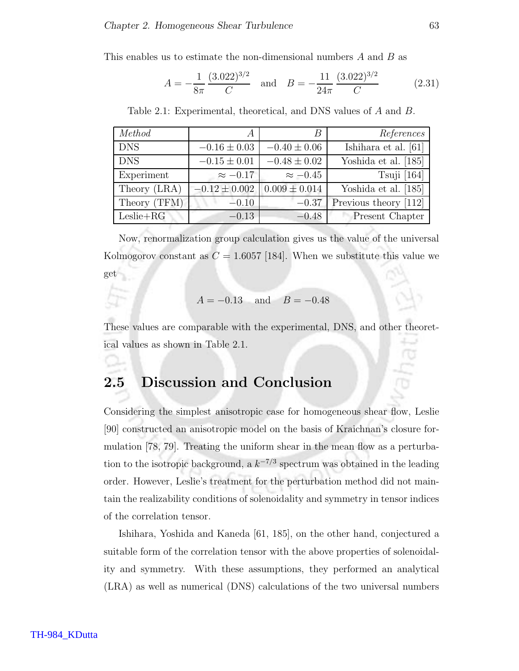This enables us to estimate the non-dimensional numbers A and B as

$$
A = -\frac{1}{8\pi} \frac{(3.022)^{3/2}}{C} \quad \text{and} \quad B = -\frac{11}{24\pi} \frac{(3.022)^{3/2}}{C} \tag{2.31}
$$

| Method       | $\overline{A}$    | B                 | References            |
|--------------|-------------------|-------------------|-----------------------|
| <b>DNS</b>   | $-0.16 \pm 0.03$  | $-0.40 \pm 0.06$  | Ishihara et al. [61]  |
| <b>DNS</b>   | $-0.15 \pm 0.01$  | $-0.48 \pm 0.02$  | Yoshida et al. [185]  |
| Experiment   | $\approx -0.17$   | $\approx -0.45$   | Tsuji $[164]$         |
| Theory (LRA) | $-0.12 \pm 0.002$ | $0.009 \pm 0.014$ | Yoshida et al. [185]  |
| Theory (TFM) | $-0.10$           | $-0.37$           | Previous theory [112] |
| $Leslie+RG$  | $-0.13$           | $-0.48$           | Present Chapter       |

Table 2.1: Experimental, theoretical, and DNS values of A and B.

Now, renormalization group calculation gives us the value of the universal Kolmogorov constant as  $C = 1.6057$  [184]. When we substitute this value we get

$$
A = -0.13
$$
 and  $B = -0.48$ 

These values are comparable with the experimental, DNS, and other theoretical values as shown in Table 2.1.

### 2.5 Discussion and Conclusion

Considering the simplest anisotropic case for homogeneous shear flow, Leslie [90] constructed an anisotropic model on the basis of Kraichnan's closure formulation [78, 79]. Treating the uniform shear in the mean flow as a perturbation to the isotropic background, a  $k^{-7/3}$  spectrum was obtained in the leading order. However, Leslie's treatment for the perturbation method did not maintain the realizability conditions of solenoidality and symmetry in tensor indices of the correlation tensor.

Ishihara, Yoshida and Kaneda [61, 185], on the other hand, conjectured a suitable form of the correlation tensor with the above properties of solenoidality and symmetry. With these assumptions, they performed an analytical (LRA) as well as numerical (DNS) calculations of the two universal numbers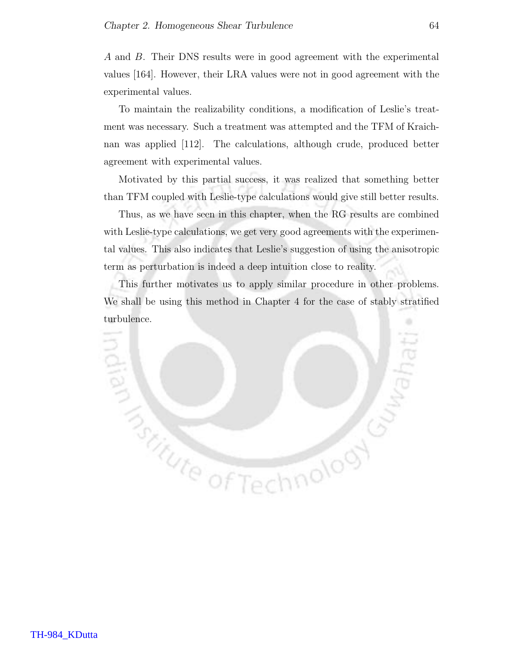A and B. Their DNS results were in good agreement with the experimental values [164]. However, their LRA values were not in good agreement with the experimental values.

To maintain the realizability conditions, a modification of Leslie's treatment was necessary. Such a treatment was attempted and the TFM of Kraichnan was applied [112]. The calculations, although crude, produced better agreement with experimental values.

Motivated by this partial success, it was realized that something better than TFM coupled with Leslie-type calculations would give still better results.

Thus, as we have seen in this chapter, when the RG results are combined with Leslie-type calculations, we get very good agreements with the experimental values. This also indicates that Leslie's suggestion of using the anisotropic term as perturbation is indeed a deep intuition close to reality.

This further motivates us to apply similar procedure in other problems. We shall be using this method in Chapter 4 for the case of stably stratified turbulence.

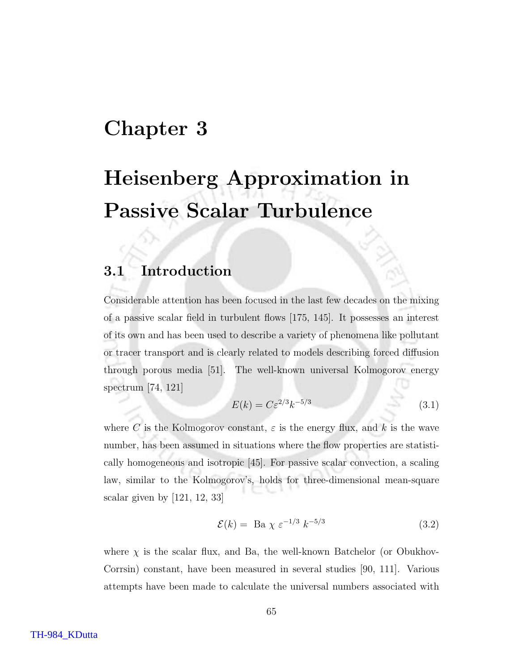# Chapter 3

# Heisenberg Approximation in Passive Scalar Turbulence

### 3.1 Introduction

Considerable attention has been focused in the last few decades on the mixing of a passive scalar field in turbulent flows [175, 145]. It possesses an interest of its own and has been used to describe a variety of phenomena like pollutant or tracer transport and is clearly related to models describing forced diffusion through porous media [51]. The well-known universal Kolmogorov energy spectrum [74, 121]

$$
E(k) = C\varepsilon^{2/3}k^{-5/3}
$$
\n(3.1)

where C is the Kolmogorov constant,  $\varepsilon$  is the energy flux, and k is the wave number, has been assumed in situations where the flow properties are statistically homogeneous and isotropic [45]. For passive scalar convection, a scaling law, similar to the Kolmogorov's, holds for three-dimensional mean-square scalar given by [121, 12, 33]

$$
\mathcal{E}(k) = \text{ Ba } \chi \varepsilon^{-1/3} k^{-5/3} \tag{3.2}
$$

where  $\chi$  is the scalar flux, and Ba, the well-known Batchelor (or Obukhov-Corrsin) constant, have been measured in several studies [90, 111]. Various attempts have been made to calculate the universal numbers associated with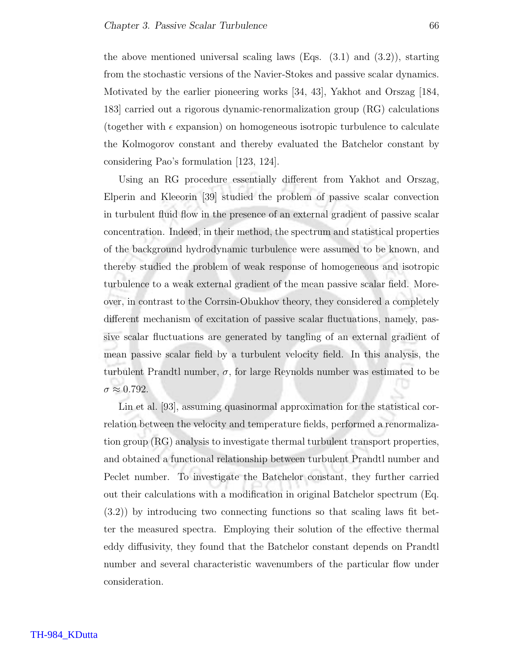the above mentioned universal scaling laws (Eqs.  $(3.1)$  and  $(3.2)$ ), starting from the stochastic versions of the Navier-Stokes and passive scalar dynamics. Motivated by the earlier pioneering works [34, 43], Yakhot and Orszag [184, 183] carried out a rigorous dynamic-renormalization group (RG) calculations (together with  $\epsilon$  expansion) on homogeneous isotropic turbulence to calculate the Kolmogorov constant and thereby evaluated the Batchelor constant by considering Pao's formulation [123, 124].

Using an RG procedure essentially different from Yakhot and Orszag, Elperin and Kleeorin [39] studied the problem of passive scalar convection in turbulent fluid flow in the presence of an external gradient of passive scalar concentration. Indeed, in their method, the spectrum and statistical properties of the background hydrodynamic turbulence were assumed to be known, and thereby studied the problem of weak response of homogeneous and isotropic turbulence to a weak external gradient of the mean passive scalar field. Moreover, in contrast to the Corrsin-Obukhov theory, they considered a completely different mechanism of excitation of passive scalar fluctuations, namely, passive scalar fluctuations are generated by tangling of an external gradient of mean passive scalar field by a turbulent velocity field. In this analysis, the turbulent Prandtl number,  $\sigma$ , for large Reynolds number was estimated to be  $\sigma \approx 0.792$ .

Lin et al. [93], assuming quasinormal approximation for the statistical correlation between the velocity and temperature fields, performed a renormalization group (RG) analysis to investigate thermal turbulent transport properties, and obtained a functional relationship between turbulent Prandtl number and Peclet number. To investigate the Batchelor constant, they further carried out their calculations with a modification in original Batchelor spectrum (Eq. (3.2)) by introducing two connecting functions so that scaling laws fit better the measured spectra. Employing their solution of the effective thermal eddy diffusivity, they found that the Batchelor constant depends on Prandtl number and several characteristic wavenumbers of the particular flow under consideration.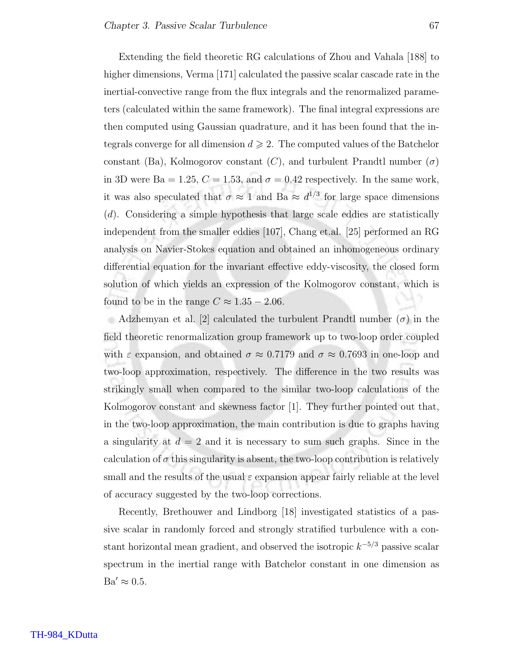Extending the field theoretic RG calculations of Zhou and Vahala [188] to higher dimensions, Verma [171] calculated the passive scalar cascade rate in the inertial-convective range from the flux integrals and the renormalized parameters (calculated within the same framework). The final integral expressions are then computed using Gaussian quadrature, and it has been found that the integrals converge for all dimension  $d \geqslant 2$ . The computed values of the Batchelor constant (Ba), Kolmogorov constant  $(C)$ , and turbulent Prandtl number  $(\sigma)$ in 3D were Ba = 1.25,  $C = 1.53$ , and  $\sigma = 0.42$  respectively. In the same work, it was also speculated that  $\sigma \approx 1$  and Ba  $\approx d^{1/3}$  for large space dimensions (d). Considering a simple hypothesis that large scale eddies are statistically independent from the smaller eddies [107], Chang et.al. [25] performed an RG analysis on Navier-Stokes equation and obtained an inhomogeneous ordinary differential equation for the invariant effective eddy-viscosity, the closed form solution of which yields an expression of the Kolmogorov constant, which is found to be in the range  $C \approx 1.35 - 2.06$ .

Adzhemyan et al. [2] calculated the turbulent Prandtl number  $(\sigma)$  in the field theoretic renormalization group framework up to two-loop order coupled with  $\varepsilon$  expansion, and obtained  $\sigma \approx 0.7179$  and  $\sigma \approx 0.7693$  in one-loop and two-loop approximation, respectively. The difference in the two results was strikingly small when compared to the similar two-loop calculations of the Kolmogorov constant and skewness factor [1]. They further pointed out that, in the two-loop approximation, the main contribution is due to graphs having a singularity at  $d = 2$  and it is necessary to sum such graphs. Since in the calculation of  $\sigma$  this singularity is absent, the two-loop contribution is relatively small and the results of the usual  $\varepsilon$  expansion appear fairly reliable at the level of accuracy suggested by the two-loop corrections.

Recently, Brethouwer and Lindborg [18] investigated statistics of a passive scalar in randomly forced and strongly stratified turbulence with a constant horizontal mean gradient, and observed the isotropic  $k^{-5/3}$  passive scalar spectrum in the inertial range with Batchelor constant in one dimension as  $Ba' \approx 0.5$ .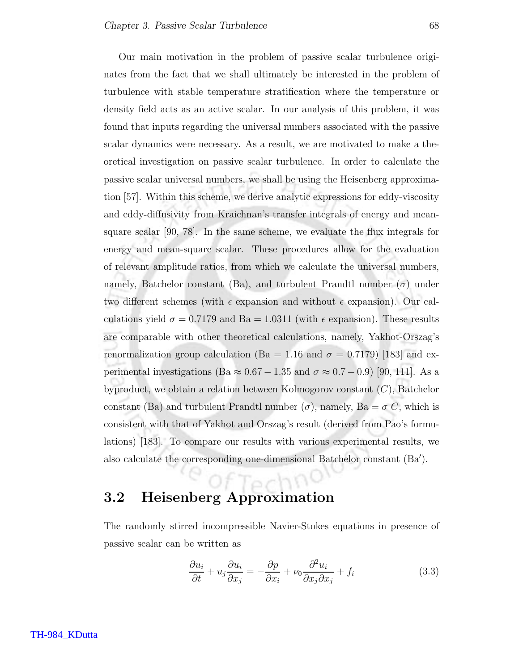Our main motivation in the problem of passive scalar turbulence originates from the fact that we shall ultimately be interested in the problem of turbulence with stable temperature stratification where the temperature or density field acts as an active scalar. In our analysis of this problem, it was found that inputs regarding the universal numbers associated with the passive scalar dynamics were necessary. As a result, we are motivated to make a theoretical investigation on passive scalar turbulence. In order to calculate the passive scalar universal numbers, we shall be using the Heisenberg approximation [57]. Within this scheme, we derive analytic expressions for eddy-viscosity and eddy-diffusivity from Kraichnan's transfer integrals of energy and meansquare scalar [90, 78]. In the same scheme, we evaluate the flux integrals for energy and mean-square scalar. These procedures allow for the evaluation of relevant amplitude ratios, from which we calculate the universal numbers, namely, Batchelor constant (Ba), and turbulent Prandtl number  $(\sigma)$  under two different schemes (with  $\epsilon$  expansion and without  $\epsilon$  expansion). Our calculations yield  $\sigma = 0.7179$  and  $Ba = 1.0311$  (with  $\epsilon$  expansion). These results are comparable with other theoretical calculations, namely, Yakhot-Orszag's renormalization group calculation (Ba = 1.16 and  $\sigma = 0.7179$ ) [183] and experimental investigations (Ba  $\approx 0.67 - 1.35$  and  $\sigma \approx 0.7 - 0.9$ ) [90, 111]. As a byproduct, we obtain a relation between Kolmogorov constant (C), Batchelor constant (Ba) and turbulent Prandtl number  $(\sigma)$ , namely, Ba =  $\sigma C$ , which is consistent with that of Yakhot and Orszag's result (derived from Pao's formulations) [183]. To compare our results with various experimental results, we also calculate the corresponding one-dimensional Batchelor constant (Ba′ ).

# 3.2 Heisenberg Approximation

The randomly stirred incompressible Navier-Stokes equations in presence of passive scalar can be written as

 $TPC$ 

$$
\frac{\partial u_i}{\partial t} + u_j \frac{\partial u_i}{\partial x_j} = -\frac{\partial p}{\partial x_i} + \nu_0 \frac{\partial^2 u_i}{\partial x_j \partial x_j} + f_i \tag{3.3}
$$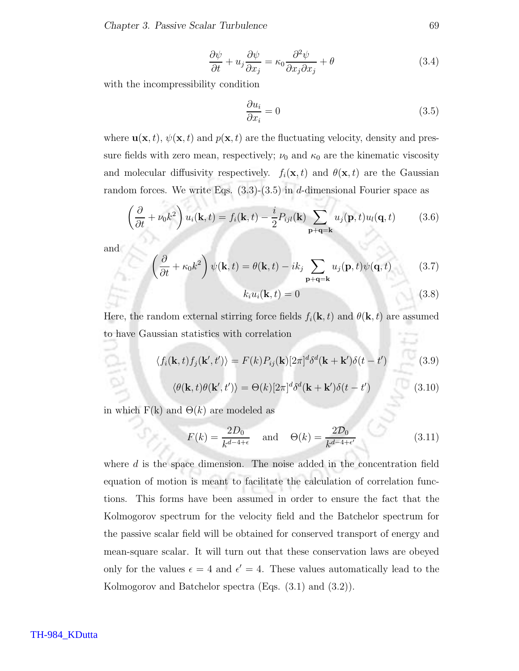Chapter 3. Passive Scalar Turbulence 69

$$
\frac{\partial \psi}{\partial t} + u_j \frac{\partial \psi}{\partial x_j} = \kappa_0 \frac{\partial^2 \psi}{\partial x_j \partial x_j} + \theta \tag{3.4}
$$

with the incompressibility condition

$$
\frac{\partial u_i}{\partial x_i} = 0 \tag{3.5}
$$

where  $\mathbf{u}(\mathbf{x}, t)$ ,  $\psi(\mathbf{x}, t)$  and  $p(\mathbf{x}, t)$  are the fluctuating velocity, density and pressure fields with zero mean, respectively;  $\nu_0$  and  $\kappa_0$  are the kinematic viscosity and molecular diffusivity respectively.  $f_i(\mathbf{x}, t)$  and  $\theta(\mathbf{x}, t)$  are the Gaussian random forces. We write Eqs.  $(3.3)-(3.5)$  in d-dimensional Fourier space as

$$
\left(\frac{\partial}{\partial t} + \nu_0 k^2\right) u_i(\mathbf{k}, t) = f_i(\mathbf{k}, t) - \frac{i}{2} P_{ijl}(\mathbf{k}) \sum_{\mathbf{p}+\mathbf{q}=\mathbf{k}} u_j(\mathbf{p}, t) u_l(\mathbf{q}, t) \tag{3.6}
$$

and

$$
\left(\frac{\partial}{\partial t} + \kappa_0 k^2\right) \psi(\mathbf{k}, t) = \theta(\mathbf{k}, t) - ik_j \sum_{\mathbf{p} + \mathbf{q} = \mathbf{k}} u_j(\mathbf{p}, t) \psi(\mathbf{q}, t) \tag{3.7}
$$

$$
k_i u_i(\mathbf{k}, t) = 0 \tag{3.8}
$$

Here, the random external stirring force fields  $f_i(\mathbf{k}, t)$  and  $\theta(\mathbf{k}, t)$  are assumed to have Gaussian statistics with correlation

$$
\langle f_i(\mathbf{k},t) f_j(\mathbf{k}',t') \rangle = F(k) P_{ij}(\mathbf{k}) [2\pi]^d \delta^d(\mathbf{k} + \mathbf{k}') \delta(t - t')
$$
(3.9)

$$
\langle \theta(\mathbf{k},t)\theta(\mathbf{k}',t')\rangle = \Theta(k)[2\pi]^d \delta^d(\mathbf{k}+\mathbf{k}')\delta(t-t')
$$
\n(3.10)

in which  $F(k)$  and  $\Theta(k)$  are modeled as

$$
F(k) = \frac{2D_0}{k^{d-4+\epsilon}} \quad \text{and} \quad \Theta(k) = \frac{2D_0}{k^{d-4+\epsilon'}} \tag{3.11}
$$

where  $d$  is the space dimension. The noise added in the concentration field equation of motion is meant to facilitate the calculation of correlation functions. This forms have been assumed in order to ensure the fact that the Kolmogorov spectrum for the velocity field and the Batchelor spectrum for the passive scalar field will be obtained for conserved transport of energy and mean-square scalar. It will turn out that these conservation laws are obeyed only for the values  $\epsilon = 4$  and  $\epsilon' = 4$ . These values automatically lead to the Kolmogorov and Batchelor spectra (Eqs. (3.1) and (3.2)).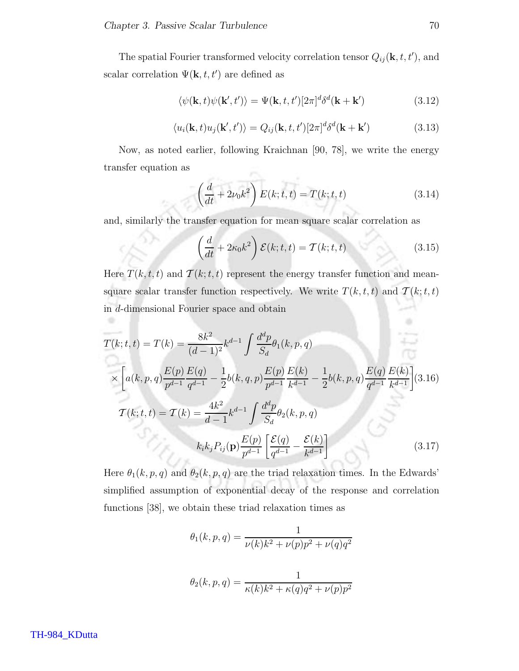The spatial Fourier transformed velocity correlation tensor  $Q_{ij}(\mathbf{k}, t, t')$ , and scalar correlation  $\Psi(\mathbf{k}, t, t')$  are defined as

$$
\langle \psi(\mathbf{k},t)\psi(\mathbf{k}',t')\rangle = \Psi(\mathbf{k},t,t')[2\pi]^{d}\delta^{d}(\mathbf{k}+\mathbf{k}')
$$
\n(3.12)

$$
\langle u_i(\mathbf{k},t)u_j(\mathbf{k}',t')\rangle = Q_{ij}(\mathbf{k},t,t')[2\pi]^d\delta^d(\mathbf{k}+\mathbf{k}')
$$
\n(3.13)

Now, as noted earlier, following Kraichnan [90, 78], we write the energy transfer equation as Service Controller

$$
\left(\frac{d}{dt} + 2\nu_0 k^2\right) E(k; t, t) = T(k; t, t)
$$
\n(3.14)

and, similarly the transfer equation for mean square scalar correlation as

$$
\left(\frac{d}{dt} + 2\kappa_0 k^2\right) \mathcal{E}(k; t, t) = \mathcal{T}(k; t, t)
$$
\n(3.15)

Here  $T(k, t, t)$  and  $T(k; t, t)$  represent the energy transfer function and meansquare scalar transfer function respectively. We write  $T(k, t, t)$  and  $T(k; t, t)$ in d-dimensional Fourier space and obtain

$$
T(k; t, t) = T(k) = \frac{8k^2}{(d-1)^2} k^{d-1} \int \frac{d^d p}{S_d} \theta_1(k, p, q)
$$
  
\n
$$
\times \left[ a(k, p, q) \frac{E(p)}{p^{d-1}} \frac{E(q)}{q^{d-1}} - \frac{1}{2} b(k, q, p) \frac{E(p)}{p^{d-1}} \frac{E(k)}{k^{d-1}} - \frac{1}{2} b(k, p, q) \frac{E(q)}{q^{d-1}} \frac{E(k)}{k^{d-1}} \right] (3.16)
$$
  
\n
$$
T(k; t, t) = T(k) = \frac{4k^2}{d-1} k^{d-1} \int \frac{d^d p}{S_d} \theta_2(k, p, q)
$$
  
\n
$$
k_i k_j P_{ij}(\mathbf{p}) \frac{E(p)}{p^{d-1}} \left[ \frac{\mathcal{E}(q)}{q^{d-1}} - \frac{\mathcal{E}(k)}{k^{d-1}} \right] \tag{3.17}
$$

Here  $\theta_1(k, p, q)$  and  $\theta_2(k, p, q)$  are the triad relaxation times. In the Edwards' simplified assumption of exponential decay of the response and correlation functions [38], we obtain these triad relaxation times as

$$
\theta_1(k, p, q) = \frac{1}{\nu(k)k^2 + \nu(p)p^2 + \nu(q)q^2}
$$

$$
\theta_2(k, p, q) = \frac{1}{\kappa(k)k^2 + \kappa(q)q^2 + \nu(p)p^2}
$$

TH-984\_KDutta

۰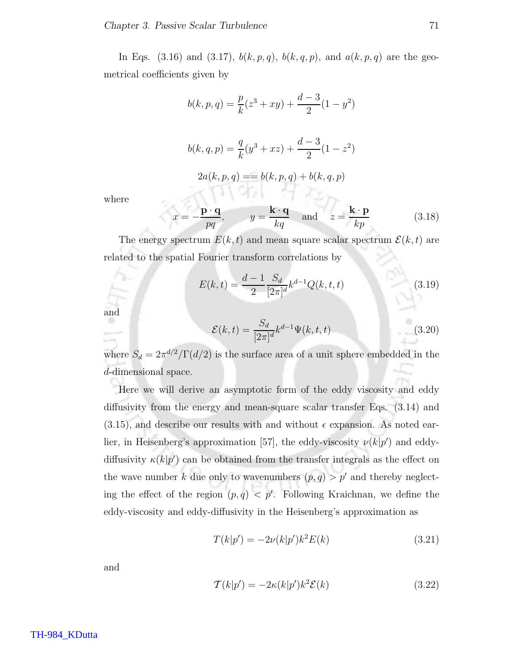In Eqs. (3.16) and (3.17),  $b(k, p, q)$ ,  $b(k, q, p)$ , and  $a(k, p, q)$  are the geometrical coefficients given by

$$
b(k, p, q) = \frac{p}{k}(z^3 + xy) + \frac{d-3}{2}(1 - y^2)
$$
  

$$
b(k, q, p) = \frac{q}{k}(y^3 + xz) + \frac{d-3}{2}(1 - z^2)
$$
  

$$
2a(k, p, q) = b(k, p, q) + b(k, q, p)
$$
  

$$
p \cdot q
$$
  

$$
k \cdot q
$$
  

$$
k \cdot p
$$
 (2.12)

where

$$
x = -\frac{\mathbf{p} \cdot \mathbf{q}}{pq}
$$
,  $y = \frac{\mathbf{k} \cdot \mathbf{q}}{kq}$  and  $z = \frac{\mathbf{k} \cdot \mathbf{p}}{kp}$  (3.18)

The energy spectrum  $E(k, t)$  and mean square scalar spectrum  $\mathcal{E}(k, t)$  are related to the spatial Fourier transform correlations by

$$
E(k,t) = \frac{d-1}{2} \frac{S_d}{[2\pi]^d} k^{d-1} Q(k,t,t)
$$
\n(3.19)

and

$$
\mathcal{E}(k,t) = \frac{S_d}{[2\pi]^d} k^{d-1} \Psi(k,t,t)
$$
\n(3.20)

where  $S_d = 2\pi^{d/2}/\Gamma(d/2)$  is the surface area of a unit sphere embedded in the d-dimensional space.

Here we will derive an asymptotic form of the eddy viscosity and eddy diffusivity from the energy and mean-square scalar transfer Eqs. (3.14) and  $(3.15)$ , and describe our results with and without  $\epsilon$  expansion. As noted earlier, in Heisenberg's approximation [57], the eddy-viscosity  $\nu(k|p')$  and eddydiffusivity  $\kappa(k|p')$  can be obtained from the transfer integrals as the effect on the wave number k due only to wavenumbers  $(p, q) > p'$  and thereby neglecting the effect of the region  $(p, q) < p'$ . Following Kraichnan, we define the eddy-viscosity and eddy-diffusivity in the Heisenberg's approximation as

$$
T(k|p') = -2\nu(k|p')k^2E(k)
$$
\n(3.21)

and

$$
\mathcal{T}(k|p') = -2\kappa(k|p')k^2 \mathcal{E}(k)
$$
\n(3.22)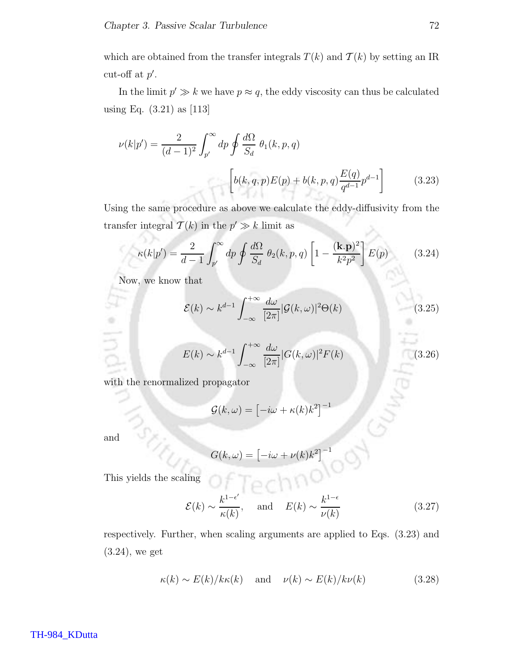which are obtained from the transfer integrals  $T(k)$  and  $T(k)$  by setting an IR cut-off at  $p'$ .

In the limit  $p' \gg k$  we have  $p \approx q$ , the eddy viscosity can thus be calculated using Eq. (3.21) as [113]

$$
\nu(k|p') = \frac{2}{(d-1)^2} \int_{p'}^{\infty} dp \oint \frac{d\Omega}{S_d} \theta_1(k, p, q)
$$

$$
\left[ b(k, q, p)E(p) + b(k, p, q) \frac{E(q)}{q^{d-1}} p^{d-1} \right]
$$
(3.23)

Using the same procedure as above we calculate the eddy-diffusivity from the transfer integral  $\mathcal{T}(k)$  in the  $p' \gg k$  limit as

$$
\kappa(k|p') = \frac{2}{d-1} \int_{p'}^{\infty} dp \oint \frac{d\Omega}{S_d} \theta_2(k, p, q) \left[1 - \frac{(\mathbf{k} \cdot \mathbf{p})^2}{k^2 p^2}\right] E(p) \tag{3.24}
$$

Now, we know that

$$
\mathcal{E}(k) \sim k^{d-1} \int_{-\infty}^{+\infty} \frac{d\omega}{[2\pi]} |\mathcal{G}(k,\omega)|^2 \Theta(k)
$$
 (3.25)

$$
E(k) \sim k^{d-1} \int_{-\infty}^{+\infty} \frac{d\omega}{[2\pi]} |G(k,\omega)|^2 F(k)
$$
\n(3.26)

with the renormalized propagator

$$
\mathcal{G}(k,\omega) = \left[-i\omega + \kappa(k)k^2\right]^{-1}
$$

and

$$
G(k,\omega) = \left[-i\omega + \nu(k)k^2\right]^{-1}
$$

This yields the scaling

$$
\mathcal{E}(k) \sim \frac{k^{1-\epsilon'}}{\kappa(k)}, \quad \text{and} \quad E(k) \sim \frac{k^{1-\epsilon}}{\nu(k)}
$$
 (3.27)

respectively. Further, when scaling arguments are applied to Eqs. (3.23) and (3.24), we get

$$
\kappa(k) \sim E(k)/k\kappa(k)
$$
 and  $\nu(k) \sim E(k)/k\nu(k)$  (3.28)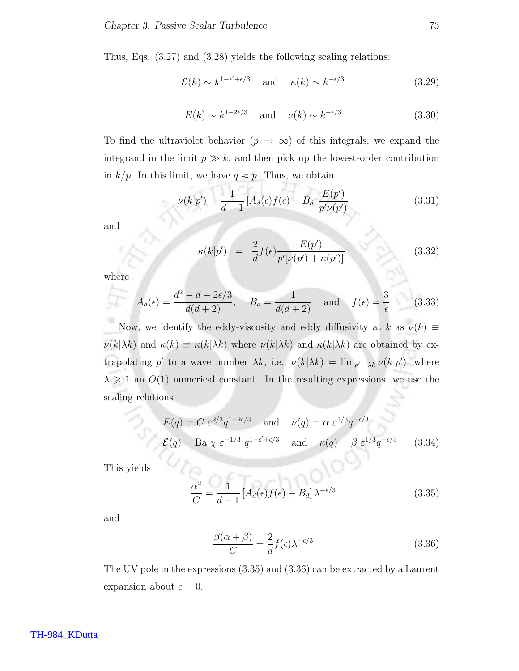Thus, Eqs. (3.27) and (3.28) yields the following scaling relations:

$$
\mathcal{E}(k) \sim k^{1-\epsilon'+\epsilon/3}
$$
 and  $\kappa(k) \sim k^{-\epsilon/3}$  (3.29)

$$
E(k) \sim k^{1-2\epsilon/3} \quad \text{and} \quad \nu(k) \sim k^{-\epsilon/3} \tag{3.30}
$$

To find the ultraviolet behavior  $(p \to \infty)$  of this integrals, we expand the integrand in the limit  $p \gg k$ , and then pick up the lowest-order contribution in  $k/p$ . In this limit, we have  $q \approx p$ . Thus, we obtain

$$
\nu(k|p') = \frac{1}{d-1} \left[ A_d(\epsilon) f(\epsilon) + B_d \right] \frac{E(p')}{p' \nu(p')}
$$
\n(3.31)

and

$$
\kappa(k|p') = \frac{2}{d}f(\epsilon)\frac{E(p')}{p'[v(p') + \kappa(p')]}
$$
(3.32)

where

$$
A_d(\epsilon) = \frac{d^2 - d - 2\epsilon/3}{d(d+2)}, \quad B_d = \frac{1}{d(d+2)} \quad \text{and} \quad f(\epsilon) = \frac{3}{\epsilon} \tag{3.33}
$$

Now, we identify the eddy-viscosity and eddy diffusivity at k as  $\nu(k) \equiv$  $\nu(k|\lambda k)$  and  $\kappa(k) \equiv \kappa(k|\lambda k)$  where  $\nu(k|\lambda k)$  and  $\kappa(k|\lambda k)$  are obtained by extrapolating p' to a wave number  $\lambda k$ , i.e.,  $\nu(k|\lambda k) = \lim_{p' \to \lambda k} \nu(k|p')$ , where  $\lambda \geq 1$  an  $O(1)$  numerical constant. In the resulting expressions, we use the scaling relations

$$
E(q) = C \varepsilon^{2/3} q^{1-2\varepsilon/3} \quad \text{and} \quad \nu(q) = \alpha \varepsilon^{1/3} q^{-\varepsilon/3}
$$
  

$$
\mathcal{E}(q) = \text{Ba } \chi \varepsilon^{-1/3} q^{1-\varepsilon'+\varepsilon/3} \quad \text{and} \quad \kappa(q) = \beta \varepsilon^{1/3} q^{-\varepsilon/3} \qquad (3.34)
$$

This yields

$$
\frac{\alpha^2}{C} = \frac{1}{d-1} \left[ A_d(\epsilon) f(\epsilon) + B_d \right] \lambda^{-\epsilon/3} \tag{3.35}
$$

and

$$
\frac{\beta(\alpha+\beta)}{C} = \frac{2}{d}f(\epsilon)\lambda^{-\epsilon/3}
$$
\n(3.36)

The UV pole in the expressions (3.35) and (3.36) can be extracted by a Laurent expansion about  $\epsilon = 0$ .

#### TH-984\_KDutta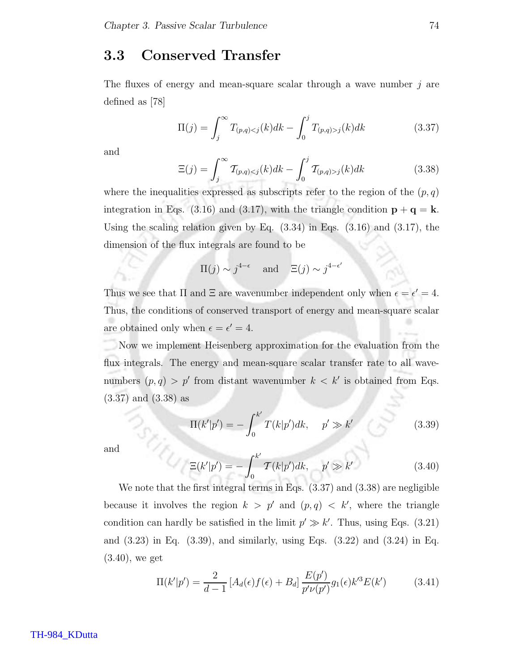### 3.3 Conserved Transfer

The fluxes of energy and mean-square scalar through a wave number j are defined as [78]

$$
\Pi(j) = \int_{j}^{\infty} T_{(p,q) < j}(k) dk - \int_{0}^{j} T_{(p,q) > j}(k) dk \tag{3.37}
$$

and

$$
\Xi(j) = \int_{j}^{\infty} \mathcal{T}_{(p,q) < j}(k) dk - \int_{0}^{j} \mathcal{T}_{(p,q) > j}(k) dk \tag{3.38}
$$

where the inequalities expressed as subscripts refer to the region of the  $(p, q)$ integration in Eqs. (3.16) and (3.17), with the triangle condition  $\mathbf{p} + \mathbf{q} = \mathbf{k}$ . Using the scaling relation given by Eq.  $(3.34)$  in Eqs.  $(3.16)$  and  $(3.17)$ , the dimension of the flux integrals are found to be

$$
\Pi(j) \sim j^{4-\epsilon}
$$
 and  $\Xi(j) \sim j^{4-\epsilon'}$ 

Thus we see that  $\Pi$  and  $\Xi$  are wavenumber independent only when  $\epsilon = \epsilon' = 4$ . Thus, the conditions of conserved transport of energy and mean-square scalar are obtained only when  $\epsilon = \epsilon' = 4$ .

Now we implement Heisenberg approximation for the evaluation from the flux integrals. The energy and mean-square scalar transfer rate to all wavenumbers  $(p, q) > p'$  from distant wavenumber  $k < k'$  is obtained from Eqs. (3.37) and (3.38) as

$$
\Pi(k'|p') = -\int_0^{k'} T(k|p')dk, \quad p' \gg k'
$$
\n(3.39)

and

$$
\Xi(k'|p') = -\int_0^{k'} \mathcal{T}(k|p')dk, \quad p' \gg k'
$$
\n(3.40)

We note that the first integral terms in Eqs. (3.37) and (3.38) are negligible because it involves the region  $k > p'$  and  $(p,q) < k'$ , where the triangle condition can hardly be satisfied in the limit  $p' \gg k'$ . Thus, using Eqs. (3.21) and (3.23) in Eq. (3.39), and similarly, using Eqs. (3.22) and (3.24) in Eq. (3.40), we get

$$
\Pi(k'|p') = \frac{2}{d-1} \left[ A_d(\epsilon) f(\epsilon) + B_d \right] \frac{E(p')}{p' \nu(p')} g_1(\epsilon) k'^3 E(k')
$$
 (3.41)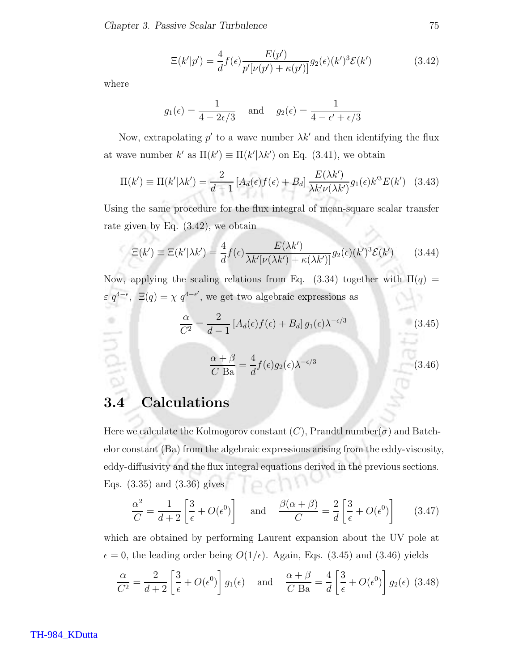$$
\Xi(k'|p') = \frac{4}{d}f(\epsilon)\frac{E(p')}{p'[v(p') + \kappa(p')] }g_2(\epsilon)(k')^3 \mathcal{E}(k')
$$
\n(3.42)

where

India

$$
g_1(\epsilon) = \frac{1}{4 - 2\epsilon/3}
$$
 and  $g_2(\epsilon) = \frac{1}{4 - \epsilon' + \epsilon/3}$ 

Now, extrapolating  $p'$  to a wave number  $\lambda k'$  and then identifying the flux at wave number  $k'$  as  $\Pi(k') \equiv \Pi(k'|\lambda k')$  on Eq. (3.41), we obtain

$$
\Pi(k') \equiv \Pi(k'|\lambda k') = \frac{2}{d-1} \left[ A_d(\epsilon) f(\epsilon) + B_d \right] \frac{E(\lambda k')}{\lambda k' \nu(\lambda k')} g_1(\epsilon) k'^3 E(k') \quad (3.43)
$$

Using the same procedure for the flux integral of mean-square scalar transfer rate given by Eq. (3.42), we obtain

$$
\Xi(k') \equiv \Xi(k'|\lambda k') = \frac{4}{d} f(\epsilon) \frac{E(\lambda k')}{\lambda k' [\nu(\lambda k') + \kappa(\lambda k')] } g_2(\epsilon) (k')^3 \mathcal{E}(k') \tag{3.44}
$$

Now, applying the scaling relations from Eq. (3.34) together with  $\Pi(q)$  =  $\varepsilon q^{4-\epsilon}$ ,  $\Xi(q) = \chi q^{4-\epsilon'}$ , we get two algebraic expressions as

$$
\frac{\alpha}{C^2} = \frac{2}{d-1} \left[ A_d(\epsilon) f(\epsilon) + B_d \right] g_1(\epsilon) \lambda^{-\epsilon/3} \tag{3.45}
$$

$$
\frac{\alpha + \beta}{C \text{ Ba}} = \frac{4}{d} f(\epsilon) g_2(\epsilon) \lambda^{-\epsilon/3}
$$
\n(3.46)

# 3.4 Calculations

Here we calculate the Kolmogorov constant  $(C)$ , Prandtl number $(\sigma)$  and Batchelor constant (Ba) from the algebraic expressions arising from the eddy-viscosity, eddy-diffusivity and the flux integral equations derived in the previous sections. Eqs. (3.35) and (3.36) gives

$$
\frac{\alpha^2}{C} = \frac{1}{d+2} \left[ \frac{3}{\epsilon} + O(\epsilon^0) \right] \quad \text{and} \quad \frac{\beta(\alpha+\beta)}{C} = \frac{2}{d} \left[ \frac{3}{\epsilon} + O(\epsilon^0) \right] \tag{3.47}
$$

which are obtained by performing Laurent expansion about the UV pole at  $\epsilon = 0$ , the leading order being  $O(1/\epsilon)$ . Again, Eqs. (3.45) and (3.46) yields

$$
\frac{\alpha}{C^2} = \frac{2}{d+2} \left[ \frac{3}{\epsilon} + O(\epsilon^0) \right] g_1(\epsilon) \quad \text{and} \quad \frac{\alpha+\beta}{C \text{ Ba}} = \frac{4}{d} \left[ \frac{3}{\epsilon} + O(\epsilon^0) \right] g_2(\epsilon) \tag{3.48}
$$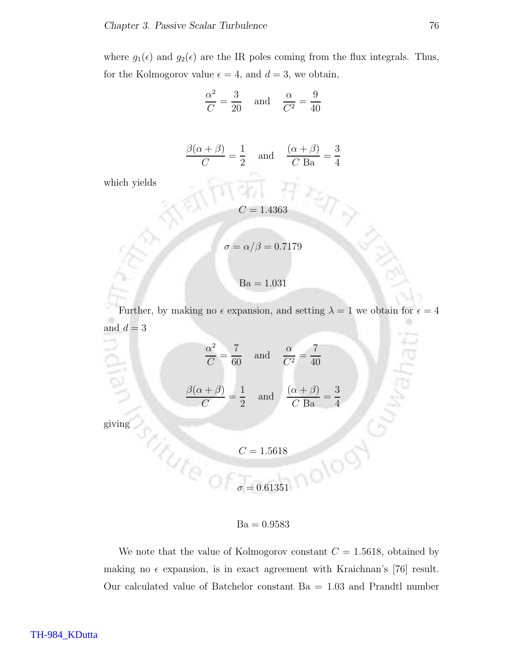where  $g_1(\epsilon)$  and  $g_2(\epsilon)$  are the IR poles coming from the flux integrals. Thus, for the Kolmogorov value  $\epsilon = 4$ , and  $d = 3$ , we obtain,

$$
\frac{\alpha^2}{C} = \frac{3}{20} \quad \text{and} \quad \frac{\alpha}{C^2} = \frac{9}{40}
$$

$$
\frac{\beta(\alpha+\beta)}{C} = \frac{1}{2} \quad \text{and} \quad \frac{(\alpha+\beta)}{C \text{ Ba}} = \frac{3}{4}
$$

which yields

$$
C=1.4363
$$

$$
\sigma = \alpha/\beta = 0.7179
$$
  
Ba = 1.031

Further, by making no  $\epsilon$  expansion, and setting  $\lambda = 1$  we obtain for  $\epsilon = 4$ and  $d = 3$ 

$$
\frac{\alpha^2}{C} = \frac{7}{60} \text{ and } \frac{\alpha}{C^2} = \frac{7}{40}
$$
  

$$
\frac{\beta(\alpha + \beta)}{C} = \frac{1}{2} \text{ and } \frac{(\alpha + \beta)}{C \text{ Ba}} = \frac{3}{4}
$$
  
giving  

$$
C = 1.5618
$$

 $\sigma = 0.61351$ 

 $Ba = 0.9583$ 

We note that the value of Kolmogorov constant  $C = 1.5618$ , obtained by making no  $\epsilon$  expansion, is in exact agreement with Kraichnan's [76] result. Our calculated value of Batchelor constant Ba = 1.03 and Prandtl number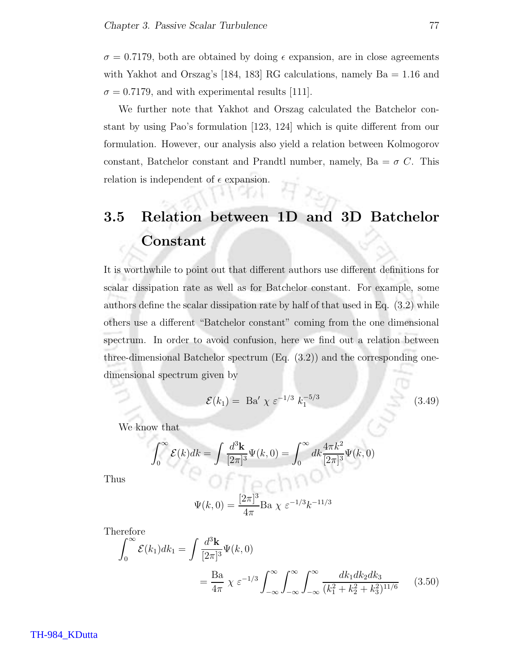$\sigma = 0.7179$ , both are obtained by doing  $\epsilon$  expansion, are in close agreements with Yakhot and Orszag's [184, 183] RG calculations, namely Ba = 1.16 and  $\sigma = 0.7179$ , and with experimental results [111].

We further note that Yakhot and Orszag calculated the Batchelor constant by using Pao's formulation [123, 124] which is quite different from our formulation. However, our analysis also yield a relation between Kolmogorov constant, Batchelor constant and Prandtl number, namely,  $Ba = \sigma C$ . This relation is independent of  $\epsilon$  expansion.

# 3.5 Relation between 1D and 3D Batchelor Constant

It is worthwhile to point out that different authors use different definitions for scalar dissipation rate as well as for Batchelor constant. For example, some authors define the scalar dissipation rate by half of that used in Eq. (3.2) while others use a different "Batchelor constant" coming from the one dimensional spectrum. In order to avoid confusion, here we find out a relation between three-dimensional Batchelor spectrum (Eq. (3.2)) and the corresponding onedimensional spectrum given by

$$
\mathcal{E}(k_1) = \text{ Ba}' \ \chi \ \varepsilon^{-1/3} \ k_1^{-5/3} \tag{3.49}
$$

We know that

$$
\int_0^\infty \mathcal{E}(k)dk = \int \frac{d^3 \mathbf{k}}{[2\pi]^3} \Psi(k,0) = \int_0^\infty dk \frac{4\pi k^2}{[2\pi]^3} \Psi(k,0)
$$

Thus

$$
\Psi(k,0) = \frac{[2\pi]^3}{4\pi} \text{Ba} \ \chi \ \varepsilon^{-1/3} k^{-11/3}
$$

l o c

Therefore

$$
\int_0^\infty \mathcal{E}(k_1) dk_1 = \int \frac{d^3 \mathbf{k}}{[2\pi]^3} \Psi(k, 0)
$$
  
=  $\frac{\text{Ba}}{4\pi} \chi \varepsilon^{-1/3} \int_{-\infty}^\infty \int_{-\infty}^\infty \int_{-\infty}^\infty \frac{dk_1 dk_2 dk_3}{(k_1^2 + k_2^2 + k_3^2)^{11/6}}$  (3.50)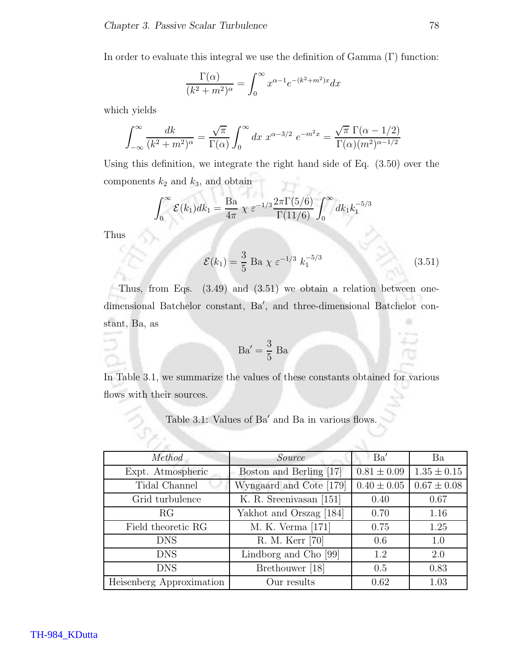In order to evaluate this integral we use the definition of  $Gamma(T)$  function:

$$
\frac{\Gamma(\alpha)}{(k^2 + m^2)^{\alpha}} = \int_0^{\infty} x^{\alpha - 1} e^{-(k^2 + m^2)x} dx
$$

which yields

$$
\int_{-\infty}^{\infty} \frac{dk}{(k^2 + m^2)^{\alpha}} = \frac{\sqrt{\pi}}{\Gamma(\alpha)} \int_{0}^{\infty} dx \ x^{\alpha - 3/2} \ e^{-m^2 x} = \frac{\sqrt{\pi} \ \Gamma(\alpha - 1/2)}{\Gamma(\alpha)(m^2)^{\alpha - 1/2}}
$$

Using this definition, we integrate the right hand side of Eq. (3.50) over the components  $k_2$  and  $k_3$ , and obtain

$$
\int_0^{\infty} \mathcal{E}(k_1) dk_1 = \frac{\text{Ba}}{4\pi} \chi \ \varepsilon^{-1/3} \frac{2\pi \Gamma(5/6)}{\Gamma(11/6)} \int_0^{\infty} dk_1 k_1^{-5/3}
$$

Thus

$$
\mathcal{E}(k_1) = \frac{3}{5} \text{ Ba } \chi \ \varepsilon^{-1/3} \ k_1^{-5/3} \tag{3.51}
$$

Thus, from Eqs. (3.49) and (3.51) we obtain a relation between onedimensional Batchelor constant, Ba′ , and three-dimensional Batchelor con-۰ stant, Ba, as

$$
Ba' = \frac{3}{5} Ba
$$

In Table 3.1, we summarize the values of these constants obtained for various flows with their sources.

#### Table 3.1: Values of Ba' and Ba in various flows.

| Method                   | Source                  | Ba'             | Ba              |
|--------------------------|-------------------------|-----------------|-----------------|
| Expt. Atmospheric        | Boston and Berling [17] | $0.81 \pm 0.09$ | $1.35 \pm 0.15$ |
| Tidal Channel            | Wyngaard and Cote [179] | $0.40 \pm 0.05$ | $0.67 \pm 0.08$ |
| Grid turbulence          | K. R. Sreenivasan [151] | 0.40            | 0.67            |
| RG                       | Yakhot and Orszag [184] | 0.70            | 1.16            |
| Field theoretic RG       | M. K. Verma [171]       | 0.75            | 1.25            |
| <b>DNS</b>               | R. M. Kerr [70]         | 0.6             | 1.0             |
| <b>DNS</b>               | Lindborg and Cho [99]   | 1.2             | 2.0             |
| <b>DNS</b>               | Brethouwer [18]         | 0.5             | 0.83            |
| Heisenberg Approximation | Our results             | 0.62            | 1.03            |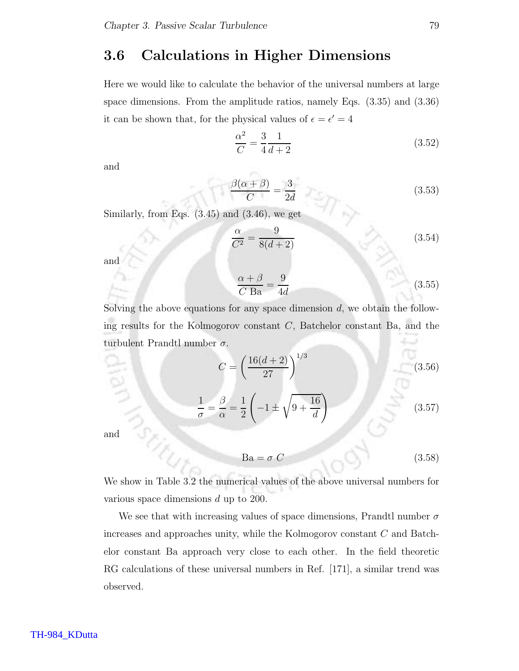### 3.6 Calculations in Higher Dimensions

Here we would like to calculate the behavior of the universal numbers at large space dimensions. From the amplitude ratios, namely Eqs. (3.35) and (3.36) it can be shown that, for the physical values of  $\epsilon = \epsilon' = 4$ 

$$
\frac{\alpha^2}{C} = \frac{3}{4} \frac{1}{d+2}
$$
 (3.52)

and

$$
\frac{\beta(\alpha+\beta)}{C} = \frac{3}{2d} \tag{3.53}
$$

Similarly, from Eqs.  $(3.45)$  and  $(3.46)$ , we get

$$
\frac{\alpha}{C^2} = \frac{9}{8(d+2)}\tag{3.54}
$$

and

$$
\frac{\alpha + \beta}{C \text{ Ba}} = \frac{9}{4d} \tag{3.55}
$$

Solving the above equations for any space dimension  $d$ , we obtain the following results for the Kolmogorov constant  $C$ , Batchelor constant Ba, and the turbulent Prandtl number  $\sigma$ .

$$
C = \left(\frac{16(d+2)}{27}\right)^{1/3} \tag{3.56}
$$

$$
\frac{1}{\sigma} = \frac{\beta}{\alpha} = \frac{1}{2} \left( -1 \pm \sqrt{9 + \frac{16}{d}} \right) \tag{3.57}
$$

and

$$
Ba = \sigma C \tag{3.58}
$$

We show in Table 3.2 the numerical values of the above universal numbers for various space dimensions d up to 200.

We see that with increasing values of space dimensions, Prandtl number  $\sigma$ increases and approaches unity, while the Kolmogorov constant C and Batchelor constant Ba approach very close to each other. In the field theoretic RG calculations of these universal numbers in Ref. [171], a similar trend was observed.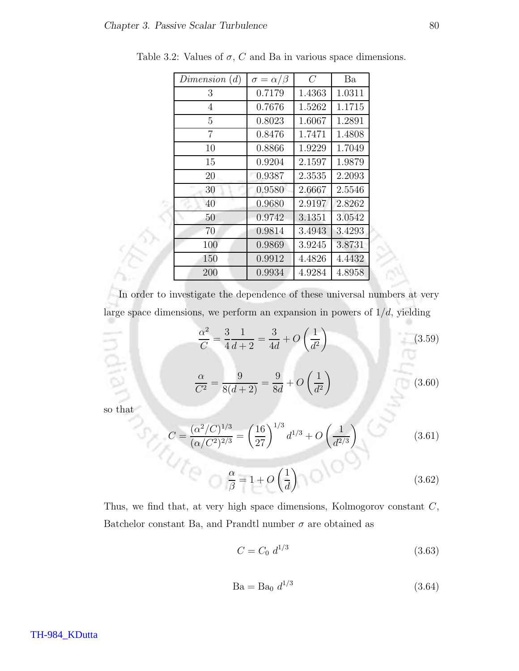$\overline{\mathcal{C}}$ 

| Dimension $(d)$ | $\sigma = \alpha/\beta$ | $\,$ $C$ | Ba     |
|-----------------|-------------------------|----------|--------|
| 3               | 0.7179                  | 1.4363   | 1.0311 |
| 4               | 0.7676                  | 1.5262   | 1.1715 |
| 5               | 0.8023                  | 1.6067   | 1.2891 |
| 7               | 0.8476                  | 1.7471   | 1.4808 |
| 10              | 0.8866                  | 1.9229   | 1.7049 |
| 15              | 0.9204                  | 2.1597   | 1.9879 |
| 20              | 0.9387                  | 2.3535   | 2.2093 |
| 30              | 0.9580                  | 2.6667   | 2.5546 |
| 40              | 0.9680                  | 2.9197   | 2.8262 |
| 50              | 0.9742                  | 3.1351   | 3.0542 |
| 70              | 0.9814                  | 3.4943   | 3.4293 |
| 100             | 0.9869                  | 3.9245   | 3.8731 |
| 150             | 0.9912                  | 4.4826   | 4.4432 |
| 200             | 0.9934                  | 4.9284   | 4.8958 |

Table 3.2: Values of  $\sigma$ , C and Ba in various space dimensions.

In order to investigate the dependence of these universal numbers at very large space dimensions, we perform an expansion in powers of  $1/d$ , yielding

$$
\frac{\alpha^2}{C} = \frac{3}{4} \frac{1}{d+2} = \frac{3}{4d} + O\left(\frac{1}{d^2}\right)
$$
 (3.59)

$$
\frac{\alpha}{C^2} = \frac{9}{8(d+2)} = \frac{9}{8d} + O\left(\frac{1}{d^2}\right)
$$
 (3.60)

so that

$$
C = \frac{(\alpha^2/C)^{1/3}}{(\alpha/C^2)^{2/3}} = \left(\frac{16}{27}\right)^{1/3} d^{1/3} + O\left(\frac{1}{d^{2/3}}\right)
$$
(3.61)

$$
\frac{\alpha}{\beta} = 1 + O\left(\frac{1}{d}\right) \tag{3.62}
$$

Thus, we find that, at very high space dimensions, Kolmogorov constant C, Batchelor constant Ba, and Prandtl number  $\sigma$  are obtained as

$$
C = C_0 \, d^{1/3} \tag{3.63}
$$

$$
Ba = Ba_0 \, d^{1/3} \tag{3.64}
$$

TH-984\_KDutta

۰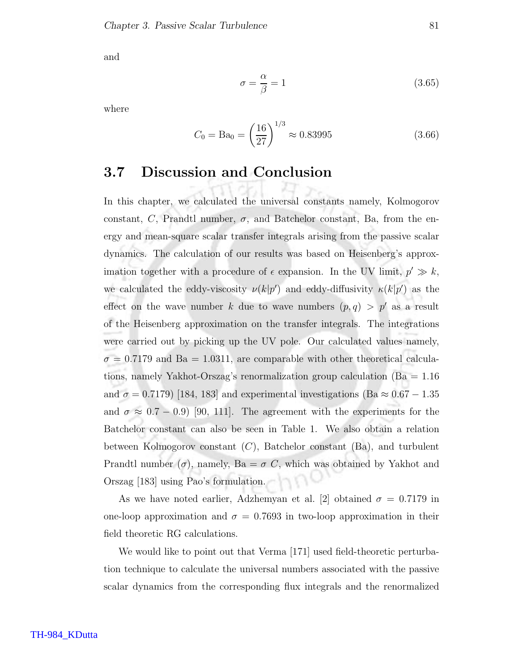and

$$
\sigma = \frac{\alpha}{\beta} = 1\tag{3.65}
$$

where

$$
C_0 = \text{Ba}_0 = \left(\frac{16}{27}\right)^{1/3} \approx 0.83995\tag{3.66}
$$

### 3.7 Discussion and Conclusion

In this chapter, we calculated the universal constants namely, Kolmogorov constant, C, Prandtl number,  $\sigma$ , and Batchelor constant, Ba, from the energy and mean-square scalar transfer integrals arising from the passive scalar dynamics. The calculation of our results was based on Heisenberg's approximation together with a procedure of  $\epsilon$  expansion. In the UV limit,  $p' \gg k$ , we calculated the eddy-viscosity  $\nu(k|p')$  and eddy-diffusivity  $\kappa(k|p')$  as the effect on the wave number k due to wave numbers  $(p, q) > p'$  as a result of the Heisenberg approximation on the transfer integrals. The integrations were carried out by picking up the UV pole. Our calculated values namely,  $\sigma = 0.7179$  and Ba = 1.0311, are comparable with other theoretical calculations, namely Yakhot-Orszag's renormalization group calculation (Ba = 1.16 and  $\sigma = 0.7179$  [184, 183] and experimental investigations (Ba  $\approx 0.67 - 1.35$ ) and  $\sigma \approx 0.7 - 0.9$  [90, 111]. The agreement with the experiments for the Batchelor constant can also be seen in Table 1. We also obtain a relation between Kolmogorov constant  $(C)$ , Batchelor constant  $(Ba)$ , and turbulent Prandtl number  $(\sigma)$ , namely, Ba =  $\sigma C$ , which was obtained by Yakhot and Orszag [183] using Pao's formulation.

As we have noted earlier, Adzhemyan et al. [2] obtained  $\sigma = 0.7179$  in one-loop approximation and  $\sigma = 0.7693$  in two-loop approximation in their field theoretic RG calculations.

We would like to point out that Verma [171] used field-theoretic perturbation technique to calculate the universal numbers associated with the passive scalar dynamics from the corresponding flux integrals and the renormalized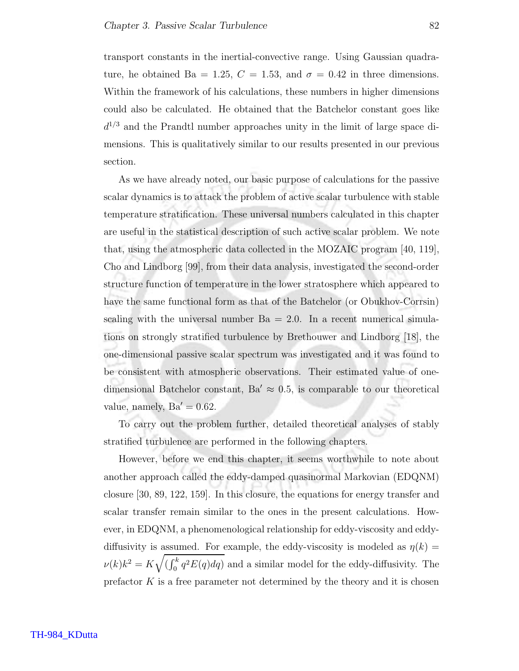transport constants in the inertial-convective range. Using Gaussian quadrature, he obtained Ba = 1.25,  $C = 1.53$ , and  $\sigma = 0.42$  in three dimensions. Within the framework of his calculations, these numbers in higher dimensions could also be calculated. He obtained that the Batchelor constant goes like  $d^{1/3}$  and the Prandtl number approaches unity in the limit of large space dimensions. This is qualitatively similar to our results presented in our previous section.

As we have already noted, our basic purpose of calculations for the passive scalar dynamics is to attack the problem of active scalar turbulence with stable temperature stratification. These universal numbers calculated in this chapter are useful in the statistical description of such active scalar problem. We note that, using the atmospheric data collected in the MOZAIC program [40, 119], Cho and Lindborg [99], from their data analysis, investigated the second-order structure function of temperature in the lower stratosphere which appeared to have the same functional form as that of the Batchelor (or Obukhov-Corrsin) scaling with the universal number  $Ba = 2.0$ . In a recent numerical simulations on strongly stratified turbulence by Brethouwer and Lindborg [18], the one-dimensional passive scalar spectrum was investigated and it was found to be consistent with atmospheric observations. Their estimated value of onedimensional Batchelor constant,  $Ba' \approx 0.5$ , is comparable to our theoretical value, namely,  $Ba' = 0.62$ .

To carry out the problem further, detailed theoretical analyses of stably stratified turbulence are performed in the following chapters.

However, before we end this chapter, it seems worthwhile to note about another approach called the eddy-damped quasinormal Markovian (EDQNM) closure [30, 89, 122, 159]. In this closure, the equations for energy transfer and scalar transfer remain similar to the ones in the present calculations. However, in EDQNM, a phenomenological relationship for eddy-viscosity and eddydiffusivity is assumed. For example, the eddy-viscosity is modeled as  $\eta(k)$  =  $\nu(k)k^2 = K\sqrt{\left(\int_0^k q^2 E(q) dq\right)}$  and a similar model for the eddy-diffusivity. The prefactor  $K$  is a free parameter not determined by the theory and it is chosen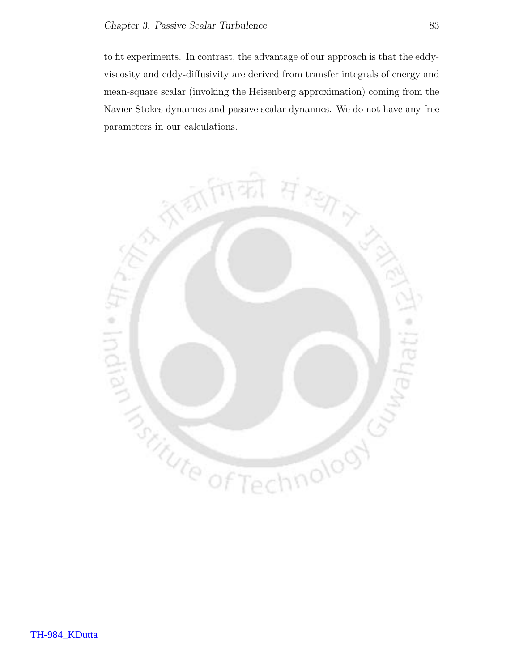to fit experiments. In contrast, the advantage of our approach is that the eddyviscosity and eddy-diffusivity are derived from transfer integrals of energy and mean-square scalar (invoking the Heisenberg approximation) coming from the Navier-Stokes dynamics and passive scalar dynamics. We do not have any free parameters in our calculations.

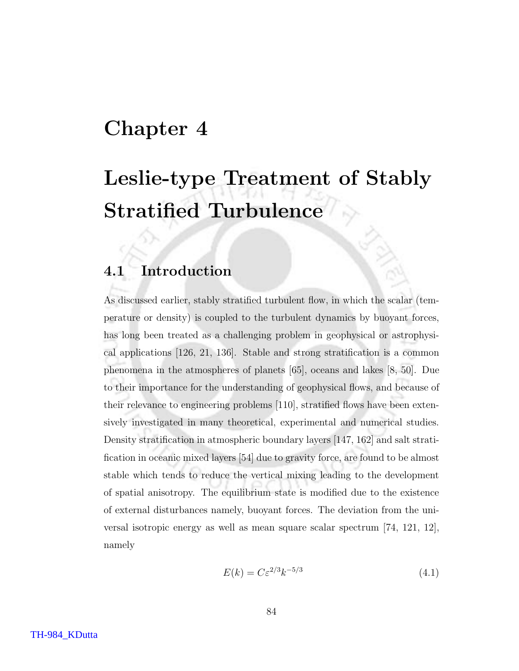# Chapter 4

# Leslie-type Treatment of Stably Stratified Turbulence

## 4.1 Introduction

As discussed earlier, stably stratified turbulent flow, in which the scalar (temperature or density) is coupled to the turbulent dynamics by buoyant forces, has long been treated as a challenging problem in geophysical or astrophysical applications [126, 21, 136]. Stable and strong stratification is a common phenomena in the atmospheres of planets [65], oceans and lakes [8, 50]. Due to their importance for the understanding of geophysical flows, and because of their relevance to engineering problems [110], stratified flows have been extensively investigated in many theoretical, experimental and numerical studies. Density stratification in atmospheric boundary layers [147, 162] and salt stratification in oceanic mixed layers [54] due to gravity force, are found to be almost stable which tends to reduce the vertical mixing leading to the development of spatial anisotropy. The equilibrium state is modified due to the existence of external disturbances namely, buoyant forces. The deviation from the universal isotropic energy as well as mean square scalar spectrum [74, 121, 12], namely

$$
E(k) = C\varepsilon^{2/3}k^{-5/3}
$$
\n
$$
(4.1)
$$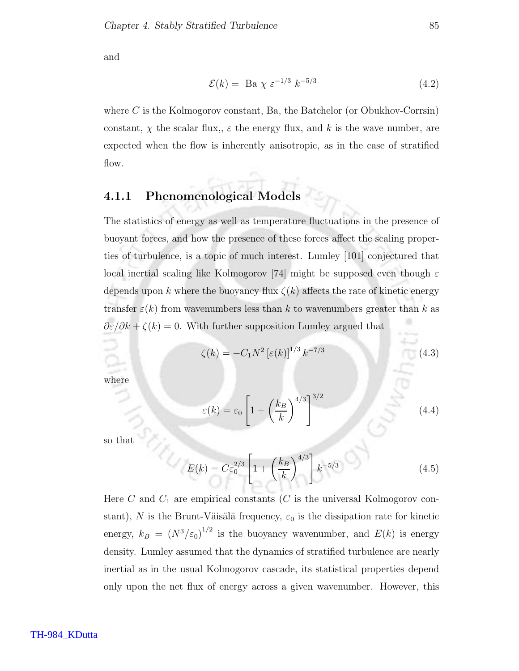and

$$
\mathcal{E}(k) = \text{Ba } \chi \ \varepsilon^{-1/3} \ k^{-5/3} \tag{4.2}
$$

where  $C$  is the Kolmogorov constant, Ba, the Batchelor (or Obukhov-Corrsin) constant,  $\chi$  the scalar flux,,  $\varepsilon$  the energy flux, and k is the wave number, are expected when the flow is inherently anisotropic, as in the case of stratified flow.

#### 4.1.1 Phenomenological Models

The statistics of energy as well as temperature fluctuations in the presence of buoyant forces, and how the presence of these forces affect the scaling properties of turbulence, is a topic of much interest. Lumley [101] conjectured that local inertial scaling like Kolmogorov [74] might be supposed even though  $\varepsilon$ depends upon k where the buoyancy flux  $\zeta(k)$  affects the rate of kinetic energy transfer  $\varepsilon(k)$  from wavenumbers less than k to wavenumbers greater than k as  $\partial \varepsilon/\partial k + \zeta(k) = 0$ . With further supposition Lumley argued that

$$
\zeta(k) = -C_1 N^2 \left[ \varepsilon(k) \right]^{1/3} k^{-7/3} \tag{4.3}
$$

where

$$
\varepsilon(k) = \varepsilon_0 \left[ 1 + \left(\frac{k_B}{k}\right)^{4/3} \right]^{3/2} \tag{4.4}
$$

so that

$$
E(k) = C\varepsilon_0^{2/3} \left[ 1 + \left(\frac{k_B}{k}\right)^{4/3} \right] k^{-5/3}
$$
 (4.5)

Here  $C$  and  $C_1$  are empirical constants  $(C$  is the universal Kolmogorov constant), N is the Brunt-Väisälä frequency,  $\varepsilon_0$  is the dissipation rate for kinetic energy,  $k_B = (N^3/\varepsilon_0)^{1/2}$  is the buoyancy wavenumber, and  $E(k)$  is energy density. Lumley assumed that the dynamics of stratified turbulence are nearly inertial as in the usual Kolmogorov cascade, its statistical properties depend only upon the net flux of energy across a given wavenumber. However, this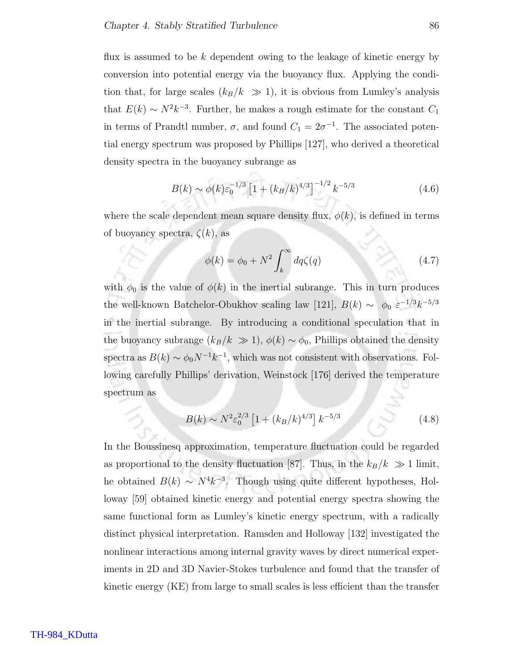flux is assumed to be  $k$  dependent owing to the leakage of kinetic energy by conversion into potential energy via the buoyancy flux. Applying the condition that, for large scales  $(k_B/k \gg 1)$ , it is obvious from Lumley's analysis that  $E(k) \sim N^2 k^{-3}$ . Further, he makes a rough estimate for the constant  $C_1$ in terms of Prandtl number,  $\sigma$ , and found  $C_1 = 2\sigma^{-1}$ . The associated potential energy spectrum was proposed by Phillips [127], who derived a theoretical density spectra in the buoyancy subrange as

$$
B(k) \sim \phi(k)\varepsilon_0^{-1/3} \left[1 + (k_B/k)^{4/3}\right]^{-1/2} k^{-5/3}
$$
 (4.6)

where the scale dependent mean square density flux,  $\phi(k)$ , is defined in terms of buoyancy spectra,  $\zeta(k)$ , as

$$
\phi(k) = \phi_0 + N^2 \int_k^{\infty} dq \zeta(q)
$$
\n(4.7)

with  $\phi_0$  is the value of  $\phi(k)$  in the inertial subrange. This in turn produces the well-known Batchelor-Obukhov scaling law [121],  $B(k) \sim \phi_0 \varepsilon^{-1/3} k^{-5/3}$ in the inertial subrange. By introducing a conditional speculation that in the buoyancy subrange  $(k_B/k \gg 1)$ ,  $\phi(k) \sim \phi_0$ , Phillips obtained the density spectra as  $B(k) \sim \phi_0 N^{-1} k^{-1}$ , which was not consistent with observations. Following carefully Phillips' derivation, Weinstock [176] derived the temperature spectrum as

$$
B(k) \sim N^2 \varepsilon_0^{2/3} \left[ 1 + (k_B/k)^{4/3} \right] k^{-5/3}
$$
 (4.8)

In the Boussinesq approximation, temperature fluctuation could be regarded as proportional to the density fluctuation [87]. Thus, in the  $k_B/k \gg 1$  limit, he obtained  $B(k) \sim N^4 k^{-3}$ . Though using quite different hypotheses, Holloway [59] obtained kinetic energy and potential energy spectra showing the same functional form as Lumley's kinetic energy spectrum, with a radically distinct physical interpretation. Ramsden and Holloway [132] investigated the nonlinear interactions among internal gravity waves by direct numerical experiments in 2D and 3D Navier-Stokes turbulence and found that the transfer of kinetic energy (KE) from large to small scales is less efficient than the transfer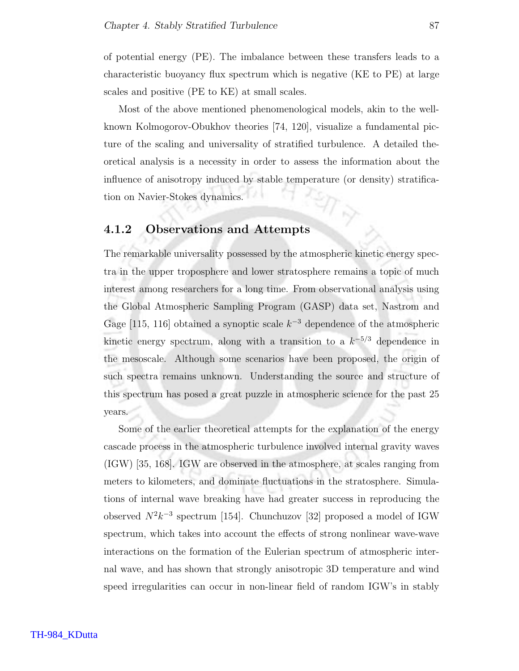of potential energy (PE). The imbalance between these transfers leads to a characteristic buoyancy flux spectrum which is negative (KE to PE) at large scales and positive (PE to KE) at small scales.

Most of the above mentioned phenomenological models, akin to the wellknown Kolmogorov-Obukhov theories [74, 120], visualize a fundamental picture of the scaling and universality of stratified turbulence. A detailed theoretical analysis is a necessity in order to assess the information about the influence of anisotropy induced by stable temperature (or density) stratification on Navier-Stokes dynamics.

#### 4.1.2 Observations and Attempts

The remarkable universality possessed by the atmospheric kinetic energy spectra in the upper troposphere and lower stratosphere remains a topic of much interest among researchers for a long time. From observational analysis using the Global Atmospheric Sampling Program (GASP) data set, Nastrom and Gage [115, 116] obtained a synoptic scale  $k^{-3}$  dependence of the atmospheric kinetic energy spectrum, along with a transition to a  $k^{-5/3}$  dependence in the mesoscale. Although some scenarios have been proposed, the origin of such spectra remains unknown. Understanding the source and structure of this spectrum has posed a great puzzle in atmospheric science for the past 25 years.

Some of the earlier theoretical attempts for the explanation of the energy cascade process in the atmospheric turbulence involved internal gravity waves (IGW) [35, 168]. IGW are observed in the atmosphere, at scales ranging from meters to kilometers, and dominate fluctuations in the stratosphere. Simulations of internal wave breaking have had greater success in reproducing the observed  $N^2k^{-3}$  spectrum [154]. Chunchuzov [32] proposed a model of IGW spectrum, which takes into account the effects of strong nonlinear wave-wave interactions on the formation of the Eulerian spectrum of atmospheric internal wave, and has shown that strongly anisotropic 3D temperature and wind speed irregularities can occur in non-linear field of random IGW's in stably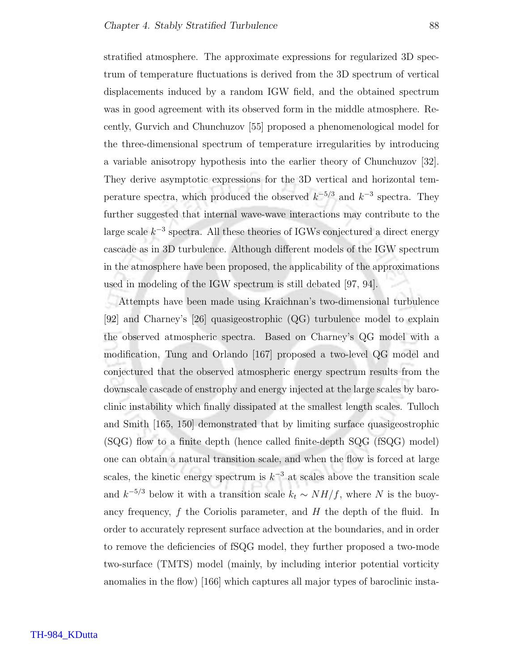stratified atmosphere. The approximate expressions for regularized 3D spectrum of temperature fluctuations is derived from the 3D spectrum of vertical displacements induced by a random IGW field, and the obtained spectrum was in good agreement with its observed form in the middle atmosphere. Recently, Gurvich and Chunchuzov [55] proposed a phenomenological model for the three-dimensional spectrum of temperature irregularities by introducing a variable anisotropy hypothesis into the earlier theory of Chunchuzov [32]. They derive asymptotic expressions for the 3D vertical and horizontal temperature spectra, which produced the observed  $k^{-5/3}$  and  $k^{-3}$  spectra. They further suggested that internal wave-wave interactions may contribute to the large scale  $k^{-3}$  spectra. All these theories of IGWs conjectured a direct energy cascade as in 3D turbulence. Although different models of the IGW spectrum in the atmosphere have been proposed, the applicability of the approximations used in modeling of the IGW spectrum is still debated [97, 94].

Attempts have been made using Kraichnan's two-dimensional turbulence [92] and Charney's [26] quasigeostrophic (QG) turbulence model to explain the observed atmospheric spectra. Based on Charney's QG model with a modification, Tung and Orlando [167] proposed a two-level QG model and conjectured that the observed atmospheric energy spectrum results from the downscale cascade of enstrophy and energy injected at the large scales by baroclinic instability which finally dissipated at the smallest length scales. Tulloch and Smith [165, 150] demonstrated that by limiting surface quasigeostrophic (SQG) flow to a finite depth (hence called finite-depth SQG (fSQG) model) one can obtain a natural transition scale, and when the flow is forced at large scales, the kinetic energy spectrum is  $k^{-3}$  at scales above the transition scale and  $k^{-5/3}$  below it with a transition scale  $k_t \sim NH/f$ , where N is the buoyancy frequency,  $f$  the Coriolis parameter, and  $H$  the depth of the fluid. In order to accurately represent surface advection at the boundaries, and in order to remove the deficiencies of fSQG model, they further proposed a two-mode two-surface (TMTS) model (mainly, by including interior potential vorticity anomalies in the flow) [166] which captures all major types of baroclinic insta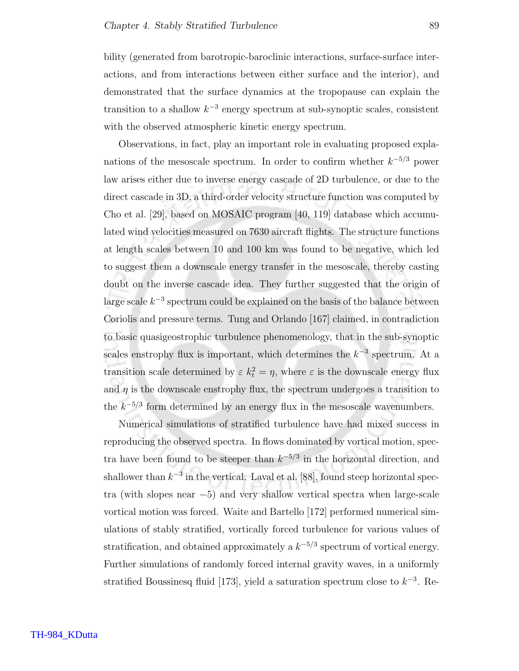bility (generated from barotropic-baroclinic interactions, surface-surface interactions, and from interactions between either surface and the interior), and demonstrated that the surface dynamics at the tropopause can explain the transition to a shallow  $k^{-3}$  energy spectrum at sub-synoptic scales, consistent with the observed atmospheric kinetic energy spectrum.

Observations, in fact, play an important role in evaluating proposed explanations of the mesoscale spectrum. In order to confirm whether  $k^{-5/3}$  power law arises either due to inverse energy cascade of 2D turbulence, or due to the direct cascade in 3D, a third-order velocity structure function was computed by Cho et al. [29], based on MOSAIC program [40, 119] database which accumulated wind velocities measured on 7630 aircraft flights. The structure functions at length scales between 10 and 100 km was found to be negative, which led to suggest them a downscale energy transfer in the mesoscale, thereby casting doubt on the inverse cascade idea. They further suggested that the origin of large scale  $k^{-3}$  spectrum could be explained on the basis of the balance between Coriolis and pressure terms. Tung and Orlando [167] claimed, in contradiction to basic quasigeostrophic turbulence phenomenology, that in the sub-synoptic scales enstrophy flux is important, which determines the  $k^{-3}$  spectrum. At a transition scale determined by  $\varepsilon k_t^2 = \eta$ , where  $\varepsilon$  is the downscale energy flux and  $\eta$  is the downscale enstrophy flux, the spectrum undergoes a transition to the  $k^{-5/3}$  form determined by an energy flux in the mesoscale wavenumbers.

Numerical simulations of stratified turbulence have had mixed success in reproducing the observed spectra. In flows dominated by vortical motion, spectra have been found to be steeper than  $k^{-5/3}$  in the horizontal direction, and shallower than  $k^{-3}$  in the vertical. Laval et al. [88], found steep horizontal spectra (with slopes near  $-5$ ) and very shallow vertical spectra when large-scale vortical motion was forced. Waite and Bartello [172] performed numerical simulations of stably stratified, vortically forced turbulence for various values of stratification, and obtained approximately a  $k^{-5/3}$  spectrum of vortical energy. Further simulations of randomly forced internal gravity waves, in a uniformly stratified Boussinesq fluid [173], yield a saturation spectrum close to  $k^{-3}$ . Re-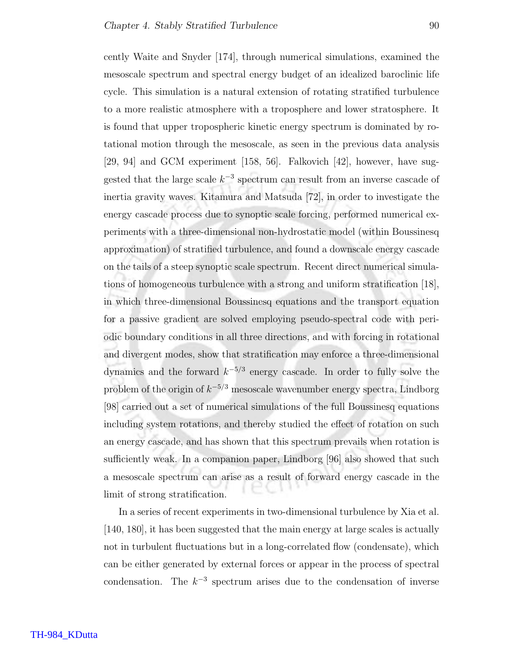cently Waite and Snyder [174], through numerical simulations, examined the mesoscale spectrum and spectral energy budget of an idealized baroclinic life cycle. This simulation is a natural extension of rotating stratified turbulence to a more realistic atmosphere with a troposphere and lower stratosphere. It is found that upper tropospheric kinetic energy spectrum is dominated by rotational motion through the mesoscale, as seen in the previous data analysis [29, 94] and GCM experiment [158, 56]. Falkovich [42], however, have suggested that the large scale  $k^{-3}$  spectrum can result from an inverse cascade of inertia gravity waves. Kitamura and Matsuda [72], in order to investigate the energy cascade process due to synoptic scale forcing, performed numerical experiments with a three-dimensional non-hydrostatic model (within Boussinesq approximation) of stratified turbulence, and found a downscale energy cascade on the tails of a steep synoptic scale spectrum. Recent direct numerical simulations of homogeneous turbulence with a strong and uniform stratification [18], in which three-dimensional Boussinesq equations and the transport equation for a passive gradient are solved employing pseudo-spectral code with periodic boundary conditions in all three directions, and with forcing in rotational and divergent modes, show that stratification may enforce a three-dimensional dynamics and the forward  $k^{-5/3}$  energy cascade. In order to fully solve the problem of the origin of  $k^{-5/3}$  mesoscale wavenumber energy spectra, Lindborg [98] carried out a set of numerical simulations of the full Boussinesq equations including system rotations, and thereby studied the effect of rotation on such an energy cascade, and has shown that this spectrum prevails when rotation is sufficiently weak. In a companion paper, Lindborg [96] also showed that such a mesoscale spectrum can arise as a result of forward energy cascade in the limit of strong stratification.

In a series of recent experiments in two-dimensional turbulence by Xia et al. [140, 180], it has been suggested that the main energy at large scales is actually not in turbulent fluctuations but in a long-correlated flow (condensate), which can be either generated by external forces or appear in the process of spectral condensation. The  $k^{-3}$  spectrum arises due to the condensation of inverse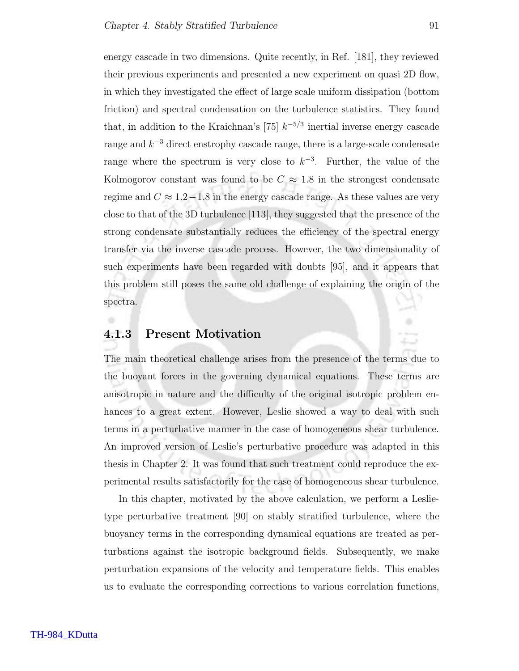energy cascade in two dimensions. Quite recently, in Ref. [181], they reviewed their previous experiments and presented a new experiment on quasi 2D flow, in which they investigated the effect of large scale uniform dissipation (bottom friction) and spectral condensation on the turbulence statistics. They found that, in addition to the Kraichnan's [75]  $k^{-5/3}$  inertial inverse energy cascade range and  $k^{-3}$  direct enstrophy cascade range, there is a large-scale condensate range where the spectrum is very close to  $k^{-3}$ . Further, the value of the Kolmogorov constant was found to be  $C \approx 1.8$  in the strongest condensate regime and  $C \approx 1.2 - 1.8$  in the energy cascade range. As these values are very close to that of the 3D turbulence [113], they suggested that the presence of the strong condensate substantially reduces the efficiency of the spectral energy transfer via the inverse cascade process. However, the two dimensionality of such experiments have been regarded with doubts [95], and it appears that this problem still poses the same old challenge of explaining the origin of the spectra.

#### 4.1.3 Present Motivation

The main theoretical challenge arises from the presence of the terms due to the buoyant forces in the governing dynamical equations. These terms are anisotropic in nature and the difficulty of the original isotropic problem enhances to a great extent. However, Leslie showed a way to deal with such terms in a perturbative manner in the case of homogeneous shear turbulence. An improved version of Leslie's perturbative procedure was adapted in this thesis in Chapter 2. It was found that such treatment could reproduce the experimental results satisfactorily for the case of homogeneous shear turbulence.

In this chapter, motivated by the above calculation, we perform a Leslietype perturbative treatment [90] on stably stratified turbulence, where the buoyancy terms in the corresponding dynamical equations are treated as perturbations against the isotropic background fields. Subsequently, we make perturbation expansions of the velocity and temperature fields. This enables us to evaluate the corresponding corrections to various correlation functions,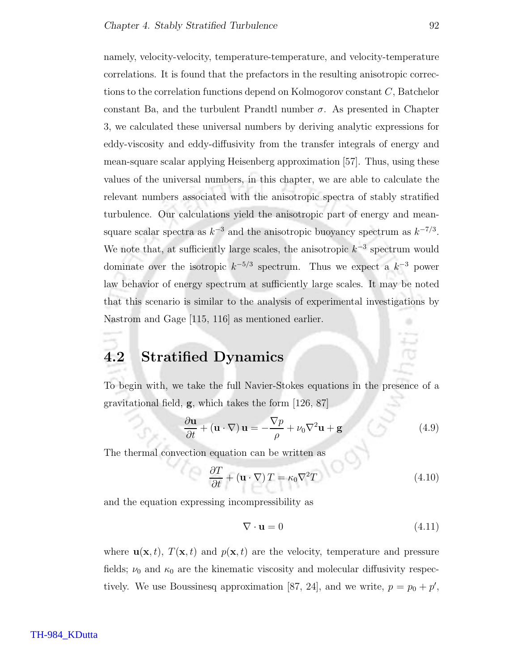namely, velocity-velocity, temperature-temperature, and velocity-temperature correlations. It is found that the prefactors in the resulting anisotropic corrections to the correlation functions depend on Kolmogorov constant C, Batchelor constant Ba, and the turbulent Prandtl number  $\sigma$ . As presented in Chapter 3, we calculated these universal numbers by deriving analytic expressions for eddy-viscosity and eddy-diffusivity from the transfer integrals of energy and mean-square scalar applying Heisenberg approximation [57]. Thus, using these values of the universal numbers, in this chapter, we are able to calculate the relevant numbers associated with the anisotropic spectra of stably stratified turbulence. Our calculations yield the anisotropic part of energy and meansquare scalar spectra as  $k^{-3}$  and the anisotropic buoyancy spectrum as  $k^{-7/3}$ . We note that, at sufficiently large scales, the anisotropic  $k^{-3}$  spectrum would dominate over the isotropic  $k^{-5/3}$  spectrum. Thus we expect a  $k^{-3}$  power law behavior of energy spectrum at sufficiently large scales. It may be noted that this scenario is similar to the analysis of experimental investigations by Nastrom and Gage [115, 116] as mentioned earlier.

## 4.2 Stratified Dynamics

To begin with, we take the full Navier-Stokes equations in the presence of a gravitational field, g, which takes the form [126, 87]

$$
\frac{\partial \mathbf{u}}{\partial t} + (\mathbf{u} \cdot \nabla) \mathbf{u} = -\frac{\nabla p}{\rho} + \nu_0 \nabla^2 \mathbf{u} + \mathbf{g}
$$
(4.9)

The thermal convection equation can be written as

$$
\frac{\partial T}{\partial t} + (\mathbf{u} \cdot \nabla) T = \kappa_0 \nabla^2 T \tag{4.10}
$$

and the equation expressing incompressibility as

$$
\nabla \cdot \mathbf{u} = 0 \tag{4.11}
$$

where  $\mathbf{u}(\mathbf{x}, t)$ ,  $T(\mathbf{x}, t)$  and  $p(\mathbf{x}, t)$  are the velocity, temperature and pressure fields;  $\nu_0$  and  $\kappa_0$  are the kinematic viscosity and molecular diffusivity respectively. We use Boussinesq approximation [87, 24], and we write,  $p = p_0 + p'$ ,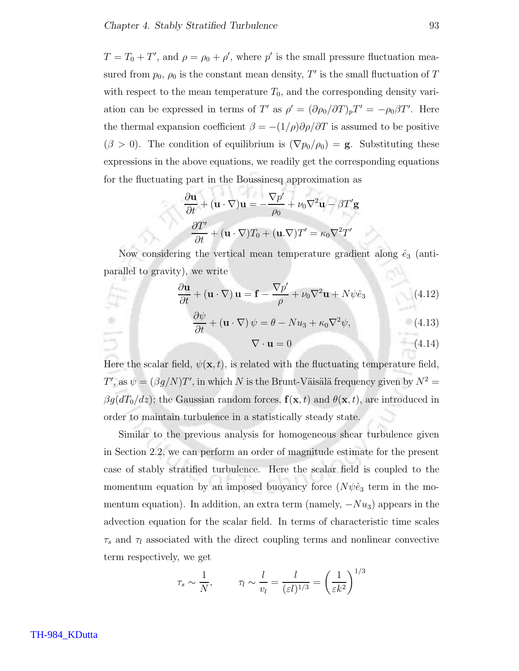$T = T_0 + T'$ , and  $\rho = \rho_0 + \rho'$ , where  $p'$  is the small pressure fluctuation measured from  $p_0$ ,  $\rho_0$  is the constant mean density, T' is the small fluctuation of T with respect to the mean temperature  $T_0$ , and the corresponding density variation can be expressed in terms of T' as  $\rho' = (\partial \rho_0 / \partial T)_p T' = -\rho_0 \beta T'$ . Here the thermal expansion coefficient  $\beta = -(1/\rho)\partial \rho/\partial T$  is assumed to be positive  $(\beta > 0)$ . The condition of equilibrium is  $(\nabla p_0/\rho_0) = \mathbf{g}$ . Substituting these expressions in the above equations, we readily get the corresponding equations for the fluctuating part in the Boussinesq approximation as

$$
\frac{\partial \mathbf{u}}{\partial t} + (\mathbf{u} \cdot \nabla) \mathbf{u} = -\frac{\nabla p'}{\rho_0} + \nu_0 \nabla^2 \mathbf{u} - \beta T' \mathbf{g}
$$

$$
\frac{\partial T'}{\partial t} + (\mathbf{u} \cdot \nabla) T_0 + (\mathbf{u} \cdot \nabla) T' = \kappa_0 \nabla^2 T'
$$

Now considering the vertical mean temperature gradient along  $\hat{e}_3$  (antiparallel to gravity), we write

$$
\frac{\partial \mathbf{u}}{\partial t} + (\mathbf{u} \cdot \nabla) \mathbf{u} = \mathbf{f} - \frac{\nabla p'}{\rho} + \nu_0 \nabla^2 \mathbf{u} + N \psi \hat{e}_3 \tag{4.12}
$$

$$
\frac{\partial \psi}{\partial t} + (\mathbf{u} \cdot \nabla) \psi = \theta - N u_3 + \kappa_0 \nabla^2 \psi,
$$
\n(4.13)

$$
\nabla \cdot \mathbf{u} = 0 \tag{4.14}
$$

Here the scalar field,  $\psi(\mathbf{x}, t)$ , is related with the fluctuating temperature field, T', as  $\psi = (\beta g/N)T'$ , in which N is the Brunt-Väisälä frequency given by  $N^2 =$  $\beta g(dT_0/dz)$ ; the Gaussian random forces,  $\mathbf{f}(\mathbf{x},t)$  and  $\theta(\mathbf{x},t)$ , are introduced in order to maintain turbulence in a statistically steady state.

Similar to the previous analysis for homogeneous shear turbulence given in Section 2.2, we can perform an order of magnitude estimate for the present case of stably stratified turbulence. Here the scalar field is coupled to the momentum equation by an imposed buoyancy force  $(N\psi\hat{e}_3)$  term in the momentum equation). In addition, an extra term (namely,  $-Nu_3$ ) appears in the advection equation for the scalar field. In terms of characteristic time scales  $\tau_s$  and  $\tau_l$  associated with the direct coupling terms and nonlinear convective term respectively, we get

$$
\tau_s \sim \frac{1}{N}
$$
,  $\tau_l \sim \frac{l}{v_l} = \frac{l}{(\varepsilon l)^{1/3}} = \left(\frac{1}{\varepsilon k^2}\right)^{1/3}$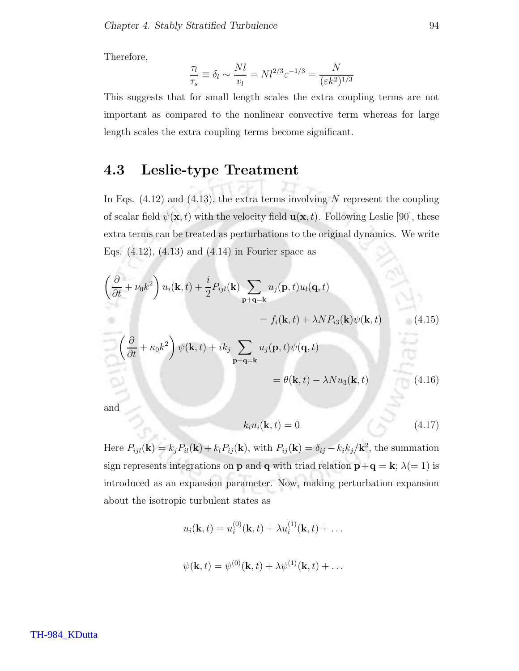Therefore,

$$
\frac{\tau_l}{\tau_s} \equiv \delta_l \sim \frac{N l}{v_l} = N l^{2/3} \varepsilon^{-1/3} = \frac{N}{(\varepsilon k^2)^{1/3}}
$$

This suggests that for small length scales the extra coupling terms are not important as compared to the nonlinear convective term whereas for large length scales the extra coupling terms become significant.

#### 4.3 Leslie-type Treatment

In Eqs.  $(4.12)$  and  $(4.13)$ , the extra terms involving N represent the coupling of scalar field  $\psi(\mathbf{x}, t)$  with the velocity field  $\mathbf{u}(\mathbf{x}, t)$ . Following Leslie [90], these extra terms can be treated as perturbations to the original dynamics. We write Eqs.  $(4.12)$ ,  $(4.13)$  and  $(4.14)$  in Fourier space as

$$
\left(\frac{\partial}{\partial t} + \nu_0 k^2\right) u_i(\mathbf{k}, t) + \frac{i}{2} P_{ijl}(\mathbf{k}) \sum_{\mathbf{p}+\mathbf{q}=\mathbf{k}} u_j(\mathbf{p}, t) u_l(\mathbf{q}, t)
$$
  
\n
$$
= f_i(\mathbf{k}, t) + \lambda N P_{i3}(\mathbf{k}) \psi(\mathbf{k}, t)
$$
(4.15)  
\n
$$
\left(\frac{\partial}{\partial t} + \kappa_0 k^2\right) \psi(\mathbf{k}, t) + i k_j \sum_{\mathbf{p}+\mathbf{q}=\mathbf{k}} u_j(\mathbf{p}, t) \psi(\mathbf{q}, t)
$$
  
\n
$$
= \theta(\mathbf{k}, t) - \lambda N u_3(\mathbf{k}, t)
$$
(4.16)

and

$$
k_i u_i(\mathbf{k}, t) = 0 \tag{4.17}
$$

Here  $P_{ijl}(\mathbf{k}) = k_j P_{il}(\mathbf{k}) + k_l P_{ij}(\mathbf{k})$ , with  $P_{ij}(\mathbf{k}) = \delta_{ij} - k_i k_j / \mathbf{k}^2$ , the summation sign represents integrations on **p** and **q** with triad relation  $\mathbf{p} + \mathbf{q} = \mathbf{k}$ ;  $\lambda (= 1)$  is introduced as an expansion parameter. Now, making perturbation expansion about the isotropic turbulent states as

$$
u_i(\mathbf{k},t) = u_i^{(0)}(\mathbf{k},t) + \lambda u_i^{(1)}(\mathbf{k},t) + \dots
$$

$$
\psi(\mathbf{k},t) = \psi^{(0)}(\mathbf{k},t) + \lambda \psi^{(1)}(\mathbf{k},t) + \dots
$$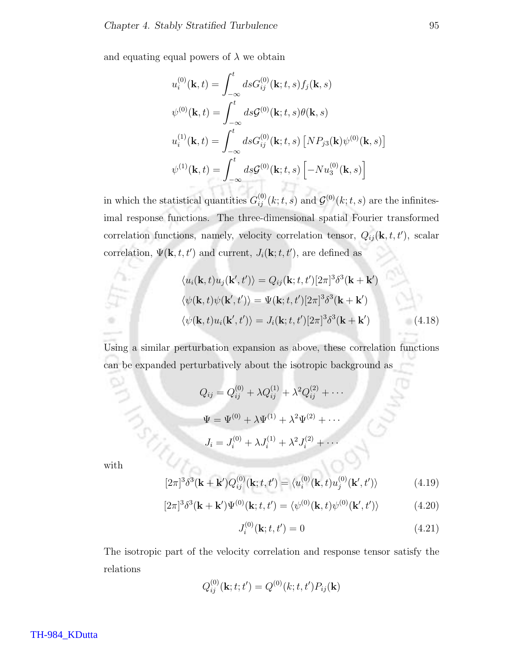and equating equal powers of  $\lambda$  we obtain

$$
u_i^{(0)}(\mathbf{k},t) = \int_{-\infty}^t ds G_{ij}^{(0)}(\mathbf{k};t,s) f_j(\mathbf{k},s)
$$
  

$$
\psi^{(0)}(\mathbf{k},t) = \int_{-\infty}^t ds \mathcal{G}^{(0)}(\mathbf{k};t,s) \theta(\mathbf{k},s)
$$
  

$$
u_i^{(1)}(\mathbf{k},t) = \int_{-\infty}^t ds G_{ij}^{(0)}(\mathbf{k};t,s) [NP_{j3}(\mathbf{k})\psi^{(0)}(\mathbf{k},s)]
$$
  

$$
\psi^{(1)}(\mathbf{k},t) = \int_{-\infty}^t ds \mathcal{G}^{(0)}(\mathbf{k};t,s) [-Nu_3^{(0)}(\mathbf{k},s)]
$$

in which the statistical quantities  $G_{ij}^{(0)}(k;t,s)$  and  $\mathcal{G}^{(0)}(k;t,s)$  are the infinitesimal response functions. The three-dimensional spatial Fourier transformed correlation functions, namely, velocity correlation tensor,  $Q_{ij}(\mathbf{k}, t, t')$ , scalar correlation,  $\Psi(\mathbf{k}, t, t')$  and current,  $J_i(\mathbf{k}; t, t')$ , are defined as

$$
\langle u_i(\mathbf{k},t)u_j(\mathbf{k}',t')\rangle = Q_{ij}(\mathbf{k};t,t')[2\pi]^3\delta^3(\mathbf{k}+\mathbf{k}')
$$

$$
\langle \psi(\mathbf{k},t)\psi(\mathbf{k}',t')\rangle = \Psi(\mathbf{k};t,t')[2\pi]^3\delta^3(\mathbf{k}+\mathbf{k}')
$$

$$
\langle \psi(\mathbf{k},t)u_i(\mathbf{k}',t')\rangle = J_i(\mathbf{k};t,t')[2\pi]^3\delta^3(\mathbf{k}+\mathbf{k}')
$$
(4.18)

Using a similar perturbation expansion as above, these correlation functions can be expanded perturbatively about the isotropic background as

$$
Q_{ij} = Q_{ij}^{(0)} + \lambda Q_{ij}^{(1)} + \lambda^2 Q_{ij}^{(2)} + \cdots
$$

$$
\Psi = \Psi^{(0)} + \lambda \Psi^{(1)} + \lambda^2 \Psi^{(2)} + \cdots
$$

$$
J_i = J_i^{(0)} + \lambda J_i^{(1)} + \lambda^2 J_i^{(2)} + \cdots
$$

with

$$
[2\pi]^3 \delta^3(\mathbf{k} + \mathbf{k}') Q_{ij}^{(0)}(\mathbf{k}; t, t') = \langle u_i^{(0)}(\mathbf{k}, t) u_j^{(0)}(\mathbf{k}', t') \rangle \tag{4.19}
$$

$$
[2\pi]^3 \delta^3(\mathbf{k} + \mathbf{k}') \Psi^{(0)}(\mathbf{k}; t, t') = \langle \psi^{(0)}(\mathbf{k}, t) \psi^{(0)}(\mathbf{k}', t') \rangle \tag{4.20}
$$

$$
J_i^{(0)}(\mathbf{k}; t, t') = 0 \tag{4.21}
$$

The isotropic part of the velocity correlation and response tensor satisfy the relations

$$
Q_{ij}^{(0)}(\mathbf{k};t;t') = Q^{(0)}(k;t,t')P_{ij}(\mathbf{k})
$$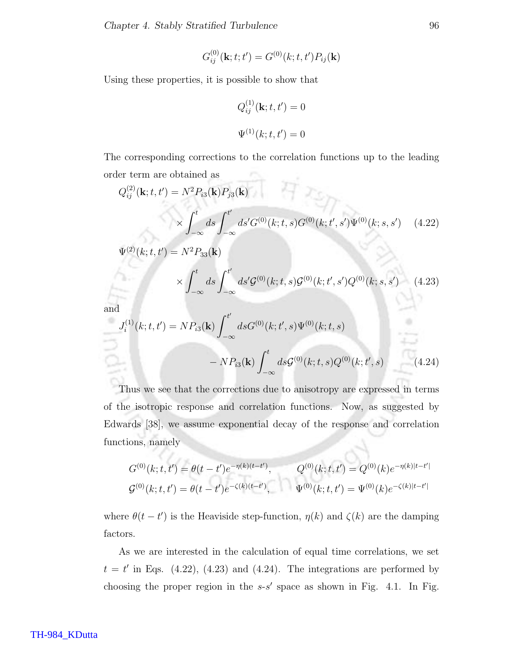$$
G_{ij}^{(0)}(\mathbf{k};t;t') = G^{(0)}(k;t,t')P_{ij}(\mathbf{k})
$$

Using these properties, it is possible to show that

$$
Q_{ij}^{(1)}(\mathbf{k}; t, t') = 0
$$
  

$$
\Psi^{(1)}(k; t, t') = 0
$$

The corresponding corrections to the correlation functions up to the leading order term are obtained as  $\sim$ 

$$
Q_{ij}^{(2)}(\mathbf{k}; t, t') = N^2 P_{i3}(\mathbf{k}) P_{j3}(\mathbf{k})
$$
  
 
$$
\times \int_{-\infty}^t ds \int_{-\infty}^{t'} ds' G^{(0)}(k; t, s) G^{(0)}(k; t', s') \Psi^{(0)}(k; s, s') \quad (4.22)
$$

$$
\Psi^{(2)}(k;t,t') = N^2 P_{33}({\bf k})
$$

$$
\times \int_{-\infty}^{t} ds \int_{-\infty}^{t'} ds' \mathcal{G}^{(0)}(k; t, s) \mathcal{G}^{(0)}(k; t', s') Q^{(0)}(k; s, s') \tag{4.23}
$$

and

$$
J_i^{(1)}(k;t,t') = NP_{i3}(\mathbf{k}) \int_{-\infty}^{t'} ds G^{(0)}(k;t',s) \Psi^{(0)}(k;t,s)
$$

$$
- NP_{i3}(\mathbf{k}) \int_{-\infty}^{t} ds G^{(0)}(k;t,s) Q^{(0)}(k;t',s) \qquad (4.24)
$$

Thus we see that the corrections due to anisotropy are expressed in terms of the isotropic response and correlation functions. Now, as suggested by Edwards [38], we assume exponential decay of the response and correlation functions, namely

$$
G^{(0)}(k;t,t') = \theta(t-t')e^{-\eta(k)(t-t')}, \qquad Q^{(0)}(k;t,t') = Q^{(0)}(k)e^{-\eta(k)|t-t'|}
$$
  

$$
G^{(0)}(k;t,t') = \theta(t-t')e^{-\zeta(k)(t-t')}, \qquad \Psi^{(0)}(k;t,t') = \Psi^{(0)}(k)e^{-\zeta(k)|t-t'|}
$$

where  $\theta(t-t')$  is the Heaviside step-function,  $\eta(k)$  and  $\zeta(k)$  are the damping factors.

As we are interested in the calculation of equal time correlations, we set  $t = t'$  in Eqs. (4.22), (4.23) and (4.24). The integrations are performed by choosing the proper region in the  $s-s'$  space as shown in Fig. 4.1. In Fig.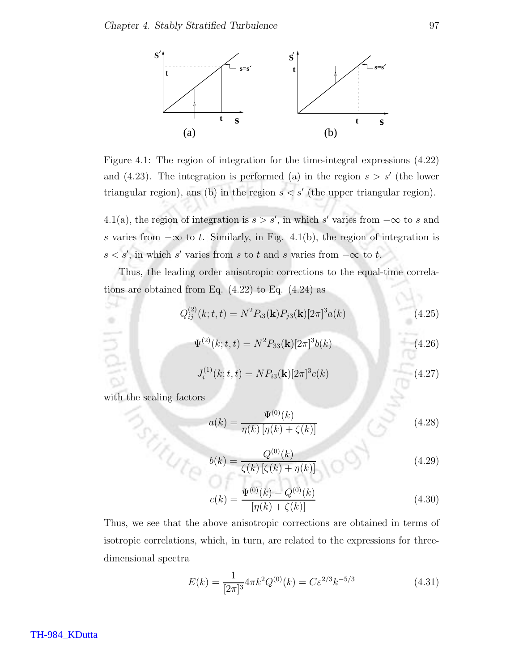

Figure 4.1: The region of integration for the time-integral expressions (4.22) and  $(4.23)$ . The integration is performed (a) in the region  $s > s'$  (the lower triangular region), ans (b) in the region  $s < s'$  (the upper triangular region).

4.1(a), the region of integration is  $s > s'$ , in which s' varies from  $-\infty$  to s and s varies from  $-\infty$  to t. Similarly, in Fig. 4.1(b), the region of integration is  $s < s'$ , in which s' varies from s to t and s varies from  $-\infty$  to t.

Thus, the leading order anisotropic corrections to the equal-time correlations are obtained from Eq.  $(4.22)$  to Eq.  $(4.24)$  as

$$
Q_{ij}^{(2)}(k;t,t) = N^2 P_{i3}(\mathbf{k}) P_{j3}(\mathbf{k}) [2\pi]^3 a(k)
$$
\n(4.25)

$$
\Psi^{(2)}(k;t,t) = N^2 P_{33}(\mathbf{k}) [2\pi]^3 b(k)
$$
\n(4.26)

$$
J_i^{(1)}(k;t,t) = NP_{i3}(\mathbf{k})[2\pi]^3 c(k)
$$
\n(4.27)

with the scaling factors<br>  $\label{eq:2.1} \begin{picture}(180,17) \put(0,0){\vector(1,0){10}} \put(15,0){\vector(1,0){10}} \put(15,0){\vector(1,0){10}} \put(15,0){\vector(1,0){10}} \put(15,0){\vector(1,0){10}} \put(15,0){\vector(1,0){10}} \put(15,0){\vector(1,0){10}} \put(15,0){\vector(1,0){10}} \put(15,0){\vector(1,0){10}} \put(15,0){\vector(1$ 

84  $\Rightarrow$ 

lndia

Ψ

$$
a(k) = \frac{\Psi^{(0)}(k)}{\eta(k)\left[\eta(k) + \zeta(k)\right]}
$$
(4.28)

$$
b(k) = \frac{Q^{(0)}(k)}{\zeta(k) [\zeta(k) + \eta(k)]} \tag{4.29}
$$

$$
c(k) = \frac{\Psi^{(0)}(k) - Q^{(0)}(k)}{[\eta(k) + \zeta(k)]}
$$
\n(4.30)

Thus, we see that the above anisotropic corrections are obtained in terms of isotropic correlations, which, in turn, are related to the expressions for threedimensional spectra

$$
E(k) = \frac{1}{[2\pi]^3} 4\pi k^2 Q^{(0)}(k) = C\varepsilon^{2/3} k^{-5/3}
$$
 (4.31)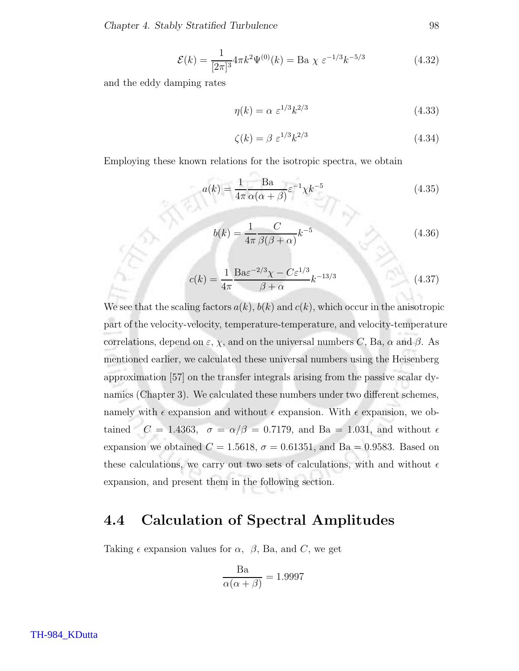$$
\mathcal{E}(k) = \frac{1}{[2\pi]^3} 4\pi k^2 \Psi^{(0)}(k) = \text{Ba } \chi \ \varepsilon^{-1/3} k^{-5/3}
$$
 (4.32)

and the eddy damping rates

$$
\eta(k) = \alpha \ \varepsilon^{1/3} k^{2/3} \tag{4.33}
$$

$$
\zeta(k) = \beta \ \varepsilon^{1/3} k^{2/3} \tag{4.34}
$$

Employing these known relations for the isotropic spectra, we obtain

$$
a(k) = \frac{1}{4\pi} \frac{\text{Ba}}{\alpha(\alpha + \beta)} \varepsilon^{-1} \chi k^{-5}
$$
 (4.35)

$$
b(k) = \frac{1}{4\pi} \frac{C}{\beta(\beta + \alpha)} k^{-5}
$$
\n
$$
(4.36)
$$

$$
c(k) = \frac{1}{4\pi} \frac{\text{Ba}\varepsilon^{-2/3} \chi - C\varepsilon^{1/3}}{\beta + \alpha} k^{-13/3}
$$
 (4.37)

We see that the scaling factors  $a(k)$ ,  $b(k)$  and  $c(k)$ , which occur in the anisotropic part of the velocity-velocity, temperature-temperature, and velocity-temperature correlations, depend on  $\varepsilon$ ,  $\chi$ , and on the universal numbers C, Ba,  $\alpha$  and  $\beta$ . As mentioned earlier, we calculated these universal numbers using the Heisenberg approximation [57] on the transfer integrals arising from the passive scalar dynamics (Chapter 3). We calculated these numbers under two different schemes, namely with  $\epsilon$  expansion and without  $\epsilon$  expansion. With  $\epsilon$  expansion, we obtained  $C = 1.4363$ ,  $\sigma = \alpha/\beta = 0.7179$ , and Ba = 1.031, and without  $\epsilon$ expansion we obtained  $C = 1.5618$ ,  $\sigma = 0.61351$ , and Ba = 0.9583. Based on these calculations, we carry out two sets of calculations, with and without  $\epsilon$ expansion, and present them in the following section.

### 4.4 Calculation of Spectral Amplitudes

Taking  $\epsilon$  expansion values for  $\alpha$ ,  $\beta$ , Ba, and C, we get

$$
\frac{\text{Ba}}{\alpha(\alpha+\beta)} = 1.9997
$$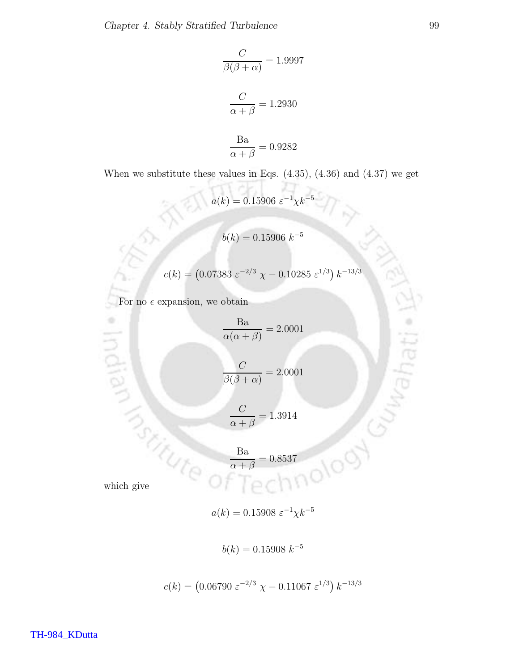$$
\frac{C}{\beta(\beta + \alpha)} = 1.9997
$$

$$
\frac{C}{\alpha + \beta} = 1.2930
$$

$$
\frac{Ba}{\alpha + \beta} = 0.9282
$$

When we substitute these values in Eqs.  $(4.35)$ ,  $(4.36)$  and  $(4.37)$  we get

 $a(k) = 0.15906 \; \varepsilon^{-1} \chi k^{-5}$  $b(k)=0.15906\;k^{-5}$  $c(k) = (0.07383 \; \varepsilon^{-2/3} \; \chi - 0.10285 \; \varepsilon^{1/3}) \, k^{-13/3}$ For no  $\epsilon$  expansion, we obtain

$$
\frac{\text{Ba}}{\alpha(\alpha+\beta)} = 2.0001
$$

$$
\frac{C}{\beta(\beta+\alpha)} = 2.0001
$$

$$
\frac{C}{\alpha + \beta} = 1.3914
$$

$$
\frac{\text{Ba}}{\alpha + \beta} = 0.8537
$$

**MANARY CONTROLLED** 

×

**Indian** 

$$
a(k) = 0.15908 \; \varepsilon^{-1} \chi k^{-5}
$$

$$
b(k) = 0.15908 \ k^{-5}
$$

$$
c(k) = (0.06790 \ \varepsilon^{-2/3} \ \chi - 0.11067 \ \varepsilon^{1/3}) \ k^{-13/3}
$$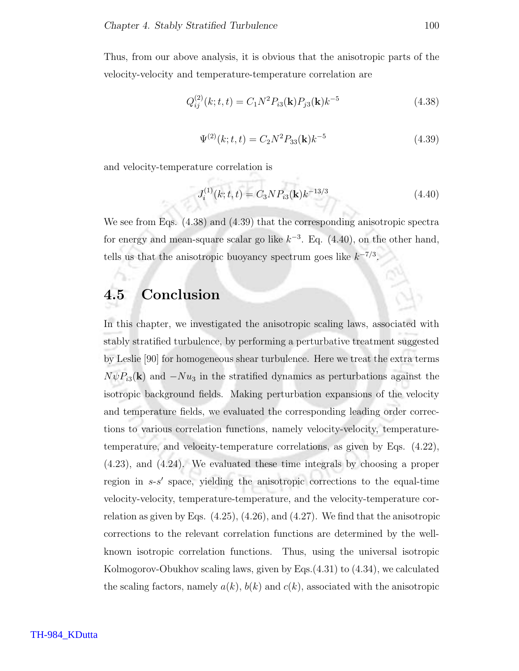Thus, from our above analysis, it is obvious that the anisotropic parts of the velocity-velocity and temperature-temperature correlation are

$$
Q_{ij}^{(2)}(k;t,t) = C_1 N^2 P_{i3}(\mathbf{k}) P_{j3}(\mathbf{k}) k^{-5}
$$
\n(4.38)

$$
\Psi^{(2)}(k;t,t) = C_2 N^2 P_{33}(\mathbf{k}) k^{-5}
$$
\n(4.39)

and velocity-temperature correlation is

$$
J_i^{(1)}(k;t,t) = C_3 N P_{i3}(\mathbf{k}) k^{-13/3}
$$
\n(4.40)

We see from Eqs. (4.38) and (4.39) that the corresponding anisotropic spectra for energy and mean-square scalar go like  $k^{-3}$ . Eq. (4.40), on the other hand, tells us that the anisotropic buoyancy spectrum goes like  $k^{-7/3}$ .

### 4.5 Conclusion

In this chapter, we investigated the anisotropic scaling laws, associated with stably stratified turbulence, by performing a perturbative treatment suggested by Leslie [90] for homogeneous shear turbulence. Here we treat the extra terms  $N\psi P_{i3}(\mathbf{k})$  and  $-Nu_3$  in the stratified dynamics as perturbations against the isotropic background fields. Making perturbation expansions of the velocity and temperature fields, we evaluated the corresponding leading order corrections to various correlation functions, namely velocity-velocity, temperaturetemperature, and velocity-temperature correlations, as given by Eqs. (4.22), (4.23), and (4.24). We evaluated these time integrals by choosing a proper region in  $s-s'$  space, yielding the anisotropic corrections to the equal-time velocity-velocity, temperature-temperature, and the velocity-temperature correlation as given by Eqs. (4.25), (4.26), and (4.27). We find that the anisotropic corrections to the relevant correlation functions are determined by the wellknown isotropic correlation functions. Thus, using the universal isotropic Kolmogorov-Obukhov scaling laws, given by Eqs.(4.31) to (4.34), we calculated the scaling factors, namely  $a(k)$ ,  $b(k)$  and  $c(k)$ , associated with the anisotropic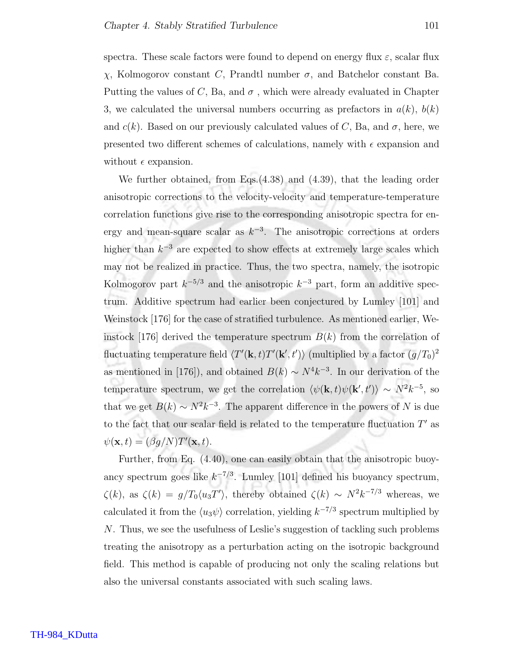spectra. These scale factors were found to depend on energy flux  $\varepsilon$ , scalar flux χ, Kolmogorov constant C, Prandtl number σ, and Batchelor constant Ba. Putting the values of C, Ba, and  $\sigma$ , which were already evaluated in Chapter 3, we calculated the universal numbers occurring as prefactors in  $a(k)$ ,  $b(k)$ and  $c(k)$ . Based on our previously calculated values of C, Ba, and  $\sigma$ , here, we presented two different schemes of calculations, namely with  $\epsilon$  expansion and without  $\epsilon$  expansion.

We further obtained, from Eqs.(4.38) and (4.39), that the leading order anisotropic corrections to the velocity-velocity and temperature-temperature correlation functions give rise to the corresponding anisotropic spectra for energy and mean-square scalar as  $k^{-3}$ . The anisotropic corrections at orders higher than  $k^{-3}$  are expected to show effects at extremely large scales which may not be realized in practice. Thus, the two spectra, namely, the isotropic Kolmogorov part  $k^{-5/3}$  and the anisotropic  $k^{-3}$  part, form an additive spectrum. Additive spectrum had earlier been conjectured by Lumley [101] and Weinstock [176] for the case of stratified turbulence. As mentioned earlier, Weinstock [176] derived the temperature spectrum  $B(k)$  from the correlation of fluctuating temperature field  $\langle T'(\mathbf{k}, t)T'(\mathbf{k}', t')\rangle$  (multiplied by a factor  $(g/T_0)^2$ as mentioned in [176]), and obtained  $B(k) \sim N^4 k^{-3}$ . In our derivation of the temperature spectrum, we get the correlation  $\langle \psi(\mathbf{k}, t) \psi(\mathbf{k}', t') \rangle \sim N^2 k^{-5}$ , so that we get  $B(k) \sim N^2 k^{-3}$ . The apparent difference in the powers of N is due to the fact that our scalar field is related to the temperature fluctuation  $T'$  as  $\psi(\mathbf{x},t) = (\beta g/N)T'(\mathbf{x},t).$ 

Further, from Eq. (4.40), one can easily obtain that the anisotropic buoyancy spectrum goes like  $k^{-7/3}$ . Lumley [101] defined his buoyancy spectrum,  $\zeta(k)$ , as  $\zeta(k) = g/T_0 \langle u_3 T' \rangle$ , thereby obtained  $\zeta(k) \sim N^2 k^{-7/3}$  whereas, we calculated it from the  $\langle u_3 \psi \rangle$  correlation, yielding  $k^{-7/3}$  spectrum multiplied by N. Thus, we see the usefulness of Leslie's suggestion of tackling such problems treating the anisotropy as a perturbation acting on the isotropic background field. This method is capable of producing not only the scaling relations but also the universal constants associated with such scaling laws.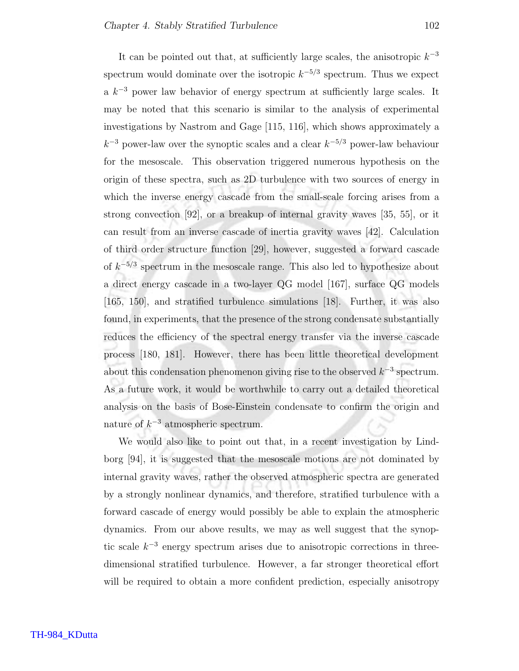It can be pointed out that, at sufficiently large scales, the anisotropic  $k^{-3}$ spectrum would dominate over the isotropic  $k^{-5/3}$  spectrum. Thus we expect a  $k^{-3}$  power law behavior of energy spectrum at sufficiently large scales. It may be noted that this scenario is similar to the analysis of experimental investigations by Nastrom and Gage [115, 116], which shows approximately a  $k^{-3}$  power-law over the synoptic scales and a clear  $k^{-5/3}$  power-law behaviour for the mesoscale. This observation triggered numerous hypothesis on the origin of these spectra, such as 2D turbulence with two sources of energy in which the inverse energy cascade from the small-scale forcing arises from a strong convection [92], or a breakup of internal gravity waves [35, 55], or it can result from an inverse cascade of inertia gravity waves [42]. Calculation of third order structure function [29], however, suggested a forward cascade of  $k^{-5/3}$  spectrum in the mesoscale range. This also led to hypothesize about a direct energy cascade in a two-layer QG model [167], surface QG models [165, 150], and stratified turbulence simulations [18]. Further, it was also found, in experiments, that the presence of the strong condensate substantially reduces the efficiency of the spectral energy transfer via the inverse cascade process [180, 181]. However, there has been little theoretical development about this condensation phenomenon giving rise to the observed  $k^{-3}$  spectrum. As a future work, it would be worthwhile to carry out a detailed theoretical analysis on the basis of Bose-Einstein condensate to confirm the origin and nature of  $k^{-3}$  atmospheric spectrum.

We would also like to point out that, in a recent investigation by Lindborg [94], it is suggested that the mesoscale motions are not dominated by internal gravity waves, rather the observed atmospheric spectra are generated by a strongly nonlinear dynamics, and therefore, stratified turbulence with a forward cascade of energy would possibly be able to explain the atmospheric dynamics. From our above results, we may as well suggest that the synoptic scale  $k^{-3}$  energy spectrum arises due to anisotropic corrections in threedimensional stratified turbulence. However, a far stronger theoretical effort will be required to obtain a more confident prediction, especially anisotropy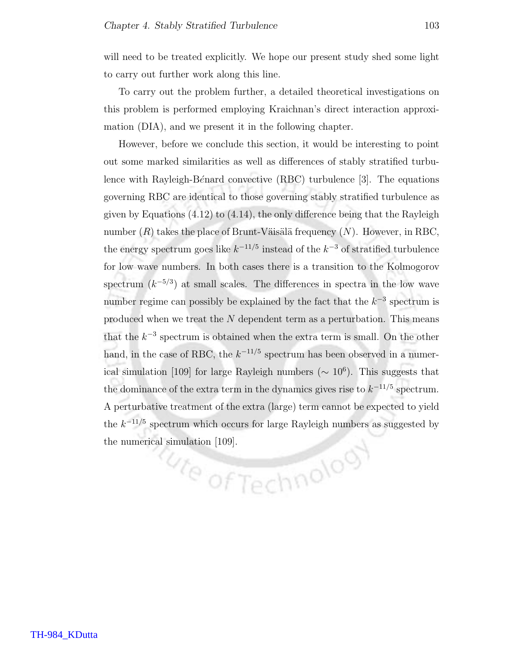will need to be treated explicitly. We hope our present study shed some light to carry out further work along this line.

To carry out the problem further, a detailed theoretical investigations on this problem is performed employing Kraichnan's direct interaction approximation (DIA), and we present it in the following chapter.

However, before we conclude this section, it would be interesting to point out some marked similarities as well as differences of stably stratified turbulence with Rayleigh-Bénard convective  $(RBC)$  turbulence [3]. The equations governing RBC are identical to those governing stably stratified turbulence as given by Equations  $(4.12)$  to  $(4.14)$ , the only difference being that the Rayleigh number  $(R)$  takes the place of Brunt-Väisälä frequency  $(N)$ . However, in RBC, the energy spectrum goes like  $k^{-11/5}$  instead of the  $k^{-3}$  of stratified turbulence for low wave numbers. In both cases there is a transition to the Kolmogorov spectrum  $(k^{-5/3})$  at small scales. The differences in spectra in the low wave number regime can possibly be explained by the fact that the  $k^{-3}$  spectrum is produced when we treat the  $N$  dependent term as a perturbation. This means that the  $k^{-3}$  spectrum is obtained when the extra term is small. On the other hand, in the case of RBC, the  $k^{-11/5}$  spectrum has been observed in a numerical simulation [109] for large Rayleigh numbers ( $\sim 10^6$ ). This suggests that the dominance of the extra term in the dynamics gives rise to  $k^{-11/5}$  spectrum. A perturbative treatment of the extra (large) term cannot be expected to yield the  $k^{-11/5}$  spectrum which occurs for large Rayleigh numbers as suggested by the numerical simulation [109].<br> $\frac{1}{\sqrt{2}}$  of Technology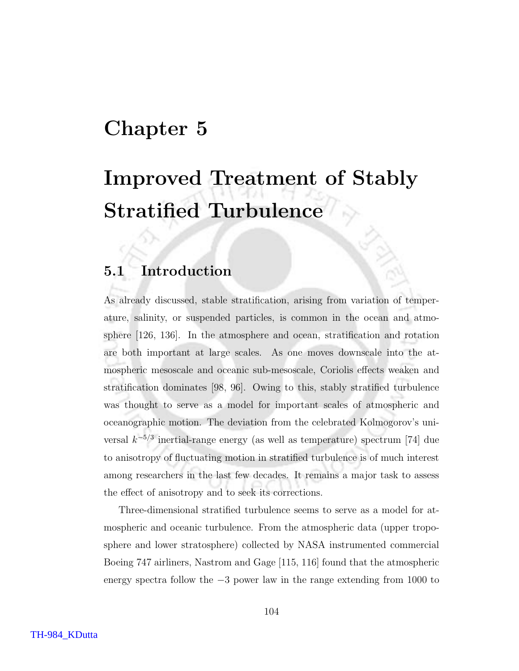### Chapter 5

## Improved Treatment of Stably Stratified Turbulence

### 5.1 Introduction

As already discussed, stable stratification, arising from variation of temperature, salinity, or suspended particles, is common in the ocean and atmosphere [126, 136]. In the atmosphere and ocean, stratification and rotation are both important at large scales. As one moves downscale into the atmospheric mesoscale and oceanic sub-mesoscale, Coriolis effects weaken and stratification dominates [98, 96]. Owing to this, stably stratified turbulence was thought to serve as a model for important scales of atmospheric and oceanographic motion. The deviation from the celebrated Kolmogorov's universal  $k^{-5/3}$  inertial-range energy (as well as temperature) spectrum [74] due to anisotropy of fluctuating motion in stratified turbulence is of much interest among researchers in the last few decades. It remains a major task to assess the effect of anisotropy and to seek its corrections.

Three-dimensional stratified turbulence seems to serve as a model for atmospheric and oceanic turbulence. From the atmospheric data (upper troposphere and lower stratosphere) collected by NASA instrumented commercial Boeing 747 airliners, Nastrom and Gage [115, 116] found that the atmospheric energy spectra follow the −3 power law in the range extending from 1000 to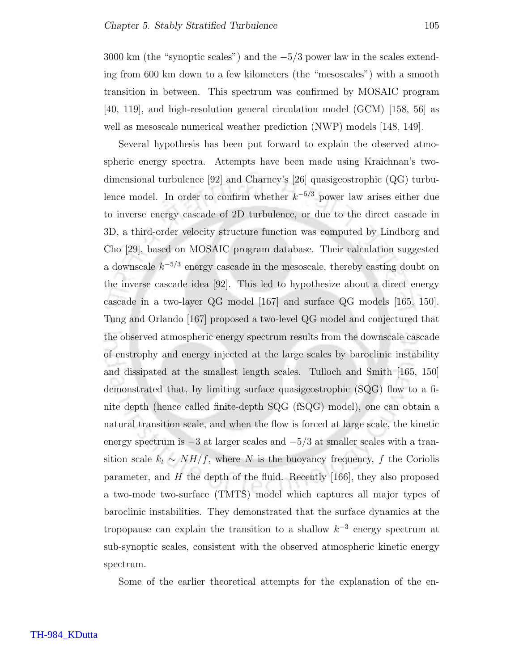3000 km (the "synoptic scales") and the  $-5/3$  power law in the scales extending from 600 km down to a few kilometers (the "mesoscales") with a smooth transition in between. This spectrum was confirmed by MOSAIC program [40, 119], and high-resolution general circulation model (GCM) [158, 56] as well as mesoscale numerical weather prediction (NWP) models [148, 149].

Several hypothesis has been put forward to explain the observed atmospheric energy spectra. Attempts have been made using Kraichnan's twodimensional turbulence [92] and Charney's [26] quasigeostrophic (QG) turbulence model. In order to confirm whether  $k^{-5/3}$  power law arises either due to inverse energy cascade of 2D turbulence, or due to the direct cascade in 3D, a third-order velocity structure function was computed by Lindborg and Cho [29], based on MOSAIC program database. Their calculation suggested a downscale  $k^{-5/3}$  energy cascade in the mesoscale, thereby casting doubt on the inverse cascade idea [92]. This led to hypothesize about a direct energy cascade in a two-layer QG model [167] and surface QG models [165, 150]. Tung and Orlando [167] proposed a two-level QG model and conjectured that the observed atmospheric energy spectrum results from the downscale cascade of enstrophy and energy injected at the large scales by baroclinic instability and dissipated at the smallest length scales. Tulloch and Smith [165, 150] demonstrated that, by limiting surface quasigeostrophic (SQG) flow to a finite depth (hence called finite-depth SQG (fSQG) model), one can obtain a natural transition scale, and when the flow is forced at large scale, the kinetic energy spectrum is  $-3$  at larger scales and  $-5/3$  at smaller scales with a transition scale  $k_t \sim NH/f$ , where N is the buoyancy frequency, f the Coriolis parameter, and  $H$  the depth of the fluid. Recently [166], they also proposed a two-mode two-surface (TMTS) model which captures all major types of baroclinic instabilities. They demonstrated that the surface dynamics at the tropopause can explain the transition to a shallow  $k^{-3}$  energy spectrum at sub-synoptic scales, consistent with the observed atmospheric kinetic energy spectrum.

Some of the earlier theoretical attempts for the explanation of the en-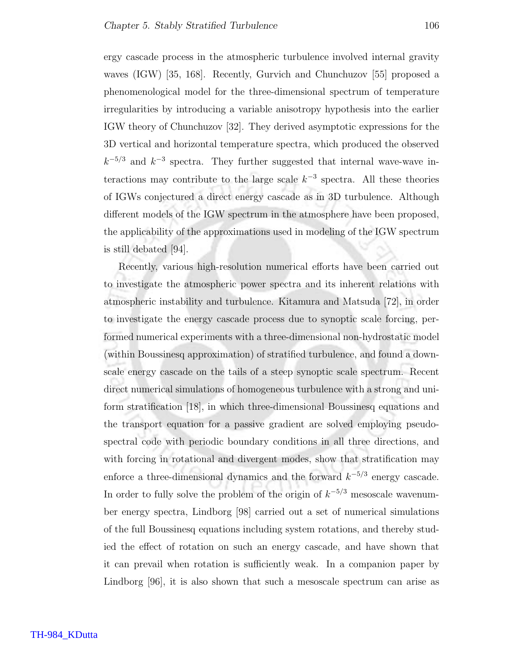ergy cascade process in the atmospheric turbulence involved internal gravity waves (IGW) [35, 168]. Recently, Gurvich and Chunchuzov [55] proposed a phenomenological model for the three-dimensional spectrum of temperature irregularities by introducing a variable anisotropy hypothesis into the earlier IGW theory of Chunchuzov [32]. They derived asymptotic expressions for the 3D vertical and horizontal temperature spectra, which produced the observed  $k^{-5/3}$  and  $k^{-3}$  spectra. They further suggested that internal wave-wave interactions may contribute to the large scale  $k^{-3}$  spectra. All these theories of IGWs conjectured a direct energy cascade as in 3D turbulence. Although different models of the IGW spectrum in the atmosphere have been proposed, the applicability of the approximations used in modeling of the IGW spectrum is still debated [94].

Recently, various high-resolution numerical efforts have been carried out to investigate the atmospheric power spectra and its inherent relations with atmospheric instability and turbulence. Kitamura and Matsuda [72], in order to investigate the energy cascade process due to synoptic scale forcing, performed numerical experiments with a three-dimensional non-hydrostatic model (within Boussinesq approximation) of stratified turbulence, and found a downscale energy cascade on the tails of a steep synoptic scale spectrum. Recent direct numerical simulations of homogeneous turbulence with a strong and uniform stratification [18], in which three-dimensional Boussinesq equations and the transport equation for a passive gradient are solved employing pseudospectral code with periodic boundary conditions in all three directions, and with forcing in rotational and divergent modes, show that stratification may enforce a three-dimensional dynamics and the forward  $k^{-5/3}$  energy cascade. In order to fully solve the problem of the origin of  $k^{-5/3}$  mesoscale wavenumber energy spectra, Lindborg [98] carried out a set of numerical simulations of the full Boussinesq equations including system rotations, and thereby studied the effect of rotation on such an energy cascade, and have shown that it can prevail when rotation is sufficiently weak. In a companion paper by Lindborg [96], it is also shown that such a mesoscale spectrum can arise as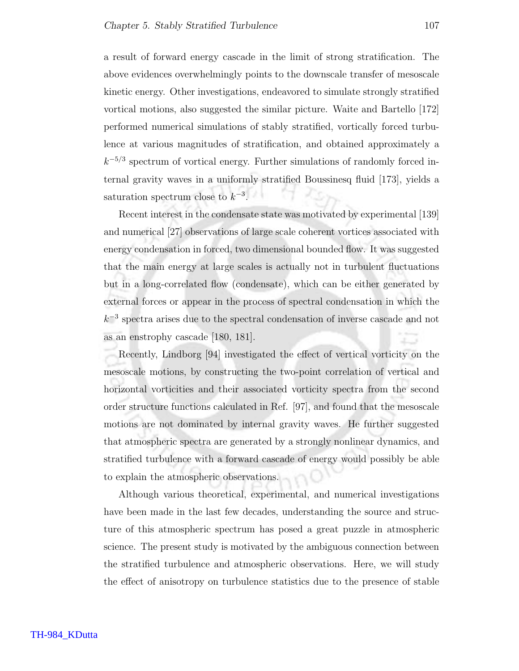a result of forward energy cascade in the limit of strong stratification. The above evidences overwhelmingly points to the downscale transfer of mesoscale kinetic energy. Other investigations, endeavored to simulate strongly stratified vortical motions, also suggested the similar picture. Waite and Bartello [172] performed numerical simulations of stably stratified, vortically forced turbulence at various magnitudes of stratification, and obtained approximately a  $k^{-5/3}$  spectrum of vortical energy. Further simulations of randomly forced internal gravity waves in a uniformly stratified Boussinesq fluid [173], yields a saturation spectrum close to  $k^{-3}$ .

Recent interest in the condensate state was motivated by experimental [139] and numerical [27] observations of large scale coherent vortices associated with energy condensation in forced, two dimensional bounded flow. It was suggested that the main energy at large scales is actually not in turbulent fluctuations but in a long-correlated flow (condensate), which can be either generated by external forces or appear in the process of spectral condensation in which the  $k^{-3}$  spectra arises due to the spectral condensation of inverse cascade and not as an enstrophy cascade [180, 181].

Recently, Lindborg [94] investigated the effect of vertical vorticity on the mesoscale motions, by constructing the two-point correlation of vertical and horizontal vorticities and their associated vorticity spectra from the second order structure functions calculated in Ref. [97], and found that the mesoscale motions are not dominated by internal gravity waves. He further suggested that atmospheric spectra are generated by a strongly nonlinear dynamics, and stratified turbulence with a forward cascade of energy would possibly be able to explain the atmospheric observations.

Although various theoretical, experimental, and numerical investigations have been made in the last few decades, understanding the source and structure of this atmospheric spectrum has posed a great puzzle in atmospheric science. The present study is motivated by the ambiguous connection between the stratified turbulence and atmospheric observations. Here, we will study the effect of anisotropy on turbulence statistics due to the presence of stable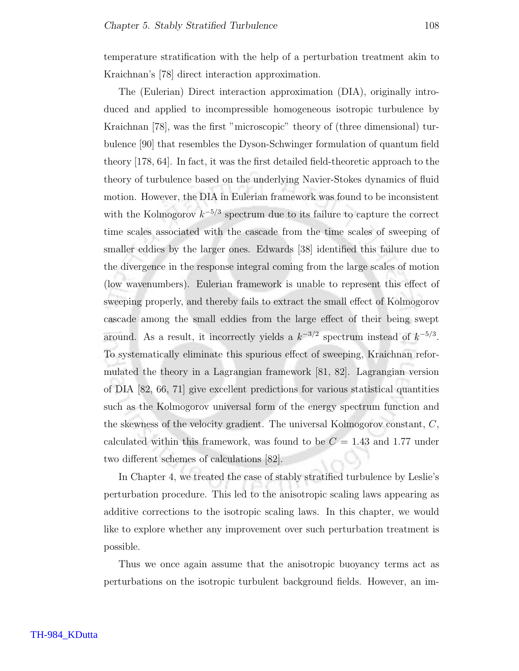temperature stratification with the help of a perturbation treatment akin to Kraichnan's [78] direct interaction approximation.

The (Eulerian) Direct interaction approximation (DIA), originally introduced and applied to incompressible homogeneous isotropic turbulence by Kraichnan [78], was the first "microscopic" theory of (three dimensional) turbulence [90] that resembles the Dyson-Schwinger formulation of quantum field theory [178, 64]. In fact, it was the first detailed field-theoretic approach to the theory of turbulence based on the underlying Navier-Stokes dynamics of fluid motion. However, the DIA in Eulerian framework was found to be inconsistent with the Kolmogorov  $k^{-5/3}$  spectrum due to its failure to capture the correct time scales associated with the cascade from the time scales of sweeping of smaller eddies by the larger ones. Edwards [38] identified this failure due to the divergence in the response integral coming from the large scales of motion (low wavenumbers). Eulerian framework is unable to represent this effect of sweeping properly, and thereby fails to extract the small effect of Kolmogorov cascade among the small eddies from the large effect of their being swept around. As a result, it incorrectly yields a  $k^{-3/2}$  spectrum instead of  $k^{-5/3}$ . To systematically eliminate this spurious effect of sweeping, Kraichnan reformulated the theory in a Lagrangian framework [81, 82]. Lagrangian version of DIA [82, 66, 71] give excellent predictions for various statistical quantities such as the Kolmogorov universal form of the energy spectrum function and the skewness of the velocity gradient. The universal Kolmogorov constant, C, calculated within this framework, was found to be  $C = 1.43$  and 1.77 under two different schemes of calculations [82].

In Chapter 4, we treated the case of stably stratified turbulence by Leslie's perturbation procedure. This led to the anisotropic scaling laws appearing as additive corrections to the isotropic scaling laws. In this chapter, we would like to explore whether any improvement over such perturbation treatment is possible.

Thus we once again assume that the anisotropic buoyancy terms act as perturbations on the isotropic turbulent background fields. However, an im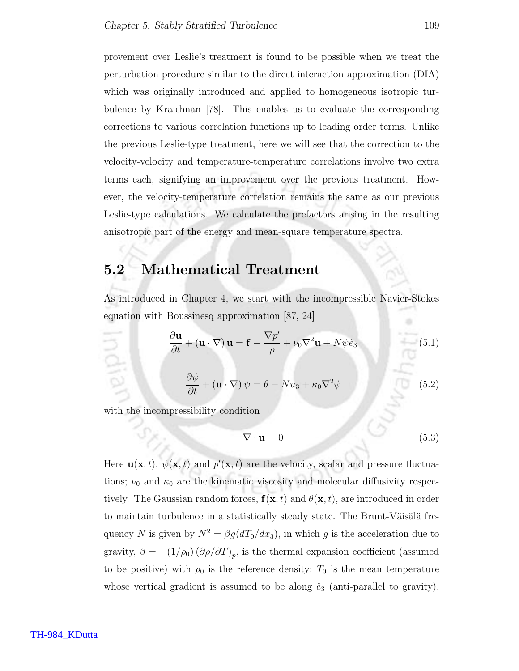provement over Leslie's treatment is found to be possible when we treat the perturbation procedure similar to the direct interaction approximation (DIA) which was originally introduced and applied to homogeneous isotropic turbulence by Kraichnan [78]. This enables us to evaluate the corresponding corrections to various correlation functions up to leading order terms. Unlike the previous Leslie-type treatment, here we will see that the correction to the velocity-velocity and temperature-temperature correlations involve two extra terms each, signifying an improvement over the previous treatment. However, the velocity-temperature correlation remains the same as our previous Leslie-type calculations. We calculate the prefactors arising in the resulting anisotropic part of the energy and mean-square temperature spectra.

### 5.2 Mathematical Treatment

As introduced in Chapter 4, we start with the incompressible Navier-Stokes equation with Boussinesq approximation [87, 24]

$$
\frac{\partial \mathbf{u}}{\partial t} + (\mathbf{u} \cdot \nabla) \mathbf{u} = \mathbf{f} - \frac{\nabla p'}{\rho} + \nu_0 \nabla^2 \mathbf{u} + N \psi \hat{e}_3 \tag{5.1}
$$

$$
\frac{\partial \psi}{\partial t} + (\mathbf{u} \cdot \nabla) \psi = \theta - N u_3 + \kappa_0 \nabla^2 \psi \tag{5.2}
$$

with the incompressibility condition

$$
\nabla \cdot \mathbf{u} = 0 \tag{5.3}
$$

Here  $\mathbf{u}(\mathbf{x},t)$ ,  $\psi(\mathbf{x},t)$  and  $p'(\mathbf{x},t)$  are the velocity, scalar and pressure fluctuations;  $\nu_0$  and  $\kappa_0$  are the kinematic viscosity and molecular diffusivity respectively. The Gaussian random forces,  $f(\mathbf{x}, t)$  and  $\theta(\mathbf{x}, t)$ , are introduced in order to maintain turbulence in a statistically steady state. The Brunt-Väisälä frequency N is given by  $N^2 = \beta g(dT_0/dx_3)$ , in which g is the acceleration due to gravity,  $\beta = -(1/\rho_0) (\partial \rho/\partial T)_p$ , is the thermal expansion coefficient (assumed to be positive) with  $\rho_0$  is the reference density;  $T_0$  is the mean temperature whose vertical gradient is assumed to be along  $\hat{e}_3$  (anti-parallel to gravity).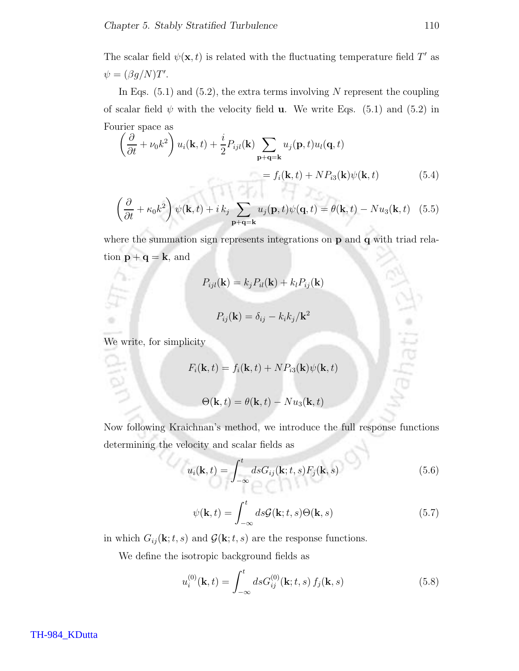The scalar field  $\psi(\mathbf{x},t)$  is related with the fluctuating temperature field T' as  $\psi = (\beta g/N)T'.$ 

In Eqs.  $(5.1)$  and  $(5.2)$ , the extra terms involving N represent the coupling of scalar field  $\psi$  with the velocity field **u**. We write Eqs. (5.1) and (5.2) in Fourier space as

$$
\left(\frac{\partial}{\partial t} + \nu_0 k^2\right) u_i(\mathbf{k}, t) + \frac{i}{2} P_{ijl}(\mathbf{k}) \sum_{\mathbf{p}+\mathbf{q}=\mathbf{k}} u_j(\mathbf{p}, t) u_l(\mathbf{q}, t)
$$
  
=  $f_i(\mathbf{k}, t) + N P_{i3}(\mathbf{k}) \psi(\mathbf{k}, t)$  (5.4)

$$
\left(\frac{\partial}{\partial t} + \kappa_0 k^2\right) \psi(\mathbf{k}, t) + i k_j \sum_{\mathbf{p}+\mathbf{q}=\mathbf{k}} u_j(\mathbf{p}, t) \psi(\mathbf{q}, t) = \theta(\mathbf{k}, t) - Nu_3(\mathbf{k}, t) \quad (5.5)
$$

where the summation sign represents integrations on p and q with triad relation  $\mathbf{p} + \mathbf{q} = \mathbf{k}$ , and

$$
P_{ijl}(\mathbf{k}) = k_j P_{il}(\mathbf{k}) + k_l P_{ij}(\mathbf{k})
$$

$$
P_{ij}(\mathbf{k}) = \delta_{ij} - k_i k_j / \mathbf{k}^2
$$

We write, for simplicity

$$
F_i(\mathbf{k}, t) = f_i(\mathbf{k}, t) + NP_{i3}(\mathbf{k})\psi(\mathbf{k}, t)
$$

$$
\Theta(\mathbf{k}, t) = \theta(\mathbf{k}, t) - Nu_3(\mathbf{k}, t)
$$

Now following Kraichnan's method, we introduce the full response functions determining the velocity and scalar fields as

$$
u_i(\mathbf{k},t) = \int_{-\infty}^t ds G_{ij}(\mathbf{k};t,s) F_j(\mathbf{k},s)
$$
 (5.6)

$$
\psi(\mathbf{k},t) = \int_{-\infty}^{t} ds \mathcal{G}(\mathbf{k};t,s) \Theta(\mathbf{k},s)
$$
\n(5.7)

in which  $G_{ij}(\mathbf{k};t,s)$  and  $\mathcal{G}(\mathbf{k};t,s)$  are the response functions.

We define the isotropic background fields as

$$
u_i^{(0)}(\mathbf{k},t) = \int_{-\infty}^t ds G_{ij}^{(0)}(\mathbf{k};t,s) f_j(\mathbf{k},s)
$$
 (5.8)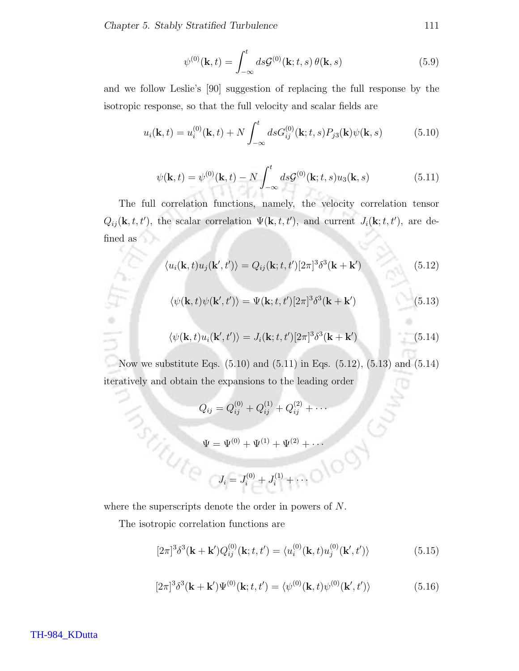Chapter 5. Stably Stratified Turbulence 111

$$
\psi^{(0)}(\mathbf{k},t) = \int_{-\infty}^{t} ds \mathcal{G}^{(0)}(\mathbf{k};t,s) \theta(\mathbf{k},s)
$$
\n(5.9)

and we follow Leslie's [90] suggestion of replacing the full response by the isotropic response, so that the full velocity and scalar fields are

$$
u_i(\mathbf{k},t) = u_i^{(0)}(\mathbf{k},t) + N \int_{-\infty}^t ds G_{ij}^{(0)}(\mathbf{k};t,s) P_{j3}(\mathbf{k}) \psi(\mathbf{k},s)
$$
(5.10)

$$
\psi(\mathbf{k},t) = \psi^{(0)}(\mathbf{k},t) - N \int_{-\infty}^{t} ds \mathcal{G}^{(0)}(\mathbf{k};t,s) u_3(\mathbf{k},s)
$$
(5.11)

The full correlation functions, namely, the velocity correlation tensor  $Q_{ij}(\mathbf{k}, t, t')$ , the scalar correlation  $\Psi(\mathbf{k}, t, t')$ , and current  $J_i(\mathbf{k}; t, t')$ , are defined as

$$
\langle u_i(\mathbf{k},t)u_j(\mathbf{k}',t')\rangle = Q_{ij}(\mathbf{k};t,t')[2\pi]^3\delta^3(\mathbf{k}+\mathbf{k}')
$$
\n(5.12)

$$
\langle \psi(\mathbf{k},t)\psi(\mathbf{k}',t')\rangle = \Psi(\mathbf{k};t,t')[2\pi]^3\delta^3(\mathbf{k}+\mathbf{k}')
$$
\n(5.13)

$$
\langle \psi(\mathbf{k},t)u_i(\mathbf{k}',t')\rangle = J_i(\mathbf{k};t,t')[2\pi]^3 \delta^3(\mathbf{k}+\mathbf{k}')
$$
\n(5.14)

Now we substitute Eqs. (5.10) and (5.11) in Eqs. (5.12), (5.13) and (5.14) iteratively and obtain the expansions to the leading order

$$
Q_{ij} = Q_{ij}^{(0)} + Q_{ij}^{(1)} + Q_{ij}^{(2)} + \cdots
$$
  

$$
\Psi = \Psi^{(0)} + \Psi^{(1)} + \Psi^{(2)} + \cdots
$$
  

$$
J_i = J_i^{(0)} + J_i^{(1)} + \cdots
$$

where the superscripts denote the order in powers of N.

The isotropic correlation functions are

$$
[2\pi]^{3}\delta^{3}(\mathbf{k} + \mathbf{k}')Q_{ij}^{(0)}(\mathbf{k}; t, t') = \langle u_{i}^{(0)}(\mathbf{k}, t)u_{j}^{(0)}(\mathbf{k}', t')\rangle
$$
(5.15)

$$
[2\pi]^{3} \delta^{3}(\mathbf{k} + \mathbf{k}') \Psi^{(0)}(\mathbf{k}; t, t') = \langle \psi^{(0)}(\mathbf{k}, t) \psi^{(0)}(\mathbf{k}', t') \rangle \tag{5.16}
$$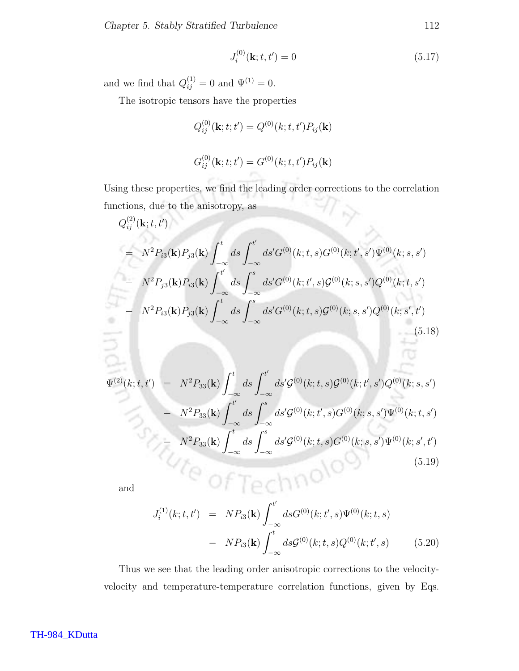$$
J_i^{(0)}(\mathbf{k}; t, t') = 0 \tag{5.17}
$$

and we find that  $Q_{ij}^{(1)} = 0$  and  $\Psi^{(1)} = 0$ .

The isotropic tensors have the properties

$$
Q_{ij}^{(0)}(\mathbf{k}; t; t') = Q^{(0)}(k; t, t') P_{ij}(\mathbf{k})
$$

$$
G_{ij}^{(0)}(\mathbf{k}; t; t') = G^{(0)}(k; t, t') P_{ij}(\mathbf{k})
$$

Using these properties, we find the leading order corrections to the correlation functions, due to the anisotropy, as  $\gamma$ 

$$
Q_{ij}^{(2)}(\mathbf{k};t,t')
$$
  
=  $N^2 P_{i3}(\mathbf{k}) P_{j3}(\mathbf{k}) \int_{-\infty}^t ds \int_{-\infty}^{t'} ds' G^{(0)}(k;t,s) G^{(0)}(k;t',s') \Psi^{(0)}(k;s,s')$   

$$
- N^2 P_{j3}(\mathbf{k}) P_{i3}(\mathbf{k}) \int_{-\infty}^{t'} ds \int_{-\infty}^s ds' G^{(0)}(k;t',s) G^{(0)}(k;s,s') Q^{(0)}(k;t,s')
$$
  

$$
- N^2 P_{i3}(\mathbf{k}) P_{j3}(\mathbf{k}) \int_{-\infty}^t ds \int_{-\infty}^s ds' G^{(0)}(k;t,s) G^{(0)}(k;s,s') Q^{(0)}(k;s',t')
$$
(5.18)

$$
\Psi^{(2)}(k;t,t') = N^2 P_{33}(\mathbf{k}) \int_{-\infty}^t ds \int_{-\infty}^{t'} ds' \mathcal{G}^{(0)}(k;t,s) \mathcal{G}^{(0)}(k;t',s') Q^{(0)}(k;s,s')
$$
  
\n
$$
- N^2 P_{33}(\mathbf{k}) \int_{-\infty}^{t'} ds \int_{-\infty}^s ds' \mathcal{G}^{(0)}(k;t',s) G^{(0)}(k;s,s') \Psi^{(0)}(k;t,s')
$$
  
\n
$$
- N^2 P_{33}(\mathbf{k}) \int_{-\infty}^t ds \int_{-\infty}^s ds' \mathcal{G}^{(0)}(k;t,s) G^{(0)}(k;s,s') \Psi^{(0)}(k;s',t')
$$
  
\n(5.19)

and

$$
J_i^{(1)}(k;t,t') = NP_{i3}(\mathbf{k}) \int_{-\infty}^{t'} ds G^{(0)}(k;t',s) \Psi^{(0)}(k;t,s)
$$
  
- NP<sub>i3</sub>(**k**) 
$$
\int_{-\infty}^{t} ds \mathcal{G}^{(0)}(k;t,s) Q^{(0)}(k;t',s)
$$
(5.20)

Thus we see that the leading order anisotropic corrections to the velocityvelocity and temperature-temperature correlation functions, given by Eqs.

তে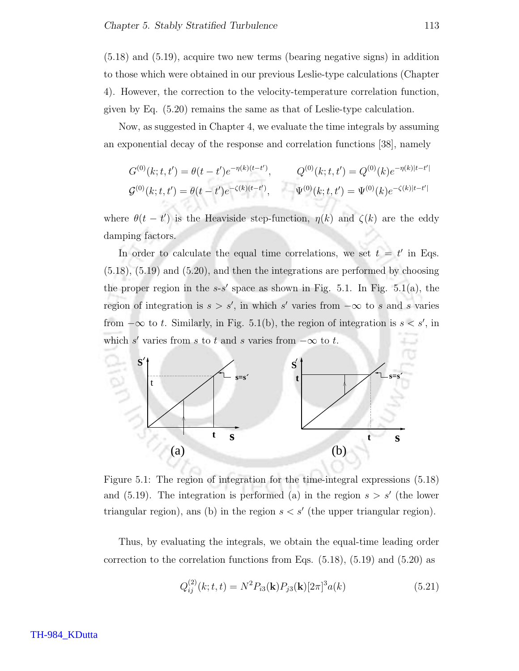(5.18) and (5.19), acquire two new terms (bearing negative signs) in addition to those which were obtained in our previous Leslie-type calculations (Chapter 4). However, the correction to the velocity-temperature correlation function, given by Eq. (5.20) remains the same as that of Leslie-type calculation.

Now, as suggested in Chapter 4, we evaluate the time integrals by assuming an exponential decay of the response and correlation functions [38], namely

$$
G^{(0)}(k;t,t') = \theta(t-t')e^{-\eta(k)(t-t')}, \qquad Q^{(0)}(k;t,t') = Q^{(0)}(k)e^{-\eta(k)|t-t'|}
$$
  

$$
G^{(0)}(k;t,t') = \theta(t-t')e^{-\zeta(k)(t-t')}, \qquad \Psi^{(0)}(k;t,t') = \Psi^{(0)}(k)e^{-\zeta(k)|t-t'|}
$$

where  $\theta(t - t')$  is the Heaviside step-function,  $\eta(k)$  and  $\zeta(k)$  are the eddy damping factors.

In order to calculate the equal time correlations, we set  $t = t'$  in Eqs. (5.18), (5.19) and (5.20), and then the integrations are performed by choosing the proper region in the  $s-s'$  space as shown in Fig. 5.1. In Fig. 5.1(a), the region of integration is  $s > s'$ , in which s' varies from  $-\infty$  to s and s varies from  $-\infty$  to t. Similarly, in Fig. 5.1(b), the region of integration is  $s < s'$ , in which s' varies from s to t and s varies from  $-\infty$  to t.



Figure 5.1: The region of integration for the time-integral expressions (5.18) and  $(5.19)$ . The integration is performed (a) in the region  $s > s'$  (the lower triangular region), ans (b) in the region  $s < s'$  (the upper triangular region).

Thus, by evaluating the integrals, we obtain the equal-time leading order correction to the correlation functions from Eqs.  $(5.18)$ ,  $(5.19)$  and  $(5.20)$  as

$$
Q_{ij}^{(2)}(k;t,t) = N^2 P_{i3}(\mathbf{k}) P_{j3}(\mathbf{k}) [2\pi]^3 a(k)
$$
\n(5.21)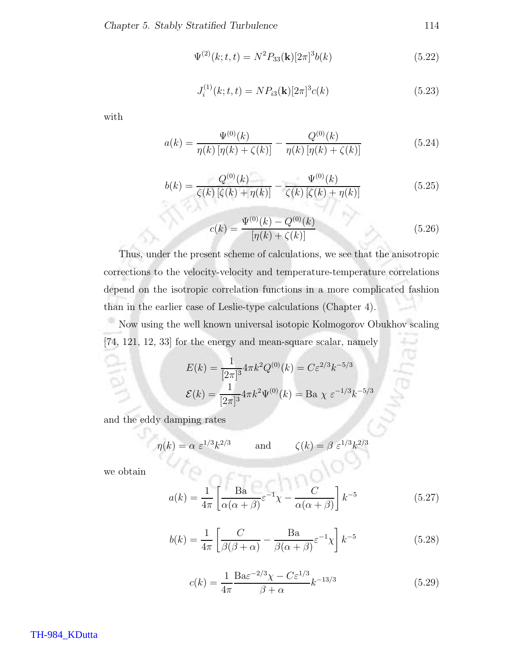$$
\Psi^{(2)}(k;t,t) = N^2 P_{33}(\mathbf{k})[2\pi]^3 b(k)
$$
\n(5.22)

$$
J_i^{(1)}(k;t,t) = NP_{i3}(\mathbf{k})[2\pi]^3 c(k)
$$
\n(5.23)

with

$$
a(k) = \frac{\Psi^{(0)}(k)}{\eta(k)\left[\eta(k) + \zeta(k)\right]} - \frac{Q^{(0)}(k)}{\eta(k)\left[\eta(k) + \zeta(k)\right]}
$$
(5.24)

$$
b(k) = \frac{Q^{(0)}(k)}{\zeta(k)\left[\zeta(k) + \eta(k)\right]} - \frac{\Psi^{(0)}(k)}{\zeta(k)\left[\zeta(k) + \eta(k)\right]}
$$
(5.25)

$$
c(k) = \frac{\Psi^{(0)}(k) - Q^{(0)}(k)}{[\eta(k) + \zeta(k)]}
$$
\n(5.26)

Thus, under the present scheme of calculations, we see that the anisotropic corrections to the velocity-velocity and temperature-temperature correlations depend on the isotropic correlation functions in a more complicated fashion than in the earlier case of Leslie-type calculations (Chapter 4).

Now using the well known universal isotopic Kolmogorov Obukhov scaling × [74, 121, 12, 33] for the energy and mean-square scalar, namely

$$
E(k) = \frac{1}{[2\pi]^3} 4\pi k^2 Q^{(0)}(k) = C\varepsilon^{2/3} k^{-5/3}
$$

$$
\mathcal{E}(k) = \frac{1}{[2\pi]^3} 4\pi k^2 \Psi^{(0)}(k) = \text{Ba } \chi \varepsilon^{-1/3} k^{-5/3}
$$

and the eddy damping rates

$$
\eta(k) = \alpha \ \varepsilon^{1/3} k^{2/3}
$$
 and  $\zeta(k) = \beta \ \varepsilon^{1/3} k^{2/3}$ 

we obtain

$$
a(k) = \frac{1}{4\pi} \left[ \frac{\text{Ba}}{\alpha(\alpha + \beta)} \varepsilon^{-1} \chi - \frac{C}{\alpha(\alpha + \beta)} \right] k^{-5}
$$
 (5.27)

$$
b(k) = \frac{1}{4\pi} \left[ \frac{C}{\beta(\beta + \alpha)} - \frac{\text{Ba}}{\beta(\alpha + \beta)} \varepsilon^{-1} \chi \right] k^{-5}
$$
 (5.28)

$$
c(k) = \frac{1}{4\pi} \frac{\text{Ba}\varepsilon^{-2/3} \chi - C\varepsilon^{1/3}}{\beta + \alpha} k^{-13/3}
$$
 (5.29)

TH-984\_KDutta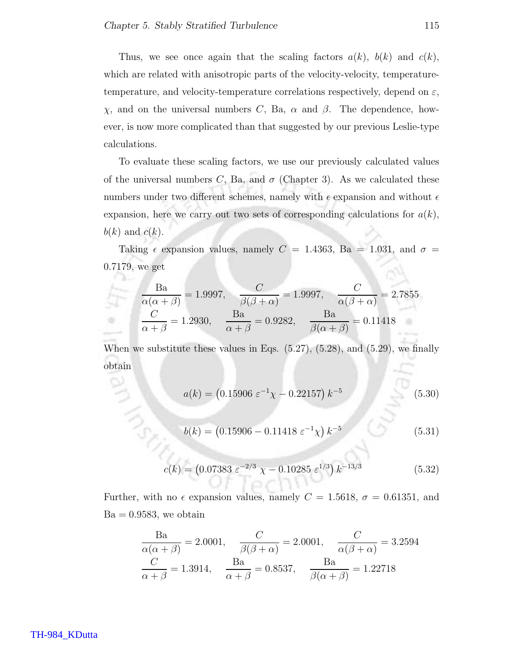**Barnet** 

Thus, we see once again that the scaling factors  $a(k)$ ,  $b(k)$  and  $c(k)$ , which are related with anisotropic parts of the velocity-velocity, temperaturetemperature, and velocity-temperature correlations respectively, depend on  $\varepsilon$ , χ, and on the universal numbers C, Ba, α and β. The dependence, however, is now more complicated than that suggested by our previous Leslie-type calculations.

To evaluate these scaling factors, we use our previously calculated values of the universal numbers C, Ba, and  $\sigma$  (Chapter 3). As we calculated these numbers under two different schemes, namely with  $\epsilon$  expansion and without  $\epsilon$ expansion, here we carry out two sets of corresponding calculations for  $a(k)$ ,  $b(k)$  and  $c(k)$ .

Taking  $\epsilon$  expansion values, namely  $C = 1.4363$ , Ba = 1.031, and  $\sigma$  = 0.7179, we get

$$
\frac{\text{Ba}}{\alpha(\alpha + \beta)} = 1.9997, \quad \frac{C}{\beta(\beta + \alpha)} = 1.9997, \quad \frac{C}{\alpha(\beta + \alpha)} = 2.7855
$$
  

$$
\frac{C}{\alpha + \beta} = 1.2930, \quad \frac{\text{Ba}}{\alpha + \beta} = 0.9282, \quad \frac{\text{Ba}}{\beta(\alpha + \beta)} = 0.11418
$$

When we substitute these values in Eqs.  $(5.27)$ ,  $(5.28)$ , and  $(5.29)$ , we finally obtain

$$
a(k) = (0.15906 \ \varepsilon^{-1} \chi - 0.22157) \ k^{-5}
$$
 (5.30)

$$
b(k) = (0.15906 - 0.11418 \ \varepsilon^{-1} \chi) \ k^{-5}
$$
 (5.31)

$$
c(k) = (0.07383 \ \varepsilon^{-2/3} \ \chi - 0.10285 \ \varepsilon^{1/3}) \ k^{-13/3} \tag{5.32}
$$

Further, with no  $\epsilon$  expansion values, namely  $C = 1.5618$ ,  $\sigma = 0.61351$ , and  $Ba = 0.9583$ , we obtain

 $-1$ 

$$
\frac{\text{Ba}}{\alpha(\alpha + \beta)} = 2.0001, \quad \frac{C}{\beta(\beta + \alpha)} = 2.0001, \quad \frac{C}{\alpha(\beta + \alpha)} = 3.2594
$$

$$
\frac{C}{\alpha + \beta} = 1.3914, \quad \frac{\text{Ba}}{\alpha + \beta} = 0.8537, \quad \frac{\text{Ba}}{\beta(\alpha + \beta)} = 1.22718
$$

#### TH-984\_KDutta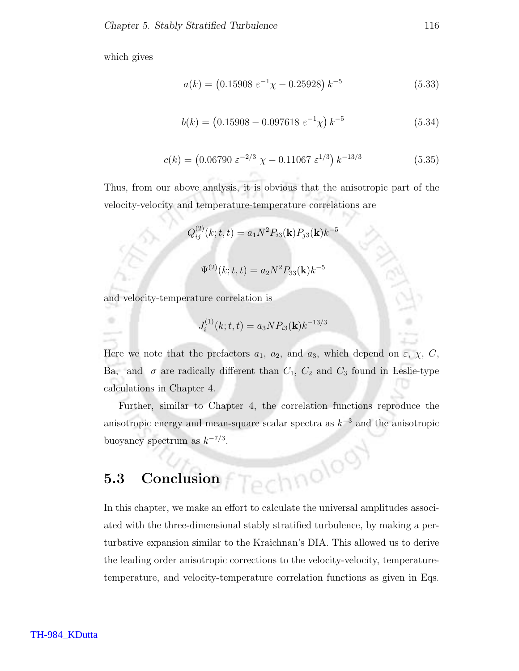which gives

$$
a(k) = (0.15908 \ \varepsilon^{-1} \chi - 0.25928) \ k^{-5}
$$
 (5.33)

$$
b(k) = (0.15908 - 0.097618 \ \varepsilon^{-1} \chi) \ k^{-5}
$$
 (5.34)

$$
c(k) = (0.06790 \ \varepsilon^{-2/3} \ \chi - 0.11067 \ \varepsilon^{1/3}) \ k^{-13/3} \tag{5.35}
$$

Thus, from our above analysis, it is obvious that the anisotropic part of the velocity-velocity and temperature-temperature correlations are

$$
Q_{ij}^{(2)}(k; t, t) = a_1 N^2 P_{i3}(\mathbf{k}) P_{j3}(\mathbf{k}) k^{-5}
$$

$$
\Psi^{(2)}(k; t, t) = a_2 N^2 P_{33}(\mathbf{k}) k^{-5}
$$

and velocity-temperature correlation is

$$
J_i^{(1)}(k;t,t) = a_3 N P_{i3}(\mathbf{k}) k^{-13/3}
$$

Here we note that the prefactors  $a_1$ ,  $a_2$ , and  $a_3$ , which depend on  $\varepsilon$ ,  $\chi$ ,  $C$ , Ba, and  $\sigma$  are radically different than  $C_1$ ,  $C_2$  and  $C_3$  found in Leslie-type calculations in Chapter 4.

Further, similar to Chapter 4, the correlation functions reproduce the anisotropic energy and mean-square scalar spectra as  $k^{-3}$  and the anisotropic buoyancy spectrum as  $k^{-7/3}$ . hnolog

# 5.3 Conclusion

In this chapter, we make an effort to calculate the universal amplitudes associated with the three-dimensional stably stratified turbulence, by making a perturbative expansion similar to the Kraichnan's DIA. This allowed us to derive the leading order anisotropic corrections to the velocity-velocity, temperaturetemperature, and velocity-temperature correlation functions as given in Eqs.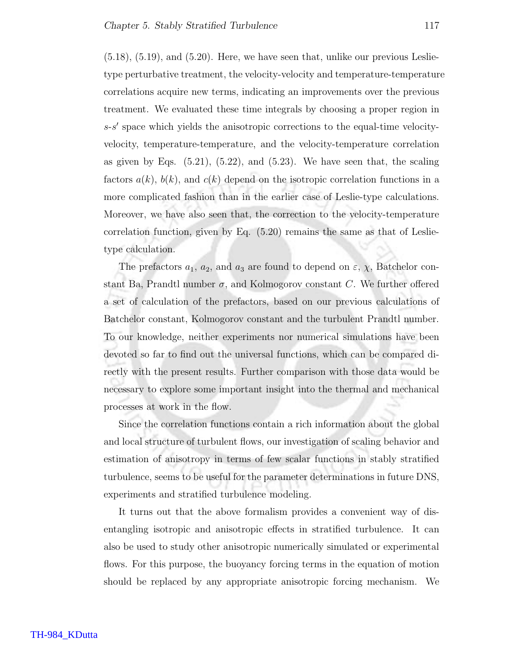$(5.18)$ ,  $(5.19)$ , and  $(5.20)$ . Here, we have seen that, unlike our previous Leslietype perturbative treatment, the velocity-velocity and temperature-temperature correlations acquire new terms, indicating an improvements over the previous treatment. We evaluated these time integrals by choosing a proper region in s-s ′ space which yields the anisotropic corrections to the equal-time velocityvelocity, temperature-temperature, and the velocity-temperature correlation as given by Eqs.  $(5.21)$ ,  $(5.22)$ , and  $(5.23)$ . We have seen that, the scaling factors  $a(k)$ ,  $b(k)$ , and  $c(k)$  depend on the isotropic correlation functions in a more complicated fashion than in the earlier case of Leslie-type calculations. Moreover, we have also seen that, the correction to the velocity-temperature correlation function, given by Eq.  $(5.20)$  remains the same as that of Leslietype calculation.

The prefactors  $a_1$ ,  $a_2$ , and  $a_3$  are found to depend on  $\varepsilon$ ,  $\chi$ , Batchelor constant Ba, Prandtl number  $\sigma$ , and Kolmogorov constant C. We further offered a set of calculation of the prefactors, based on our previous calculations of Batchelor constant, Kolmogorov constant and the turbulent Prandtl number. To our knowledge, neither experiments nor numerical simulations have been devoted so far to find out the universal functions, which can be compared directly with the present results. Further comparison with those data would be necessary to explore some important insight into the thermal and mechanical processes at work in the flow.

Since the correlation functions contain a rich information about the global and local structure of turbulent flows, our investigation of scaling behavior and estimation of anisotropy in terms of few scalar functions in stably stratified turbulence, seems to be useful for the parameter determinations in future DNS, experiments and stratified turbulence modeling.

It turns out that the above formalism provides a convenient way of disentangling isotropic and anisotropic effects in stratified turbulence. It can also be used to study other anisotropic numerically simulated or experimental flows. For this purpose, the buoyancy forcing terms in the equation of motion should be replaced by any appropriate anisotropic forcing mechanism. We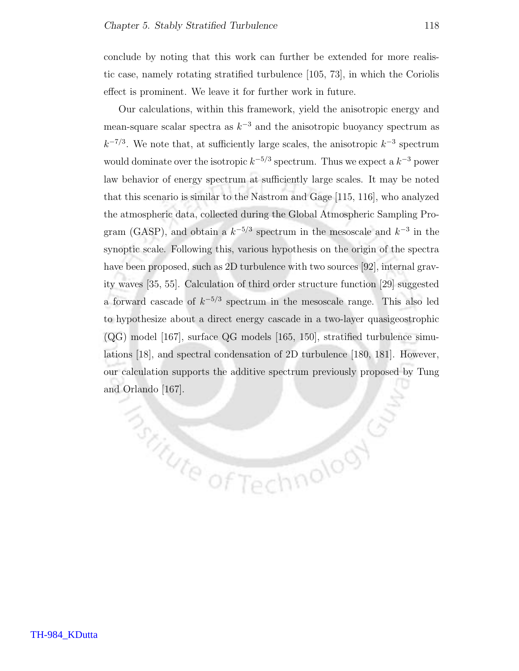**Bottute of Tech** 

conclude by noting that this work can further be extended for more realistic case, namely rotating stratified turbulence [105, 73], in which the Coriolis effect is prominent. We leave it for further work in future.

Our calculations, within this framework, yield the anisotropic energy and mean-square scalar spectra as  $k^{-3}$  and the anisotropic buoyancy spectrum as  $k^{-7/3}$ . We note that, at sufficiently large scales, the anisotropic  $k^{-3}$  spectrum would dominate over the isotropic  $k^{-5/3}$  spectrum. Thus we expect a  $k^{-3}$  power law behavior of energy spectrum at sufficiently large scales. It may be noted that this scenario is similar to the Nastrom and Gage [115, 116], who analyzed the atmospheric data, collected during the Global Atmospheric Sampling Program (GASP), and obtain a  $k^{-5/3}$  spectrum in the mesoscale and  $k^{-3}$  in the synoptic scale. Following this, various hypothesis on the origin of the spectra have been proposed, such as 2D turbulence with two sources [92], internal gravity waves [35, 55]. Calculation of third order structure function [29] suggested a forward cascade of  $k^{-5/3}$  spectrum in the mesoscale range. This also led to hypothesize about a direct energy cascade in a two-layer quasigeostrophic  $(QG)$  model [167], surface QG models [165, 150], stratified turbulence simulations [18], and spectral condensation of 2D turbulence [180, 181]. However, our calculation supports the additive spectrum previously proposed by Tung and Orlando [167].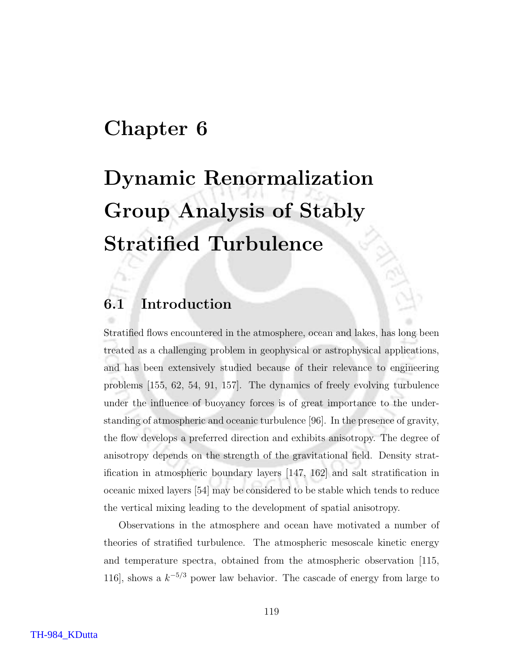### Chapter 6

# Dynamic Renormalization Group Analysis of Stably Stratified Turbulence

### 6.1 Introduction

Stratified flows encountered in the atmosphere, ocean and lakes, has long been treated as a challenging problem in geophysical or astrophysical applications, and has been extensively studied because of their relevance to engineering problems [155, 62, 54, 91, 157]. The dynamics of freely evolving turbulence under the influence of buoyancy forces is of great importance to the understanding of atmospheric and oceanic turbulence [96]. In the presence of gravity, the flow develops a preferred direction and exhibits anisotropy. The degree of anisotropy depends on the strength of the gravitational field. Density stratification in atmospheric boundary layers [147, 162] and salt stratification in oceanic mixed layers [54] may be considered to be stable which tends to reduce the vertical mixing leading to the development of spatial anisotropy.

Observations in the atmosphere and ocean have motivated a number of theories of stratified turbulence. The atmospheric mesoscale kinetic energy and temperature spectra, obtained from the atmospheric observation [115, 116], shows a  $k^{-5/3}$  power law behavior. The cascade of energy from large to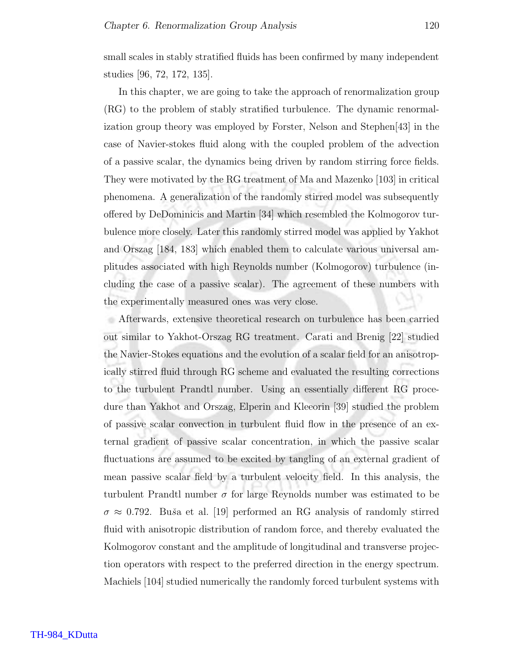small scales in stably stratified fluids has been confirmed by many independent studies [96, 72, 172, 135].

In this chapter, we are going to take the approach of renormalization group (RG) to the problem of stably stratified turbulence. The dynamic renormalization group theory was employed by Forster, Nelson and Stephen[43] in the case of Navier-stokes fluid along with the coupled problem of the advection of a passive scalar, the dynamics being driven by random stirring force fields. They were motivated by the RG treatment of Ma and Mazenko [103] in critical phenomena. A generalization of the randomly stirred model was subsequently offered by DeDominicis and Martin [34] which resembled the Kolmogorov turbulence more closely. Later this randomly stirred model was applied by Yakhot and Orszag [184, 183] which enabled them to calculate various universal amplitudes associated with high Reynolds number (Kolmogorov) turbulence (including the case of a passive scalar). The agreement of these numbers with the experimentally measured ones was very close.

Afterwards, extensive theoretical research on turbulence has been carried out similar to Yakhot-Orszag RG treatment. Carati and Brenig [22] studied the Navier-Stokes equations and the evolution of a scalar field for an anisotropically stirred fluid through RG scheme and evaluated the resulting corrections to the turbulent Prandtl number. Using an essentially different RG procedure than Yakhot and Orszag, Elperin and Kleeorin [39] studied the problem of passive scalar convection in turbulent fluid flow in the presence of an external gradient of passive scalar concentration, in which the passive scalar fluctuations are assumed to be excited by tangling of an external gradient of mean passive scalar field by a turbulent velocity field. In this analysis, the turbulent Prandtl number  $\sigma$  for large Reynolds number was estimated to be  $\sigma \approx 0.792$ . Buša et al. [19] performed an RG analysis of randomly stirred fluid with anisotropic distribution of random force, and thereby evaluated the Kolmogorov constant and the amplitude of longitudinal and transverse projection operators with respect to the preferred direction in the energy spectrum. Machiels [104] studied numerically the randomly forced turbulent systems with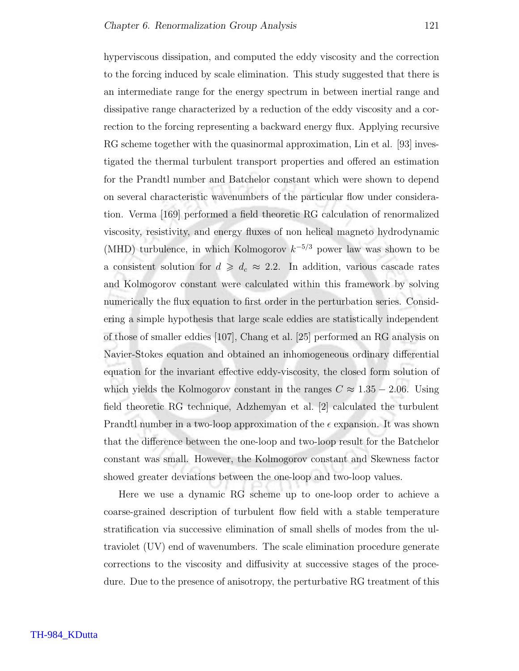hyperviscous dissipation, and computed the eddy viscosity and the correction to the forcing induced by scale elimination. This study suggested that there is an intermediate range for the energy spectrum in between inertial range and dissipative range characterized by a reduction of the eddy viscosity and a correction to the forcing representing a backward energy flux. Applying recursive RG scheme together with the quasinormal approximation, Lin et al. [93] investigated the thermal turbulent transport properties and offered an estimation for the Prandtl number and Batchelor constant which were shown to depend on several characteristic wavenumbers of the particular flow under consideration. Verma [169] performed a field theoretic RG calculation of renormalized viscosity, resistivity, and energy fluxes of non helical magneto hydrodynamic (MHD) turbulence, in which Kolmogorov  $k^{-5/3}$  power law was shown to be a consistent solution for  $d \geq d_c \approx 2.2$ . In addition, various cascade rates and Kolmogorov constant were calculated within this framework by solving numerically the flux equation to first order in the perturbation series. Considering a simple hypothesis that large scale eddies are statistically independent of those of smaller eddies [107], Chang et al. [25] performed an RG analysis on Navier-Stokes equation and obtained an inhomogeneous ordinary differential equation for the invariant effective eddy-viscosity, the closed form solution of which yields the Kolmogorov constant in the ranges  $C \approx 1.35 - 2.06$ . Using field theoretic RG technique, Adzhemyan et al. [2] calculated the turbulent Prandtl number in a two-loop approximation of the  $\epsilon$  expansion. It was shown that the difference between the one-loop and two-loop result for the Batchelor constant was small. However, the Kolmogorov constant and Skewness factor showed greater deviations between the one-loop and two-loop values.

Here we use a dynamic RG scheme up to one-loop order to achieve a coarse-grained description of turbulent flow field with a stable temperature stratification via successive elimination of small shells of modes from the ultraviolet (UV) end of wavenumbers. The scale elimination procedure generate corrections to the viscosity and diffusivity at successive stages of the procedure. Due to the presence of anisotropy, the perturbative RG treatment of this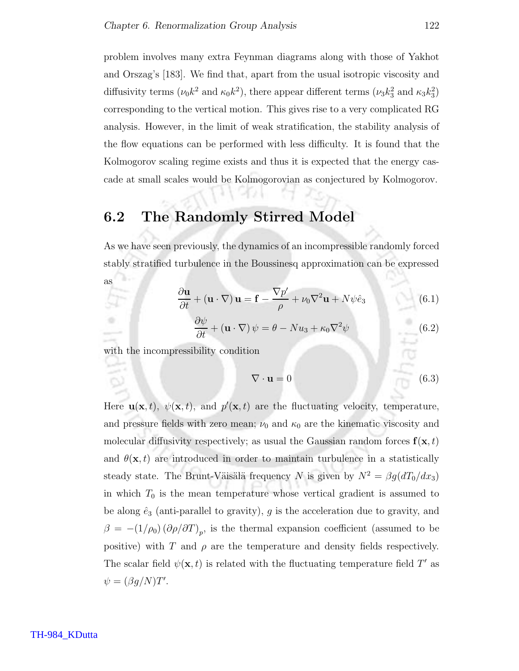problem involves many extra Feynman diagrams along with those of Yakhot and Orszag's [183]. We find that, apart from the usual isotropic viscosity and diffusivity terms  $(\nu_0 k^2 \text{ and } \kappa_0 k^2)$ , there appear different terms  $(\nu_3 k_3^2 \text{ and } \kappa_3 k_3^2)$ corresponding to the vertical motion. This gives rise to a very complicated RG analysis. However, in the limit of weak stratification, the stability analysis of the flow equations can be performed with less difficulty. It is found that the Kolmogorov scaling regime exists and thus it is expected that the energy cascade at small scales would be Kolmogorovian as conjectured by Kolmogorov.

### 6.2 The Randomly Stirred Model

As we have seen previously, the dynamics of an incompressible randomly forced stably stratified turbulence in the Boussinesq approximation can be expressed

$$
\frac{\partial \mathbf{u}}{\partial t} + (\mathbf{u} \cdot \nabla) \mathbf{u} = \mathbf{f} - \frac{\nabla p'}{\rho} + \nu_0 \nabla^2 \mathbf{u} + N \psi \hat{e}_3 \tag{6.1}
$$

$$
\frac{\partial \psi}{\partial t} + (\mathbf{u} \cdot \nabla) \psi = \theta - N u_3 + \kappa_0 \nabla^2 \psi \tag{6.2}
$$

with the incompressibility condition

as

Ò

$$
\nabla \cdot \mathbf{u} = 0 \tag{6.3}
$$

Here  $\mathbf{u}(\mathbf{x},t)$ ,  $\psi(\mathbf{x},t)$ , and  $p'(\mathbf{x},t)$  are the fluctuating velocity, temperature, and pressure fields with zero mean;  $\nu_0$  and  $\kappa_0$  are the kinematic viscosity and molecular diffusivity respectively; as usual the Gaussian random forces  $f(x, t)$ and  $\theta(\mathbf{x},t)$  are introduced in order to maintain turbulence in a statistically steady state. The Brunt-Väisälä frequency N is given by  $N^2 = \beta g (dT_0/dx_3)$ in which  $T_0$  is the mean temperature whose vertical gradient is assumed to be along  $\hat{e}_3$  (anti-parallel to gravity), g is the acceleration due to gravity, and  $\beta = -(1/\rho_0) (\partial \rho/\partial T)_p$ , is the thermal expansion coefficient (assumed to be positive) with T and  $\rho$  are the temperature and density fields respectively. The scalar field  $\psi(\mathbf{x},t)$  is related with the fluctuating temperature field T' as  $\psi = (\beta g/N)T'.$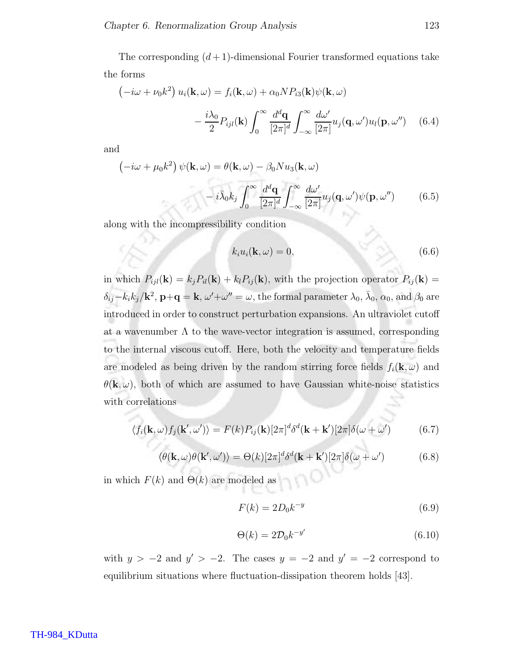The corresponding  $(d+1)$ -dimensional Fourier transformed equations take the forms

$$
\left(-i\omega + \nu_0 k^2\right) u_i(\mathbf{k}, \omega) = f_i(\mathbf{k}, \omega) + \alpha_0 N P_{i3}(\mathbf{k}) \psi(\mathbf{k}, \omega)
$$

$$
- \frac{i\lambda_0}{2} P_{ijl}(\mathbf{k}) \int_0^\infty \frac{d^d \mathbf{q}}{[2\pi]^d} \int_{-\infty}^\infty \frac{d\omega'}{[2\pi]} u_j(\mathbf{q}, \omega') u_l(\mathbf{p}, \omega'') \quad (6.4)
$$

and

$$
\left(-i\omega + \mu_0 k^2\right)\psi(\mathbf{k}, \omega) = \theta(\mathbf{k}, \omega) - \beta_0 N u_3(\mathbf{k}, \omega)
$$

$$
-i\bar{\lambda}_0 k_j \int_0^\infty \frac{d^d \mathbf{q}}{[2\pi]^d} \int_{-\infty}^\infty \frac{d\omega'}{[2\pi]} u_j(\mathbf{q}, \omega') \psi(\mathbf{p}, \omega'')
$$
(6.5)

along with the incompressibility condition

$$
k_i u_i(\mathbf{k}, \omega) = 0,\tag{6.6}
$$

in which  $P_{ijl}(\mathbf{k}) = k_j P_{il}(\mathbf{k}) + k_l P_{ij}(\mathbf{k})$ , with the projection operator  $P_{ij}(\mathbf{k}) =$  $\delta_{ij} - k_i k_j / \mathbf{k}^2$ ,  $\mathbf{p} + \mathbf{q} = \mathbf{k}$ ,  $\omega' + \omega'' = \omega$ , the formal parameter  $\lambda_0$ ,  $\bar{\lambda}_0$ ,  $\alpha_0$ , and  $\beta_0$  are introduced in order to construct perturbation expansions. An ultraviolet cutoff at a wavenumber  $\Lambda$  to the wave-vector integration is assumed, corresponding to the internal viscous cutoff. Here, both the velocity and temperature fields are modeled as being driven by the random stirring force fields  $f_i(\mathbf{k}, \omega)$  and  $\theta(\mathbf{k}, \omega)$ , both of which are assumed to have Gaussian white-noise statistics with correlations

$$
\langle f_i(\mathbf{k}, \omega) f_j(\mathbf{k}', \omega') \rangle = F(k) P_{ij}(\mathbf{k}) [2\pi]^d \delta^d(\mathbf{k} + \mathbf{k}') [2\pi] \delta(\omega + \omega')
$$
(6.7)

$$
\langle \theta(\mathbf{k}, \omega) \theta(\mathbf{k}', \omega') \rangle = \Theta(k) [2\pi]^d \delta^d(\mathbf{k} + \mathbf{k}') [2\pi] \delta(\omega + \omega')
$$
(6.8)

in which  $F(k)$  and  $\Theta(k)$  are modeled as

$$
F(k) = 2D_0k^{-y}
$$
\n
$$
(6.9)
$$

$$
\Theta(k) = 2\mathcal{D}_0 k^{-y'} \tag{6.10}
$$

with  $y > -2$  and  $y' > -2$ . The cases  $y = -2$  and  $y' = -2$  correspond to equilibrium situations where fluctuation-dissipation theorem holds [43].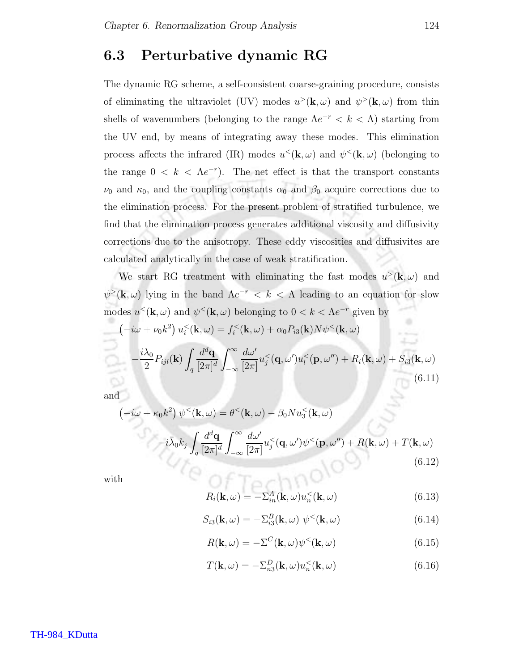### 6.3 Perturbative dynamic RG

The dynamic RG scheme, a self-consistent coarse-graining procedure, consists of eliminating the ultraviolet (UV) modes  $u^>(\mathbf{k}, \omega)$  and  $\psi^>(\mathbf{k}, \omega)$  from thin shells of wavenumbers (belonging to the range  $\Lambda e^{-r} < k < \Lambda$ ) starting from the UV end, by means of integrating away these modes. This elimination process affects the infrared (IR) modes  $u<sup><</sup>(\mathbf{k}, \omega)$  and  $\psi<sup><</sup>(\mathbf{k}, \omega)$  (belonging to the range  $0 \lt k \lt \Lambda e^{-r}$ . The net effect is that the transport constants  $\nu_0$  and  $\kappa_0$ , and the coupling constants  $\alpha_0$  and  $\beta_0$  acquire corrections due to the elimination process. For the present problem of stratified turbulence, we find that the elimination process generates additional viscosity and diffusivity corrections due to the anisotropy. These eddy viscosities and diffusivites are calculated analytically in the case of weak stratification.

We start RG treatment with eliminating the fast modes  $u^>(\mathbf{k}, \omega)$  and  $\psi^>(\mathbf{k}, \omega)$  lying in the band  $\Lambda e^{-r} < k < \Lambda$  leading to an equation for slow modes  $u<sup><</sup>(\mathbf{k}, \omega)$  and  $\psi<sup><</sup>(\mathbf{k}, \omega)$  belonging to  $0 < k < \Lambda e^{-r}$  given by  $(-i\omega + \nu_0 k^2) u_i^{\langle}(\mathbf{k}, \omega) = f_i^{\langle}(\mathbf{k}, \omega) + \alpha_0 P_{i3}(\mathbf{k}) N \psi^{\langle}(\mathbf{k}, \omega)$ −  $i\lambda_0$  $\frac{\lambda_0}{2} P_{ijl}(\mathbf{k})$   $\int$  $\overline{q}$  $d^d{\bf q}$  $[2\pi]^d$  $\int^{\infty}$ −∞  $d\omega'$  $[2\pi]$  $u_j^<({\bf q},\omega')u_l^<({\bf p},\omega'')+R_i({\bf k},\omega)+S_{i3}({\bf k},\omega)$ (6.11)

and

$$
\left(-i\omega + \kappa_0 k^2\right) \psi^< (\mathbf{k}, \omega) = \theta^< (\mathbf{k}, \omega) - \beta_0 N u_3^< (\mathbf{k}, \omega)
$$
\n
$$
-i\bar{\lambda}_0 k_j \int_q \frac{d^d \mathbf{q}}{[2\pi]^d} \int_{-\infty}^{\infty} \frac{d\omega'}{[2\pi]} u_j^< (\mathbf{q}, \omega') \psi^< (\mathbf{p}, \omega'') + R(\mathbf{k}, \omega) + T(\mathbf{k}, \omega)
$$
\n
$$
(6.12)
$$

with

$$
R_i(\mathbf{k}, \omega) = -\Sigma_{in}^A(\mathbf{k}, \omega) u_n^<(\mathbf{k}, \omega)
$$
\n(6.13)

$$
S_{i3}(\mathbf{k},\omega) = -\Sigma_{i3}^B(\mathbf{k},\omega) \ \psi^<(\mathbf{k},\omega)
$$
\n(6.14)

$$
R(\mathbf{k}, \omega) = -\Sigma^{C}(\mathbf{k}, \omega)\psi^{<}(\mathbf{k}, \omega)
$$
\n(6.15)

$$
T(\mathbf{k}, \omega) = -\Sigma_{n3}^{D}(\mathbf{k}, \omega)u_{n}^{<}(\mathbf{k}, \omega)
$$
\n(6.16)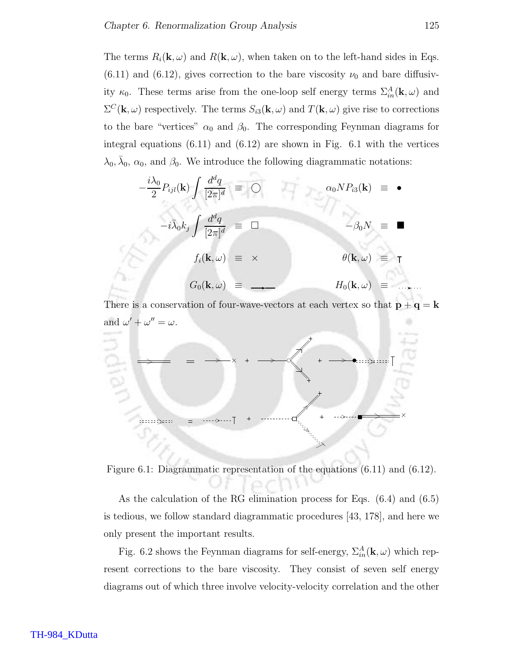The terms  $R_i(\mathbf{k}, \omega)$  and  $R(\mathbf{k}, \omega)$ , when taken on to the left-hand sides in Eqs.  $(6.11)$  and  $(6.12)$ , gives correction to the bare viscosity  $\nu_0$  and bare diffusivity  $\kappa_0$ . These terms arise from the one-loop self energy terms  $\Sigma_{in}^A(\mathbf{k}, \omega)$  and  $\Sigma^C(\mathbf{k}, \omega)$  respectively. The terms  $S_{i3}(\mathbf{k}, \omega)$  and  $T(\mathbf{k}, \omega)$  give rise to corrections to the bare "vertices"  $\alpha_0$  and  $\beta_0$ . The corresponding Feynman diagrams for integral equations (6.11) and (6.12) are shown in Fig. 6.1 with the vertices  $\lambda_0, \bar{\lambda}_0, \alpha_0$ , and  $\beta_0$ . We introduce the following diagrammatic notations:

$$
-\frac{i\lambda_0}{2} P_{ijl}(\mathbf{k}) \int \frac{d^d q}{[2\pi]^d} \equiv \bigcirc \qquad \qquad \alpha_0 N P_{i3}(\mathbf{k}) \equiv \bullet
$$

$$
-i\bar{\lambda}_0 k_j \int \frac{d^d q}{[2\pi]^d} \equiv \Box \qquad \qquad -\beta_0 N \equiv \blacksquare
$$

$$
f_i(\mathbf{k}, \omega) \equiv \times \qquad \qquad \theta(\mathbf{k}, \omega) \equiv \top
$$

$$
G_0(\mathbf{k}, \omega) \equiv \longrightarrow \qquad H_0(\mathbf{k}, \omega) \equiv \dots
$$

There is a conservation of four-wave-vectors at each vertex so that  $\mathbf{p} + \mathbf{q} = \mathbf{k}$ and  $\omega' + \omega'' = \omega$ .



Figure 6.1: Diagrammatic representation of the equations (6.11) and (6.12).

As the calculation of the RG elimination process for Eqs. (6.4) and (6.5) is tedious, we follow standard diagrammatic procedures [43, 178], and here we only present the important results.

Fig. 6.2 shows the Feynman diagrams for self-energy,  $\Sigma_{in}^{A}(\mathbf{k}, \omega)$  which represent corrections to the bare viscosity. They consist of seven self energy diagrams out of which three involve velocity-velocity correlation and the other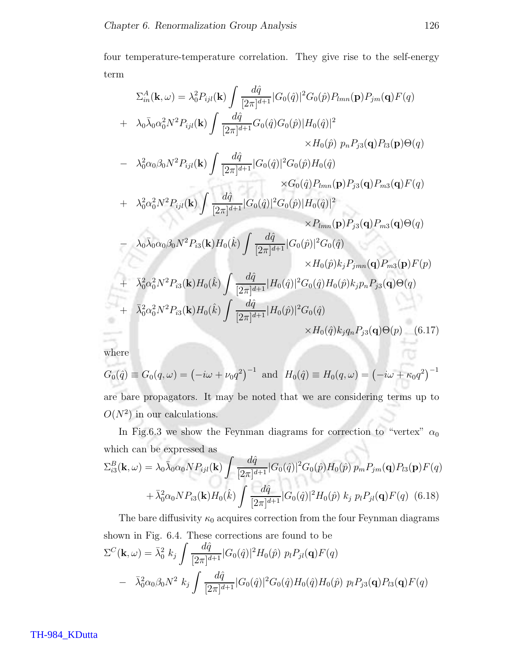four temperature-temperature correlation. They give rise to the self-energy term

$$
\Sigma_{in}^{A}(\mathbf{k},\omega) = \lambda_{0}^{2}P_{ijl}(\mathbf{k}) \int \frac{d\hat{q}}{[2\pi]^{d+1}} |G_{0}(\hat{q})|^{2}G_{0}(\hat{p})P_{lmn}(\mathbf{p})P_{jm}(\mathbf{q})F(q) \n+ \lambda_{0}\bar{\lambda}_{0}\alpha_{0}^{2}N^{2}P_{ijl}(\mathbf{k}) \int \frac{d\hat{q}}{[2\pi]^{d+1}} G_{0}(\hat{q})G_{0}(\hat{p})|H_{0}(\hat{q})|^{2} \n\times H_{0}(\hat{p}) p_{n}P_{j3}(\mathbf{q})P_{l3}(\mathbf{p})\Theta(q) \n- \lambda_{0}^{2}\alpha_{0}\beta_{0}N^{2}P_{ijl}(\mathbf{k}) \int \frac{d\hat{q}}{[2\pi]^{d+1}} |G_{0}(\hat{q})|^{2}G_{0}(\hat{p})H_{0}(\hat{q}) \n\times G_{0}(\hat{q})P_{lmn}(\mathbf{p})P_{j3}(\mathbf{q})P_{m3}(\mathbf{q})F(q) \n+ \lambda_{0}^{2}\alpha_{0}^{2}N^{2}P_{ijl}(\mathbf{k}) \int \frac{d\hat{q}}{[2\pi]^{d+1}} |G_{0}(\hat{q})|^{2}G_{0}(\hat{p})|H_{0}(\hat{q})|^{2} \n\times P_{lmn}(\mathbf{p})P_{j3}(\mathbf{q})P_{m3}(\mathbf{q})F(q) \n- \lambda_{0}\bar{\lambda}_{0}\alpha_{0}\beta_{0}N^{2}P_{i3}(\mathbf{k})H_{0}(\hat{k}) \int \frac{d\hat{q}}{[2\pi]^{d+1}} |G_{0}(\hat{p})|^{2}G_{0}(\hat{q}) \n\times H_{0}(\hat{p})k_{j}P_{jmn}(\mathbf{q})P_{m3}(\mathbf{p})F(p) \n+ \bar{\lambda}_{0}^{2}\alpha_{0}^{2}N^{2}P_{i3}(\mathbf{k})H_{0}(\hat{k}) \int \frac{d\hat{q}}{[2\pi]^{d+1}} |H_{0}(\hat{q})|^{2}G_{0}(\hat{q})H_{0}(\hat{p})k_{j}P_{n}P_{j3
$$

where

se i

$$
G_0(\hat{q}) \equiv G_0(q,\omega) = (-i\omega + \nu_0 q^2)^{-1}
$$
 and  $H_0(\hat{q}) \equiv H_0(q,\omega) = (-i\omega + \kappa_0 q^2)^{-1}$   
are bare propagators. It may be noted that we are considering terms up to  $O(N^2)$  in our calculations.

In Fig.6.3 we show the Feynman diagrams for correction to "vertex"  $\alpha_0$ which can be expressed as Æ

$$
\Sigma_{i3}^{B}(\mathbf{k},\omega) = \lambda_0 \bar{\lambda}_0 \alpha_0 N P_{ijl}(\mathbf{k}) \int \frac{d\hat{q}}{[2\pi]^{d+1}} |G_0(\hat{q})|^2 G_0(\hat{p}) H_0(\hat{p}) p_m P_{jm}(\mathbf{q}) P_{l3}(\mathbf{p}) F(q) + \bar{\lambda}_0^2 \alpha_0 N P_{i3}(\mathbf{k}) H_0(\hat{k}) \int \frac{d\hat{q}}{[2\pi]^{d+1}} |G_0(\hat{q})|^2 H_0(\hat{p}) k_j p_l P_{jl}(\mathbf{q}) F(q) \quad (6.18)
$$

The bare diffusivity 
$$
\kappa_0
$$
 acquires correction from the four Feynman diagrams  
shown in Fig. 6.4. These corrections are found to be  

$$
\Sigma^C(\mathbf{k}, \omega) = \bar{\lambda}_0^2 k_j \int \frac{d\hat{q}}{[2\pi]^{d+1}} |G_0(\hat{q})|^2 H_0(\hat{p}) p_l P_{jl}(\mathbf{q}) F(q)
$$

$$
- \bar{\lambda}_0^2 \alpha_0 \beta_0 N^2 k_j \int \frac{d\hat{q}}{[2\pi]^{d+1}} |G_0(\hat{q})|^2 G_0(\hat{q}) H_0(\hat{q}) H_0(\hat{p}) p_l P_{j3}(\mathbf{q}) P_{l3}(\mathbf{q}) F(q)
$$

TH-984\_KDutta

তে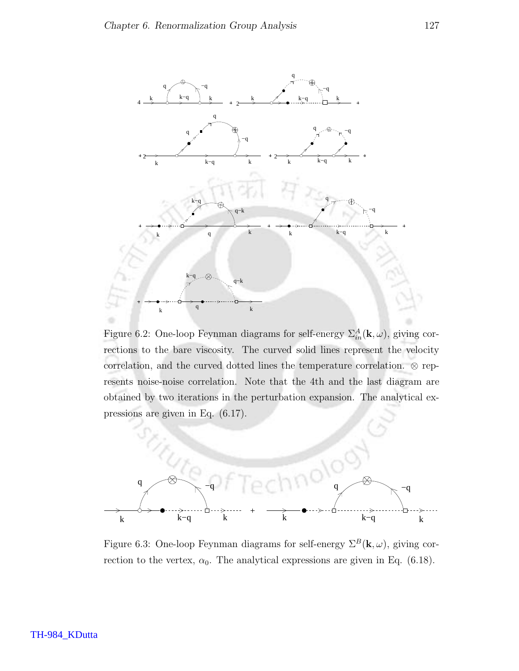

Figure 6.2: One-loop Feynman diagrams for self-energy  $\Sigma_{in}^{A}(\mathbf{k}, \omega)$ , giving corrections to the bare viscosity. The curved solid lines represent the velocity correlation, and the curved dotted lines the temperature correlation. ⊗ represents noise-noise correlation. Note that the 4th and the last diagram are obtained by two iterations in the perturbation expansion. The analytical expressions are given in Eq. (6.17).



Figure 6.3: One-loop Feynman diagrams for self-energy  $\Sigma^B(\mathbf{k}, \omega)$ , giving correction to the vertex,  $\alpha_0$ . The analytical expressions are given in Eq. (6.18).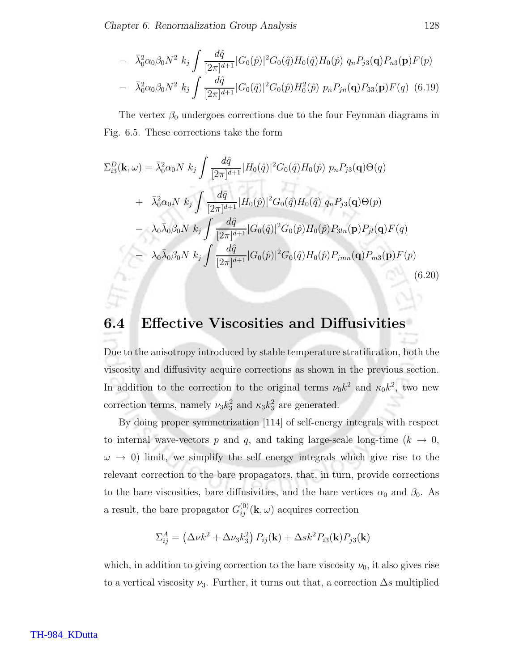$$
- \bar{\lambda}_0^2 \alpha_0 \beta_0 N^2 k_j \int \frac{d\hat{q}}{[2\pi]^{d+1}} |G_0(\hat{p})|^2 G_0(\hat{q}) H_0(\hat{q}) H_0(\hat{p}) q_n P_{j3}(\mathbf{q}) P_{n3}(\mathbf{p}) F(p)
$$
  

$$
- \bar{\lambda}_0^2 \alpha_0 \beta_0 N^2 k_j \int \frac{d\hat{q}}{[2\pi]^{d+1}} |G_0(\hat{q})|^2 G_0(\hat{p}) H_0^2(\hat{p}) p_n P_{jn}(\mathbf{q}) P_{33}(\mathbf{p}) F(q) (6.19)
$$

The vertex  $\beta_0$  undergoes corrections due to the four Feynman diagrams in Fig. 6.5. These corrections take the form

$$
\Sigma_{i3}^{D}(\mathbf{k},\omega) = \bar{\lambda}_{0}^{2}\alpha_{0}N k_{j} \int \frac{d\hat{q}}{[2\pi]^{d+1}} |H_{0}(\hat{q})|^{2} G_{0}(\hat{q}) H_{0}(\hat{p}) p_{n} P_{j3}(\mathbf{q}) \Theta(q)
$$
  
+  $\bar{\lambda}_{0}^{2}\alpha_{0}N k_{j} \int \frac{d\hat{q}}{[2\pi]^{d+1}} |H_{0}(\hat{p})|^{2} G_{0}(\hat{q}) H_{0}(\hat{q}) q_{n} P_{j3}(\mathbf{q}) \Theta(p)$   
-  $\lambda_{0}\bar{\lambda}_{0}\beta_{0}N k_{j} \int \frac{d\hat{q}}{[2\pi]^{d+1}} |G_{0}(\hat{q})|^{2} G_{0}(\hat{p}) H_{0}(\hat{p}) P_{3ln}(\mathbf{p}) P_{jl}(\mathbf{q}) F(q)$   
-  $\lambda_{0}\bar{\lambda}_{0}\beta_{0}N k_{j} \int \frac{d\hat{q}}{[2\pi]^{d+1}} |G_{0}(\hat{p})|^{2} G_{0}(\hat{q}) H_{0}(\hat{p}) P_{jmn}(\mathbf{q}) P_{m3}(\mathbf{p}) F(p)$   
(6.20)

### 6.4 Effective Viscosities and Diffusivities

Due to the anisotropy introduced by stable temperature stratification, both the viscosity and diffusivity acquire corrections as shown in the previous section. In addition to the correction to the original terms  $\nu_0 k^2$  and  $\kappa_0 k^2$ , two new correction terms, namely  $\nu_3 k_3^2$  and  $\kappa_3 k_3^2$  are generated.

By doing proper symmetrization [114] of self-energy integrals with respect to internal wave-vectors p and q, and taking large-scale long-time ( $k \rightarrow 0$ ,  $\omega \rightarrow 0$ ) limit, we simplify the self energy integrals which give rise to the relevant correction to the bare propagators, that, in turn, provide corrections to the bare viscosities, bare diffusivities, and the bare vertices  $\alpha_0$  and  $\beta_0$ . As a result, the bare propagator  $G_{ij}^{(0)}(\mathbf{k}, \omega)$  acquires correction

$$
\Sigma_{ij}^A = \left(\Delta \nu k^2 + \Delta \nu_3 k_3^2\right) P_{ij}(\mathbf{k}) + \Delta s k^2 P_{i3}(\mathbf{k}) P_{j3}(\mathbf{k})
$$

which, in addition to giving correction to the bare viscosity  $\nu_0$ , it also gives rise to a vertical viscosity  $\nu_3$ . Further, it turns out that, a correction  $\Delta s$  multiplied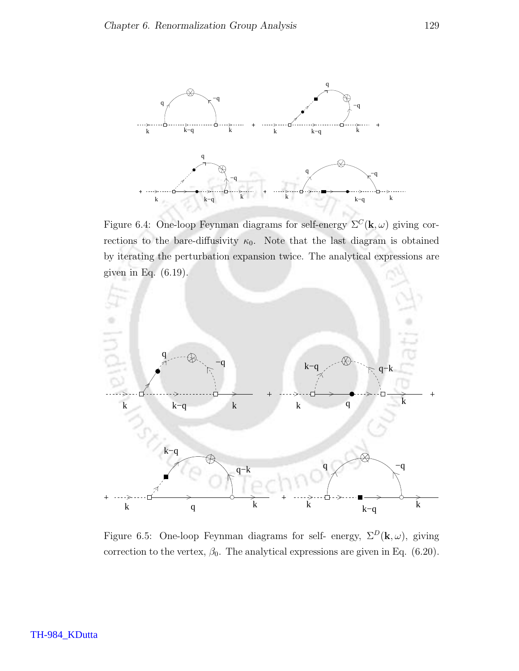

Figure 6.4: One-loop Feynman diagrams for self-energy  $\Sigma^C(\mathbf{k}, \omega)$  giving corrections to the bare-diffusivity  $\kappa_0$ . Note that the last diagram is obtained by iterating the perturbation expansion twice. The analytical expressions are given in Eq. (6.19).



Figure 6.5: One-loop Feynman diagrams for self- energy,  $\Sigma^D(\mathbf{k}, \omega)$ , giving correction to the vertex,  $\beta_0$ . The analytical expressions are given in Eq. (6.20).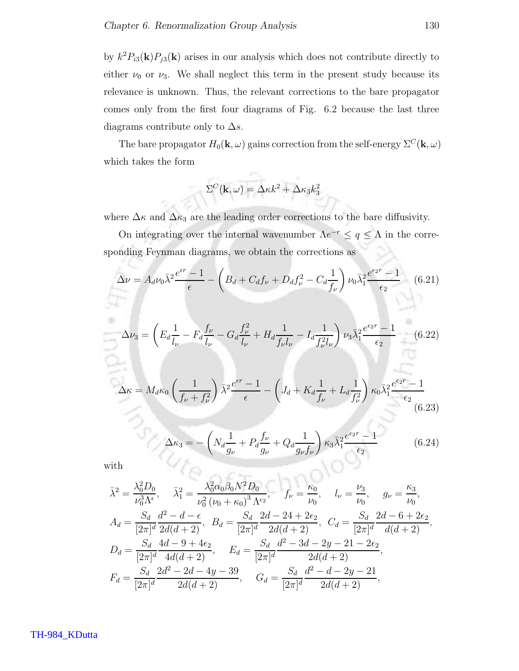by  $k^2 P_{i3}(\mathbf{k}) P_{j3}(\mathbf{k})$  arises in our analysis which does not contribute directly to either  $\nu_0$  or  $\nu_3$ . We shall neglect this term in the present study because its relevance is unknown. Thus, the relevant corrections to the bare propagator comes only from the first four diagrams of Fig. 6.2 because the last three diagrams contribute only to  $\Delta s$ .

The bare propagator  $H_0(\mathbf{k}, \omega)$  gains correction from the self-energy  $\Sigma^C(\mathbf{k}, \omega)$ which takes the form

$$
\Sigma^C(\mathbf{k},\omega) = \Delta \kappa k^2 + \Delta \kappa_3 k_3^2
$$

TN.

where  $\Delta \kappa$  and  $\Delta \kappa_3$  are the leading order corrections to the bare diffusivity.

On integrating over the internal wavenumber  $\Lambda e^{-r} \leq q \leq \Lambda$  in the corresponding Feynman diagrams, we obtain the corrections as

$$
\Delta \nu = A_d \nu_0 \bar{\lambda}^2 \frac{e^{\epsilon r} - 1}{\epsilon} - \left( B_d + C_d f_\nu + D_d f_\nu^2 - C_d \frac{1}{f_\nu} \right) \nu_0 \bar{\lambda}_1^2 \frac{e^{\epsilon_2 r} - 1}{\epsilon_2} \quad (6.21)
$$

$$
\Delta \nu_2 = \left( F_\nu \frac{1}{r} - F_\nu \frac{f_\nu}{r} - G_\nu \frac{f_\nu^2}{r} + H_\nu \frac{1}{r} - L_\nu \frac{1}{r} \right) \nu_2 \bar{\lambda}_2^2 \frac{e^{\epsilon_2 r} - 1}{r} \quad (6.22)
$$

$$
\Delta \nu_3 = \left( E_d \frac{1}{l_{\nu}} - F_d \frac{f_{\nu}}{l_{\nu}} - G_d \frac{f_{\nu}^2}{l_{\nu}} + H_d \frac{1}{f_{\nu} l_{\nu}} - I_d \frac{1}{f_{\nu}^2 l_{\nu}} \right) \nu_3 \bar{\lambda}_1^2 \frac{e^{c_2 \nu} - 1}{\epsilon_2} \tag{6.22}
$$

$$
\Delta \kappa = M_d \kappa_0 \left(\frac{1}{f_\nu + f_\nu^2}\right) \bar{\lambda}^2 \frac{e^{\epsilon r} - 1}{\epsilon} - \left(J_d + K_d \frac{1}{f_\nu} + L_d \frac{1}{f_\nu^2}\right) \kappa_0 \bar{\lambda}_1^2 \frac{e^{\epsilon_2 r} - 1}{\epsilon_2} \tag{6.23}
$$

$$
\Delta \kappa_3 = -\left( N_d \frac{1}{g_\nu} + P_d \frac{f_\nu}{g_\nu} + Q_d \frac{1}{g_\nu f_\nu} \right) \kappa_3 \bar{\lambda}_1^2 \frac{e^{\epsilon_2 r} - 1}{\epsilon_2} \tag{6.24}
$$

10 C S

with

$$
\bar{\lambda}^{2} = \frac{\lambda_{0}^{2}D_{0}}{\nu_{0}^{3}\Lambda^{\epsilon}}, \quad \bar{\lambda}_{1}^{2} = \frac{\lambda_{0}^{2}\alpha_{0}\beta_{0}N^{2}D_{0}}{\nu_{0}^{2}(\nu_{0} + \kappa_{0})^{3}\Lambda^{\epsilon_{2}}}, \quad f_{\nu} = \frac{\kappa_{0}}{\nu_{0}}, \quad l_{\nu} = \frac{\nu_{3}}{\nu_{0}}, \quad g_{\nu} = \frac{\kappa_{3}}{\nu_{0}},
$$
  
\n
$$
A_{d} = \frac{S_{d}}{[2\pi]^{d}}\frac{d^{2} - d - \epsilon}{2d(d+2)}, \quad B_{d} = \frac{S_{d}}{[2\pi]^{d}}\frac{2d - 24 + 2\epsilon_{2}}{2d(d+2)}, \quad C_{d} = \frac{S_{d}}{[2\pi]^{d}}\frac{2d - 6 + 2\epsilon_{2}}{d(d+2)},
$$
  
\n
$$
D_{d} = \frac{S_{d}}{[2\pi]^{d}}\frac{4d - 9 + 4\epsilon_{2}}{4d(d+2)}, \quad E_{d} = \frac{S_{d}}{[2\pi]^{d}}\frac{d^{2} - 3d - 2y - 21 - 2\epsilon_{2}}{2d(d+2)},
$$
  
\n
$$
F_{d} = \frac{S_{d}}{[2\pi]^{d}}\frac{2d^{2} - 2d - 4y - 39}{2d(d+2)}, \quad G_{d} = \frac{S_{d}}{[2\pi]^{d}}\frac{d^{2} - d - 2y - 21}{2d(d+2)},
$$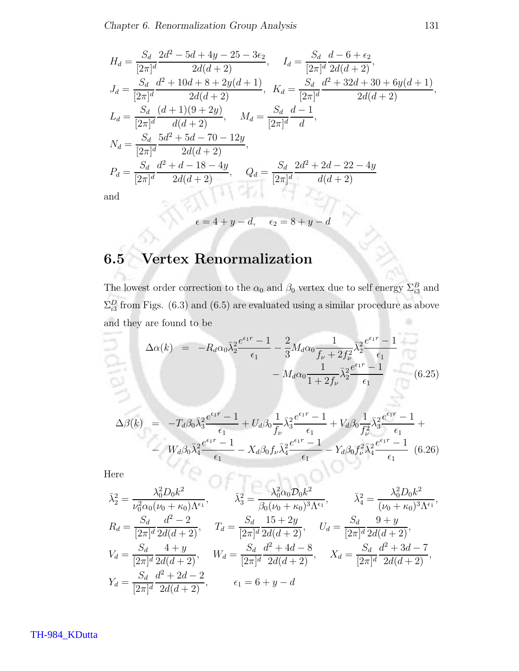$$
H_d = \frac{S_d}{[2\pi]^d} \frac{2d^2 - 5d + 4y - 25 - 3\epsilon_2}{2d(d+2)}, \qquad I_d = \frac{S_d}{[2\pi]^d} \frac{d - 6 + \epsilon_2}{2d(d+2)},
$$
  
\n
$$
J_d = \frac{S_d}{[2\pi]^d} \frac{d^2 + 10d + 8 + 2y(d+1)}{2d(d+2)}, \qquad K_d = \frac{S_d}{[2\pi]^d} \frac{d^2 + 32d + 30 + 6y(d+1)}{2d(d+2)},
$$
  
\n
$$
L_d = \frac{S_d}{[2\pi]^d} \frac{(d+1)(9+2y)}{d(d+2)}, \qquad M_d = \frac{S_d}{[2\pi]^d} \frac{d-1}{d},
$$
  
\n
$$
N_d = \frac{S_d}{[2\pi]^d} \frac{5d^2 + 5d - 70 - 12y}{2d(d+2)},
$$
  
\n
$$
P_d = \frac{S_d}{[2\pi]^d} \frac{d^2 + d - 18 - 4y}{2d(d+2)}, \qquad Q_d = \frac{S_d}{[2\pi]^d} \frac{2d^2 + 2d - 22 - 4y}{d(d+2)}
$$
  
\nand

and

$$
\epsilon = 4 + y - d, \quad \epsilon_2 = 8 + y - d
$$

## 6.5 Vertex Renormalization

The lowest order correction to the  $\alpha_0$  and  $\beta_0$  vertex due to self energy  $\Sigma_{i3}^B$  and  $\Sigma_{i3}^D$  from Figs. (6.3) and (6.5) are evaluated using a similar procedure as above and they are found to be

$$
\Delta \alpha(k) = -R_d \alpha_0 \bar{\lambda}_2^2 \frac{e^{\epsilon_1 r} - 1}{\epsilon_1} - \frac{2}{3} M_d \alpha_0 \frac{1}{f_\nu + 2f_\nu^2} \bar{\lambda}_2^2 \frac{e^{\epsilon_1 r} - 1}{\epsilon_1} -M_d \alpha_0 \frac{1}{1 + 2f_\nu} \bar{\lambda}_2^2 \frac{e^{\epsilon_1 r} - 1}{\epsilon_1}
$$
(6.25)

$$
\Delta\beta(k) = -T_d \beta_0 \bar{\lambda}_3^2 \frac{e^{\epsilon_1 r} - 1}{\epsilon_1} + U_d \beta_0 \frac{1}{f_\nu} \bar{\lambda}_3^2 \frac{e^{\epsilon_1 r} - 1}{\epsilon_1} + V_d \beta_0 \frac{1}{f_\nu^2} \bar{\lambda}_3^2 \frac{e^{\epsilon_1 r} - 1}{\epsilon_1} +
$$
  
-  $W_d \beta_0 \bar{\lambda}_4^2 \frac{e^{\epsilon_1 r} - 1}{\epsilon_1} - X_d \beta_0 f_\nu \bar{\lambda}_4^2 \frac{e^{\epsilon_1 r} - 1}{\epsilon_1} - Y_d \beta_0 f_\nu^2 \bar{\lambda}_4^2 \frac{e^{\epsilon_1 r} - 1}{\epsilon_1}$  (6.26)

Here

$$
\bar{\lambda}_2^2 = \frac{\lambda_0^2 D_0 k^2}{\nu_0^2 \alpha_0 (\nu_0 + \kappa_0) \Lambda^{\epsilon_1}}, \qquad \bar{\lambda}_3^2 = \frac{\lambda_0^2 \alpha_0 D_0 k^2}{\beta_0 (\nu_0 + \kappa_0)^3 \Lambda^{\epsilon_1}}, \qquad \bar{\lambda}_4^2 = \frac{\lambda_0^2 D_0 k^2}{(\nu_0 + \kappa_0)^3 \Lambda^{\epsilon_1}},
$$
\n
$$
R_d = \frac{S_d}{[2\pi]^d} \frac{d^2 - 2}{2d(d+2)}, \qquad T_d = \frac{S_d}{[2\pi]^d} \frac{15 + 2y}{2d(d+2)}, \qquad U_d = \frac{S_d}{[2\pi]^d} \frac{9 + y}{2d(d+2)},
$$
\n
$$
V_d = \frac{S_d}{[2\pi]^d} \frac{4 + y}{2d(d+2)}, \qquad W_d = \frac{S_d}{[2\pi]^d} \frac{d^2 + 4d - 8}{2d(d+2)}, \qquad X_d = \frac{S_d}{[2\pi]^d} \frac{d^2 + 3d - 7}{2d(d+2)},
$$
\n
$$
Y_d = \frac{S_d}{[2\pi]^d} \frac{d^2 + 2d - 2}{2d(d+2)}, \qquad \epsilon_1 = 6 + y - d
$$

TH-984\_KDutta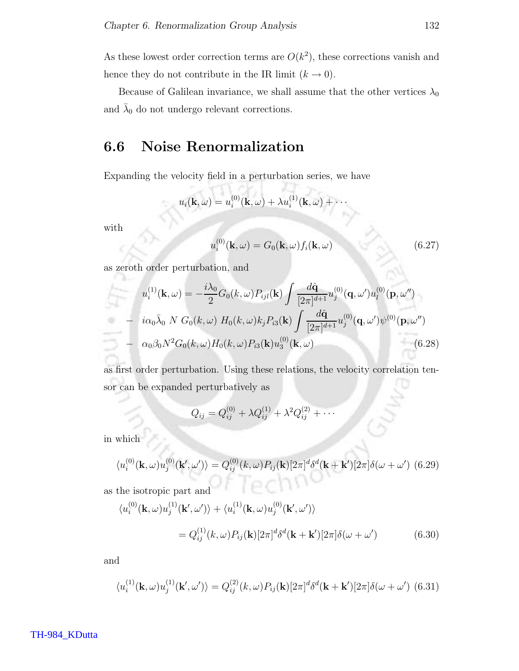As these lowest order correction terms are  $O(k^2)$ , these corrections vanish and hence they do not contribute in the IR limit  $(k \to 0)$ .

Because of Galilean invariance, we shall assume that the other vertices  $\lambda_0$ and  $\bar{\lambda}_0$  do not undergo relevant corrections.

### 6.6 Noise Renormalization

w

Expanding the velocity field in a perturbation series, we have

 $\cdots$ 

$$
u_i(\mathbf{k},\omega) = u_i^{(0)}(\mathbf{k},\omega) + \lambda u_i^{(1)}(\mathbf{k},\omega) + \cdots
$$

æ

with

k.

$$
u_i^{(0)}(\mathbf{k},\omega) = G_0(\mathbf{k},\omega) f_i(\mathbf{k},\omega)
$$
\n(6.27)

as zeroth order perturbation, and

$$
u_i^{(1)}(\mathbf{k}, \omega) = -\frac{i\lambda_0}{2} G_0(k, \omega) P_{ijl}(\mathbf{k}) \int \frac{d\hat{\mathbf{q}}}{[2\pi]^{d+1}} u_j^{(0)}(\mathbf{q}, \omega') u_l^{(0)}(\mathbf{p}, \omega'')
$$
  
\n
$$
- i\alpha_0 \bar{\lambda}_0 N G_0(k, \omega) H_0(k, \omega) k_j P_{i3}(\mathbf{k}) \int \frac{d\hat{\mathbf{q}}}{[2\pi]^{d+1}} u_j^{(0)}(\mathbf{q}, \omega') \psi^{(0)}(\mathbf{p}, \omega'')
$$
  
\n
$$
- \alpha_0 \beta_0 N^2 G_0(k, \omega) H_0(k, \omega) P_{i3}(\mathbf{k}) u_3^{(0)}(\mathbf{k}, \omega)
$$
(6.28)

as first order perturbation. Using these relations, the velocity correlation tensor can be expanded perturbatively as

$$
Q_{ij} = Q_{ij}^{(0)} + \lambda Q_{ij}^{(1)} + \lambda^2 Q_{ij}^{(2)} + \cdots
$$

in which

$$
\langle u_i^{(0)}(\mathbf{k},\omega)u_j^{(0)}(\mathbf{k}',\omega')\rangle = Q_{ij}^{(0)}(k,\omega)P_{ij}(\mathbf{k})[2\pi]^d\delta^d(\mathbf{k}+\mathbf{k}')[2\pi]\delta(\omega+\omega')\tag{6.29}
$$

as the isotropic part and

$$
\langle u_i^{(0)}(\mathbf{k},\omega)u_j^{(1)}(\mathbf{k}',\omega')\rangle + \langle u_i^{(1)}(\mathbf{k},\omega)u_j^{(0)}(\mathbf{k}',\omega')\rangle
$$
  
=  $Q_{ij}^{(1)}(k,\omega)P_{ij}(\mathbf{k})[2\pi]^d\delta^d(\mathbf{k}+\mathbf{k}')[2\pi]\delta(\omega+\omega')$  (6.30)

and

$$
\langle u_i^{(1)}(\mathbf{k},\omega)u_j^{(1)}(\mathbf{k}',\omega')\rangle = Q_{ij}^{(2)}(k,\omega)P_{ij}(\mathbf{k})[2\pi]^d\delta^d(\mathbf{k}+\mathbf{k}')[2\pi]\delta(\omega+\omega')\tag{6.31}
$$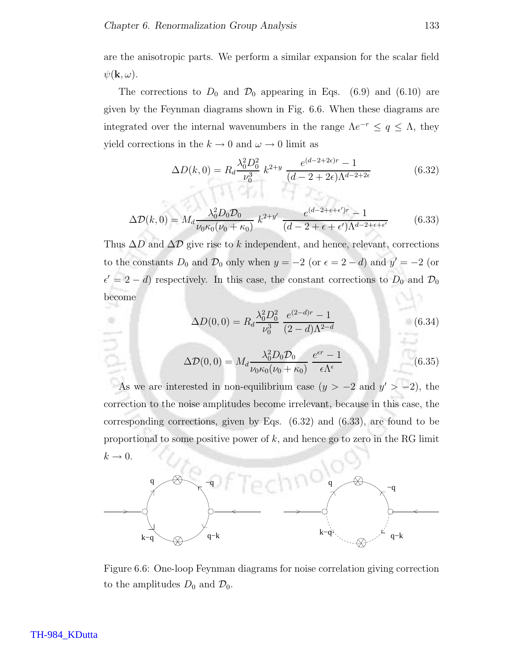are the anisotropic parts. We perform a similar expansion for the scalar field  $\psi(\mathbf{k},\omega)$ .

The corrections to  $D_0$  and  $\mathcal{D}_0$  appearing in Eqs. (6.9) and (6.10) are given by the Feynman diagrams shown in Fig. 6.6. When these diagrams are integrated over the internal wavenumbers in the range  $\Lambda e^{-r} \leq q \leq \Lambda$ , they yield corrections in the  $k \to 0$  and  $\omega \to 0$  limit as

$$
\Delta D(k,0) = R_d \frac{\lambda_0^2 D_0^2}{\nu_0^3} k^{2+y} \frac{e^{(d-2+2\epsilon)r} - 1}{(d-2+2\epsilon)\Lambda^{d-2+2\epsilon}}
$$
(6.32)

$$
\Delta \mathcal{D}(k,0) = M_d \frac{\lambda_0^2 D_0 \mathcal{D}_0}{\nu_0 \kappa_0 (\nu_0 + \kappa_0)} k^{2+y'} \frac{e^{(d-2+\epsilon+\epsilon')r} - 1}{(d-2+\epsilon+\epsilon')\Lambda^{d-2+\epsilon+\epsilon'}} \tag{6.33}
$$

Thus  $\Delta D$  and  $\Delta D$  give rise to k independent, and hence, relevant, corrections to the constants  $D_0$  and  $\mathcal{D}_0$  only when  $y = -2$  (or  $\epsilon = 2 - d$ ) and  $y' = -2$  (or  $\epsilon' = 2 - d$ ) respectively. In this case, the constant corrections to  $D_0$  and  $\mathcal{D}_0$ become

$$
\Delta D(0,0) = R_d \frac{\lambda_0^2 D_0^2}{\nu_0^3} \frac{e^{(2-d)r} - 1}{(2-d)\Lambda^{2-d}}
$$
(6.34)

$$
\Delta \mathcal{D}(0,0) = M_d \frac{\lambda_0^2 D_0 \mathcal{D}_0}{\nu_0 \kappa_0 (\nu_0 + \kappa_0)} \frac{e^{\epsilon r} - 1}{\epsilon \Lambda^{\epsilon}} \tag{6.35}
$$

As we are interested in non-equilibrium case  $(y > -2$  and  $y' > -2$ ), the correction to the noise amplitudes become irrelevant, because in this case, the corresponding corrections, given by Eqs. (6.32) and (6.33), are found to be proportional to some positive power of  $k$ , and hence go to zero in the RG limit  $k \rightarrow 0$ .



Figure 6.6: One-loop Feynman diagrams for noise correlation giving correction to the amplitudes  $D_0$  and  $\mathcal{D}_0$ .

#### TH-984\_KDutta

 $\alpha$ 

ā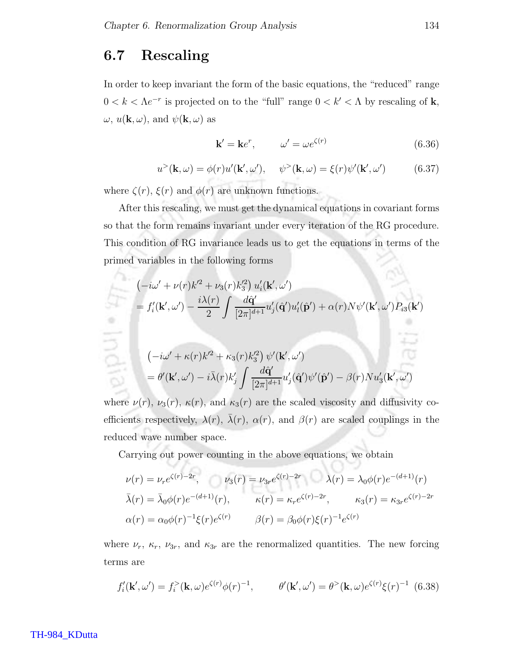### 6.7 Rescaling

In order to keep invariant the form of the basic equations, the "reduced" range  $0 < k < \Lambda e^{-r}$  is projected on to the "full" range  $0 < k' < \Lambda$  by rescaling of **k**,  $\omega, u(\mathbf{k}, \omega)$ , and  $\psi(\mathbf{k}, \omega)$  as

$$
\mathbf{k}' = \mathbf{k}e^r, \qquad \omega' = \omega e^{\zeta(r)} \tag{6.36}
$$

$$
u^{>}(\mathbf{k},\omega) = \phi(r)u'(\mathbf{k}',\omega'), \quad \psi^{>}(\mathbf{k},\omega) = \xi(r)\psi'(\mathbf{k}',\omega')
$$
(6.37)

where  $\zeta(r)$ ,  $\xi(r)$  and  $\phi(r)$  are unknown functions.

After this rescaling, we must get the dynamical equations in covariant forms so that the form remains invariant under every iteration of the RG procedure. This condition of RG invariance leads us to get the equations in terms of the primed variables in the following forms 58

$$
\begin{aligned}\n&(-i\omega' + \nu(r)k'^2 + \nu_3(r)k'^2_3) u'_i(\mathbf{k}',\omega') \\
&= f'_i(\mathbf{k}',\omega') - \frac{i\lambda(r)}{2} \int \frac{d\hat{\mathbf{q}}'}{[2\pi]^{d+1}} u'_j(\hat{\mathbf{q}}') u'_i(\hat{\mathbf{p}}') + \alpha(r)N\psi'(\mathbf{k}',\omega')P_{i3}(\mathbf{k}') \\
&(-i\omega' + \kappa(r)k'^2 + \kappa_3(r)k'^2_3) \psi'(\mathbf{k}',\omega') \\
&= \theta'(\mathbf{k}',\omega') - i\bar{\lambda}(r)k'_j \int \frac{d\hat{\mathbf{q}}'}{[2\pi]^{d+1}} u'_j(\hat{\mathbf{q}}')\psi'(\hat{\mathbf{p}}') - \beta(r)Nu'_3(\mathbf{k}',\omega')\n\end{aligned}
$$

where  $\nu(r)$ ,  $\nu_3(r)$ ,  $\kappa(r)$ , and  $\kappa_3(r)$  are the scaled viscosity and diffusivity coefficients respectively,  $\lambda(r)$ ,  $\bar{\lambda}(r)$ ,  $\alpha(r)$ , and  $\beta(r)$  are scaled couplings in the reduced wave number space.

Carrying out power counting in the above equations, we obtain

$$
\nu(r) = \nu_r e^{\zeta(r) - 2r}, \qquad \nu_3(r) = \nu_{3r} e^{\zeta(r) - 2r} \qquad \lambda(r) = \lambda_0 \phi(r) e^{-(d+1)}(r)
$$

$$
\bar{\lambda}(r) = \bar{\lambda}_0 \phi(r) e^{-(d+1)}(r), \qquad \kappa(r) = \kappa_r e^{\zeta(r) - 2r}, \qquad \kappa_3(r) = \kappa_{3r} e^{\zeta(r) - 2r}
$$

$$
\alpha(r) = \alpha_0 \phi(r)^{-1} \xi(r) e^{\zeta(r)} \qquad \beta(r) = \beta_0 \phi(r) \xi(r)^{-1} e^{\zeta(r)}
$$

W

where  $\nu_r$ ,  $\kappa_r$ ,  $\nu_{3r}$ , and  $\kappa_{3r}$  are the renormalized quantities. The new forcing terms are

$$
f'_{i}(\mathbf{k}', \omega') = f_{i}^{>}(\mathbf{k}, \omega) e^{\zeta(r)} \phi(r)^{-1}, \qquad \theta'(\mathbf{k}', \omega') = \theta^{>}(\mathbf{k}, \omega) e^{\zeta(r)} \xi(r)^{-1} \tag{6.38}
$$

#### TH-984\_KDutta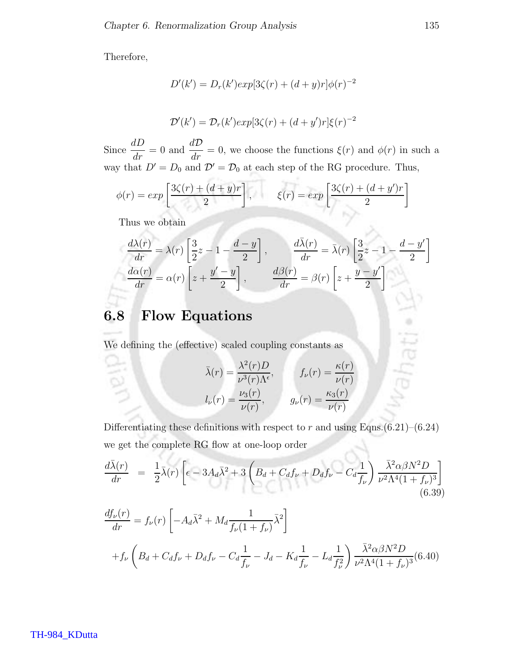Therefore,

$$
D'(k') = D_r(k')exp[3\zeta(r) + (d+y)r]\phi(r)^{-2}
$$
  

$$
D'(k') = D_r(k')exp[3\zeta(r) + (d+y')r]\xi(r)^{-2}
$$

Since  $\frac{dD}{dr} = 0$  and  $\frac{dD}{dr} = 0$ , we choose the functions  $\xi(r)$  and  $\phi(r)$  in such a way that  $D' = D_0$  and  $\mathcal{D}' = \mathcal{D}_0$  at each step of the RG procedure. Thus,

$$
\phi(r) = exp\left[\frac{3\zeta(r) + (d+y)r}{2}\right], \qquad \xi(r) = exp\left[\frac{3\zeta(r) + (d+y')r}{2}\right]
$$

Thus we obtain

$$
\frac{d\lambda(r)}{dr} = \lambda(r) \left[ \frac{3}{2}z - 1 - \frac{d-y}{2} \right], \qquad \frac{d\bar{\lambda}(r)}{dr} = \bar{\lambda}(r) \left[ \frac{3}{2}z - 1 - \frac{d-y'}{2} \right]
$$

$$
\frac{d\alpha(r)}{dr} = \alpha(r) \left[ z + \frac{y'-y}{2} \right], \qquad \frac{d\beta(r)}{dr} = \beta(r) \left[ z + \frac{y-y'}{2} \right]
$$

## 6.8 Flow Equations

We defining the (effective) scaled coupling constants as

$$
\bar{\lambda}(r) = \frac{\lambda^2(r)D}{\nu^3(r)\Lambda^{\epsilon}}, \qquad f_{\nu}(r) = \frac{\kappa(r)}{\nu(r)}
$$

$$
l_{\nu}(r) = \frac{\nu_3(r)}{\nu(r)}, \qquad g_{\nu}(r) = \frac{\kappa_3(r)}{\nu(r)}
$$

Differentiating these definitions with respect to r and using Eqns. $(6.21)$ – $(6.24)$ we get the complete RG flow at one-loop order

$$
\frac{d\bar{\lambda}(r)}{dr} = \frac{1}{2}\bar{\lambda}(r)\left[\epsilon - 3A_d\bar{\lambda}^2 + 3\left(B_d + C_d f_\nu + D_d f_\nu - C_d \frac{1}{f_\nu}\right)\frac{\bar{\lambda}^2 \alpha \beta N^2 D}{\nu^2 \Lambda^4 (1 + f_\nu)^3}\right]
$$
\n(6.39)

$$
\frac{df_{\nu}(r)}{dr} = f_{\nu}(r) \left[ -A_d \bar{\lambda}^2 + M_d \frac{1}{f_{\nu}(1+f_{\nu})} \bar{\lambda}^2 \right]
$$
  
+ $f_{\nu} \left( B_d + C_d f_{\nu} + D_d f_{\nu} - C_d \frac{1}{f_{\nu}} - J_d - K_d \frac{1}{f_{\nu}} - L_d \frac{1}{f_{\nu}^2} \right) \frac{\bar{\lambda}^2 \alpha \beta N^2 D}{\nu^2 \Lambda^4 (1+f_{\nu})^3} (6.40)$ 

hati «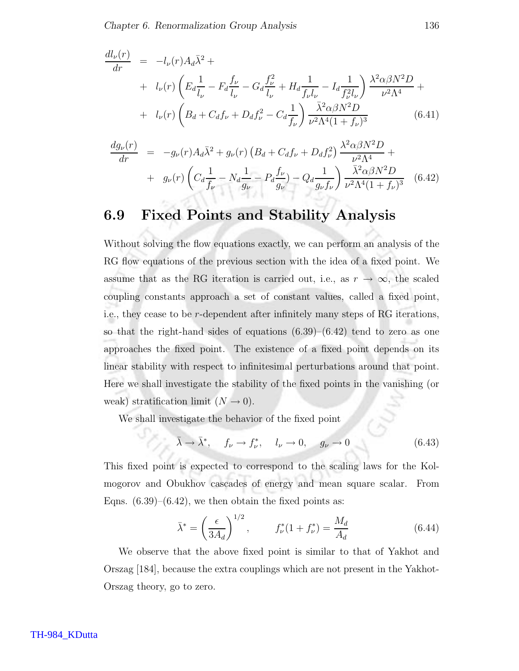$$
\frac{dl_{\nu}(r)}{dr} = -l_{\nu}(r)A_d\bar{\lambda}^2 +
$$
\n
$$
+ l_{\nu}(r)\left(E_d\frac{1}{l_{\nu}} - F_d\frac{f_{\nu}}{l_{\nu}} - G_d\frac{f_{\nu}^2}{l_{\nu}} + H_d\frac{1}{f_{\nu}l_{\nu}} - I_d\frac{1}{f_{\nu}^2l_{\nu}}\right) \frac{\lambda^2\alpha\beta N^2D}{\nu^2\Lambda^4} +
$$
\n
$$
+ l_{\nu}(r)\left(B_d + C_df_{\nu} + D_df_{\nu}^2 - C_d\frac{1}{f_{\nu}}\right) \frac{\bar{\lambda}^2\alpha\beta N^2D}{\nu^2\Lambda^4(1+f_{\nu})^3} \tag{6.41}
$$

$$
\frac{dg_{\nu}(r)}{dr} = -g_{\nu}(r)A_d\bar{\lambda}^2 + g_{\nu}(r)\left(B_d + C_d f_{\nu} + D_d f_{\nu}^2\right) \frac{\lambda^2 \alpha \beta N^2 D}{\nu^2 \Lambda^4} +
$$
  
+  $g_{\nu}(r)\left(C_d \frac{1}{f_{\nu}} - N_d \frac{1}{g_{\nu}} - P_d \frac{f_{\nu}}{g_{\nu}}\right) - Q_d \frac{1}{g_{\nu}f_{\nu}}\right) \frac{\bar{\lambda}^2 \alpha \beta N^2 D}{\nu^2 \Lambda^4 (1 + f_{\nu})^3}$  (6.42)

## 6.9 Fixed Points and Stability Analysis

Without solving the flow equations exactly, we can perform an analysis of the RG flow equations of the previous section with the idea of a fixed point. We assume that as the RG iteration is carried out, i.e., as  $r \to \infty$ , the scaled coupling constants approach a set of constant values, called a fixed point, i.e., they cease to be r-dependent after infinitely many steps of RG iterations, so that the right-hand sides of equations  $(6.39)$ – $(6.42)$  tend to zero as one approaches the fixed point. The existence of a fixed point depends on its linear stability with respect to infinitesimal perturbations around that point. Here we shall investigate the stability of the fixed points in the vanishing (or weak) stratification limit  $(N \rightarrow 0)$ .

We shall investigate the behavior of the fixed point

$$
\bar{\lambda} \to \bar{\lambda}^*, \quad f_{\nu} \to f_{\nu}^*, \quad l_{\nu} \to 0, \quad g_{\nu} \to 0 \tag{6.43}
$$

This fixed point is expected to correspond to the scaling laws for the Kolmogorov and Obukhov cascades of energy and mean square scalar. From Eqns.  $(6.39)$ – $(6.42)$ , we then obtain the fixed points as:

$$
\bar{\lambda}^* = \left(\frac{\epsilon}{3A_d}\right)^{1/2}, \qquad f^*_{\nu}(1 + f^*_{\nu}) = \frac{M_d}{A_d} \tag{6.44}
$$

We observe that the above fixed point is similar to that of Yakhot and Orszag [184], because the extra couplings which are not present in the Yakhot-Orszag theory, go to zero.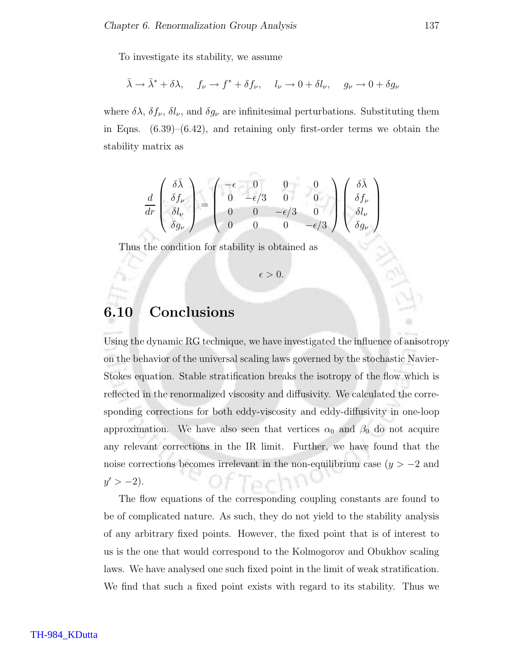To investigate its stability, we assume

$$
\bar{\lambda} \to \bar{\lambda}^* + \delta \lambda
$$
,  $f_{\nu} \to f^* + \delta f_{\nu}$ ,  $l_{\nu} \to 0 + \delta l_{\nu}$ ,  $g_{\nu} \to 0 + \delta g_{\nu}$ 

where  $\delta\lambda$ ,  $\delta f_{\nu}$ ,  $\delta l_{\nu}$ , and  $\delta g_{\nu}$  are infinitesimal perturbations. Substituting them in Eqns.  $(6.39)$ – $(6.42)$ , and retaining only first-order terms we obtain the stability matrix as

$$
\frac{d}{dr}\begin{pmatrix}\n\delta\bar{\lambda} \\
\delta f_{\nu} \\
\delta l_{\nu} \\
\delta g_{\nu}\n\end{pmatrix} = \begin{pmatrix}\n-\epsilon & 0 & 0 & 0 \\
0 & -\epsilon/3 & 0 & 0 \\
0 & 0 & -\epsilon/3 & 0 \\
0 & 0 & 0 & -\epsilon/3\n\end{pmatrix} \begin{pmatrix}\n\delta\bar{\lambda} \\
\delta f_{\nu} \\
\delta l_{\nu} \\
\delta g_{\nu}\n\end{pmatrix}
$$

Thus the condition for stability is obtained as

 $\epsilon > 0$ .

### 6.10 Conclusions

Using the dynamic RG technique, we have investigated the influence of anisotropy on the behavior of the universal scaling laws governed by the stochastic Navier-Stokes equation. Stable stratification breaks the isotropy of the flow which is reflected in the renormalized viscosity and diffusivity. We calculated the corresponding corrections for both eddy-viscosity and eddy-diffusivity in one-loop approximation. We have also seen that vertices  $\alpha_0$  and  $\beta_0$  do not acquire any relevant corrections in the IR limit. Further, we have found that the noise corrections becomes irrelevant in the non-equilibrium case  $(y > -2$  and  $y' > -2$ ).

The flow equations of the corresponding coupling constants are found to be of complicated nature. As such, they do not yield to the stability analysis of any arbitrary fixed points. However, the fixed point that is of interest to us is the one that would correspond to the Kolmogorov and Obukhov scaling laws. We have analysed one such fixed point in the limit of weak stratification. We find that such a fixed point exists with regard to its stability. Thus we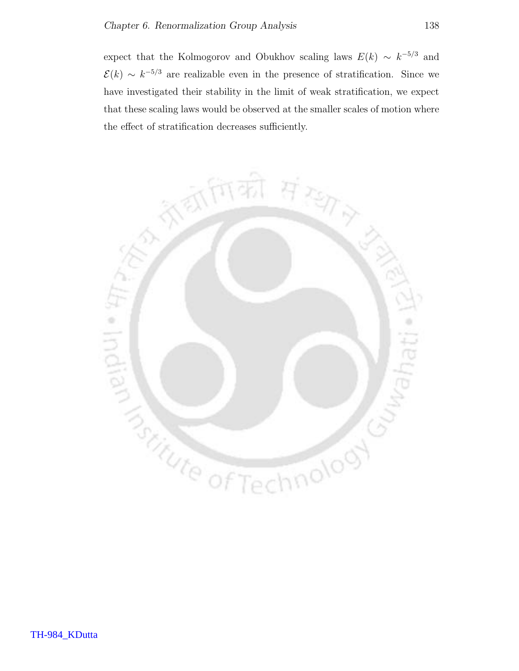expect that the Kolmogorov and Obukhov scaling laws  $E(k) \sim k^{-5/3}$  and  $\mathcal{E}(k) \sim k^{-5/3}$  are realizable even in the presence of stratification. Since we have investigated their stability in the limit of weak stratification, we expect that these scaling laws would be observed at the smaller scales of motion where the effect of stratification decreases sufficiently.

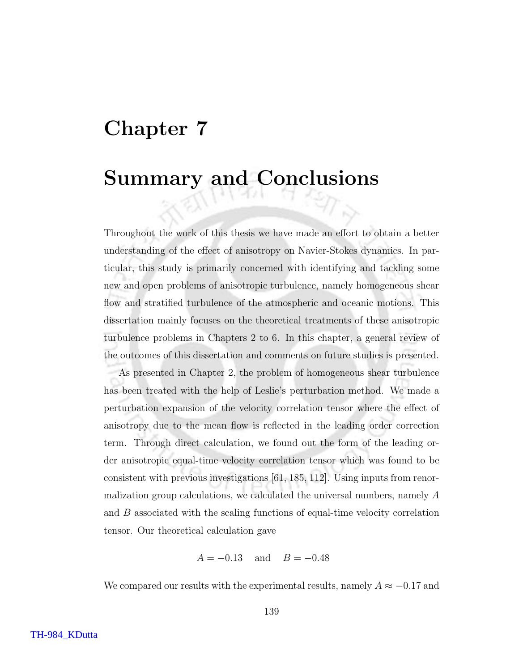# Chapter 7

# Summary and Conclusions

Throughout the work of this thesis we have made an effort to obtain a better understanding of the effect of anisotropy on Navier-Stokes dynamics. In particular, this study is primarily concerned with identifying and tackling some new and open problems of anisotropic turbulence, namely homogeneous shear flow and stratified turbulence of the atmospheric and oceanic motions. This dissertation mainly focuses on the theoretical treatments of these anisotropic turbulence problems in Chapters 2 to 6. In this chapter, a general review of the outcomes of this dissertation and comments on future studies is presented.

As presented in Chapter 2, the problem of homogeneous shear turbulence has been treated with the help of Leslie's perturbation method. We made a perturbation expansion of the velocity correlation tensor where the effect of anisotropy due to the mean flow is reflected in the leading order correction term. Through direct calculation, we found out the form of the leading order anisotropic equal-time velocity correlation tensor which was found to be consistent with previous investigations [61, 185, 112]. Using inputs from renormalization group calculations, we calculated the universal numbers, namely A and B associated with the scaling functions of equal-time velocity correlation tensor. Our theoretical calculation gave

$$
A = -0.13
$$
 and  $B = -0.48$ 

We compared our results with the experimental results, namely  $A\approx -0.17$  and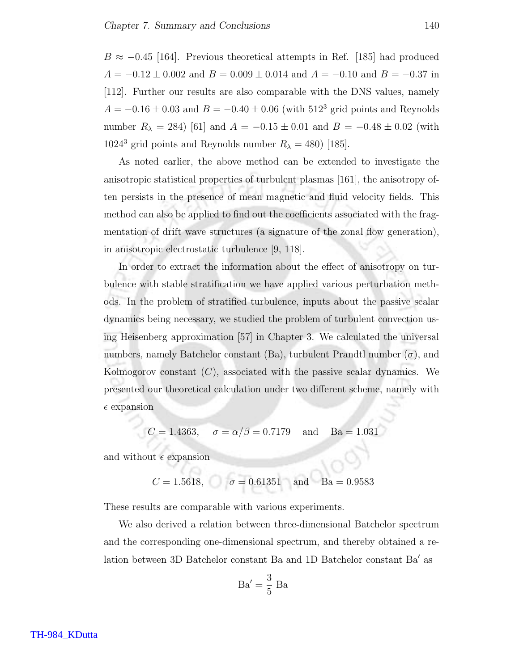$B \approx -0.45$  [164]. Previous theoretical attempts in Ref. [185] had produced  $A = -0.12 \pm 0.002$  and  $B = 0.009 \pm 0.014$  and  $A = -0.10$  and  $B = -0.37$  in [112]. Further our results are also comparable with the DNS values, namely  $A = -0.16 \pm 0.03$  and  $B = -0.40 \pm 0.06$  (with 512<sup>3</sup> grid points and Reynolds number  $R_{\lambda} = 284$ ) [61] and  $A = -0.15 \pm 0.01$  and  $B = -0.48 \pm 0.02$  (with  $1024^3$  grid points and Reynolds number  $R_{\lambda} = 480$  [185].

As noted earlier, the above method can be extended to investigate the anisotropic statistical properties of turbulent plasmas [161], the anisotropy often persists in the presence of mean magnetic and fluid velocity fields. This method can also be applied to find out the coefficients associated with the fragmentation of drift wave structures (a signature of the zonal flow generation), in anisotropic electrostatic turbulence [9, 118].

In order to extract the information about the effect of anisotropy on turbulence with stable stratification we have applied various perturbation methods. In the problem of stratified turbulence, inputs about the passive scalar dynamics being necessary, we studied the problem of turbulent convection using Heisenberg approximation [57] in Chapter 3. We calculated the universal numbers, namely Batchelor constant (Ba), turbulent Prandtl number  $(\sigma)$ , and Kolmogorov constant  $(C)$ , associated with the passive scalar dynamics. We presented our theoretical calculation under two different scheme, namely with  $\epsilon$  expansion

$$
C = 1.4363
$$
,  $\sigma = \alpha/\beta = 0.7179$  and  $Ba = 1.031$ 

and without  $\epsilon$  expansion

$$
C = 1.5618
$$
,  $\sigma = 0.61351$  and  $Ba = 0.9583$ 

These results are comparable with various experiments.

We also derived a relation between three-dimensional Batchelor spectrum and the corresponding one-dimensional spectrum, and thereby obtained a relation between 3D Batchelor constant Ba and 1D Batchelor constant Ba′ as

$$
\text{Ba}' = \frac{3}{5} \text{ Ba}
$$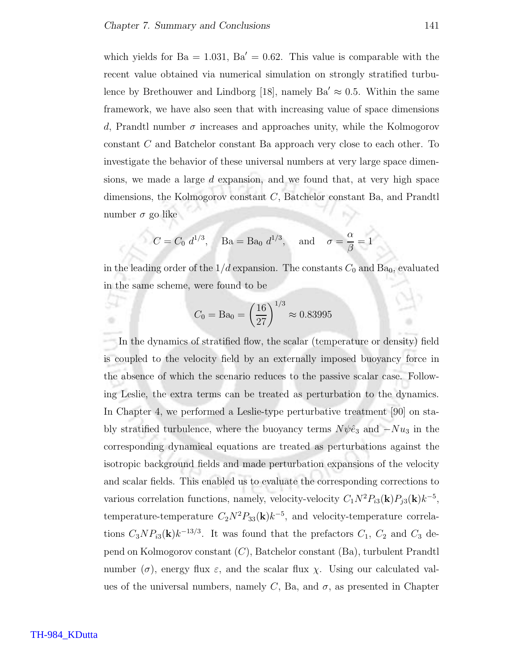which yields for  $Ba = 1.031$ ,  $Ba' = 0.62$ . This value is comparable with the recent value obtained via numerical simulation on strongly stratified turbulence by Brethouwer and Lindborg [18], namely  $Ba' \approx 0.5$ . Within the same framework, we have also seen that with increasing value of space dimensions d, Prandtl number  $\sigma$  increases and approaches unity, while the Kolmogorov constant C and Batchelor constant Ba approach very close to each other. To investigate the behavior of these universal numbers at very large space dimensions, we made a large  $d$  expansion, and we found that, at very high space dimensions, the Kolmogorov constant C, Batchelor constant Ba, and Prandtl number  $\sigma$  go like

$$
C = C_0 d^{1/3}
$$
, Ba = Ba<sub>0</sub>  $d^{1/3}$ , and  $\sigma = \frac{\alpha}{\beta} = 1$ 

in the leading order of the  $1/d$  expansion. The constants  $C_0$  and  $Ba_0$ , evaluated in the same scheme, were found to be

$$
C_0 = \text{Ba}_0 = \left(\frac{16}{27}\right)^{1/3} \approx 0.83995
$$

In the dynamics of stratified flow, the scalar (temperature or density) field is coupled to the velocity field by an externally imposed buoyancy force in the absence of which the scenario reduces to the passive scalar case. Following Leslie, the extra terms can be treated as perturbation to the dynamics. In Chapter 4, we performed a Leslie-type perturbative treatment [90] on stably stratified turbulence, where the buoyancy terms  $N\psi\hat{e}_3$  and  $-Nu_3$  in the corresponding dynamical equations are treated as perturbations against the isotropic background fields and made perturbation expansions of the velocity and scalar fields. This enabled us to evaluate the corresponding corrections to various correlation functions, namely, velocity-velocity  $C_1 N^2 P_{i3}(\mathbf{k}) P_{j3}(\mathbf{k}) k^{-5}$ , temperature-temperature  $C_2N^2P_{33}(\mathbf{k})k^{-5}$ , and velocity-temperature correlations  $C_3NP_{i3}(\mathbf{k})k^{-13/3}$ . It was found that the prefactors  $C_1$ ,  $C_2$  and  $C_3$  depend on Kolmogorov constant (C), Batchelor constant (Ba), turbulent Prandtl number  $(\sigma)$ , energy flux  $\varepsilon$ , and the scalar flux  $\chi$ . Using our calculated values of the universal numbers, namely C, Ba, and  $\sigma$ , as presented in Chapter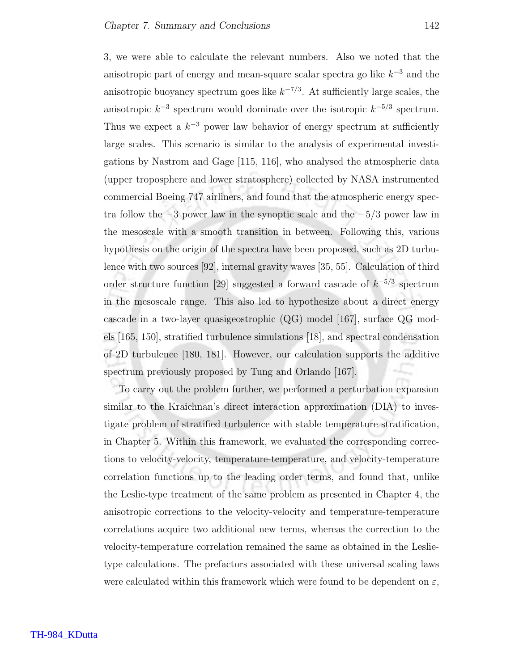3, we were able to calculate the relevant numbers. Also we noted that the anisotropic part of energy and mean-square scalar spectra go like  $k^{-3}$  and the anisotropic buoyancy spectrum goes like  $k^{-7/3}$ . At sufficiently large scales, the anisotropic  $k^{-3}$  spectrum would dominate over the isotropic  $k^{-5/3}$  spectrum. Thus we expect a  $k^{-3}$  power law behavior of energy spectrum at sufficiently large scales. This scenario is similar to the analysis of experimental investigations by Nastrom and Gage [115, 116], who analysed the atmospheric data (upper troposphere and lower stratosphere) collected by NASA instrumented commercial Boeing 747 airliners, and found that the atmospheric energy spectra follow the  $-3$  power law in the synoptic scale and the  $-5/3$  power law in the mesoscale with a smooth transition in between. Following this, various hypothesis on the origin of the spectra have been proposed, such as 2D turbulence with two sources [92], internal gravity waves [35, 55]. Calculation of third order structure function [29] suggested a forward cascade of  $k^{-5/3}$  spectrum in the mesoscale range. This also led to hypothesize about a direct energy cascade in a two-layer quasigeostrophic (QG) model [167], surface QG models [165, 150], stratified turbulence simulations [18], and spectral condensation of 2D turbulence [180, 181]. However, our calculation supports the additive spectrum previously proposed by Tung and Orlando [167].

To carry out the problem further, we performed a perturbation expansion similar to the Kraichnan's direct interaction approximation (DIA) to investigate problem of stratified turbulence with stable temperature stratification, in Chapter 5. Within this framework, we evaluated the corresponding corrections to velocity-velocity, temperature-temperature, and velocity-temperature correlation functions up to the leading order terms, and found that, unlike the Leslie-type treatment of the same problem as presented in Chapter 4, the anisotropic corrections to the velocity-velocity and temperature-temperature correlations acquire two additional new terms, whereas the correction to the velocity-temperature correlation remained the same as obtained in the Leslietype calculations. The prefactors associated with these universal scaling laws were calculated within this framework which were found to be dependent on  $\varepsilon$ ,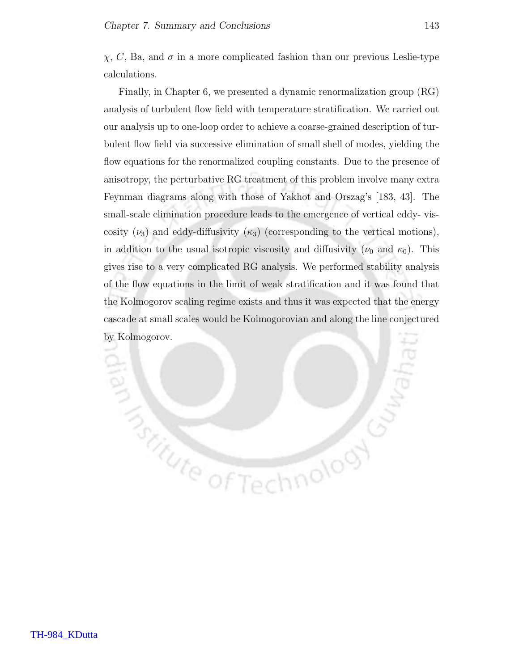$\chi$ , C, Ba, and  $\sigma$  in a more complicated fashion than our previous Leslie-type calculations.

Finally, in Chapter 6, we presented a dynamic renormalization group (RG) analysis of turbulent flow field with temperature stratification. We carried out our analysis up to one-loop order to achieve a coarse-grained description of turbulent flow field via successive elimination of small shell of modes, yielding the flow equations for the renormalized coupling constants. Due to the presence of anisotropy, the perturbative RG treatment of this problem involve many extra Feynman diagrams along with those of Yakhot and Orszag's [183, 43]. The small-scale elimination procedure leads to the emergence of vertical eddy- viscosity  $(\nu_3)$  and eddy-diffusivity  $(\kappa_3)$  (corresponding to the vertical motions), in addition to the usual isotropic viscosity and diffusivity ( $\nu_0$  and  $\kappa_0$ ). This gives rise to a very complicated RG analysis. We performed stability analysis of the flow equations in the limit of weak stratification and it was found that the Kolmogorov scaling regime exists and thus it was expected that the energy cascade at small scales would be Kolmogorovian and along the line conjectured by Kolmogorov.

**Butter of Technology**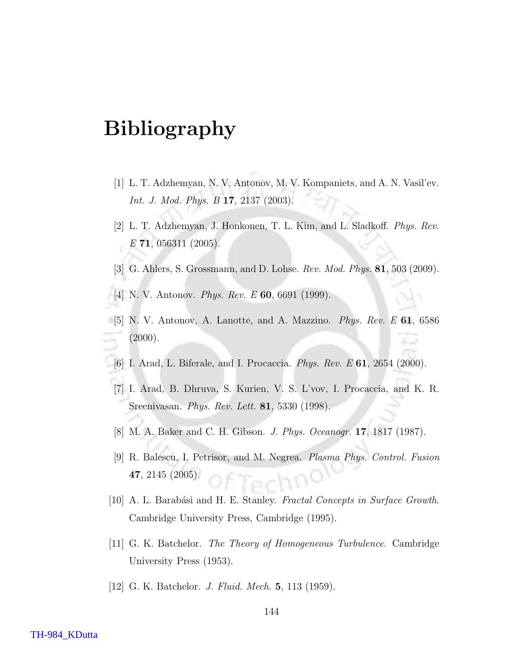# Bibliography

- [1] L. T. Adzhemyan, N. V. Antonov, M. V. Kompaniets, and A. N. Vasil'ev. Int. J. Mod. Phys. B 17, 2137 (2003).
- [2] L. T. Adzhemyan, J. Honkonen, T. L. Kim, and L. Sladkoff. Phys. Rev.  $E$  71, 056311 (2005).
- [3] G. Ahlers, S. Grossmann, and D. Lohse. Rev. Mod. Phys. 81, 503 (2009).
- [4] N. V. Antonov. Phys. Rev. E 60, 6691 (1999).
- [5] N. V. Antonov, A. Lanotte, and A. Mazzino. Phys. Rev. E 61, 6586 (2000).
- [6] I. Arad, L. Biferale, and I. Procaccia. *Phys. Rev. E* **61**, 2654 (2000).
- [7] I. Arad, B. Dhruva, S. Kurien, V. S. L'vov, I. Procaccia, and K. R. Sreenivasan. Phys. Rev. Lett. 81, 5330 (1998).
- [8] M. A. Baker and C. H. Gibson. J. Phys. Oceanogr. 17, 1817 (1987).
- [9] R. Balescu, I. Petrisor, and M. Negrea. Plasma Phys. Control. Fusion 47, 2145 (2005).
- [10] A. L. Barabási and H. E. Stanley. *Fractal Concepts in Surface Growth*. Cambridge University Press, Cambridge (1995).
- [11] G. K. Batchelor. The Theory of Homogeneous Turbulence. Cambridge University Press (1953).
- [12] G. K. Batchelor. *J. Fluid. Mech.* **5**, 113 (1959).

#### TH-984\_KDutta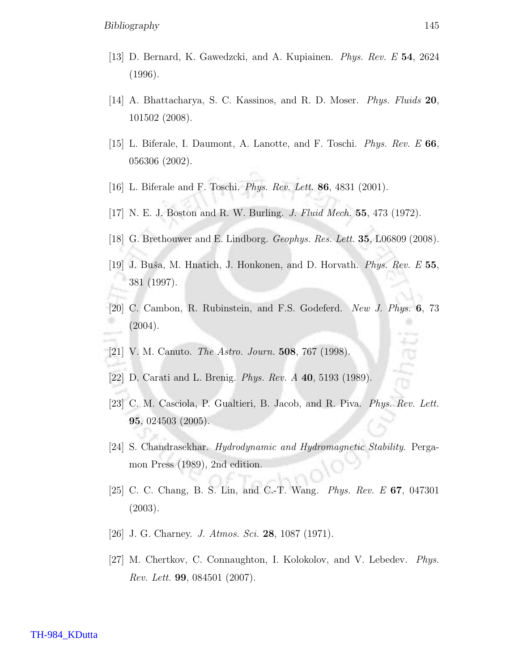- [13] D. Bernard, K. Gawedzcki, and A. Kupiainen. Phys. Rev. E 54, 2624 (1996).
- [14] A. Bhattacharya, S. C. Kassinos, and R. D. Moser. Phys. Fluids 20, 101502 (2008).
- [15] L. Biferale, I. Daumont, A. Lanotte, and F. Toschi. Phys. Rev. E 66, 056306 (2002).
- [16] L. Biferale and F. Toschi. Phys. Rev. Lett. 86, 4831 (2001).
- [17] N. E. J. Boston and R. W. Burling. J. Fluid Mech. 55, 473 (1972).
- [18] G. Brethouwer and E. Lindborg. Geophys. Res. Lett. 35, L06809 (2008).
- [19] J. Buša, M. Hnatich, J. Honkonen, and D. Horvath. *Phys. Rev. E* 55, 381 (1997).
- [20] C. Cambon, R. Rubinstein, and F.S. Godeferd. New J. Phys. 6, 73 (2004).
- [21] V. M. Canuto. The Astro. Journ. 508, 767 (1998).
- [22] D. Carati and L. Brenig. Phys. Rev. A 40, 5193 (1989).
- [23] C. M. Casciola, P. Gualtieri, B. Jacob, and R. Piva. Phys. Rev. Lett. 95, 024503 (2005).
- [24] S. Chandrasekhar. Hydrodynamic and Hydromagnetic Stability. Pergamon Press (1989), 2nd edition.
- [25] C. C. Chang, B. S. Lin, and C.-T. Wang. Phys. Rev. E 67, 047301 (2003).
- [26] J. G. Charney. *J. Atmos. Sci.* 28, 1087 (1971).
- [27] M. Chertkov, C. Connaughton, I. Kolokolov, and V. Lebedev. Phys. Rev. Lett. 99, 084501 (2007).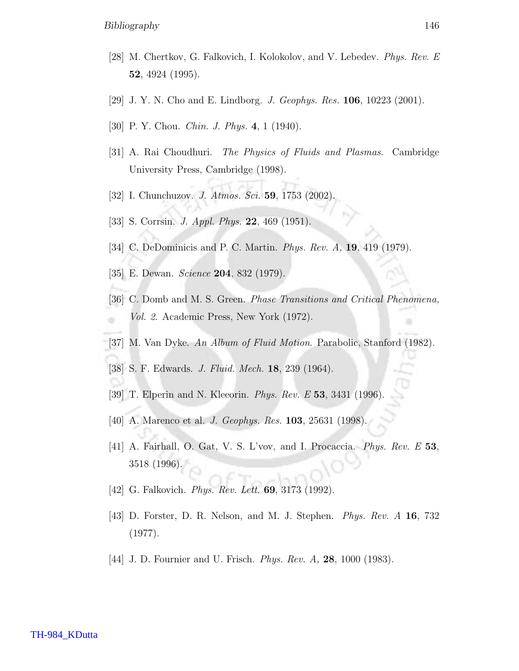- [28] M. Chertkov, G. Falkovich, I. Kolokolov, and V. Lebedev. Phys. Rev. E 52, 4924 (1995).
- [29] J. Y. N. Cho and E. Lindborg. *J. Geophys. Res.* **106**, 10223 (2001).
- [30] P. Y. Chou. *Chin. J. Phys.* 4, 1 (1940).
- [31] A. Rai Choudhuri. The Physics of Fluids and Plasmas. Cambridge University Press, Cambridge (1998).
- [32] I. Chunchuzov. *J. Atmos. Sci.* **59**, 1753 (2002).
- [33] S. Corrsin. *J. Appl. Phys.* **22**, 469 (1951).
- [34] C. DeDominicis and P. C. Martin. *Phys. Rev. A*, **19**, 419 (1979).
- [35] E. Dewan. *Science* **204**, 832 (1979).
- [36] C. Domb and M. S. Green. Phase Transitions and Critical Phenomena, Vol. 2. Academic Press, New York (1972).
- [37] M. Van Dyke. An Album of Fluid Motion. Parabolic, Stanford (1982).
- [38] S. F. Edwards. J. Fluid. Mech. 18, 239 (1964).
- [39] T. Elperin and N. Kleeorin. *Phys. Rev. E* 53, 3431 (1996).
- [40] A. Marenco et al. *J. Geophys. Res.* **103**, 25631 (1998).
- [41] A. Fairhall, O. Gat, V. S. L'vov, and I. Procaccia. Phys. Rev. E 53, 3518 (1996).
- [42] G. Falkovich. *Phys. Rev. Lett.* **69**, 3173 (1992).
- [43] D. Forster, D. R. Nelson, and M. J. Stephen. Phys. Rev. A 16, 732 (1977).
- [44] J. D. Fournier and U. Frisch. *Phys. Rev. A*, **28**, 1000 (1983).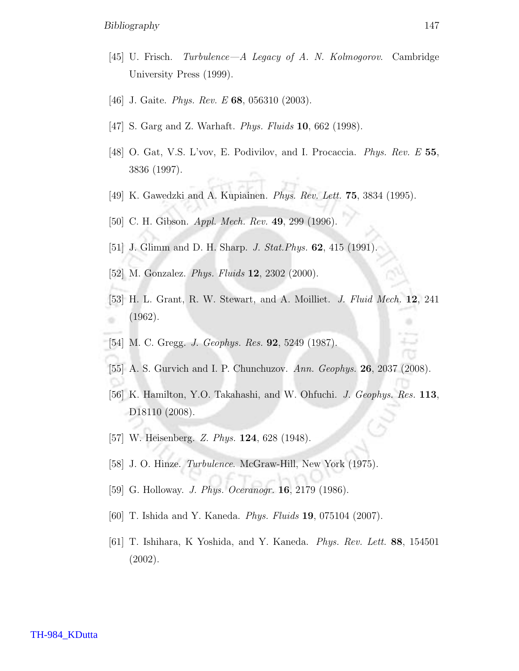- [45] U. Frisch. Turbulence—A Legacy of A. N. Kolmogorov. Cambridge University Press (1999).
- [46] J. Gaite. *Phys. Rev. E* **68**, 056310 (2003).
- [47] S. Garg and Z. Warhaft. *Phys. Fluids* **10**, 662 (1998).
- [48] O. Gat, V.S. L'vov, E. Podivilov, and I. Procaccia. Phys. Rev. E 55, 3836 (1997).
- [49] K. Gawedzki and A. Kupiainen. *Phys. Rev. Lett.* **75**, 3834 (1995).
- [50] C. H. Gibson. *Appl. Mech. Rev.* **49**, 299 (1996).
- [51] J. Glimm and D. H. Sharp. *J. Stat. Phys.* **62**, 415 (1991).
- [52] M. Gonzalez. *Phys. Fluids* **12**, 2302 (2000).
- [53] H. L. Grant, R. W. Stewart, and A. Moilliet. J. Fluid Mech. 12, 241 (1962).
- [54] M. C. Gregg. J. Geophys. Res. 92, 5249 (1987).
- [55] A. S. Gurvich and I. P. Chunchuzov. Ann. Geophys. 26, 2037 (2008).
- [56] K. Hamilton, Y.O. Takahashi, and W. Ohfuchi. J. Geophys. Res. 113, D18110 (2008).
- [57] W. Heisenberg. Z. Phys. **124**, 628 (1948).
- [58] J. O. Hinze. *Turbulence*. McGraw-Hill, New York (1975).
- [59] G. Holloway. *J. Phys. Oceranogr.* **16**, 2179 (1986).
- [60] T. Ishida and Y. Kaneda. Phys. Fluids 19, 075104 (2007).
- [61] T. Ishihara, K Yoshida, and Y. Kaneda. Phys. Rev. Lett. 88, 154501 (2002).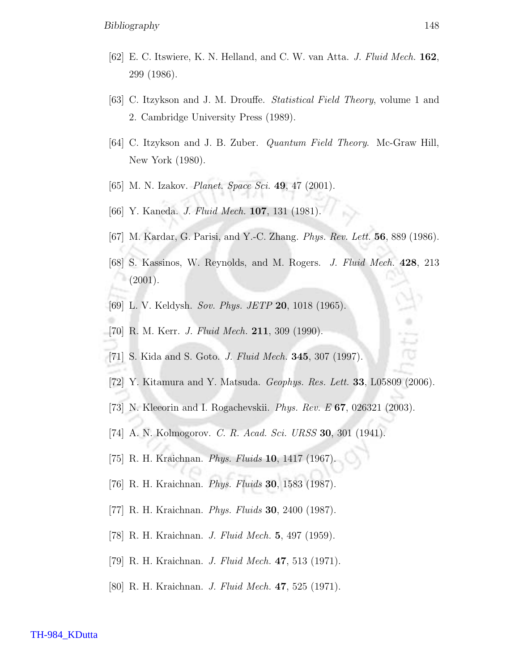- [62] E. C. Itswiere, K. N. Helland, and C. W. van Atta. J. Fluid Mech. 162, 299 (1986).
- [63] C. Itzykson and J. M. Drouffe. Statistical Field Theory, volume 1 and 2. Cambridge University Press (1989).
- [64] C. Itzykson and J. B. Zuber. Quantum Field Theory. Mc-Graw Hill, New York (1980).
- [65] M. N. Izakov. *Planet. Space Sci.* **49**, 47 (2001).
- [66] Y. Kaneda. J. Fluid Mech. 107, 131 (1981).
- [67] M. Kardar, G. Parisi, and Y.-C. Zhang. Phys. Rev. Lett. 56, 889 (1986).
- [68] S. Kassinos, W. Reynolds, and M. Rogers. J. Fluid Mech. 428, 213  $(2001).$
- [69] L. V. Keldysh. Sov. Phys. JETP 20, 1018 (1965).
- [70] R. M. Kerr. *J. Fluid Mech.* **211**, 309 (1990).
- [71] S. Kida and S. Goto. J. Fluid Mech. 345, 307 (1997).
- [72] Y. Kitamura and Y. Matsuda. Geophys. Res. Lett. 33, L05809 (2006).
- [73] N. Kleeorin and I. Rogachevskii. Phys. Rev. E 67, 026321 (2003).
- [74] A. N. Kolmogorov. C. R. Acad. Sci. URSS 30, 301 (1941).
- [75] R. H. Kraichnan. *Phys. Fluids* **10**, 1417 (1967).
- [76] R. H. Kraichnan. Phys. Fluids 30, 1583 (1987).
- [77] R. H. Kraichnan. *Phys. Fluids* **30**, 2400 (1987).
- [78] R. H. Kraichnan. J. Fluid Mech. 5, 497 (1959).
- [79] R. H. Kraichnan. J. Fluid Mech. 47, 513 (1971).
- [80] R. H. Kraichnan. J. Fluid Mech. 47, 525 (1971).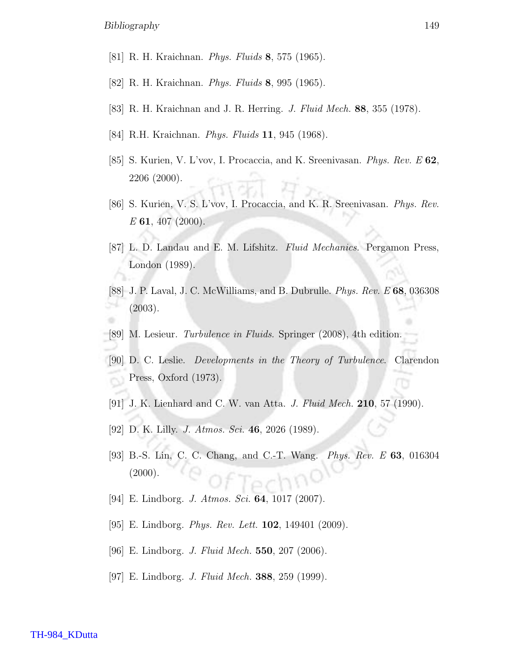- [81] R. H. Kraichnan. *Phys. Fluids* 8, 575 (1965).
- [82] R. H. Kraichnan. *Phys. Fluids* 8, 995 (1965).
- [83] R. H. Kraichnan and J. R. Herring. J. Fluid Mech. 88, 355 (1978).
- [84] R.H. Kraichnan. *Phys. Fluids* **11**, 945 (1968).
- [85] S. Kurien, V. L'vov, I. Procaccia, and K. Sreenivasan. Phys. Rev. E 62, 2206 (2000).
- [86] S. Kurien, V. S. L'vov, I. Procaccia, and K. R. Sreenivasan. Phys. Rev.  $E$  61, 407 (2000).
- [87] L. D. Landau and E. M. Lifshitz. Fluid Mechanics. Pergamon Press, London (1989).
- [88] J. P. Laval, J. C. McWilliams, and B. Dubrulle. Phys. Rev. E 68, 036308 (2003).
- [89] M. Lesieur. Turbulence in Fluids. Springer (2008), 4th edition.
- [90] D. C. Leslie. Developments in the Theory of Turbulence. Clarendon Press, Oxford (1973).
- [91] J. K. Lienhard and C. W. van Atta. *J. Fluid Mech.* **210**, 57 (1990).
- [92] D. K. Lilly. *J. Atmos. Sci.* 46, 2026 (1989).
- [93] B.-S. Lin, C. C. Chang, and C.-T. Wang. Phys. Rev. E 63, 016304  $(2000).$
- [94] E. Lindborg. *J. Atmos. Sci.* **64**, 1017 (2007).
- [95] E. Lindborg. *Phys. Rev. Lett.* **102**, 149401 (2009).
- [96] E. Lindborg. *J. Fluid Mech.* **550**, 207 (2006).
- [97] E. Lindborg. *J. Fluid Mech.* **388**, 259 (1999).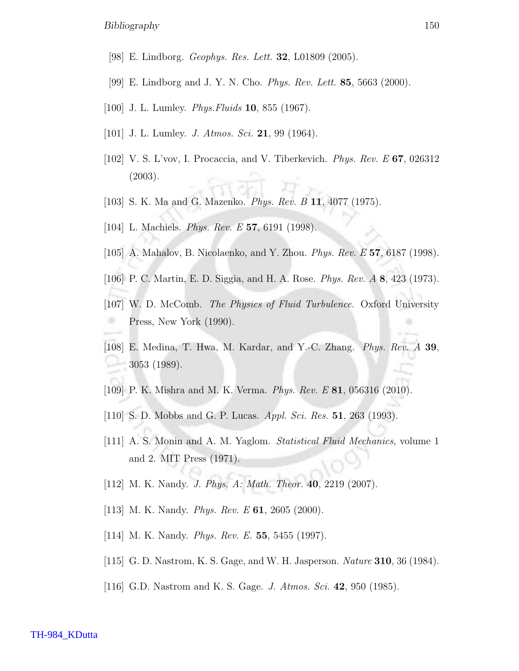- [98] E. Lindborg. Geophys. Res. Lett. 32, L01809 (2005).
- [99] E. Lindborg and J. Y. N. Cho. *Phys. Rev. Lett.* **85**, 5663 (2000).
- [100] J. L. Lumley. *Phys. Fluids* **10**, 855 (1967).
- [101] J. L. Lumley. *J. Atmos. Sci.* 21, 99 (1964).
- [102] V. S. L'vov, I. Procaccia, and V. Tiberkevich. Phys. Rev. E 67, 026312 (2003).
- [103] S. K. Ma and G. Mazenko. *Phys. Rev. B* 11, 4077 (1975).
- [104] L. Machiels. *Phys. Rev. E* 57, 6191 (1998).
- [105] A. Mahalov, B. Nicolaenko, and Y. Zhou. Phys. Rev. E 57, 6187 (1998).
- [106] P. C. Martin, E. D. Siggia, and H. A. Rose. Phys. Rev. A 8, 423 (1973).
- [107] W. D. McComb. The Physics of Fluid Turbulence. Oxford University Press, New York (1990).
- [108] E. Medina, T. Hwa, M. Kardar, and Y.-C. Zhang. Phys. Rev. A 39, 3053 (1989).
- [109] P. K. Mishra and M. K. Verma. Phys. Rev. E 81, 056316 (2010).
- [110] S. D. Mobbs and G. P. Lucas. *Appl. Sci. Res.* **51**, 263 (1993).
- [111] A. S. Monin and A. M. Yaglom. *Statistical Fluid Mechanics*, volume 1 and 2. MIT Press (1971).
- [112] M. K. Nandy. *J. Phys. A: Math. Theor.* **40**, 2219 (2007).
- [113] M. K. Nandy. *Phys. Rev. E* **61**, 2605 (2000).
- [114] M. K. Nandy. *Phys. Rev. E.* **55**, 5455 (1997).
- [115] G. D. Nastrom, K. S. Gage, and W. H. Jasperson. *Nature* **310**, 36 (1984).
- [116] G.D. Nastrom and K. S. Gage. *J. Atmos. Sci.* 42, 950 (1985).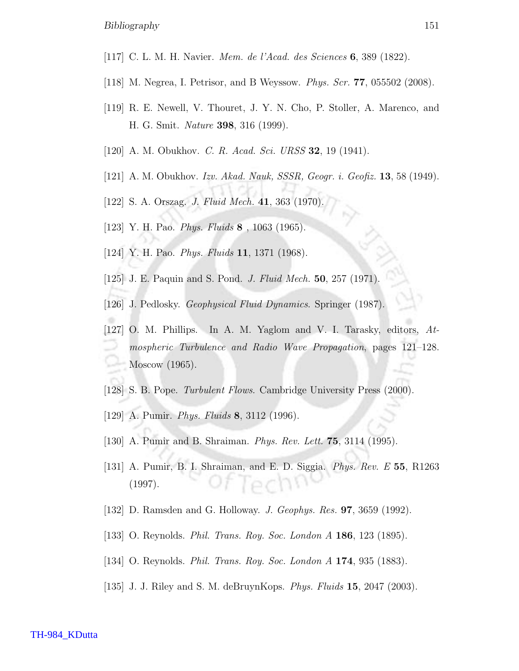- [117] C. L. M. H. Navier. Mem. de l'Acad. des Sciences 6, 389 (1822).
- [118] M. Negrea, I. Petrisor, and B Weyssow. Phys. Scr. 77, 055502 (2008).
- [119] R. E. Newell, V. Thouret, J. Y. N. Cho, P. Stoller, A. Marenco, and H. G. Smit. Nature 398, 316 (1999).
- [120] A. M. Obukhov. *C. R. Acad. Sci. URSS* **32**, 19 (1941).
- [121] A. M. Obukhov. Izv. Akad. Nauk, SSSR, Geogr. i. Geofiz. **13**, 58 (1949).
- [122] S. A. Orszag. *J. Fluid Mech.* 41, 363 (1970).
- [123] Y. H. Pao. *Phys. Fluids* **8**, 1063 (1965).
- [124] Y. H. Pao. *Phys. Fluids* **11**, 1371 (1968).
- [125] J. E. Paquin and S. Pond. *J. Fluid Mech.* **50**, 257 (1971).
- [126] J. Pedlosky. Geophysical Fluid Dynamics. Springer (1987).
- [127] O. M. Phillips. In A. M. Yaglom and V. I. Tarasky, editors, Atmospheric Turbulence and Radio Wave Propagation, pages 121–128. Moscow (1965).
- [128] S. B. Pope. *Turbulent Flows*. Cambridge University Press (2000).
- [129] A. Pumir. *Phys. Fluids* 8, 3112 (1996).
- [130] A. Pumir and B. Shraiman. Phys. Rev. Lett. 75, 3114 (1995).
- [131] A. Pumir, B. I. Shraiman, and E. D. Siggia. Phys. Rev. E 55, R1263 (1997).
- [132] D. Ramsden and G. Holloway. *J. Geophys. Res.* **97**, 3659 (1992).
- [133] O. Reynolds. *Phil. Trans. Roy. Soc. London A* **186**, 123 (1895).
- [134] O. Reynolds. *Phil. Trans. Roy. Soc. London A* **174**, 935 (1883).
- [135] J. J. Riley and S. M. deBruynKops. Phys. Fluids 15, 2047 (2003).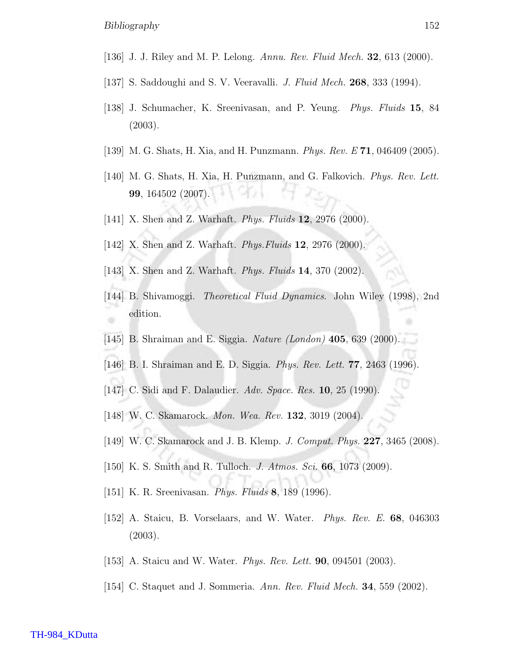- [136] J. J. Riley and M. P. Lelong. Annu. Rev. Fluid Mech. **32**, 613 (2000).
- [137] S. Saddoughi and S. V. Veeravalli. J. Fluid Mech. 268, 333 (1994).
- [138] J. Schumacher, K. Sreenivasan, and P. Yeung. Phys. Fluids 15, 84 (2003).
- [139] M. G. Shats, H. Xia, and H. Punzmann. *Phys. Rev. E*  $71$ , 046409 (2005).
- [140] M. G. Shats, H. Xia, H. Punzmann, and G. Falkovich. *Phys. Rev. Lett.* 99, 164502 (2007).
- [141] X. Shen and Z. Warhaft. *Phys. Fluids* **12**, 2976 (2000).
- [142] X. Shen and Z. Warhaft. *Phys. Fluids* **12**, 2976 (2000).
- [143] X. Shen and Z. Warhaft. *Phys. Fluids* **14**, 370 (2002).
- [144] B. Shivamoggi. Theoretical Fluid Dynamics. John Wiley (1998), 2nd edition.
- [145] B. Shraiman and E. Siggia. Nature (London) 405, 639 (2000).
- [146] B. I. Shraiman and E. D. Siggia. Phys. Rev. Lett. 77, 2463 (1996).
- [147] C. Sidi and F. Dalaudier. Adv. Space. Res. 10, 25 (1990).
- [148] W. C. Skamarock. *Mon. Wea. Rev.* **132**, 3019 (2004).
- [149] W. C. Skamarock and J. B. Klemp. J. Comput. Phys. 227, 3465 (2008).
- [150] K. S. Smith and R. Tulloch. J. Atmos. Sci. 66, 1073 (2009).
- [151] K. R. Sreenivasan. Phys. Fluids 8, 189 (1996).
- [152] A. Staicu, B. Vorselaars, and W. Water. Phys. Rev. E. 68, 046303 (2003).
- [153] A. Staicu and W. Water. *Phys. Rev. Lett.* **90**, 094501 (2003).
- [154] C. Staquet and J. Sommeria. Ann. Rev. Fluid Mech. 34, 559 (2002).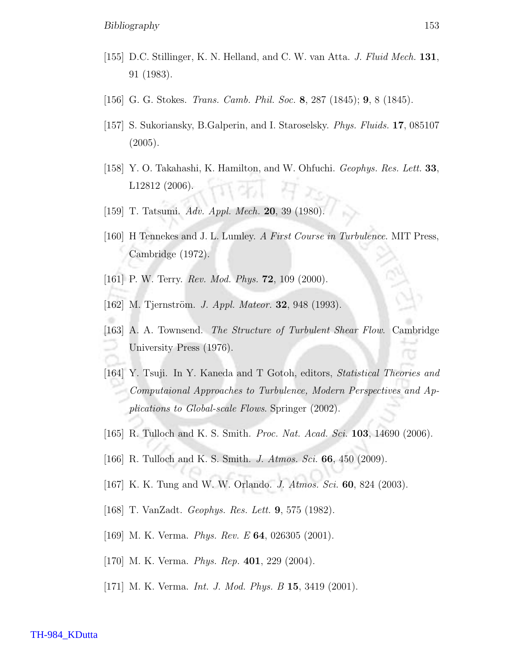- [155] D.C. Stillinger, K. N. Helland, and C. W. van Atta. J. Fluid Mech. 131, 91 (1983).
- [156] G. G. Stokes. Trans. Camb. Phil. Soc. 8, 287 (1845); 9, 8 (1845).
- [157] S. Sukoriansky, B.Galperin, and I. Staroselsky. Phys. Fluids. 17, 085107 (2005).
- [158] Y. O. Takahashi, K. Hamilton, and W. Ohfuchi. Geophys. Res. Lett. 33, L12812 (2006).
- [159] T. Tatsumi. Adv. Appl. Mech. 20, 39 (1980).
- [160] H Tennekes and J. L. Lumley. A First Course in Turbulence. MIT Press, Cambridge (1972).
- [161] P. W. Terry. *Rev. Mod. Phys.* **72**, 109 (2000).
- [162] M. Tjernström. *J. Appl. Mateor.* **32**, 948 (1993).
- [163] A. A. Townsend. The Structure of Turbulent Shear Flow. Cambridge University Press (1976).
- [164] Y. Tsuji. In Y. Kaneda and T Gotoh, editors, Statistical Theories and Computaional Approaches to Turbulence, Modern Perspectives and Applications to Global-scale Flows. Springer (2002).
- [165] R. Tulloch and K. S. Smith. *Proc. Nat. Acad. Sci.* **103**, 14690 (2006).
- [166] R. Tulloch and K. S. Smith. *J. Atmos. Sci.* **66**, 450 (2009).
- [167] K. K. Tung and W. W. Orlando. J. Atmos. Sci. 60, 824 (2003).
- [168] T. VanZadt. Geophys. Res. Lett. 9, 575 (1982).
- [169] M. K. Verma. *Phys. Rev. E* **64**, 026305 (2001).
- [170] M. K. Verma. *Phys. Rep.* **401**, 229 (2004).
- [171] M. K. Verma. *Int. J. Mod. Phys. B* **15**, 3419 (2001).